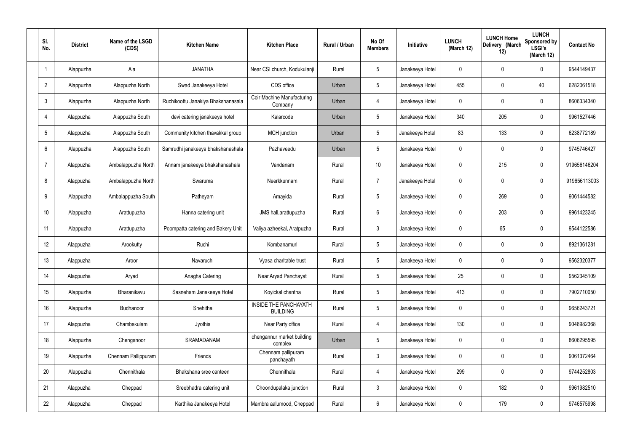| SI.<br>No.      | <b>District</b> | Name of the LSGD<br>(CDS) | <b>Kitchen Name</b>                | <b>Kitchen Place</b>                            | Rural / Urban | No Of<br><b>Members</b> | Initiative      | <b>LUNCH</b><br>(March 12) | <b>LUNCH Home</b><br>Delivery (March<br>12) | <b>LUNCH</b><br>Sponsored by<br><b>LSGI's</b><br>(March 12) | <b>Contact No</b> |
|-----------------|-----------------|---------------------------|------------------------------------|-------------------------------------------------|---------------|-------------------------|-----------------|----------------------------|---------------------------------------------|-------------------------------------------------------------|-------------------|
|                 | Alappuzha       | Ala                       | <b>JANATHA</b>                     | Near CSI church, Kodukulanji                    | Rural         | $5\phantom{.0}$         | Janakeeya Hotel | $\mathbf 0$                | 0                                           | $\mathbf 0$                                                 | 9544149437        |
| $\overline{2}$  | Alappuzha       | Alappuzha North           | Swad Janakeeya Hotel               | CDS office                                      | Urban         | $5\phantom{.0}$         | Janakeeya Hotel | 455                        | 0                                           | 40                                                          | 6282061518        |
| $\mathbf{3}$    | Alappuzha       | Alappuzha North           | Ruchikoottu Janakiya Bhakshanasala | <b>Coir Machine Manufacturing</b><br>Company    | Urban         | 4                       | Janakeeya Hotel | $\mathbf 0$                | 0                                           | $\mathbf 0$                                                 | 8606334340        |
| $\overline{4}$  | Alappuzha       | Alappuzha South           | devi catering janakeeya hotel      | Kalarcode                                       | Urban         | $5\phantom{.0}$         | Janakeeya Hotel | 340                        | 205                                         | $\mathbf 0$                                                 | 9961527446        |
| $5\overline{)}$ | Alappuzha       | Alappuzha South           | Community kitchen thavakkal group  | MCH junction                                    | Urban         | $5\phantom{.0}$         | Janakeeya Hotel | 83                         | 133                                         | $\mathbf 0$                                                 | 6238772189        |
| 6               | Alappuzha       | Alappuzha South           | Samrudhi janakeeya bhakshanashala  | Pazhaveedu                                      | Urban         | $5\phantom{.0}$         | Janakeeya Hotel | $\mathbf 0$                | 0                                           | $\mathbf 0$                                                 | 9745746427        |
| $\overline{7}$  | Alappuzha       | Ambalappuzha North        | Annam janakeeya bhakshanashala     | Vandanam                                        | Rural         | 10 <sup>°</sup>         | Janakeeya Hotel | $\mathbf 0$                | 215                                         | $\mathbf 0$                                                 | 919656146204      |
| 8               | Alappuzha       | Ambalappuzha North        | Swaruma                            | Neerkkunnam                                     | Rural         | $\overline{7}$          | Janakeeya Hotel | $\mathbf 0$                | 0                                           | $\mathbf 0$                                                 | 919656113003      |
| 9               | Alappuzha       | Ambalappuzha South        | Patheyam                           | Amayida                                         | Rural         | $5\,$                   | Janakeeya Hotel | $\mathbf 0$                | 269                                         | $\mathbf 0$                                                 | 9061444582        |
| 10              | Alappuzha       | Arattupuzha               | Hanna catering unit                | JMS hall, arattupuzha                           | Rural         | $6\phantom{.}6$         | Janakeeya Hotel | $\mathbf 0$                | 203                                         | $\mathbf 0$                                                 | 9961423245        |
| 11              | Alappuzha       | Arattupuzha               | Poompatta catering and Bakery Unit | Valiya azheekal, Aratpuzha                      | Rural         | $\mathfrak{Z}$          | Janakeeya Hotel | $\mathbf 0$                | 65                                          | $\mathbf 0$                                                 | 9544122586        |
| 12              | Alappuzha       | Arookutty                 | Ruchi                              | Kombanamuri                                     | Rural         | $5\,$                   | Janakeeya Hotel | $\mathbf 0$                | 0                                           | $\mathbf 0$                                                 | 8921361281        |
| 13              | Alappuzha       | Aroor                     | Navaruchi                          | Vyasa charitable trust                          | Rural         | $5\phantom{.0}$         | Janakeeya Hotel | 0                          | 0                                           | 0                                                           | 9562320377        |
| 14              | Alappuzha       | Aryad                     | Anagha Catering                    | Near Aryad Panchayat                            | Rural         | $5\phantom{.0}$         | Janakeeya Hotel | 25                         | $\mathbf 0$                                 | $\mathbf 0$                                                 | 9562345109        |
| 15              | Alappuzha       | Bharanikavu               | Sasneham Janakeeya Hotel           | Koyickal chantha                                | Rural         | $5\phantom{.0}$         | Janakeeya Hotel | 413                        | 0                                           | $\mathbf 0$                                                 | 7902710050        |
| 16              | Alappuzha       | Budhanoor                 | Snehitha                           | <b>INSIDE THE PANCHAYATH</b><br><b>BUILDING</b> | Rural         | $5\phantom{.0}$         | Janakeeya Hotel | $\mathbf 0$                | 0                                           | $\mathbf 0$                                                 | 9656243721        |
| 17              | Alappuzha       | Chambakulam               | Jyothis                            | Near Party office                               | Rural         | $\overline{4}$          | Janakeeya Hotel | 130                        | 0                                           | $\mathbf 0$                                                 | 9048982368        |
| 18              | Alappuzha       | Chenganoor                | SRAMADANAM                         | chengannur market building<br>complex           | Urban         | $5\phantom{.0}$         | Janakeeya Hotel | $\mathbf 0$                | $\mathbf 0$                                 | $\mathbf 0$                                                 | 8606295595        |
| 19              | Alappuzha       | Chennam Pallippuram       | Friends                            | Chennam pallipuram<br>panchayath                | Rural         | $\mathbf{3}$            | Janakeeya Hotel | $\mathbf 0$                | $\mathbf 0$                                 | $\mathbf 0$                                                 | 9061372464        |
| 20              | Alappuzha       | Chennithala               | Bhakshana sree canteen             | Chennithala                                     | Rural         | $\overline{4}$          | Janakeeya Hotel | 299                        | $\mathbf 0$                                 | $\mathbf 0$                                                 | 9744252803        |
| 21              | Alappuzha       | Cheppad                   | Sreebhadra catering unit           | Choondupalaka junction                          | Rural         | $\mathbf{3}$            | Janakeeya Hotel | $\pmb{0}$                  | 182                                         | $\mathbf 0$                                                 | 9961982510        |
| 22              | Alappuzha       | Cheppad                   | Karthika Janakeeya Hotel           | Mambra aalumood, Cheppad                        | Rural         | $6\,$                   | Janakeeya Hotel | 0                          | 179                                         | $\boldsymbol{0}$                                            | 9746575998        |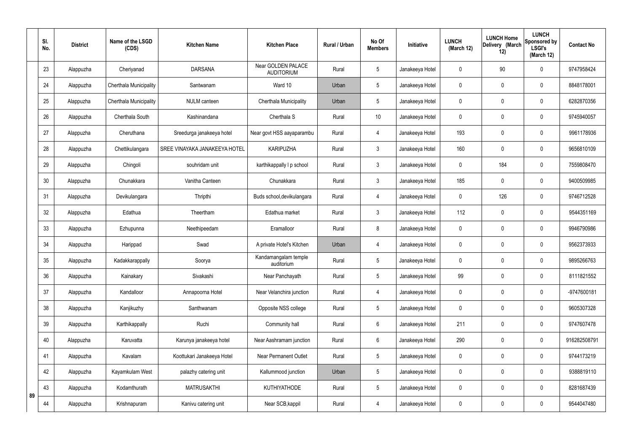|    | SI.<br>No. | <b>District</b> | Name of the LSGD<br>(CDS) | <b>Kitchen Name</b>           | <b>Kitchen Place</b>                    | <b>Rural / Urban</b> | No Of<br><b>Members</b> | Initiative      | <b>LUNCH</b><br>(March 12) | <b>LUNCH Home</b><br>Delivery (March<br>12) | <b>LUNCH</b><br>Sponsored by<br><b>LSGI's</b><br>(March 12) | <b>Contact No</b> |
|----|------------|-----------------|---------------------------|-------------------------------|-----------------------------------------|----------------------|-------------------------|-----------------|----------------------------|---------------------------------------------|-------------------------------------------------------------|-------------------|
|    | 23         | Alappuzha       | Cheriyanad                | <b>DARSANA</b>                | Near GOLDEN PALACE<br><b>AUDITORIUM</b> | Rural                | 5                       | Janakeeya Hotel | 0                          | 90                                          | $\mathbf 0$                                                 | 9747958424        |
|    | 24         | Alappuzha       | Cherthala Municipality    | Santwanam                     | Ward 10                                 | Urban                | 5                       | Janakeeya Hotel | $\mathbf 0$                | $\mathbf 0$                                 | $\mathbf 0$                                                 | 8848178001        |
|    | 25         | Alappuzha       | Cherthala Municipality    | NULM canteen                  | Cherthala Municipality                  | Urban                | 5                       | Janakeeya Hotel | 0                          | $\mathbf 0$                                 | $\mathbf 0$                                                 | 6282870356        |
|    | 26         | Alappuzha       | Cherthala South           | Kashinandana                  | Cherthala S                             | Rural                | 10                      | Janakeeya Hotel | 0                          | $\mathbf 0$                                 | $\pmb{0}$                                                   | 9745940057        |
|    | 27         | Alappuzha       | Cheruthana                | Sreedurga janakeeya hotel     | Near govt HSS aayaparambu               | Rural                | $\overline{4}$          | Janakeeya Hotel | 193                        | $\boldsymbol{0}$                            | $\mathbf 0$                                                 | 9961178936        |
|    | 28         | Alappuzha       | Chettikulangara           | SREE VINAYAKA JANAKEEYA HOTEL | <b>KARIPUZHA</b>                        | Rural                | $\mathfrak{Z}$          | Janakeeya Hotel | 160                        | $\mathbf 0$                                 | $\pmb{0}$                                                   | 9656810109        |
|    | 29         | Alappuzha       | Chingoli                  | souhridam unit                | karthikappally I p school               | Rural                | $\mathbf{3}$            | Janakeeya Hotel | 0                          | 184                                         | $\mathbf 0$                                                 | 7559808470        |
|    | 30         | Alappuzha       | Chunakkara                | Vanitha Canteen               | Chunakkara                              | Rural                | $\mathfrak{Z}$          | Janakeeya Hotel | 185                        | $\mathbf 0$                                 | $\mathbf 0$                                                 | 9400509985        |
|    | 31         | Alappuzha       | Devikulangara             | Thripthi                      | Buds school, devikulangara              | Rural                | $\overline{4}$          | Janakeeya Hotel | 0                          | 126                                         | $\mathbf 0$                                                 | 9746712528        |
|    | 32         | Alappuzha       | Edathua                   | Theertham                     | Edathua market                          | Rural                | 3                       | Janakeeya Hotel | 112                        | 0                                           | $\mathbf 0$                                                 | 9544351169        |
|    | 33         | Alappuzha       | Ezhupunna                 | Neethipeedam                  | Eramalloor                              | Rural                | 8                       | Janakeeya Hotel | 0                          | $\mathbf 0$                                 | $\mathbf 0$                                                 | 9946790986        |
|    | 34         | Alappuzha       | Harippad                  | Swad                          | A private Hotel's Kitchen               | Urban                | $\overline{4}$          | Janakeeya Hotel | 0                          | 0                                           | $\mathbf 0$                                                 | 9562373933        |
|    | 35         | Alappuzha       | Kadakkarappally           | Soorya                        | Kandamangalam temple<br>auditorium      | Rural                | 5                       | Janakeeya Hotel | 0                          | $\mathbf 0$                                 | $\mathbf 0$                                                 | 9895266763        |
|    | 36         | Alappuzha       | Kainakary                 | Sivakashi                     | Near Panchayath                         | Rural                | 5                       | Janakeeya Hotel | 99                         | $\mathbf 0$                                 | $\mathbf 0$                                                 | 8111821552        |
|    | 37         | Alappuzha       | Kandalloor                | Annapoorna Hotel              | Near Velanchira junction                | Rural                | $\overline{4}$          | Janakeeya Hotel | 0                          | $\mathbf 0$                                 | $\pmb{0}$                                                   | -9747600181       |
|    | 38         | Alappuzha       | Kanjikuzhy                | Santhwanam                    | Opposite NSS college                    | Rural                | 5                       | Janakeeya Hotel | 0                          | $\mathbf 0$                                 | $\pmb{0}$                                                   | 9605307328        |
|    | 39         | Alappuzha       | Karthikappally            | Ruchi                         | Community hall                          | Rural                | $6\phantom{.}6$         | Janakeeya Hotel | 211                        | $\mathbf 0$                                 | $\pmb{0}$                                                   | 9747607478        |
|    | 40         | Alappuzha       | Karuvatta                 | Karunya janakeeya hotel       | Near Aashramam junction                 | Rural                | 6                       | Janakeeya Hotel | 290                        | $\pmb{0}$                                   | $\pmb{0}$                                                   | 916282508791      |
|    | 41         | Alappuzha       | Kavalam                   | Koottukari Janakeeya Hotel    | <b>Near Permanent Outlet</b>            | Rural                | 5                       | Janakeeya Hotel | 0                          | $\mathbf 0$                                 | $\pmb{0}$                                                   | 9744173219        |
|    | 42         | Alappuzha       | Kayamkulam West           | palazhy catering unit         | Kallummood junction                     | Urban                | 5                       | Janakeeya Hotel | $\mathbf 0$                | $\mathbf 0$                                 | $\boldsymbol{0}$                                            | 9388819110        |
| 89 | 43         | Alappuzha       | Kodamthurath              | <b>MATRUSAKTHI</b>            | <b>KUTHIYATHODE</b>                     | Rural                | 5                       | Janakeeya Hotel | $\mathbf 0$                | $\mathbf 0$                                 | $\pmb{0}$                                                   | 8281687439        |
|    | 44         | Alappuzha       | Krishnapuram              | Kanivu catering unit          | Near SCB, kappil                        | Rural                | $\overline{4}$          | Janakeeya Hotel | 0                          | $\boldsymbol{0}$                            | $\pmb{0}$                                                   | 9544047480        |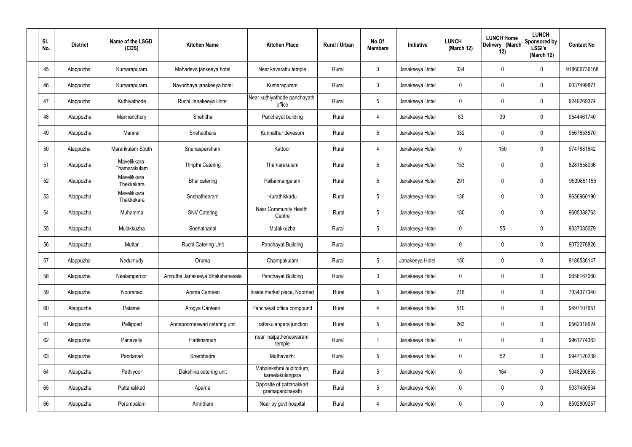| SI.<br>No. | <b>District</b> | Name of the LSGD<br>(CDS)   | <b>Kitchen Name</b>             | <b>Kitchen Place</b>                        | Rural / Urban | No Of<br><b>Members</b> | Initiative      | <b>LUNCH</b><br>(March 12) | <b>LUNCH Home</b><br>Delivery (March<br>12) | <b>LUNCH</b><br>Sponsored by<br><b>LSGI's</b><br>(March 12) | <b>Contact No</b> |
|------------|-----------------|-----------------------------|---------------------------------|---------------------------------------------|---------------|-------------------------|-----------------|----------------------------|---------------------------------------------|-------------------------------------------------------------|-------------------|
| 45         | Alappuzha       | Kumarapuram                 | Mahadeva jankeeya hotel         | Near kavarattu temple                       | Rural         | $\mathfrak{Z}$          | Janakeeya Hotel | 334                        | 0                                           | $\mathbf 0$                                                 | 918606736168      |
| 46         | Alappuzha       | Kumarapuram                 | Navodhaya janakeeya hotel       | Kumarapuram                                 | Rural         | $\mathbf{3}$            | Janakeeya Hotel | $\mathbf 0$                | 0                                           | $\boldsymbol{0}$                                            | 9037499871        |
| 47         | Alappuzha       | Kuthiyathode                | Ruchi Janakeeya Hotel           | Near kuthiyathode panchayath<br>office      | Rural         | $5\phantom{.0}$         | Janakeeya Hotel | 0                          | 0                                           | $\boldsymbol{0}$                                            | 9249269374        |
| 48         | Alappuzha       | Mannanchery                 | Snehitha                        | Panchayat building                          | Rural         | 4                       | Janakeeya Hotel | 63                         | 39                                          | $\boldsymbol{0}$                                            | 9544461740        |
| 49         | Alappuzha       | Mannar                      | Snehadhara                      | Kunnathur devasom                           | Rural         | $5\phantom{.0}$         | Janakeeya Hotel | 332                        | 0                                           | $\boldsymbol{0}$                                            | 9567853570        |
| 50         | Alappuzha       | Mararikulam South           | Snehasparsham                   | Kattoor                                     | Rural         | 4                       | Janakeeya Hotel | $\mathbf 0$                | 150                                         | $\boldsymbol{0}$                                            | 9747881642        |
| 51         | Alappuzha       | Mavelikkara<br>Thamarakulam | <b>Thripthi Catering</b>        | Thamarakulam                                | Rural         | $5\phantom{.0}$         | Janakeeya Hotel | 153                        | 0                                           | $\boldsymbol{0}$                                            | 8281558036        |
| 52         | Alappuzha       | Mavelikkara<br>Thekkekara   | Bhai catering                   | Pallarimangalam                             | Rural         | $5\phantom{.0}$         | Janakeeya Hotel | 291                        | 0                                           | $\boldsymbol{0}$                                            | 9539851155        |
| 53         | Alappuzha       | Mavelikkara<br>Thekkekara   | Snehatheeram                    | Kurathikkadu                                | Rural         | $5\phantom{.0}$         | Janakeeya Hotel | 136                        | 0                                           | $\boldsymbol{0}$                                            | 9656960190        |
| 54         | Alappuzha       | Muhamma                     | <b>SNV Catering</b>             | <b>Near Community Health</b><br>Centre      | Rural         | $5\phantom{.0}$         | Janakeeya Hotel | 180                        | 0                                           | $\boldsymbol{0}$                                            | 9605388763        |
| 55         | Alappuzha       | Mulakkuzha                  | Snehathanal                     | Mulakkuzha                                  | Rural         | $5\phantom{.0}$         | Janakeeya Hotel | 0                          | 55                                          | $\boldsymbol{0}$                                            | 9037085079        |
| 56         | Alappuzha       | Muttar                      | Ruchi Catering Unit             | Panchayat Building                          | Rural         |                         | Janakeeya Hotel | 0                          | 0                                           | $\boldsymbol{0}$                                            | 9072276826        |
| 57         | Alappuzha       | Nedumudy                    | Oruma                           | Champakulam                                 | Rural         | $5\phantom{.0}$         | Janakeeya Hotel | 150                        | 0                                           | 0                                                           | 9188536147        |
| 58         | Alappuzha       | Neelamperoor                | Amrutha Janakeeya Bhakshanasala | Panchayat Building                          | Rural         | $\mathbf{3}$            | Janakeeya Hotel | $\mathbf 0$                | $\mathbf 0$                                 | $\mathbf 0$                                                 | 9656167060        |
| 59         | Alappuzha       | Nooranad                    | Amma Canteen                    | Inside market place, Noornad                | Rural         | $5\phantom{.0}$         | Janakeeya Hotel | 218                        | 0                                           | $\mathbf 0$                                                 | 7034377340        |
| 60         | Alappuzha       | Palamel                     | Arogya Canteen                  | Panchayat office compound                   | Rural         | 4                       | Janakeeya Hotel | 510                        | 0                                           | $\mathbf 0$                                                 | 9497107651        |
| 61         | Alappuzha       | Pallippad                   | Annapoorneswari catering unit   | Irattakulangara junction                    | Rural         | $5\,$                   | Janakeeya Hotel | 263                        | 0                                           | $\mathbf 0$                                                 | 9562318624        |
| 62         | Alappuzha       | Panavally                   | Harikrishnan                    | near nalpatheneswaram<br>temple             | Rural         | $\overline{1}$          | Janakeeya Hotel | 0                          | 0                                           | $\mathbf 0$                                                 | 9961774363        |
| 63         | Alappuzha       | Pandanad                    | Sreebhadra                      | Muthavazhi                                  | Rural         | $5\,$                   | Janakeeya Hotel | $\pmb{0}$                  | 52                                          | $\mathbf 0$                                                 | 9947120239        |
| 64         | Alappuzha       | Pathiyoor                   | Dakshina catering unit          | Mahalekshmi auditorium,<br>kareelakulangara | Rural         | $5\,$                   | Janakeeya Hotel | 0                          | 164                                         | $\mathbf 0$                                                 | 9048200655        |
| 65         | Alappuzha       | Pattanakkad                 | Aparna                          | Opposite of pattanakkad<br>gramapanchayath  | Rural         | $5\phantom{.0}$         | Janakeeya Hotel | 0                          | 0                                           | $\mathbf 0$                                                 | 9037450634        |
| 66         | Alappuzha       | Perumbalam                  | Amritham                        | Near by govt hospital                       | Rural         | 4                       | Janakeeya Hotel | 0                          | 0                                           | $\pmb{0}$                                                   | 8592809257        |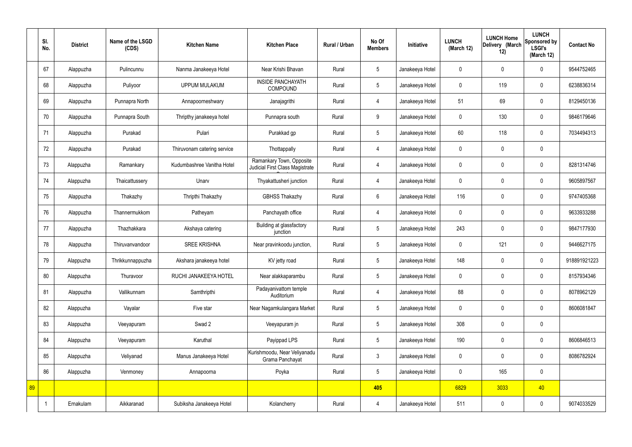|    | SI.<br>No. | <b>District</b> | Name of the LSGD<br>(CDS) | <b>Kitchen Name</b>         | <b>Kitchen Place</b>                                        | Rural / Urban | No Of<br><b>Members</b> | Initiative      | <b>LUNCH</b><br>(March 12) | <b>LUNCH Home</b><br>Delivery (March<br>12) | <b>LUNCH</b><br>Sponsored by<br><b>LSGI's</b><br>(March 12) | <b>Contact No</b> |
|----|------------|-----------------|---------------------------|-----------------------------|-------------------------------------------------------------|---------------|-------------------------|-----------------|----------------------------|---------------------------------------------|-------------------------------------------------------------|-------------------|
|    | 67         | Alappuzha       | Pulincunnu                | Nanma Janakeeya Hotel       | Near Krishi Bhavan                                          | Rural         | 5                       | Janakeeya Hotel | $\mathbf 0$                | $\mathbf 0$                                 | $\mathbf 0$                                                 | 9544752465        |
|    | 68         | Alappuzha       | Puliyoor                  | <b>UPPUM MULAKUM</b>        | <b>INSIDE PANCHAYATH</b><br><b>COMPOUND</b>                 | Rural         | $5\overline{)}$         | Janakeeya Hotel | $\mathbf 0$                | 119                                         | $\mathbf 0$                                                 | 6238836314        |
|    | 69         | Alappuzha       | Punnapra North            | Annapoorneshwary            | Janajagrithi                                                | Rural         | $\overline{4}$          | Janakeeya Hotel | 51                         | 69                                          | $\mathbf 0$                                                 | 8129450136        |
|    | 70         | Alappuzha       | Punnapra South            | Thripthy janakeeya hotel    | Punnapra south                                              | Rural         | 9                       | Janakeeya Hotel | $\mathbf 0$                | 130                                         | $\mathbf 0$                                                 | 9846179646        |
|    | 71         | Alappuzha       | Purakad                   | Pulari                      | Purakkad gp                                                 | Rural         | $5\phantom{.0}$         | Janakeeya Hotel | 60                         | 118                                         | $\mathbf 0$                                                 | 7034494313        |
|    | 72         | Alappuzha       | Purakad                   | Thiruvonam catering service | Thottappally                                                | Rural         | $\overline{4}$          | Janakeeya Hotel | $\mathbf 0$                | $\mathbf 0$                                 | $\mathbf 0$                                                 |                   |
|    | 73         | Alappuzha       | Ramankary                 | Kudumbashree Vanitha Hotel  | Ramankary Town, Opposite<br>Judicial First Class Magistrate | Rural         | $\overline{4}$          | Janakeeya Hotel | $\mathbf 0$                | $\mathbf 0$                                 | $\mathbf 0$                                                 | 8281314746        |
|    | 74         | Alappuzha       | Thaicattussery            | Unarv                       | Thyakattusheri junction                                     | Rural         | 4                       | Janakeeya Hotel | $\mathbf 0$                | $\mathbf 0$                                 | $\mathbf 0$                                                 | 9605897567        |
|    | 75         | Alappuzha       | Thakazhy                  | Thripthi Thakazhy           | <b>GBHSS Thakazhy</b>                                       | Rural         | $6\overline{6}$         | Janakeeya Hotel | 116                        | $\mathbf 0$                                 | $\mathbf 0$                                                 | 9747405368        |
|    | 76         | Alappuzha       | Thannermukkom             | Patheyam                    | Panchayath office                                           | Rural         | $\overline{4}$          | Janakeeya Hotel | $\mathbf 0$                | $\mathbf 0$                                 | $\mathbf 0$                                                 | 9633933288        |
|    | 77         | Alappuzha       | Thazhakkara               | Akshaya catering            | Building at glassfactory<br>junction                        | Rural         | $5\phantom{.0}$         | Janakeeya Hotel | 243                        | $\mathbf 0$                                 | $\mathbf 0$                                                 | 9847177930        |
|    | 78         | Alappuzha       | Thiruvanvandoor           | <b>SREE KRISHNA</b>         | Near pravinkoodu junction,                                  | Rural         | $5\overline{)}$         | Janakeeya Hotel | $\mathbf 0$                | 121                                         | $\mathbf 0$                                                 | 9446627175        |
|    | 79         | Alappuzha       | Thrikkunnappuzha          | Akshara janakeeya hotel     | KV jetty road                                               | Rural         | $5\overline{)}$         | Janakeeya Hotel | 148                        | $\mathbf 0$                                 | $\mathbf 0$                                                 | 918891921223      |
|    | 80         | Alappuzha       | Thuravoor                 | RUCHI JANAKEEYA HOTEL       | Near alakkaparambu                                          | Rural         | $5\phantom{.0}$         | Janakeeya Hotel | $\mathbf 0$                | $\mathbf 0$                                 | $\mathbf 0$                                                 | 8157934346        |
|    | 81         | Alappuzha       | Vallikunnam               | Samthripthi                 | Padayanivattom temple<br>Auditorium                         | Rural         | $\overline{4}$          | Janakeeya Hotel | 88                         | $\mathbf 0$                                 | $\mathbf 0$                                                 | 8078962129        |
|    | 82         | Alappuzha       | Vayalar                   | Five star                   | Near Nagamkulangara Market                                  | Rural         | $5\overline{)}$         | Janakeeya Hotel | $\pmb{0}$                  | $\mathbf 0$                                 | $\mathbf 0$                                                 | 8606081847        |
|    | 83         | Alappuzha       | Veeyapuram                | Swad 2                      | Veeyapuram jn                                               | Rural         | $5\phantom{.0}$         | Janakeeya Hotel | 308                        | $\pmb{0}$                                   | $\mathbf 0$                                                 |                   |
|    | 84         | Alappuzha       | Veeyapuram                | Karuthal                    | Payippad LPS                                                | Rural         | $5\phantom{.0}$         | Janakeeya Hotel | 190                        | $\pmb{0}$                                   | $\mathbf 0$                                                 | 8606846513        |
|    | 85         | Alappuzha       | Veliyanad                 | Manus Janakeeya Hotel       | Kurishmoodu, Near Veliyanadu<br>Grama Panchayat             | Rural         | $\mathbf{3}$            | Janakeeya Hotel | $\pmb{0}$                  | $\mathbf 0$                                 | $\mathbf 0$                                                 | 8086782924        |
|    | 86         | Alappuzha       | Venmoney                  | Annapoorna                  | Poyka                                                       | Rural         | $5\overline{)}$         | Janakeeya Hotel | $\pmb{0}$                  | 165                                         | $\mathbf 0$                                                 |                   |
| 89 |            |                 |                           |                             |                                                             |               | 405                     |                 | 6829                       | 3033                                        | 40                                                          |                   |
|    |            | Ernakulam       | Aikkaranad                | Subiksha Janakeeya Hotel    | Kolancherry                                                 | Rural         | 4                       | Janakeeya Hotel | 511                        | $\pmb{0}$                                   | $\mathbf 0$                                                 | 9074033529        |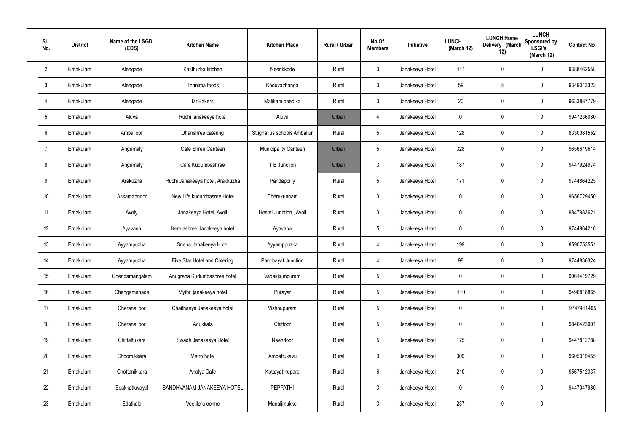| SI.<br>No.      | <b>District</b> | Name of the LSGD<br>(CDS) | <b>Kitchen Name</b>              | <b>Kitchen Place</b>         | Rural / Urban | No Of<br><b>Members</b> | Initiative      | <b>LUNCH</b><br>(March 12) | <b>LUNCH Home</b><br>Delivery (March<br>12) | <b>LUNCH</b><br><b>Sponsored by</b><br><b>LSGI's</b><br>(March 12) | <b>Contact No</b> |
|-----------------|-----------------|---------------------------|----------------------------------|------------------------------|---------------|-------------------------|-----------------|----------------------------|---------------------------------------------|--------------------------------------------------------------------|-------------------|
| $\overline{2}$  | Ernakulam       | Alengade                  | Kasthurba kitchen                | Neerikkode                   | Rural         | $\mathbf{3}$            | Janakeeya Hotel | 114                        | $\mathbf 0$                                 | 0                                                                  | 9388462558        |
| $\mathbf{3}$    | Ernakulam       | Alengade                  | Thanima foods                    | Koduvazhanga                 | Rural         | $\mathbf{3}$            | Janakeeya Hotel | 59                         | 5                                           | 0                                                                  | 9349013322        |
| $\overline{4}$  | Ernakulam       | Alengade                  | Mr.Bakers                        | Malikam peedika              | Rural         | $\mathbf{3}$            | Janakeeya Hotel | 20                         | $\mathbf 0$                                 | 0                                                                  | 9633887779        |
| $5\overline{)}$ | Ernakulam       | Aluva                     | Ruchi janakeeya hotel            | Aluva                        | Urban         | $\overline{4}$          | Janakeeya Hotel | $\mathbf 0$                | $\mathbf 0$                                 | 0                                                                  | 9947236080        |
| 6               | Ernakulam       | Amballoor                 | Dhanshree catering               | St.ignatius schools Amballur | Rural         | $5\phantom{.0}$         | Janakeeya Hotel | 128                        | $\mathbf 0$                                 | 0                                                                  | 8330081552        |
| $\overline{7}$  | Ernakulam       | Angamaly                  | Cafe Shree Canteen               | <b>Municipality Canteen</b>  | Urban         | $5\phantom{.0}$         | Janakeeya Hotel | 328                        | $\mathbf 0$                                 | 0                                                                  | 9656619614        |
| 8               | Ernakulam       | Angamaly                  | Cafe Kudumbashree                | T B Junction                 | Urban         | $\mathbf{3}$            | Janakeeya Hotel | 187                        | $\mathbf 0$                                 | 0                                                                  | 9447924974        |
| 9               | Ernakulam       | Arakuzha                  | Ruchi Janakeeya hotel, Arakkuzha | Pandappilly                  | Rural         | $5\phantom{.0}$         | Janakeeya Hotel | 171                        | $\mathbf 0$                                 | 0                                                                  | 9744864225        |
| 10              | Ernakulam       | Assamannoor               | New Life kudumbasree Hotel       | Cherukunnam                  | Rural         | $\mathbf{3}$            | Janakeeya Hotel | $\mathbf 0$                | $\mathbf 0$                                 | 0                                                                  | 9656729450        |
| 11              | Ernakulam       | Avoly                     | Janakeeya Hotel, Avoli           | Hostel Junction, Avoli       | Rural         | $\mathbf{3}$            | Janakeeya Hotel | $\mathbf 0$                | $\mathbf 0$                                 | 0                                                                  | 9847983621        |
| 12              | Ernakulam       | Ayavana                   | Keralashree Janakeeya hotel      | Ayavana                      | Rural         | $5\phantom{.0}$         | Janakeeya Hotel | 0                          | 0                                           | 0                                                                  | 9744864210        |
| 13              | Ernakulam       | Ayyampuzha                | Sneha Janakeeya Hotel            | Ayyamppuzha                  | Rural         | $\overline{4}$          | Janakeeya Hotel | 199                        | 0                                           | 0                                                                  | 8590753551        |
| 14              | Ernakulam       | Ayyampuzha                | Five Star Hotel and Catering     | Panchayat Junction           | Rural         | $\overline{4}$          | Janakeeya Hotel | 98                         | $\mathbf 0$                                 | 0                                                                  | 9744836324        |
| 15              | Ernakulam       | Chendamangalam            | Anugraha Kudumbashree hotel      | Vadakkumpuram                | Rural         | $5\phantom{.0}$         | Janakeeya Hotel | $\mathbf 0$                | $\mathbf 0$                                 | 0                                                                  | 9061419729        |
| 16              | Ernakulam       | Chengamanade              | Mythri janakeeya hotel           | Purayar                      | Rural         | $5\phantom{.0}$         | Janakeeya Hotel | 110                        | $\mathbf 0$                                 | 0                                                                  | 9496818865        |
| 17              | Ernakulam       | Cheranalloor              | Chaithanya Janakeeya hotel       | Vishnupuram                  | Rural         | $5\phantom{.0}$         | Janakeeya Hotel | $\mathbf 0$                | $\mathbf 0$                                 | 0                                                                  | 9747411465        |
| 18              | Ernakulam       | Cheranalloor              | Adukkala                         | Chittoor                     | Rural         | $5\phantom{.0}$         | Janakeeya Hotel | $\mathbf 0$                | $\mathbf 0$                                 | 0                                                                  | 9846423001        |
| 19              | Ernakulam       | Chittattukara             | Swadh Janakeeya Hotel            | Neendoor                     | Rural         | $5\phantom{.0}$         | Janakeeya Hotel | 175                        | $\mathbf 0$                                 | 0                                                                  | 9447812788        |
| 20              | Ernakulam       | Choornikkara              | Metro hotel                      | Ambattukavu                  | Rural         | $\mathbf{3}$            | Janakeeya Hotel | 309                        | $\mathbf 0$                                 | 0                                                                  | 9605319455        |
| 21              | Ernakulam       | Chottanikkara             | Ahalya Cafe                      | Kottayatthupara              | Rural         | $6\overline{6}$         | Janakeeya Hotel | 210                        | $\mathbf 0$                                 | 0                                                                  | 9567512337        |
| 22              | Ernakulam       | Edakkattuvayal            | SANDHVANAM JANAKEEYA HOTEL       | <b>PEPPATHI</b>              | Rural         | $\mathbf{3}$            | Janakeeya Hotel | $\mathbf 0$                | $\mathbf 0$                                 | $\mathbf 0$                                                        | 9447047980        |
| 23              | Ernakulam       | Edathala                  | Veetiloru oonne                  | Manalimukke                  | Rural         | $\mathbf{3}$            | Janakeeya Hotel | 237                        | $\pmb{0}$                                   | 0                                                                  |                   |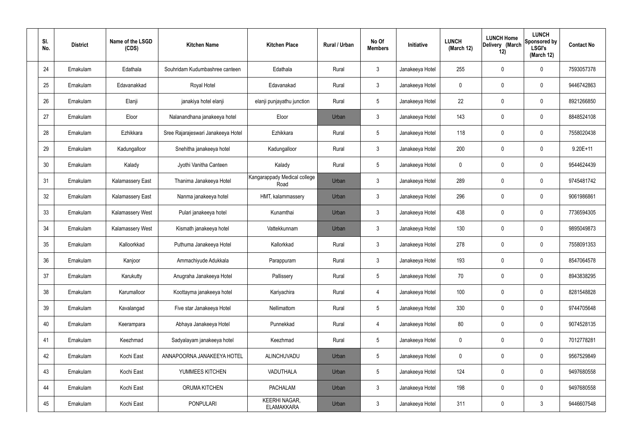| SI.<br>No. | <b>District</b> | Name of the LSGD<br>(CDS) | <b>Kitchen Name</b>                | <b>Kitchen Place</b>                      | Rural / Urban | No Of<br><b>Members</b> | Initiative      | <b>LUNCH</b><br>(March 12) | <b>LUNCH Home</b><br>Delivery (March<br>12) | <b>LUNCH</b><br>Sponsored by<br><b>LSGI's</b><br>(March 12) | <b>Contact No</b> |
|------------|-----------------|---------------------------|------------------------------------|-------------------------------------------|---------------|-------------------------|-----------------|----------------------------|---------------------------------------------|-------------------------------------------------------------|-------------------|
| 24         | Ernakulam       | Edathala                  | Souhridam Kudumbashree canteen     | Edathala                                  | Rural         | $\mathbf{3}$            | Janakeeya Hotel | 255                        | 0                                           | $\mathbf 0$                                                 | 7593057378        |
| 25         | Ernakulam       | Edavanakkad               | Royal Hotel                        | Edavanakad                                | Rural         | $\mathbf{3}$            | Janakeeya Hotel | $\mathbf 0$                | 0                                           | $\mathbf 0$                                                 | 9446742863        |
| 26         | Ernakulam       | Elanji                    | janakiya hotel elanji              | elanji punjayathu junction                | Rural         | $5\phantom{.0}$         | Janakeeya Hotel | 22                         | 0                                           | $\mathbf 0$                                                 | 8921266850        |
| 27         | Ernakulam       | Eloor                     | Nalanandhana janakeeya hotel       | Eloor                                     | Urban         | $\mathbf{3}$            | Janakeeya Hotel | 143                        | 0                                           | $\mathbf 0$                                                 | 8848524108        |
| 28         | Ernakulam       | Ezhikkara                 | Sree Rajarajeswari Janakeeya Hotel | Ezhikkara                                 | Rural         | $5\phantom{.0}$         | Janakeeya Hotel | 118                        | 0                                           | $\mathbf 0$                                                 | 7558020438        |
| 29         | Ernakulam       | Kadungalloor              | Snehitha janakeeya hotel           | Kadungalloor                              | Rural         | $\mathbf{3}$            | Janakeeya Hotel | 200                        | 0                                           | $\mathbf 0$                                                 | $9.20E + 11$      |
| 30         | Ernakulam       | Kalady                    | Jyothi Vanitha Canteen             | Kalady                                    | Rural         | $5\phantom{.0}$         | Janakeeya Hotel | $\mathbf 0$                | 0                                           | $\mathbf 0$                                                 | 9544624439        |
| 31         | Ernakulam       | <b>Kalamassery East</b>   | Thanima Janakeeya Hotel            | Kangarappady Medical college<br>Road      | Urban         | $\mathbf{3}$            | Janakeeya Hotel | 289                        | 0                                           | $\mathbf 0$                                                 | 9745481742        |
| 32         | Ernakulam       | <b>Kalamassery East</b>   | Nanma janakeeya hotel              | HMT, kalammassery                         | Urban         | $\mathbf{3}$            | Janakeeya Hotel | 296                        | $\boldsymbol{0}$                            | $\mathbf 0$                                                 | 9061986861        |
| 33         | Ernakulam       | Kalamassery West          | Pulari janakeeya hotel             | Kunamthai                                 | Urban         | $\mathbf{3}$            | Janakeeya Hotel | 438                        | 0                                           | $\boldsymbol{0}$                                            | 7736594305        |
| 34         | Ernakulam       | Kalamassery West          | Kismath janakeeya hotel            | Vattekkunnam                              | Urban         | $\mathbf{3}$            | Janakeeya Hotel | 130                        | 0                                           | $\boldsymbol{0}$                                            | 9895049873        |
| 35         | Ernakulam       | Kalloorkkad               | Puthuma Janakeeya Hotel            | Kallorkkad                                | Rural         | $\mathfrak{Z}$          | Janakeeya Hotel | 278                        | 0                                           | $\boldsymbol{0}$                                            | 7558091353        |
| 36         | Ernakulam       | Kanjoor                   | Ammachiyude Adukkala               | Parappuram                                | Rural         | $\mathbf{3}$            | Janakeeya Hotel | 193                        | 0                                           | 0                                                           | 8547064578        |
| 37         | Ernakulam       | Karukutty                 | Anugraha Janakeeya Hotel           | Pallissery                                | Rural         | $5\phantom{.0}$         | Janakeeya Hotel | 70                         | 0                                           | $\mathbf 0$                                                 | 8943838295        |
| 38         | Ernakulam       | Karumalloor               | Koottayma janakeeya hotel          | Kariyachira                               | Rural         | $\overline{4}$          | Janakeeya Hotel | 100                        | $\mathbf 0$                                 | $\mathbf 0$                                                 | 8281548828        |
| 39         | Ernakulam       | Kavalangad                | Five star Janakeeya Hotel          | Nellimattom                               | Rural         | $5\phantom{.0}$         | Janakeeya Hotel | 330                        | $\mathbf 0$                                 | $\mathbf 0$                                                 | 9744705648        |
| 40         | Ernakulam       | Keerampara                | Abhaya Janakeeya Hotel             | Punnekkad                                 | Rural         | $\overline{4}$          | Janakeeya Hotel | 80                         | $\mathbf 0$                                 | $\mathbf 0$                                                 | 9074528135        |
| 41         | Ernakulam       | Keezhmad                  | Sadyalayam janakeeya hotel         | Keezhmad                                  | Rural         | $5\phantom{.0}$         | Janakeeya Hotel | $\mathbf 0$                | $\mathbf 0$                                 | $\mathbf 0$                                                 | 7012778281        |
| 42         | Ernakulam       | Kochi East                | ANNAPOORNA JANAKEEYA HOTEL         | ALINCHUVADU                               | Urban         | $5\phantom{.0}$         | Janakeeya Hotel | $\mathbf 0$                | $\mathbf 0$                                 | $\mathbf 0$                                                 | 9567529849        |
| 43         | Ernakulam       | Kochi East                | YUMMEES KITCHEN                    | VADUTHALA                                 | Urban         | $5\phantom{.0}$         | Janakeeya Hotel | 124                        | $\mathbf 0$                                 | $\mathbf 0$                                                 | 9497680558        |
| 44         | Ernakulam       | Kochi East                | ORUMA KITCHEN                      | <b>PACHALAM</b>                           | Urban         | $\mathfrak{Z}$          | Janakeeya Hotel | 198                        | 0                                           | $\mathbf 0$                                                 | 9497680558        |
| 45         | Ernakulam       | Kochi East                | <b>PONPULARI</b>                   | <b>KEERHI NAGAR,</b><br><b>ELAMAKKARA</b> | Urban         | $\mathbf{3}$            | Janakeeya Hotel | 311                        | $\pmb{0}$                                   | $\mathfrak{Z}$                                              | 9446607548        |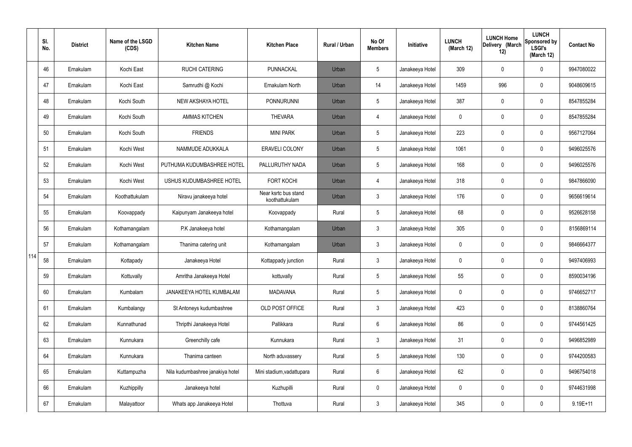|     | SI.<br>No. | <b>District</b> | Name of the LSGD<br>(CDS) | <b>Kitchen Name</b>              | <b>Kitchen Place</b>                   | <b>Rural / Urban</b> | No Of<br><b>Members</b> | Initiative      | <b>LUNCH</b><br>(March 12) | <b>LUNCH Home</b><br>Delivery (March<br>12) | <b>LUNCH</b><br>Sponsored by<br><b>LSGI's</b><br>(March 12) | <b>Contact No</b> |
|-----|------------|-----------------|---------------------------|----------------------------------|----------------------------------------|----------------------|-------------------------|-----------------|----------------------------|---------------------------------------------|-------------------------------------------------------------|-------------------|
|     | 46         | Ernakulam       | Kochi East                | <b>RUCHI CATERING</b>            | PUNNACKAL                              | Urban                | 5                       | Janakeeya Hotel | 309                        | 0                                           | $\mathbf 0$                                                 | 9947080022        |
|     | 47         | Ernakulam       | Kochi East                | Samrudhi @ Kochi                 | Ernakulam North                        | Urban                | 14                      | Janakeeya Hotel | 1459                       | 996                                         | $\boldsymbol{0}$                                            | 9048609615        |
|     | 48         | Ernakulam       | Kochi South               | NEW AKSHAYA HOTEL                | <b>PONNURUNNI</b>                      | Urban                | 5                       | Janakeeya Hotel | 387                        | 0                                           | $\boldsymbol{0}$                                            | 8547855284        |
|     | 49         | Ernakulam       | Kochi South               | <b>AMMAS KITCHEN</b>             | <b>THEVARA</b>                         | Urban                | $\overline{4}$          | Janakeeya Hotel | 0                          | 0                                           | $\boldsymbol{0}$                                            | 8547855284        |
|     | 50         | Ernakulam       | Kochi South               | <b>FRIENDS</b>                   | <b>MINI PARK</b>                       | Urban                | 5                       | Janakeeya Hotel | 223                        | 0                                           | $\mathbf 0$                                                 | 9567127064        |
|     | 51         | Ernakulam       | Kochi West                | NAMMUDE ADUKKALA                 | <b>ERAVELI COLONY</b>                  | Urban                | 5                       | Janakeeya Hotel | 1061                       | 0                                           | $\mathbf 0$                                                 | 9496025576        |
|     | 52         | Ernakulam       | Kochi West                | PUTHUMA KUDUMBASHREE HOTEL       | PALLURUTHY NADA                        | Urban                | 5                       | Janakeeya Hotel | 168                        | 0                                           | $\mathbf 0$                                                 | 9496025576        |
|     | 53         | Ernakulam       | Kochi West                | USHUS KUDUMBASHREE HOTEL         | <b>FORT KOCHI</b>                      | Urban                | $\overline{4}$          | Janakeeya Hotel | 318                        | 0                                           | $\mathbf 0$                                                 | 9847866090        |
|     | 54         | Ernakulam       | Koothattukulam            | Niravu janakeeya hotel           | Near ksrtc bus stand<br>koothattukulam | Urban                | $\mathfrak{Z}$          | Janakeeya Hotel | 176                        | 0                                           | $\mathbf 0$                                                 | 9656619614        |
|     | 55         | Ernakulam       | Koovappady                | Kaipunyam Janakeeya hotel        | Koovappady                             | Rural                | 5                       | Janakeeya Hotel | 68                         | 0                                           | $\pmb{0}$                                                   | 9526628158        |
|     | 56         | Ernakulam       | Kothamangalam             | P.K Janakeeya hotel              | Kothamangalam                          | Urban                | $\mathbf{3}$            | Janakeeya Hotel | 305                        | 0                                           | $\pmb{0}$                                                   | 8156869114        |
|     | 57         | Ernakulam       | Kothamangalam             | Thanima catering unit            | Kothamangalam                          | Urban                | $\mathbf{3}$            | Janakeeya Hotel | 0                          | 0                                           | $\boldsymbol{0}$                                            | 9846664377        |
| 114 | 58         | Ernakulam       | Kottapady                 | Janakeeya Hotel                  | Kottappady junction                    | Rural                | $\mathbf{3}$            | Janakeeya Hotel | 0                          | 0                                           | $\mathbf 0$                                                 | 9497406993        |
|     | 59         | Ernakulam       | Kottuvally                | Amritha Janakeeya Hotel          | kottuvally                             | Rural                | 5                       | Janakeeya Hotel | 55                         | 0                                           | $\mathbf 0$                                                 | 8590034196        |
|     | 60         | Ernakulam       | Kumbalam                  | JANAKEEYA HOTEL KUMBALAM         | <b>MADAVANA</b>                        | Rural                | 5                       | Janakeeya Hotel | 0                          | 0                                           | $\mathbf 0$                                                 | 9746652717        |
|     | 61         | Ernakulam       | Kumbalangy                | St Antoneys kudumbashree         | OLD POST OFFICE                        | Rural                | $\mathbf{3}$            | Janakeeya Hotel | 423                        | 0                                           | $\mathbf 0$                                                 | 8138860764        |
|     | 62         | Ernakulam       | Kunnathunad               | Thripthi Janakeeya Hotel         | Pallikkara                             | Rural                | 6                       | Janakeeya Hotel | 86                         | 0                                           | $\pmb{0}$                                                   | 9744561425        |
|     | 63         | Ernakulam       | Kunnukara                 | Greenchilly cafe                 | Kunnukara                              | Rural                | $\mathbf{3}$            | Janakeeya Hotel | 31                         | 0                                           | $\mathbf 0$                                                 | 9496852989        |
|     | 64         | Ernakulam       | Kunnukara                 | Thanima canteen                  | North aduvassery                       | Rural                | 5                       | Janakeeya Hotel | 130                        | 0                                           | $\pmb{0}$                                                   | 9744200583        |
|     | 65         | Ernakulam       | Kuttampuzha               | Nila kudumbashree janakiya hotel | Mini stadium, vadattupara              | Rural                | $6\phantom{.}6$         | Janakeeya Hotel | 62                         | 0                                           | $\pmb{0}$                                                   | 9496754018        |
|     | 66         | Ernakulam       | Kuzhippilly               | Janakeeya hotel                  | Kuzhupilli                             | Rural                | $\mathbf 0$             | Janakeeya Hotel | 0                          | 0                                           | $\pmb{0}$                                                   | 9744631998        |
|     | 67         | Ernakulam       | Malayattoor               | Whats app Janakeeya Hotel        | Thottuva                               | Rural                | $\mathfrak{Z}$          | Janakeeya Hotel | 345                        | 0                                           | $\pmb{0}$                                                   | $9.19E + 11$      |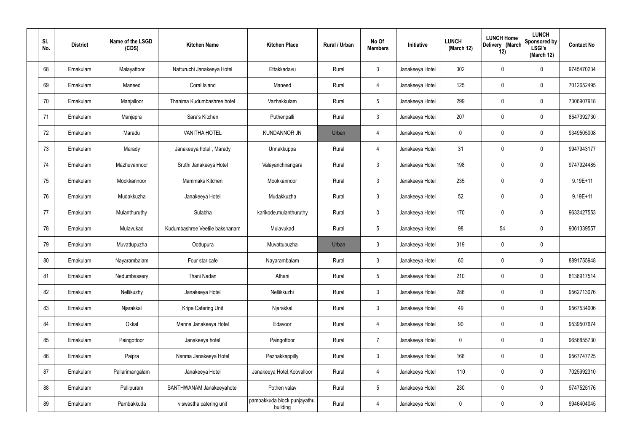| SI.<br>No. | <b>District</b> | Name of the LSGD<br>(CDS) | <b>Kitchen Name</b>            | <b>Kitchen Place</b>                    | Rural / Urban | No Of<br><b>Members</b> | Initiative      | <b>LUNCH</b><br>(March 12) | <b>LUNCH Home</b><br>Delivery (March<br>12) | <b>LUNCH</b><br>Sponsored by<br><b>LSGI's</b><br>(March 12) | <b>Contact No</b> |
|------------|-----------------|---------------------------|--------------------------------|-----------------------------------------|---------------|-------------------------|-----------------|----------------------------|---------------------------------------------|-------------------------------------------------------------|-------------------|
| 68         | Ernakulam       | Malayattoor               | Natturuchi Janakeeya Hotel     | Ettakkadavu                             | Rural         | $\mathbf{3}$            | Janakeeya Hotel | 302                        | $\mathbf 0$                                 | $\mathbf 0$                                                 | 9745470234        |
| 69         | Ernakulam       | Maneed                    | Coral Island                   | Maneed                                  | Rural         | $\overline{4}$          | Janakeeya Hotel | 125                        | 0                                           | $\pmb{0}$                                                   | 7012652495        |
| 70         | Ernakulam       | Manjalloor                | Thanima Kudumbashree hotel     | Vazhakkulam                             | Rural         | $5\phantom{.0}$         | Janakeeya Hotel | 299                        | 0                                           | $\mathbf 0$                                                 | 7306907918        |
| 71         | Ernakulam       | Manjapra                  | Sara's Kitchen                 | Puthenpalli                             | Rural         | $\mathbf{3}$            | Janakeeya Hotel | 207                        | 0                                           | $\mathbf 0$                                                 | 8547392730        |
| 72         | Ernakulam       | Maradu                    | <b>VANITHA HOTEL</b>           | <b>KUNDANNOR JN</b>                     | Urban         | $\overline{4}$          | Janakeeya Hotel | $\mathbf 0$                | 0                                           | $\mathbf 0$                                                 | 9349505008        |
| 73         | Ernakulam       | Marady                    | Janakeeya hotel, Marady        | Unnakkuppa                              | Rural         | $\overline{4}$          | Janakeeya Hotel | 31                         | 0                                           | $\mathbf 0$                                                 | 9947943177        |
| 74         | Ernakulam       | Mazhuvannoor              | Sruthi Janakeeya Hotel         | Valayanchirangara                       | Rural         | $\mathbf{3}$            | Janakeeya Hotel | 198                        | $\boldsymbol{0}$                            | $\mathbf 0$                                                 | 9747924485        |
| 75         | Ernakulam       | Mookkannoor               | Mammaks Kitchen                | Mookkannoor                             | Rural         | $\mathbf{3}$            | Janakeeya Hotel | 235                        | 0                                           | $\mathbf 0$                                                 | $9.19E + 11$      |
| 76         | Ernakulam       | Mudakkuzha                | Janakeeya Hotel                | Mudakkuzha                              | Rural         | $\mathbf{3}$            | Janakeeya Hotel | 52                         | $\boldsymbol{0}$                            | $\mathbf 0$                                                 | 9.19E+11          |
| 77         | Ernakulam       | Mulanthuruthy             | Sulabha                        | karikode, mulanthuruthy                 | Rural         | $\mathbf 0$             | Janakeeya Hotel | 170                        | 0                                           | $\boldsymbol{0}$                                            | 9633427553        |
| 78         | Ernakulam       | Mulavukad                 | Kudumbashree Veetile bakshanam | Mulavukad                               | Rural         | $5\phantom{.0}$         | Janakeeya Hotel | 98                         | 54                                          | $\mathbf 0$                                                 | 9061339557        |
| 79         | Ernakulam       | Muvattupuzha              | Oottupura                      | Muvattupuzha                            | Urban         | $\mathbf{3}$            | Janakeeya Hotel | 319                        | 0                                           | $\mathbf 0$                                                 |                   |
| 80         | Ernakulam       | Nayarambalam              | Four star cafe                 | Nayarambalam                            | Rural         | $\mathbf{3}$            | Janakeeya Hotel | 60                         | 0                                           | $\boldsymbol{0}$                                            | 8891755948        |
| 81         | Ernakulam       | Nedumbassery              | Thani Nadan                    | Athani                                  | Rural         | $5\phantom{.0}$         | Janakeeya Hotel | 210                        | $\mathbf 0$                                 | $\mathbf 0$                                                 | 8138917514        |
| 82         | Ernakulam       | Nellikuzhy                | Janakeeya Hotel                | Nellikkuzhi                             | Rural         | $\mathbf{3}$            | Janakeeya Hotel | 286                        | $\mathsf{0}$                                | $\mathbf 0$                                                 | 9562713076        |
| 83         | Ernakulam       | Njarakkal                 | Kripa Catering Unit            | Njarakkal                               | Rural         | $\mathbf{3}$            | Janakeeya Hotel | 49                         | $\mathbf 0$                                 | $\mathbf 0$                                                 | 9567534006        |
| 84         | Ernakulam       | Okkal                     | Manna Janakeeya Hotel          | Edavoor                                 | Rural         | $\overline{4}$          | Janakeeya Hotel | 90                         | $\mathsf{0}$                                | $\mathbf 0$                                                 | 9539507674        |
| 85         | Ernakulam       | Paingottoor               | Janakeeya hotel                | Paingottoor                             | Rural         | $\overline{7}$          | Janakeeya Hotel | $\mathbf 0$                | $\mathbf 0$                                 | $\mathbf 0$                                                 | 9656855730        |
| 86         | Ernakulam       | Paipra                    | Nanma Janakeeya Hotel          | Pezhakkappilly                          | Rural         | $\mathbf{3}$            | Janakeeya Hotel | 168                        | $\mathbf 0$                                 | $\mathbf 0$                                                 | 9567747725        |
| 87         | Ernakulam       | Pallarimangalam           | Janakeeya Hotel                | Janakeeya Hotel, Koovalloor             | Rural         | $\overline{4}$          | Janakeeya Hotel | 110                        | $\mathbf 0$                                 | $\mathbf 0$                                                 | 7025992310        |
| 88         | Ernakulam       | Pallipuram                | SANTHWANAM Janakeeyahotel      | Pothen valav                            | Rural         | $5\,$                   | Janakeeya Hotel | 230                        | 0                                           | $\mathbf 0$                                                 | 9747525176        |
| 89         | Ernakulam       | Pambakkuda                | viswastha catering unit        | pambakkuda block punjayathu<br>building | Rural         | 4                       | Janakeeya Hotel | 0                          | $\pmb{0}$                                   | $\boldsymbol{0}$                                            | 9946404045        |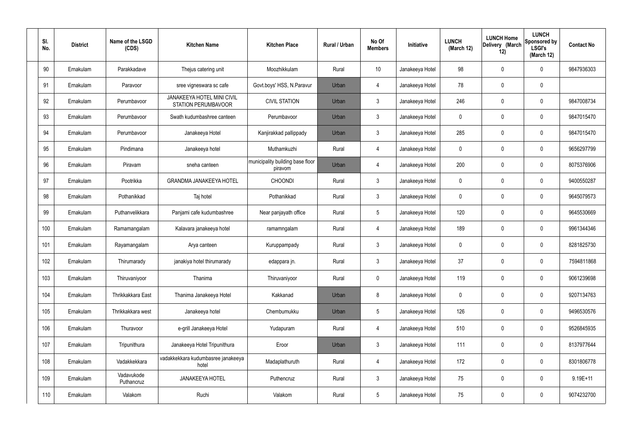| SI.<br>No. | <b>District</b> | Name of the LSGD<br>(CDS) | <b>Kitchen Name</b>                                      | <b>Kitchen Place</b>                        | Rural / Urban | No Of<br><b>Members</b> | Initiative      | <b>LUNCH</b><br>(March 12) | <b>LUNCH Home</b><br>Delivery (March<br>12) | <b>LUNCH</b><br>Sponsored by<br><b>LSGI's</b><br>(March 12) | <b>Contact No</b> |
|------------|-----------------|---------------------------|----------------------------------------------------------|---------------------------------------------|---------------|-------------------------|-----------------|----------------------------|---------------------------------------------|-------------------------------------------------------------|-------------------|
| 90         | Ernakulam       | Parakkadave               | Thejus catering unit                                     | Moozhikkulam                                | Rural         | 10                      | Janakeeya Hotel | 98                         | $\mathbf 0$                                 | 0                                                           | 9847936303        |
| 91         | Ernakulam       | Paravoor                  | sree vigneswara sc cafe                                  | Govt.boys' HSS, N.Paravur                   | Urban         | 4                       | Janakeeya Hotel | 78                         | $\mathbf 0$                                 | 0                                                           |                   |
| 92         | Ernakulam       | Perumbavoor               | <b>JANAKEEYA HOTEL MINI CIVIL</b><br>STATION PERUMBAVOOR | <b>CIVIL STATION</b>                        | Urban         | $\mathbf{3}$            | Janakeeya Hotel | 246                        | $\mathbf 0$                                 | 0                                                           | 9847008734        |
| 93         | Ernakulam       | Perumbavoor               | Swath kudumbashree canteen                               | Perumbavoor                                 | Urban         | $\mathbf{3}$            | Janakeeya Hotel | $\mathbf 0$                | $\mathbf 0$                                 | 0                                                           | 9847015470        |
| 94         | Ernakulam       | Perumbavoor               | Janakeeya Hotel                                          | Kanjirakkad pallippady                      | Urban         | $\mathbf{3}$            | Janakeeya Hotel | 285                        | 0                                           | 0                                                           | 9847015470        |
| 95         | Ernakulam       | Pindimana                 | Janakeeya hotel                                          | Muthamkuzhi                                 | Rural         | $\overline{4}$          | Janakeeya Hotel | $\mathbf 0$                | $\mathbf 0$                                 | 0                                                           | 9656297799        |
| 96         | Ernakulam       | Piravam                   | sneha canteen                                            | municipality building base floor<br>piravom | Urban         | $\overline{4}$          | Janakeeya Hotel | 200                        | 0                                           | 0                                                           | 8075376906        |
| 97         | Ernakulam       | Pootrikka                 | <b>GRANDMA JANAKEEYA HOTEL</b>                           | <b>CHOONDI</b>                              | Rural         | $\mathbf{3}$            | Janakeeya Hotel | $\mathbf 0$                | $\mathbf 0$                                 | 0                                                           | 9400550287        |
| 98         | Ernakulam       | Pothanikkad               | Taj hotel                                                | Pothanikkad                                 | Rural         | $\mathbf{3}$            | Janakeeya Hotel | $\mathbf 0$                | 0                                           | 0                                                           | 9645079573        |
| 99         | Ernakulam       | Puthanvelikkara           | Panjami cafe kudumbashree                                | Near panjayath office                       | Rural         | $5\phantom{.0}$         | Janakeeya Hotel | 120                        | $\mathbf 0$                                 | 0                                                           | 9645530669        |
| 100        | Ernakulam       | Ramamangalam              | Kalavara janakeeya hotel                                 | ramamngalam                                 | Rural         | $\overline{4}$          | Janakeeya Hotel | 189                        | $\boldsymbol{0}$                            | 0                                                           | 9961344346        |
| 101        | Ernakulam       | Rayamangalam              | Arya canteen                                             | Kuruppampady                                | Rural         | $\mathbf{3}$            | Janakeeya Hotel | $\mathbf 0$                | 0                                           | 0                                                           | 8281825730        |
| 102        | Ernakulam       | Thirumarady               | janakiya hotel thirumarady                               | edappara jn.                                | Rural         | $\mathbf{3}$            | Janakeeya Hotel | 37                         | $\mathbf 0$                                 | 0                                                           | 7594811868        |
| 103        | Ernakulam       | Thiruvaniyoor             | Thanima                                                  | Thiruvaniyoor                               | Rural         | $\pmb{0}$               | Janakeeya Hotel | 119                        | $\pmb{0}$                                   | 0                                                           | 9061239698        |
| 104        | Ernakulam       | Thrikkakkara East         | Thanima Janakeeya Hotel                                  | Kakkanad                                    | Urban         | 8                       | Janakeeya Hotel | $\mathbf 0$                | $\boldsymbol{0}$                            | 0                                                           | 9207134763        |
| 105        | Ernakulam       | Thrikkakkara west         | Janakeeya hotel                                          | Chembumukku                                 | Urban         | $5\phantom{.0}$         | Janakeeya Hotel | 126                        | $\pmb{0}$                                   | 0                                                           | 9496530576        |
| 106        | Ernakulam       | Thuravoor                 | e-grill Janakeeya Hotel                                  | Yudapuram                                   | Rural         | $\overline{4}$          | Janakeeya Hotel | 510                        | $\pmb{0}$                                   | 0                                                           | 9526845935        |
| 107        | Ernakulam       | Tripunithura              | Janakeeya Hotel Tripunithura                             | Eroor                                       | Urban         | $\mathbf{3}$            | Janakeeya Hotel | 111                        | $\pmb{0}$                                   | 0                                                           | 8137977644        |
| 108        | Ernakulam       | Vadakkekkara              | vadakkekkara kudumbasree janakeeya<br>hotel              | Madaplathuruth                              | Rural         | $\overline{4}$          | Janakeeya Hotel | 172                        | $\mathbf 0$                                 | $\mathbf 0$                                                 | 8301806778        |
| 109        | Ernakulam       | Vadavukode<br>Puthancruz  | JANAKEEYA HOTEL                                          | Puthencruz                                  | Rural         | $\mathbf{3}$            | Janakeeya Hotel | 75                         | $\boldsymbol{0}$                            | 0                                                           | $9.19E + 11$      |
| 110        | Ernakulam       | Valakom                   | Ruchi                                                    | Valakom                                     | Rural         | $\overline{5}$          | Janakeeya Hotel | 75                         | $\boldsymbol{0}$                            | 0                                                           | 9074232700        |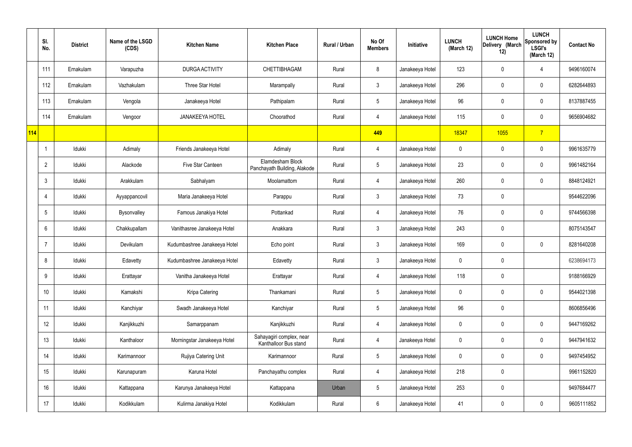|     | SI.<br>No.     | <b>District</b> | Name of the LSGD<br>(CDS) | <b>Kitchen Name</b>          | <b>Kitchen Place</b>                              | Rural / Urban | No Of<br><b>Members</b> | Initiative      | <b>LUNCH</b><br>(March 12) | <b>LUNCH Home</b><br>Delivery (March<br>12) | <b>LUNCH</b><br>Sponsored by<br><b>LSGI's</b><br>(March 12) | <b>Contact No</b> |
|-----|----------------|-----------------|---------------------------|------------------------------|---------------------------------------------------|---------------|-------------------------|-----------------|----------------------------|---------------------------------------------|-------------------------------------------------------------|-------------------|
|     | 111            | Ernakulam       | Varapuzha                 | DURGA ACTIVITY               | CHETTIBHAGAM                                      | Rural         | 8                       | Janakeeya Hotel | 123                        | $\mathbf 0$                                 | 4                                                           | 9496160074        |
|     | 112            | Ernakulam       | Vazhakulam                | Three Star Hotel             | Marampally                                        | Rural         | $\mathbf{3}$            | Janakeeya Hotel | 296                        | $\mathbf 0$                                 | $\mathbf 0$                                                 | 6282644893        |
|     | 113            | Ernakulam       | Vengola                   | Janakeeya Hotel              | Pathipalam                                        | Rural         | $5\phantom{.0}$         | Janakeeya Hotel | 96                         | $\mathbf 0$                                 | $\mathbf 0$                                                 | 8137887455        |
|     | 114            | Ernakulam       | Vengoor                   | <b>JANAKEEYA HOTEL</b>       | Choorathod                                        | Rural         | $\overline{4}$          | Janakeeya Hotel | 115                        | $\mathbf 0$                                 | $\mathbf 0$                                                 | 9656904682        |
| 114 |                |                 |                           |                              |                                                   |               | 449                     |                 | 18347                      | 1055                                        | $\overline{7}$                                              |                   |
|     | -1             | Idukki          | Adimaly                   | Friends Janakeeya Hotel      | Adimaly                                           | Rural         | 4                       | Janakeeya Hotel | $\mathbf 0$                | $\mathbf 0$                                 | $\mathbf 0$                                                 | 9961635779        |
|     | $\overline{2}$ | Idukki          | Alackode                  | Five Star Canteen            | Elamdesham Block<br>Panchayath Building, Alakode  | Rural         | $5\overline{)}$         | Janakeeya Hotel | 23                         | $\mathbf 0$                                 | $\mathbf 0$                                                 | 9961482164        |
|     | 3              | Idukki          | Arakkulam                 | Sabhalyam                    | Moolamattom                                       | Rural         | $\overline{4}$          | Janakeeya Hotel | 260                        | $\mathbf 0$                                 | $\mathbf 0$                                                 | 8848124921        |
|     | $\overline{4}$ | Idukki          | Ayyappancovil             | Maria Janakeeya Hotel        | Parappu                                           | Rural         | $\mathbf{3}$            | Janakeeya Hotel | 73                         | $\pmb{0}$                                   |                                                             | 9544622096        |
|     | 5              | Idukki          | Bysonvalley               | Famous Janakiya Hotel        | Pottankad                                         | Rural         | 4                       | Janakeeya Hotel | 76                         | $\mathbf 0$                                 | $\mathbf 0$                                                 | 9744566398        |
|     | 6              | Idukki          | Chakkupallam              | Vanithasree Janakeeya Hotel  | Anakkara                                          | Rural         | $\mathbf{3}$            | Janakeeya Hotel | 243                        | 0                                           |                                                             | 8075143547        |
|     |                | Idukki          | Devikulam                 | Kudumbashree Janakeeya Hotel | Echo point                                        | Rural         | $\mathbf{3}$            | Janakeeya Hotel | 169                        | $\mathbf 0$                                 | $\mathbf 0$                                                 | 8281640208        |
|     | 8              | Idukki          | Edavetty                  | Kudumbashree Janakeeya Hotel | Edavetty                                          | Rural         | $\mathbf{3}$            | Janakeeya Hotel | $\mathbf 0$                | $\mathbf 0$                                 |                                                             | 6238694173        |
|     | 9              | Idukki          | Erattayar                 | Vanitha Janakeeya Hotel      | Erattayar                                         | Rural         | $\overline{4}$          | Janakeeya Hotel | 118                        | $\pmb{0}$                                   |                                                             | 9188166929        |
|     | 10             | Idukki          | Kamakshi                  | Kripa Catering               | Thankamani                                        | Rural         | $5\overline{)}$         | Janakeeya Hotel | $\mathbf 0$                | $\pmb{0}$                                   | $\mathbf 0$                                                 | 9544021398        |
|     | 11             | Idukki          | Kanchiyar                 | Swadh Janakeeya Hotel        | Kanchiyar                                         | Rural         | $5\overline{)}$         | Janakeeya Hotel | 96                         | 0                                           |                                                             | 8606856496        |
|     | 12             | Idukki          | Kanjikkuzhi               | Samarppanam                  | Kanjikkuzhi                                       | Rural         | $\overline{4}$          | Janakeeya Hotel | $\mathbf 0$                | $\pmb{0}$                                   | $\mathbf 0$                                                 | 9447169262        |
|     | 13             | Idukki          | Kanthaloor                | Morningstar Janakeeya Hotel  | Sahayagiri complex, near<br>Kanthalloor Bus stand | Rural         | $\overline{4}$          | Janakeeya Hotel | $\mathbf 0$                | 0                                           | $\mathbf 0$                                                 | 9447941632        |
|     | 14             | Idukki          | Karimannoor               | Rujiya Catering Unit         | Karimannoor                                       | Rural         | $5\phantom{.0}$         | Janakeeya Hotel | $\mathbf 0$                | 0                                           | $\mathbf 0$                                                 | 9497454952        |
|     | 15             | Idukki          | Karunapuram               | Karuna Hotel                 | Panchayathu complex                               | Rural         | $\overline{4}$          | Janakeeya Hotel | 218                        | 0                                           |                                                             | 9961152820        |
|     | 16             | Idukki          | Kattappana                | Karunya Janakeeya Hotel      | Kattappana                                        | Urban         | $5\phantom{.0}$         | Janakeeya Hotel | 253                        | 0                                           |                                                             | 9497684477        |
|     | 17             | Idukki          | Kodikkulam                | Kulirma Janakiya Hotel       | Kodikkulam                                        | Rural         | $6\overline{6}$         | Janakeeya Hotel | 41                         | 0                                           | $\overline{0}$                                              | 9605111852        |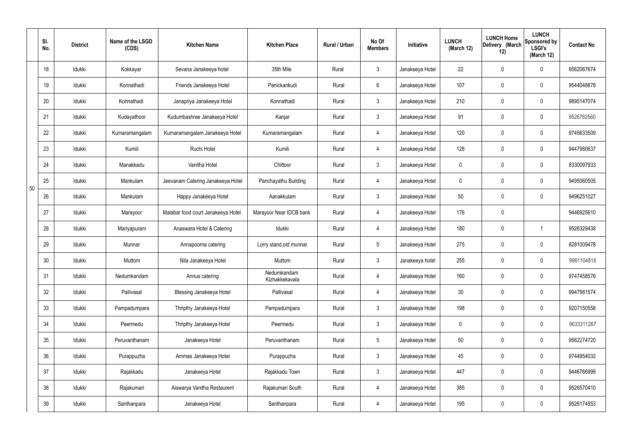|    | SI.<br>No. | <b>District</b> | Name of the LSGD<br>(CDS) | <b>Kitchen Name</b>                | <b>Kitchen Place</b>          | Rural / Urban | No Of<br><b>Members</b> | Initiative      | <b>LUNCH</b><br>(March 12) | <b>LUNCH Home</b><br>Delivery (March<br>12) | <b>LUNCH</b><br>Sponsored by<br><b>LSGI's</b><br>(March 12) | <b>Contact No</b> |
|----|------------|-----------------|---------------------------|------------------------------------|-------------------------------|---------------|-------------------------|-----------------|----------------------------|---------------------------------------------|-------------------------------------------------------------|-------------------|
|    | 18         | Idukki          | Kokkayar                  | Sevana Janakeeya hotel             | 35th Mile                     | Rural         | $\mathbf{3}$            | Janakeeya Hotel | 22                         | $\mathbf 0$                                 | $\mathbf 0$                                                 | 9562067674        |
|    | 19         | Idukki          | Konnathadi                | Friends Janakeeya Hotel            | Panickankudi                  | Rural         | $6\overline{6}$         | Janakeeya Hotel | 107                        | $\mathbf 0$                                 | $\mathbf 0$                                                 | 9544048878        |
|    | 20         | Idukki          | Konnathadi                | Janapriya Janakeeya Hotel          | Konnathadi                    | Rural         | 3                       | Janakeeya Hotel | 210                        | $\mathbf 0$                                 | $\mathbf 0$                                                 | 9895147074        |
|    | 21         | Idukki          | Kudayathoor               | Kudumbashree Janakeeya Hotel       | Kanjar                        | Rural         | $\mathbf{3}$            | Janakeeya Hotel | 91                         | $\mathbf 0$                                 | $\mathbf 0$                                                 | 9526762560        |
|    | 22         | Idukki          | Kumaramangalam            | Kumaramangalam Janakeeya Hotel     | Kumaramangalam                | Rural         | $\overline{4}$          | Janakeeya Hotel | 120                        | $\mathbf 0$                                 | $\mathbf 0$                                                 | 9745633509        |
|    | 23         | Idukki          | Kumili                    | Ruchi Hotel                        | Kumili                        | Rural         | 4                       | Janakeeya Hotel | 128                        | $\mathbf 0$                                 | $\mathbf 0$                                                 | 9447980637        |
|    | 24         | Idukki          | Manakkadu                 | Vanitha Hotel                      | Chittoor                      | Rural         | $\mathbf{3}$            | Janakeeya Hotel | $\mathbf 0$                | $\mathbf 0$                                 | $\mathbf 0$                                                 | 8330097933        |
| 50 | 25         | Idukki          | Mankulam                  | Jeevanam Catering Janakeeya Hotel  | Panchayathu Building          | Rural         | 4                       | Janakeeya Hotel | $\mathbf 0$                | $\mathbf 0$                                 | $\mathbf 0$                                                 | 9495060505        |
|    | 26         | Idukki          | Mankulam                  | Happy Janakéeya Hotel              | Aanakkulam                    | Rural         | $\mathbf{3}$            | Janakeeya Hotel | 50                         | 0                                           | $\mathbf 0$                                                 | 9496251027        |
|    | 27         | Idukki          | Marayoor                  | Malabar food court Janakeeya Hotel | Marayoor Near IDCB bank       | Rural         | 4                       | Janakeeya Hotel | 176                        | $\pmb{0}$                                   |                                                             | 9446925610        |
|    | 28         | Idukki          | Mariyapuram               | Anaswara Hotel & Catering          | Idukki                        | Rural         | $\overline{4}$          | Janakeeya Hotel | 180                        | 0                                           | $\overline{\mathbf{1}}$                                     | 9526329438        |
|    | 29         | Idukki          | Munnar                    | Annapoorna catering                | Lorry stand, old munnar       | Rural         | $5\phantom{.0}$         | Janakeeya Hotel | 275                        | $\mathbf 0$                                 | $\mathbf 0$                                                 | 8281009478        |
|    | 30         | Idukki          | Muttom                    | Nila Janakeeya Hotel               | Muttom                        | Rural         | $\mathbf{3}$            | Janakeeya hotel | 255                        | $\mathbf 0$                                 | $\mathbf 0$                                                 | 9961104818        |
|    | 31         | Idukki          | Nedumkandam               | Annus catering                     | Nedumkandam<br>Kizhakkekavala | Rural         | $\overline{4}$          | Janakeeya Hotel | 160                        | $\pmb{0}$                                   | $\mathbf 0$                                                 | 9747458576        |
|    | 32         | Idukki          | Pallivasal                | <b>Blessing Janakeeya Hotel</b>    | Pallivasal                    | Rural         | $\overline{4}$          | Janakeeya Hotel | 30 <sup>°</sup>            | $\pmb{0}$                                   | $\mathbf 0$                                                 | 9947981574        |
|    | 33         | Idukki          | Pampadumpara              | Thripthy Janakeeya Hotel           | Pampadumpara                  | Rural         | $3\phantom{a}$          | Janakeeya Hotel | 198                        | $\pmb{0}$                                   | $\mathbf 0$                                                 | 9207150558        |
|    | 34         | Idukki          | Peermedu                  | Thripthy Janakeeya Hotel           | Peermedu                      | Rural         | $3\phantom{a}$          | Janakeeya Hotel | $\mathbf 0$                | $\pmb{0}$                                   | $\mathbf 0$                                                 | 9633311267        |
|    | 35         | Idukki          | Peruvanthanam             | Janakeeya Hotel                    | Peruvanthanam                 | Rural         | $5\phantom{.0}$         | Janakeeya Hotel | 50                         | $\pmb{0}$                                   | $\mathbf 0$                                                 | 9562274720        |
|    | 36         | Idukki          | Purappuzha                | Ammas Janakeeya Hotel              | Purappuzha                    | Rural         | 3                       | Janakeeya Hotel | 45                         | $\pmb{0}$                                   | $\mathbf 0$                                                 | 9744954032        |
|    | 37         | Idukki          | Rajakkadu                 | Janakeeya Hotel                    | Rajakkadu Town                | Rural         | 3                       | Janakeeya Hotel | 447                        | 0                                           | $\mathbf 0$                                                 | 9446766999        |
|    | 38         | Idukki          | Rajakumari                | Aiswarya Vanitha Restaurent        | Rajakumari South              | Rural         | $\overline{4}$          | Janakeeya Hotel | 385                        | 0                                           | $\mathbf 0$                                                 | 9526570410        |
|    | 39         | Idukki          | Santhanpara               | Janakeeya Hotel                    | Santhanpara                   | Rural         | $\overline{4}$          | Janakeeya Hotel | 195                        | $\pmb{0}$                                   | $\boldsymbol{0}$                                            | 9526174553        |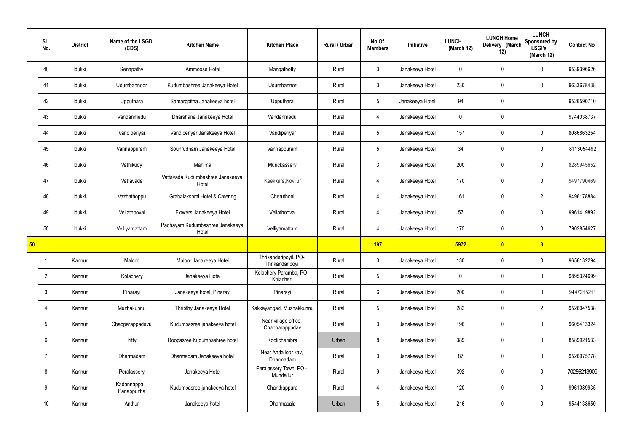|    | SI.<br>No.      | <b>District</b> | Name of the LSGD<br>(CDS)   | <b>Kitchen Name</b>                       | <b>Kitchen Place</b>                      | Rural / Urban | No Of<br><b>Members</b> | Initiative      | <b>LUNCH</b><br>(March 12) | <b>LUNCH Home</b><br>Delivery (March<br>12) | <b>LUNCH</b><br>Sponsored by<br><b>LSGI's</b><br>(March 12) | <b>Contact No</b> |
|----|-----------------|-----------------|-----------------------------|-------------------------------------------|-------------------------------------------|---------------|-------------------------|-----------------|----------------------------|---------------------------------------------|-------------------------------------------------------------|-------------------|
|    | 40              | Idukki          | Senapathy                   | Ammoose Hotel                             | Mangathotty                               | Rural         | $\mathbf{3}$            | Janakeeya Hotel | $\mathbf 0$                | $\mathbf 0$                                 | $\mathbf 0$                                                 | 9539396626        |
|    | 41              | Idukki          | Udumbannoor                 | Kudumbashree Janakeeya Hotel              | Udumbannor                                | Rural         | $\mathbf{3}$            | Janakeeya Hotel | 230                        | $\mathbf 0$                                 | $\mathbf 0$                                                 | 9633678438        |
|    | 42              | Idukki          | Upputhara                   | Samarppitha Janakeeya hotel               | Upputhara                                 | Rural         | 5 <sup>5</sup>          | Janakeeya Hotel | 94                         | $\mathbf 0$                                 |                                                             | 9526590710        |
|    | 43              | Idukki          | Vandanmedu                  | Dharshana Janakeeya Hotel                 | Vandanmedu                                | Rural         | 4                       | Janakeeya Hotel | $\mathbf 0$                | $\mathbf 0$                                 |                                                             | 9744038737        |
|    | 44              | Idukki          | Vandiperiyar                | Vandiperiyar Janakeeya Hotel              | Vandiperiyar                              | Rural         | $5\phantom{.0}$         | Janakeeya Hotel | 157                        | $\mathbf 0$                                 | $\mathbf 0$                                                 | 8086863254        |
|    | 45              | Idukki          | Vannappuram                 | Souhrudham Janakeeya Hotel                | Vannappuram                               | Rural         | $5\overline{)}$         | Janakeeya Hotel | 34                         | $\mathbf 0$                                 | $\mathbf 0$                                                 | 8113054492        |
|    | 46              | Idukki          | Vathikudy                   | Mahima                                    | Murickassery                              | Rural         | 3                       | Janakeeya Hotel | 200                        | $\mathbf 0$                                 | $\mathbf 0$                                                 | 8289945652        |
|    | 47              | Idukki          | Vattavada                   | Vattavada Kudumbashree Janakeeya<br>Hotel | Keekkara, Kovilur                         | Rural         | $\overline{4}$          | Janakeeya Hotel | 170                        | $\mathbf 0$                                 | $\mathbf 0$                                                 | 9497790469        |
|    | 48              | Idukki          | Vazhathoppu                 | Grahalakshmi Hotel & Catering             | Cheruthoni                                | Rural         | 4                       | Janakeeya Hotel | 161                        | $\mathbf 0$                                 | $\overline{2}$                                              | 9496178884        |
|    | 49              | Idukki          | Vellathooval                | Flowers Janakeeya Hotel                   | Vellathooval                              | Rural         | $\overline{4}$          | Janakeeya Hotel | 57                         | $\mathbf 0$                                 | $\mathbf 0$                                                 | 9961419892        |
|    | 50              | Idukki          | Velliyamattam               | Padhayam Kudumbashree Janakeeya<br>Hotel  | Velliyamattam                             | Rural         | 4                       | Janakeeya Hotel | 175                        | $\mathbf 0$                                 | $\mathbf 0$                                                 | 7902854627        |
| 50 |                 |                 |                             |                                           |                                           |               | 197                     |                 | 5972                       | $\bullet$                                   | 3                                                           |                   |
|    |                 | Kannur          | Maloor                      | Maloor Janakeeya Hotel                    | Thrikandaripoyil, PO-<br>Thrikandaripoyil | Rural         | $\mathbf{3}$            | Janakeeya Hotel | 130                        | $\mathbf 0$                                 | $\mathbf 0$                                                 | 9656132294        |
|    | $\overline{2}$  | Kannur          | Kolachery                   | Janakeeya Hotel                           | Kolachery Paramba, PO-<br>Kolacheri       | Rural         | $5\overline{)}$         | Janakeeya Hotel | $\mathbf 0$                | $\mathbf 0$                                 | $\mathbf 0$                                                 | 9895324699        |
|    | 3               | Kannur          | Pinarayi                    | Janakeeya hotel, Pinarayi                 | Pinarayi                                  | Rural         | $6\overline{6}$         | Janakeeya Hotel | 200                        | $\pmb{0}$                                   | $\mathbf 0$                                                 | 9447215211        |
|    | 4               | Kannur          | Muzhakunnu                  | Thripthy Janakeeya Hotel                  | Kakkayangad, Muzhakkunnu                  | Rural         | 5 <sub>5</sub>          | Janakeeya Hotel | 282                        | $\mathbf 0$                                 | $\overline{2}$                                              | 9526047538        |
|    | $5\overline{)}$ | Kannur          | Chapparappadavu             | Kudumbasree janakeeya hotel               | Near village office,<br>Chapparappadav    | Rural         | $3\phantom{a}$          | Janakeeya Hotel | 196                        | $\pmb{0}$                                   | $\mathbf 0$                                                 | 9605413324        |
|    | 6               | Kannur          | Iritty                      | Roopasree Kudumbashree hotel              | Koolichembra                              | Urban         | 8                       | Janakeeya Hotel | 389                        | $\mathbf 0$                                 | $\mathbf 0$                                                 | 8589921533        |
|    | 7               | Kannur          | Dharmadam                   | Dharmadam Janakeeya hotel                 | Near Andalloor kav,<br>Dharmadam          | Rural         | $3\phantom{a}$          | Janakeeya Hotel | 87                         | $\mathbf 0$                                 | $\mathbf 0$                                                 | 9526975778        |
|    | 8               | Kannur          | Peralassery                 | Janakeeya Hotel                           | Peralassery Town, PO -<br>Mundallur       | Rural         | $9\phantom{.0}$         | Janakeeya Hotel | 392                        | $\pmb{0}$                                   | $\mathbf 0$                                                 | 70256213909       |
|    | 9               | Kannur          | Kadannappalli<br>Panappuzha | Kudumbasree janakeeya hotel               | Chanthappura                              | Rural         | $\overline{4}$          | Janakeeya Hotel | 120                        | $\pmb{0}$                                   | $\mathbf 0$                                                 | 9961089935        |
|    | 10              | Kannur          | Anthur                      | Janakeeya hotel                           | Dharmasala                                | Urban         | $5\overline{)}$         | Janakeeya Hotel | 216                        | $\pmb{0}$                                   | $\boldsymbol{0}$                                            | 9544138650        |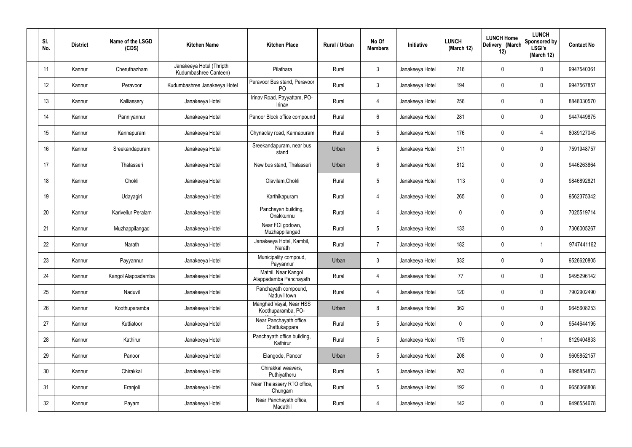| SI.<br>No. | <b>District</b> | Name of the LSGD<br>(CDS) | <b>Kitchen Name</b>                                | <b>Kitchen Place</b>                           | Rural / Urban | No Of<br><b>Members</b> | Initiative      | <b>LUNCH</b><br>(March 12) | <b>LUNCH Home</b><br>Delivery (March<br>12) | <b>LUNCH</b><br>Sponsored by<br><b>LSGI's</b><br>(March 12) | <b>Contact No</b> |
|------------|-----------------|---------------------------|----------------------------------------------------|------------------------------------------------|---------------|-------------------------|-----------------|----------------------------|---------------------------------------------|-------------------------------------------------------------|-------------------|
| 11         | Kannur          | Cheruthazham              | Janakeeya Hotel (Thripthi<br>Kudumbashree Canteen) | Pilathara                                      | Rural         | $\mathbf{3}$            | Janakeeya Hotel | 216                        | $\mathbf 0$                                 | $\mathbf 0$                                                 | 9947540361        |
| 12         | Kannur          | Peravoor                  | Kudumbashree Janakeeya Hotel                       | Peravoor Bus stand, Peravoor<br>P <sub>O</sub> | Rural         | $\mathbf{3}$            | Janakeeya Hotel | 194                        | $\mathbf 0$                                 | $\mathbf 0$                                                 | 9947567857        |
| 13         | Kannur          | Kalliassery               | Janakeeya Hotel                                    | Irinav Road, Payyattam, PO-<br>Irinav          | Rural         | $\overline{4}$          | Janakeeya Hotel | 256                        | $\mathbf 0$                                 | $\mathbf 0$                                                 | 8848330570        |
| 14         | Kannur          | Panniyannur               | Janakeeya Hotel                                    | Panoor Block office compound                   | Rural         | $6\phantom{.}6$         | Janakeeya Hotel | 281                        | $\mathbf 0$                                 | $\mathbf 0$                                                 | 9447449875        |
| 15         | Kannur          | Kannapuram                | Janakeeya Hotel                                    | Chynaclay road, Kannapuram                     | Rural         | $5\overline{)}$         | Janakeeya Hotel | 176                        | $\mathbf 0$                                 | 4                                                           | 8089127045        |
| 16         | Kannur          | Sreekandapuram            | Janakeeya Hotel                                    | Sreekandapuram, near bus<br>stand              | Urban         | $5\phantom{.0}$         | Janakeeya Hotel | 311                        | $\mathbf 0$                                 | $\mathbf 0$                                                 | 7591948757        |
| 17         | Kannur          | Thalasseri                | Janakeeya Hotel                                    | New bus stand, Thalasseri                      | Urban         | $6\phantom{.}6$         | Janakeeya Hotel | 812                        | $\mathbf 0$                                 | $\mathbf 0$                                                 | 9446263864        |
| 18         | Kannur          | Chokli                    | Janakeeya Hotel                                    | Olavilam, Chokli                               | Rural         | $5\phantom{.0}$         | Janakeeya Hotel | 113                        | $\mathbf 0$                                 | $\mathbf 0$                                                 | 9846892821        |
| 19         | Kannur          | Udayagiri                 | Janakeeya Hotel                                    | Karthikapuram                                  | Rural         | $\overline{4}$          | Janakeeya Hotel | 265                        | $\mathbf 0$                                 | $\mathbf 0$                                                 | 9562375342        |
| 20         | Kannur          | Karivellur Peralam        | Janakeeya Hotel                                    | Panchayah building,<br>Onakkunnu               | Rural         | $\overline{4}$          | Janakeeya Hotel | 0                          | 0                                           | $\mathbf 0$                                                 | 7025519714        |
| 21         | Kannur          | Muzhappilangad            | Janakeeya Hotel                                    | Near FCI godown,<br>Muzhappilangad             | Rural         | $5\phantom{.0}$         | Janakeeya Hotel | 133                        | $\mathbf 0$                                 | $\mathbf 0$                                                 | 7306005267        |
| 22         | Kannur          | Narath                    | Janakeeya Hotel                                    | Janakeeya Hotel, Kambil,<br>Narath             | Rural         | $\overline{7}$          | Janakeeya Hotel | 182                        | $\mathbf 0$                                 | -1                                                          | 9747441162        |
| 23         | Kannur          | Payyannur                 | Janakeeya Hotel                                    | Municipality compoud,<br>Payyannur             | Urban         | $\mathbf{3}$            | Janakeeya Hotel | 332                        | $\mathbf 0$                                 | $\mathbf 0$                                                 | 9526620805        |
| 24         | Kannur          | Kangol Alappadamba        | Janakeeya Hotel                                    | Mathil, Near Kangol<br>Alappadamba Panchayath  | Rural         | $\overline{4}$          | Janakeeya Hotel | 77                         | $\mathsf{0}$                                | $\mathbf 0$                                                 | 9495296142        |
| 25         | Kannur          | Naduvil                   | Janakeeya Hotel                                    | Panchayath compound,<br>Naduvil town           | Rural         | $\overline{4}$          | Janakeeya Hotel | 120                        | $\mathsf{0}$                                | $\mathbf 0$                                                 | 7902902490        |
| 26         | Kannur          | Koothuparamba             | Janakeeya Hotel                                    | Manghad Vayal, Near HSS<br>Koothuparamba, PO-  | Urban         | 8                       | Janakeeya Hotel | 362                        | $\mathbf 0$                                 | $\mathbf 0$                                                 | 9645608253        |
| 27         | Kannur          | Kuttiatoor                | Janakeeya Hotel                                    | Near Panchayath office,<br>Chattukappara       | Rural         | $5\phantom{.0}$         | Janakeeya Hotel | 0                          | $\mathsf{0}$                                | $\mathbf 0$                                                 | 9544644195        |
| 28         | Kannur          | Kathirur                  | Janakeeya Hotel                                    | Panchayath office building,<br>Kathirur        | Rural         | $5\phantom{.0}$         | Janakeeya Hotel | 179                        | $\mathsf{0}$                                | $\mathbf 1$                                                 | 8129404833        |
| 29         | Kannur          | Panoor                    | Janakeeya Hotel                                    | Elangode, Panoor                               | Urban         | $5\phantom{.0}$         | Janakeeya Hotel | 208                        | 0                                           | $\mathbf 0$                                                 | 9605852157        |
| 30         | Kannur          | Chirakkal                 | Janakeeya Hotel                                    | Chirakkal weavers,<br>Puthiyatheru             | Rural         | $5\phantom{.0}$         | Janakeeya Hotel | 263                        | 0                                           | $\mathbf 0$                                                 | 9895854873        |
| 31         | Kannur          | Eranjoli                  | Janakeeya Hotel                                    | Near Thalassery RTO office,<br>Chungam         | Rural         | $5\phantom{.0}$         | Janakeeya Hotel | 192                        | 0                                           | $\mathbf 0$                                                 | 9656368808        |
| 32         | Kannur          | Payam                     | Janakeeya Hotel                                    | Near Panchayath office,<br>Madathil            | Rural         | $\overline{4}$          | Janakeeya Hotel | 142                        | 0                                           | $\mathbf 0$                                                 | 9496554678        |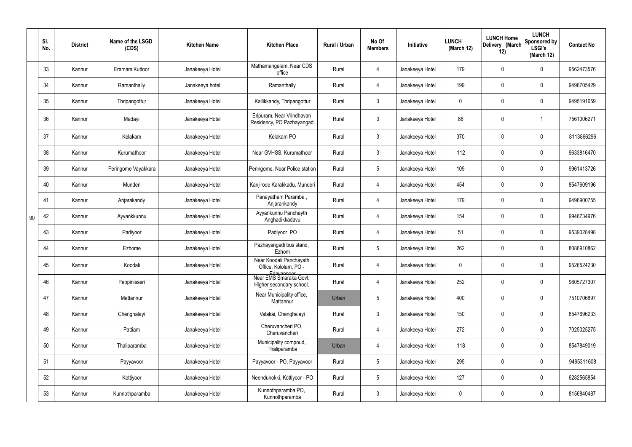|    | SI.<br>No. | <b>District</b> | Name of the LSGD<br>(CDS) | <b>Kitchen Name</b> | <b>Kitchen Place</b>                                           | Rural / Urban | No Of<br><b>Members</b> | Initiative      | <b>LUNCH</b><br>(March 12) | <b>LUNCH Home</b><br>Delivery (March<br>12) | <b>LUNCH</b><br>Sponsored by<br><b>LSGI's</b><br>(March 12) | <b>Contact No</b> |
|----|------------|-----------------|---------------------------|---------------------|----------------------------------------------------------------|---------------|-------------------------|-----------------|----------------------------|---------------------------------------------|-------------------------------------------------------------|-------------------|
|    | 33         | Kannur          | Eramam Kuttoor            | Janakeeya Hotel     | Mathamangalam, Near CDS<br>office                              | Rural         | 4                       | Janakeeya Hotel | 179                        | 0                                           | $\mathbf 0$                                                 | 9562473576        |
|    | 34         | Kannur          | Ramanthally               | Janakeeya hotel     | Ramanthally                                                    | Rural         | 4                       | Janakeeya Hotel | 199                        | $\mathbf 0$                                 | $\mathbf 0$                                                 | 9496705429        |
|    | 35         | Kannur          | Thripangottur             | Janakeeya Hotel     | Kallikkandy, Thripangottur                                     | Rural         | $\mathbf{3}$            | Janakeeya Hotel | $\mathbf 0$                | $\mathbf 0$                                 | $\mathbf 0$                                                 | 9495191659        |
|    | 36         | Kannur          | Madayi                    | Janakeeya Hotel     | Eripuram, Near Vrindhavan<br>Residency, PO Pazhayangadi        | Rural         | $\mathbf{3}$            | Janakeeya Hotel | 86                         | 0                                           |                                                             | 7561006271        |
|    | 37         | Kannur          | Kelakam                   | Janakeeya Hotel     | Kelakam PO                                                     | Rural         | $\mathbf{3}$            | Janakeeya Hotel | 370                        | $\mathbf 0$                                 | $\mathbf 0$                                                 | 8113866296        |
|    | 38         | Kannur          | Kurumathoor               | Janakeeya Hotel     | Near GVHSS, Kurumathoor                                        | Rural         | $\mathbf{3}$            | Janakeeya Hotel | 112                        | 0                                           | $\mathbf 0$                                                 | 9633816470        |
|    | 39         | Kannur          | Peringome Vayakkara       | Janakeeya Hotel     | Peringome, Near Police station                                 | Rural         | $5\overline{)}$         | Janakeeya Hotel | 109                        | $\mathbf 0$                                 | $\overline{0}$                                              | 9961413726        |
|    | 40         | Kannur          | Munderi                   | Janakeeya Hotel     | Kanjirode Karakkadu, Munderi                                   | Rural         | 4                       | Janakeeya Hotel | 454                        | 0                                           | $\mathbf 0$                                                 | 8547609196        |
|    | 41         | Kannur          | Anjarakandy               | Janakeeya Hotel     | Panayatham Paramba,<br>Anjarankandy                            | Rural         | 4                       | Janakeeya Hotel | 179                        | 0                                           | $\mathbf 0$                                                 | 9496900755        |
| 90 | 42         | Kannur          | Ayyankkunnu               | Janakeeya Hotel     | Ayyankunnu Panchayth<br>Anghadikkadavu                         | Rural         | $\overline{4}$          | Janakeeya Hotel | 154                        | 0                                           | $\mathbf 0$                                                 | 9946734976        |
|    | 43         | Kannur          | Padiyoor                  | Janakeeya Hotel     | Padiyoor PO                                                    | Rural         | 4                       | Janakeeya Hotel | 51                         | 0                                           | $\mathbf 0$                                                 | 9539028498        |
|    | 44         | Kannur          | Ezhome                    | Janakeeya Hotel     | Pazhayangadi bus stand,<br>Ezhom                               | Rural         | $5\phantom{.0}$         | Janakeeya Hotel | 262                        | 0                                           | $\mathbf 0$                                                 | 8086910862        |
|    | 45         | Kannur          | Koodali                   | Janakeeya Hotel     | Near Koodali Panchayath<br>Office, Kololam, PO -<br>Edavannoor | Rural         | 4                       | Janakeeya Hotel | $\mathbf 0$                | $\mathbf 0$                                 | 0                                                           | 9526524230        |
|    | 46         | Kannur          | Pappinisseri              | Janakeeya Hotel     | Near EMS Smaraka Govt.<br>Higher secondary school,             | Rural         | 4                       | Janakeeya Hotel | 252                        | $\pmb{0}$                                   | $\mathbf 0$                                                 | 9605727307        |
|    | 47         | Kannur          | Mattannur                 | Janakeeya Hotel     | Near Municipality office,<br>Mattannur                         | Urban         | $5\phantom{.0}$         | Janakeeya Hotel | 400                        | $\pmb{0}$                                   | $\mathbf 0$                                                 | 7510706897        |
|    | 48         | Kannur          | Chenghalayi               | Janakeeya Hotel     | Valakai, Chenghalayi                                           | Rural         | $\mathbf{3}$            | Janakeeya Hotel | 150                        | $\pmb{0}$                                   | $\mathbf 0$                                                 | 8547696233        |
|    | 49         | Kannur          | Pattiam                   | Janakeeya Hotel     | Cheruvancheri PO,<br>Cheruvancheri                             | Rural         | 4                       | Janakeeya Hotel | 272                        | $\pmb{0}$                                   | $\mathbf 0$                                                 | 7025025275        |
|    | 50         | Kannur          | Thaliparamba              | Janakeeya Hotel     | Municipality compoud,<br>Thaliparamba                          | Urban         | 4                       | Janakeeya Hotel | 118                        | $\pmb{0}$                                   | $\mathbf 0$                                                 | 8547849019        |
|    | 51         | Kannur          | Payyavoor                 | Janakeeya Hotel     | Payyavoor - PO, Payyavoor                                      | Rural         | $5\phantom{.0}$         | Janakeeya Hotel | 295                        | $\pmb{0}$                                   | $\mathbf 0$                                                 | 9495311608        |
|    | 52         | Kannur          | Kottiyoor                 | Janakeeya Hotel     | Neendunokki, Kottiyoor - PO                                    | Rural         | $5\phantom{.0}$         | Janakeeya Hotel | 127                        | 0                                           | $\mathbf 0$                                                 | 6282565854        |
|    | 53         | Kannur          | Kunnothparamba            | Janakeeya Hotel     | Kunnothparamba PO,<br>Kunnothparamba                           | Rural         | $3\phantom{.0}$         | Janakeeya Hotel | $\pmb{0}$                  | 0                                           | $\pmb{0}$                                                   | 8156840487        |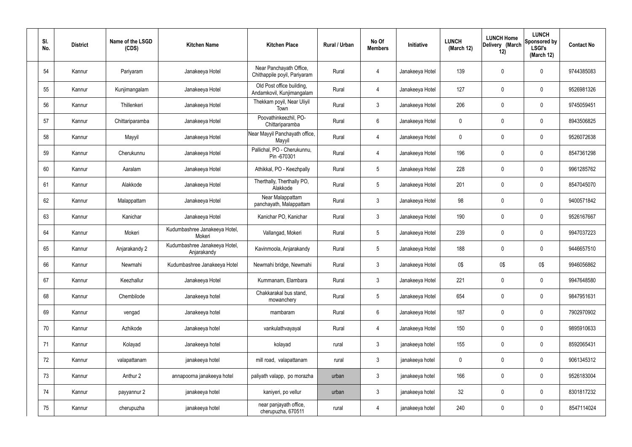| SI.<br>No. | <b>District</b> | Name of the LSGD<br>(CDS) | <b>Kitchen Name</b>                          | <b>Kitchen Place</b>                                    | Rural / Urban | No Of<br><b>Members</b> | Initiative      | <b>LUNCH</b><br>(March 12) | <b>LUNCH Home</b><br>Delivery (March<br>12) | <b>LUNCH</b><br>Sponsored by<br><b>LSGI's</b><br>(March 12) | <b>Contact No</b> |
|------------|-----------------|---------------------------|----------------------------------------------|---------------------------------------------------------|---------------|-------------------------|-----------------|----------------------------|---------------------------------------------|-------------------------------------------------------------|-------------------|
| 54         | Kannur          | Pariyaram                 | Janakeeya Hotel                              | Near Panchayath Office,<br>Chithappile poyil, Pariyaram | Rural         | 4                       | Janakeeya Hotel | 139                        | 0                                           | $\pmb{0}$                                                   | 9744385083        |
| 55         | Kannur          | Kunjimangalam             | Janakeeya Hotel                              | Old Post office building,<br>Andamkovil, Kunjimangalam  | Rural         | 4                       | Janakeeya Hotel | 127                        | 0                                           | $\mathbf 0$                                                 | 9526981326        |
| 56         | Kannur          | Thillenkeri               | Janakeeya Hotel                              | Thekkam poyil, Near Uliyil<br>Town                      | Rural         | $\mathbf{3}$            | Janakeeya Hotel | 206                        | $\boldsymbol{0}$                            | $\overline{0}$                                              | 9745059451        |
| 57         | Kannur          | Chittariparamba           | Janakeeya Hotel                              | Poovathinkeezhil, PO-<br>Chittariparamba                | Rural         | $6\,$                   | Janakeeya Hotel | 0                          | 0                                           | $\overline{0}$                                              | 8943506825        |
| 58         | Kannur          | Mayyil                    | Janakeeya Hotel                              | Near Mayyil Panchayath office,<br>Mayyil                | Rural         | 4                       | Janakeeya Hotel | 0                          | $\boldsymbol{0}$                            | $\mathbf 0$                                                 | 9526072638        |
| 59         | Kannur          | Cherukunnu                | Janakeeya Hotel                              | Pallichal, PO - Cherukunnu,<br>Pin -670301              | Rural         | 4                       | Janakeeya Hotel | 196                        | 0                                           | $\mathbf 0$                                                 | 8547361298        |
| 60         | Kannur          | Aaralam                   | Janakeeya Hotel                              | Athikkal, PO - Keezhpally                               | Rural         | $5\phantom{.0}$         | Janakeeya Hotel | 228                        | 0                                           | $\mathbf 0$                                                 | 9961285762        |
| 61         | Kannur          | Alakkode                  | Janakeeya Hotel                              | Therthally, Therthally PO,<br>Alakkode                  | Rural         | $5\phantom{.0}$         | Janakeeya Hotel | 201                        | $\mathbf 0$                                 | $\mathbf 0$                                                 | 8547045070        |
| 62         | Kannur          | Malappattam               | Janakeeya Hotel                              | Near Malappattam<br>panchayath, Malappattam             | Rural         | $\mathbf{3}$            | Janakeeya Hotel | 98                         | 0                                           | $\mathbf 0$                                                 | 9400571842        |
| 63         | Kannur          | Kanichar                  | Janakeeya Hotel                              | Kanichar PO, Kanichar                                   | Rural         | $\mathbf{3}$            | Janakeeya Hotel | 190                        | 0                                           | $\pmb{0}$                                                   | 9526167667        |
| 64         | Kannur          | Mokeri                    | Kudumbashree Janakeeya Hotel,<br>Mokeri      | Vallangad, Mokeri                                       | Rural         | $5\phantom{.0}$         | Janakeeya Hotel | 239                        | 0                                           | $\mathbf 0$                                                 | 9947037223        |
| 65         | Kannur          | Anjarakandy 2             | Kudumbashree Janakeeya Hotel,<br>Anjarakandy | Kavinmoola, Anjarakandy                                 | Rural         | $5\phantom{.0}$         | Janakeeya Hotel | 188                        | 0                                           | $\boldsymbol{0}$                                            | 9446657510        |
| 66         | Kannur          | Newmahi                   | Kudumbashree Janakeeya Hotel                 | Newmahi bridge, Newmahi                                 | Rural         | 3                       | Janakeeya Hotel | 0\$                        | 0\$                                         | 0\$                                                         | 9946056862        |
| 67         | Kannur          | Keezhallur                | Janakeeya Hotel                              | Kummanam, Elambara                                      | Rural         | $\mathbf{3}$            | Janakeeya Hotel | 221                        | 0                                           | $\mathbf 0$                                                 | 9947648580        |
| 68         | Kannur          | Chembilode                | Janakeeya hotel                              | Chakkarakal bus stand,<br>mowanchery                    | Rural         | $5\overline{)}$         | Janakeeya Hotel | 654                        | 0                                           | $\overline{0}$                                              | 9847951631        |
| 69         | Kannur          | vengad                    | Janakeeya hotel                              | mambaram                                                | Rural         | 6                       | Janakeeya Hotel | 187                        | 0                                           | $\overline{0}$                                              | 7902970902        |
| 70         | Kannur          | Azhikode                  | Janakeeya hotel                              | vankulathvayayal                                        | Rural         | 4                       | Janakeeya Hotel | 150                        | 0                                           | $\overline{0}$                                              | 9895910633        |
| 71         | Kannur          | Kolayad                   | Janakeeya hotel                              | kolayad                                                 | rural         | $\mathbf{3}$            | janakeeya hotel | 155                        | 0                                           | $\overline{0}$                                              | 8592065431        |
| 72         | Kannur          | valapattanam              | janakeeya hotel                              | mill road, valapattanam                                 | rural         | $\mathbf{3}$            | janakeeya hotel | 0                          | 0                                           | $\mathbf 0$                                                 | 9061345312        |
| 73         | Kannur          | Anthur 2                  | annapoorna janakeeya hotel                   | paliyath valapp, po morazha                             | urban         | $\mathbf{3}$            | janakeeya hotel | 166                        | 0                                           | $\mathbf 0$                                                 | 9526183004        |
| 74         | Kannur          | payyannur 2               | janakeeya hotel                              | kaniyeri, po vellur                                     | urban         | $\mathbf{3}$            | janakeeya hotel | 32                         | 0                                           | $\overline{0}$                                              | 8301817232        |
| 75         | Kannur          | cherupuzha                | janakeeya hotel                              | near panjayath office,<br>cherupuzha, 670511            | rural         | $\overline{4}$          | janakeeya hotel | 240                        | 0                                           | $\overline{0}$                                              | 8547114024        |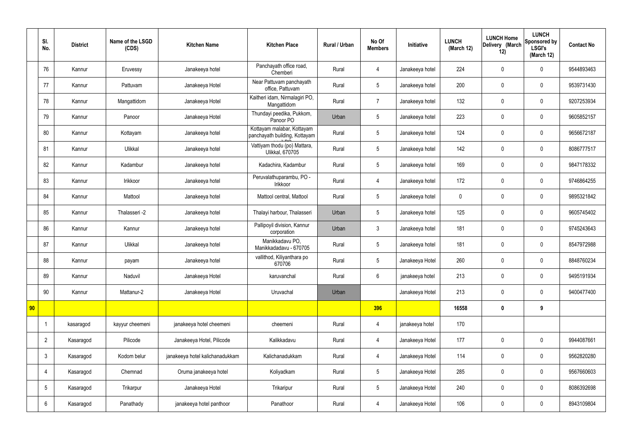|    | SI.<br>No.      | <b>District</b> | Name of the LSGD<br>(CDS) | <b>Kitchen Name</b>             | <b>Kitchen Place</b>                                        | <b>Rural / Urban</b> | No Of<br><b>Members</b> | Initiative      | <b>LUNCH</b><br>(March 12) | <b>LUNCH Home</b><br>Delivery (March<br>12) | <b>LUNCH</b><br>Sponsored by<br><b>LSGI's</b><br>(March 12) | <b>Contact No</b> |
|----|-----------------|-----------------|---------------------------|---------------------------------|-------------------------------------------------------------|----------------------|-------------------------|-----------------|----------------------------|---------------------------------------------|-------------------------------------------------------------|-------------------|
|    | 76              | Kannur          | Eruvessy                  | Janakeeya hotel                 | Panchayath office road,<br>Chemberi                         | Rural                | 4                       | Janakeeya hotel | 224                        | $\boldsymbol{0}$                            | $\mathbf 0$                                                 | 9544893463        |
|    | 77              | Kannur          | Pattuvam                  | Janakeeya Hotel                 | Near Pattuvam panchayath<br>office, Pattuvam                | Rural                | 5                       | Janakeeya hotel | 200                        | $\mathbf 0$                                 | $\mathbf 0$                                                 | 9539731430        |
|    | 78              | Kannur          | Mangattidom               | Janakeeya Hotel                 | Kaitheri idam, Nirmalagiri PO,<br>Mangattidom               | Rural                | $\overline{7}$          | Janakeeya hotel | 132                        | $\mathbf 0$                                 | $\mathbf 0$                                                 | 9207253934        |
|    | 79              | Kannur          | Panoor                    | Janakeeya Hotel                 | Thundayi peedika, Pukkom,<br>Panoor PO                      | Urban                | 5                       | Janakeeya hotel | 223                        | $\mathbf 0$                                 | $\mathbf 0$                                                 | 9605852157        |
|    | 80              | Kannur          | Kottayam                  | Janakeeya hotel                 | Kottayam malabar, Kottayam<br>panchayath building, Kottayam | Rural                | 5                       | Janakeeya hotel | 124                        | $\mathbf 0$                                 | $\mathbf 0$                                                 | 9656672187        |
|    | 81              | Kannur          | Ulikkal                   | Janakeeya hotel                 | Vattiyam thodu (po) Mattara,<br><b>Ulikkal, 670705</b>      | Rural                | 5                       | Janakeeya hotel | 142                        | $\mathbf 0$                                 | $\mathbf 0$                                                 | 8086777517        |
|    | 82              | Kannur          | Kadambur                  | Janakeeya hotel                 | Kadachira, Kadambur                                         | Rural                | 5                       | Janakeeya hotel | 169                        | $\mathbf 0$                                 | $\mathbf 0$                                                 | 9847178332        |
|    | 83              | Kannur          | Irikkoor                  | Janakeeya hotel                 | Peruvalathuparambu, PO -<br>Irikkoor                        | Rural                | 4                       | Janakeeya hotel | 172                        | $\mathbf 0$                                 | $\mathbf 0$                                                 | 9746864255        |
|    | 84              | Kannur          | Mattool                   | Janakeeya hotel                 | Mattool central, Mattool                                    | Rural                | 5                       | Janakeeya hotel | $\mathbf 0$                | $\mathbf 0$                                 | $\mathbf 0$                                                 | 9895321842        |
|    | 85              | Kannur          | Thalasseri -2             | Janakeeya hotel                 | Thalayi harbour, Thalasseri                                 | Urban                | 5                       | Janakeeya hotel | 125                        | $\mathbf 0$                                 | $\mathbf 0$                                                 | 9605745402        |
|    | 86              | Kannur          | Kannur                    | Janakeeya hotel                 | Pallipoyil division, Kannur<br>corporation                  | Urban                | $\mathbf{3}$            | Janakeeya hotel | 181                        | $\pmb{0}$                                   | $\mathbf 0$                                                 | 9745243643        |
|    | 87              | Kannur          | Ulikkal                   | Janakeeya hotel                 | Manikkadavu PO,<br>Manikkadadavu - 670705                   | Rural                | 5                       | Janakeeya hotel | 181                        | $\boldsymbol{0}$                            | $\mathbf 0$                                                 | 8547972988        |
|    | 88              | Kannur          | payam                     | Janakeeya hotel                 | vallithod, Kiliyanthara po<br>670706                        | Rural                | 5                       | Janakeeya Hotel | 260                        | $\mathbf 0$                                 | $\mathbf 0$                                                 | 8848760234        |
|    | 89              | Kannur          | Naduvil                   | Janakeeya Hotel                 | karuvanchal                                                 | Rural                | $6\overline{6}$         | janakeeya hotel | 213                        | $\pmb{0}$                                   | $\mathbf 0$                                                 | 9495191934        |
|    | 90              | Kannur          | Mattanur-2                | Janakeeya Hotel                 | Uruvachal                                                   | Urban                |                         | Janakeeya Hotel | 213                        | $\pmb{0}$                                   | $\mathbf 0$                                                 | 9400477400        |
| 90 |                 |                 |                           |                                 |                                                             |                      | 396                     |                 | 16558                      | $\pmb{0}$                                   | 9                                                           |                   |
|    |                 | kasaragod       | kayyur cheemeni           | janakeeya hotel cheemeni        | cheemeni                                                    | Rural                | $\overline{4}$          | janakeeya hotel | 170                        |                                             |                                                             |                   |
|    | $\overline{2}$  | Kasaragod       | Pilicode                  | Janakeeya Hotel, Pilicode       | Kalikkadavu                                                 | Rural                | $\overline{4}$          | Janakeeya Hotel | 177                        | $\pmb{0}$                                   | $\mathbf 0$                                                 | 9944087661        |
|    | $\mathbf{3}$    | Kasaragod       | Kodom belur               | janakeeya hotel kalichanadukkam | Kalichanadukkam                                             | Rural                | $\overline{4}$          | Janakeeya Hotel | 114                        | $\pmb{0}$                                   | $\mathbf 0$                                                 | 9562820280        |
|    | 4               | Kasaragod       | Chemnad                   | Oruma janakeeya hotel           | Koliyadkam                                                  | Rural                | $5\phantom{.0}$         | Janakeeya Hotel | 285                        | $\pmb{0}$                                   | $\mathbf 0$                                                 | 9567660603        |
|    | $5\phantom{.0}$ | Kasaragod       | Trikarpur                 | Janakeeya Hotel                 | Trikaripur                                                  | Rural                | $5\phantom{.0}$         | Janakeeya Hotel | 240                        | $\mathbf 0$                                 | $\mathbf 0$                                                 | 8086392698        |
|    | $6\phantom{.}6$ | Kasaragod       | Panathady                 | janakeeya hotel panthoor        | Panathoor                                                   | Rural                | 4                       | Janakeeya Hotel | 106                        | $\pmb{0}$                                   | $\mathbf 0$                                                 | 8943109804        |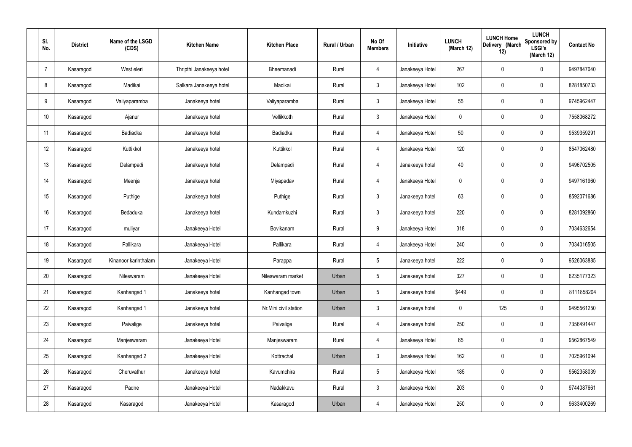| SI.<br>No.      | <b>District</b> | Name of the LSGD<br>(CDS) | <b>Kitchen Name</b>      | <b>Kitchen Place</b>  | <b>Rural / Urban</b> | No Of<br><b>Members</b> | Initiative      | <b>LUNCH</b><br>(March 12) | <b>LUNCH Home</b><br>Delivery (March<br>12) | <b>LUNCH</b><br>Sponsored by<br><b>LSGI's</b><br>(March 12) | <b>Contact No</b> |
|-----------------|-----------------|---------------------------|--------------------------|-----------------------|----------------------|-------------------------|-----------------|----------------------------|---------------------------------------------|-------------------------------------------------------------|-------------------|
| $\overline{7}$  | Kasaragod       | West eleri                | Thripthi Janakeeya hotel | Bheemanadi            | Rural                | 4                       | Janakeeya Hotel | 267                        | $\mathbf 0$                                 | $\mathbf 0$                                                 | 9497847040        |
| 8               | Kasaragod       | Madikai                   | Salkara Janakeeya hotel  | Madikai               | Rural                | $\mathbf{3}$            | Janakeeya Hotel | 102                        | $\mathbf 0$                                 | $\mathbf 0$                                                 | 8281850733        |
| 9               | Kasaragod       | Valiyaparamba             | Janakeeya hotel          | Valiyaparamba         | Rural                | $\mathbf{3}$            | Janakeeya Hotel | 55                         | $\mathbf 0$                                 | $\mathbf 0$                                                 | 9745962447        |
| 10 <sup>°</sup> | Kasaragod       | Ajanur                    | Janakeeya hotel          | Vellikkoth            | Rural                | $\mathbf{3}$            | Janakeeya Hotel | $\mathbf 0$                | $\mathbf 0$                                 | $\mathbf 0$                                                 | 7558068272        |
| 11              | Kasaragod       | Badiadka                  | Janakeeya hotel          | Badiadka              | Rural                | $\overline{4}$          | Janakeeya Hotel | 50                         | $\mathbf 0$                                 | $\mathbf 0$                                                 | 9539359291        |
| 12              | Kasaragod       | Kuttikkol                 | Janakeeya hotel          | Kuttikkol             | Rural                | $\overline{4}$          | Janakeeya Hotel | 120                        | $\pmb{0}$                                   | $\mathbf 0$                                                 | 8547062480        |
| 13              | Kasaragod       | Delampadi                 | Janakeeya hotel          | Delampadi             | Rural                | $\overline{4}$          | Janakeeya hotel | 40                         | $\mathbf 0$                                 | $\mathbf 0$                                                 | 9496702505        |
| 14              | Kasaragod       | Meenja                    | Janakeeya hotel          | Miyapadav             | Rural                | $\overline{4}$          | Janakeeya Hotel | $\mathbf 0$                | $\mathbf 0$                                 | $\mathbf 0$                                                 | 9497161960        |
| 15              | Kasaragod       | Puthige                   | Janakeeya hotel          | Puthige               | Rural                | $\mathbf{3}$            | Janakeeya hotel | 63                         | $\mathbf 0$                                 | $\mathbf 0$                                                 | 8592071686        |
| 16              | Kasaragod       | Bedaduka                  | Janakeeya hotel          | Kundamkuzhi           | Rural                | $\mathbf{3}$            | Janakeeya hotel | 220                        | $\mathbf 0$                                 | $\mathbf 0$                                                 | 8281092860        |
| 17              | Kasaragod       | muliyar                   | Janakeeya Hotel          | Bovikanam             | Rural                | 9                       | Janakeeya Hotel | 318                        | $\pmb{0}$                                   | $\mathbf 0$                                                 | 7034632654        |
| 18              | Kasaragod       | Pallikara                 | Janakeeya Hotel          | Pallikara             | Rural                | 4                       | Janakeeya Hotel | 240                        | $\pmb{0}$                                   | $\mathbf 0$                                                 | 7034016505        |
| 19              | Kasaragod       | Kinanoor karinthalam      | Janakeeya Hotel          | Parappa               | Rural                | 5                       | Janakeeya hotel | 222                        | $\mathbf 0$                                 | $\mathbf 0$                                                 | 9526063885        |
| 20              | Kasaragod       | Nileswaram                | Janakeeya Hotel          | Nileswaram market     | Urban                | 5                       | Janakeeya hotel | 327                        | $\pmb{0}$                                   | $\mathbf 0$                                                 | 6235177323        |
| 21              | Kasaragod       | Kanhangad 1               | Janakeeya hotel          | Kanhangad town        | Urban                | 5                       | Janakeeya hotel | \$449                      | $\pmb{0}$                                   | $\mathbf 0$                                                 | 8111858204        |
| 22              | Kasaragod       | Kanhangad 1               | Janakeeya hotel          | Nr.Mini civil station | Urban                | $\mathfrak{Z}$          | Janakeeya hotel | $\mathbf 0$                | 125                                         | $\mathbf 0$                                                 | 9495561250        |
| 23              | Kasaragod       | Paivalige                 | Janakeeya hotel          | Paivalige             | Rural                | $\overline{4}$          | Janakeeya hotel | 250                        | $\pmb{0}$                                   | $\mathbf 0$                                                 | 7356491447        |
| 24              | Kasaragod       | Manjeswaram               | Janakeeya Hotel          | Manjeswaram           | Rural                | $\overline{4}$          | Janakeeya Hotel | 65                         | $\pmb{0}$                                   | $\mathbf 0$                                                 | 9562867549        |
| 25              | Kasaragod       | Kanhangad 2               | Janakeeya Hotel          | Kottrachal            | Urban                | $\mathbf{3}$            | Janakeeya Hotel | 162                        | $\pmb{0}$                                   | $\mathbf 0$                                                 | 7025961094        |
| 26              | Kasaragod       | Cheruvathur               | Janakeeya hotel          | Kavumchira            | Rural                | $5\phantom{.0}$         | Janakeeya Hotel | 185                        | $\pmb{0}$                                   | $\mathbf 0$                                                 | 9562358039        |
| 27              | Kasaragod       | Padne                     | Janakeeya Hotel          | Nadakkavu             | Rural                | $\mathfrak{Z}$          | Janakeeya Hotel | 203                        | $\pmb{0}$                                   | $\mathbf 0$                                                 | 9744087661        |
| 28              | Kasaragod       | Kasaragod                 | Janakeeya Hotel          | Kasaragod             | Urban                | 4                       | Janakeeya Hotel | 250                        | $\pmb{0}$                                   | $\mathbf 0$                                                 | 9633400269        |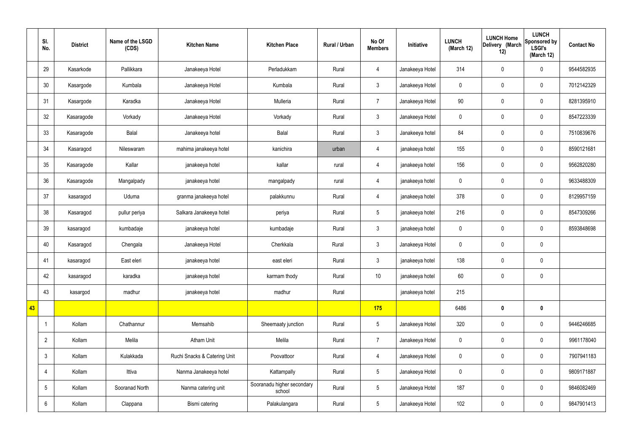|    | SI.<br>No.      | <b>District</b> | Name of the LSGD<br>(CDS) | <b>Kitchen Name</b>          | <b>Kitchen Place</b>                 | Rural / Urban | No Of<br><b>Members</b> | Initiative      | <b>LUNCH</b><br>(March 12) | <b>LUNCH Home</b><br>Delivery (March<br>12) | <b>LUNCH</b><br>Sponsored by<br><b>LSGI's</b><br>(March 12) | <b>Contact No</b> |
|----|-----------------|-----------------|---------------------------|------------------------------|--------------------------------------|---------------|-------------------------|-----------------|----------------------------|---------------------------------------------|-------------------------------------------------------------|-------------------|
|    | 29              | Kasarkode       | Pallikkara                | Janakeeya Hotel              | Perladukkam                          | Rural         | $\overline{4}$          | Janakeeya Hotel | 314                        | $\mathbf 0$                                 | $\mathbf 0$                                                 | 9544582935        |
|    | 30              | Kasargode       | Kumbala                   | Janakeeya Hotel              | Kumbala                              | Rural         | $\mathbf{3}$            | Janakeeya Hotel | $\mathbf 0$                | $\mathbf 0$                                 | $\mathbf 0$                                                 | 7012142329        |
|    | 31              | Kasargode       | Karadka                   | Janakeeya Hotel              | Mulleria                             | Rural         | $\overline{7}$          | Janakeeya Hotel | 90                         | $\mathbf 0$                                 | $\mathbf 0$                                                 | 8281395910        |
|    | 32              | Kasaragode      | Vorkady                   | Janakeeya Hotel              | Vorkady                              | Rural         | $\mathbf{3}$            | Janakeeya Hotel | $\mathbf 0$                | $\pmb{0}$                                   | $\mathbf 0$                                                 | 8547223339        |
|    | 33              | Kasaragode      | Balal                     | Janakeeya hotel              | Balal                                | Rural         | $\mathbf{3}$            | Janakeeya hotel | 84                         | $\mathbf 0$                                 | $\mathbf 0$                                                 | 7510839676        |
|    | 34              | Kasaragod       | Nileswaram                | mahima janakeeya hotel       | kanichira                            | urban         | $\overline{4}$          | janakeeya hotel | 155                        | $\pmb{0}$                                   | $\mathbf 0$                                                 | 8590121681        |
|    | 35              | Kasaragode      | Kallar                    | janakeeya hotel              | kallar                               | rural         | $\overline{4}$          | janakeeya hotel | 156                        | $\mathbf 0$                                 | $\mathbf 0$                                                 | 9562820280        |
|    | 36              | Kasaragode      | Mangalpady                | janakeeya hotel              | mangalpady                           | rural         | $\overline{4}$          | janakeeya hotel | $\mathbf 0$                | $\mathbf 0$                                 | $\mathbf 0$                                                 | 9633488309        |
|    | 37              | kasaragod       | Uduma                     | granma janakeeya hotel       | palakkunnu                           | Rural         | $\overline{4}$          | janakeeya hotel | 378                        | $\mathbf 0$                                 | $\mathbf 0$                                                 | 8129957159        |
|    | 38              | Kasaragod       | pullur periya             | Salkara Janakeeya hotel      | periya                               | Rural         | $5\,$                   | janakeeya hotel | 216                        | $\pmb{0}$                                   | $\mathbf 0$                                                 | 8547309266        |
|    | 39              | kasaragod       | kumbadaje                 | janakeeya hotel              | kumbadaje                            | Rural         | $\mathbf{3}$            | janakeeya hotel | $\boldsymbol{0}$           | $\pmb{0}$                                   | $\mathbf 0$                                                 | 8593848698        |
|    | 40              | Kasaragod       | Chengala                  | Janakeeya Hotel              | Cherkkala                            | Rural         | $\mathbf{3}$            | Janakeeya Hotel | $\mathbf 0$                | $\pmb{0}$                                   | $\mathbf 0$                                                 |                   |
|    | 41              | kasaragod       | East eleri                | janakeeya hotel              | east eleri                           | Rural         | $\mathbf{3}$            | janakeeya hotel | 138                        | $\pmb{0}$                                   | $\mathbf 0$                                                 |                   |
|    | 42              | kasaragod       | karadka                   | janakeeya hotel              | karmam thody                         | Rural         | $10$                    | janakeeya hotel | 60                         | $\pmb{0}$                                   | $\mathbf 0$                                                 |                   |
|    | 43              | kasargod        | madhur                    | janakeeya hotel              | madhur                               | Rural         |                         | janakeeya hotel | 215                        |                                             |                                                             |                   |
| 43 |                 |                 |                           |                              |                                      |               | 175                     |                 | 6486                       | $\pmb{0}$                                   | $\mathbf 0$                                                 |                   |
|    |                 | Kollam          | Chathannur                | Memsahib                     | Sheemaaty junction                   | Rural         | $5\phantom{.0}$         | Janakeeya Hotel | 320                        | $\pmb{0}$                                   | $\mathbf 0$                                                 | 9446246685        |
|    | $\overline{2}$  | Kollam          | Melila                    | Atham Unit                   | Melila                               | Rural         | $\overline{7}$          | Janakeeya Hotel | $\pmb{0}$                  | $\pmb{0}$                                   | $\mathbf 0$                                                 | 9961178040        |
|    | $\mathfrak{Z}$  | Kollam          | Kulakkada                 | Ruchi Snacks & Catering Unit | Poovattoor                           | Rural         | $\overline{4}$          | Janakeeya Hotel | $\mathbf 0$                | $\pmb{0}$                                   | $\mathbf 0$                                                 | 7907941183        |
|    | 4               | Kollam          | Ittiva                    | Nanma Janakeeya hotel        | Kattampally                          | Rural         | $5\overline{)}$         | Janakeeya Hotel | $\boldsymbol{0}$           | $\pmb{0}$                                   | $\mathbf 0$                                                 | 9809171887        |
|    | $5\phantom{.0}$ | Kollam          | Sooranad North            | Nanma catering unit          | Sooranadu higher secondary<br>school | Rural         | $5\phantom{.0}$         | Janakeeya Hotel | 187                        | $\pmb{0}$                                   | $\mathbf 0$                                                 | 9846082469        |
|    | 6               | Kollam          | Clappana                  | Bismi catering               | Palakulangara                        | Rural         | $5\overline{)}$         | Janakeeya Hotel | 102                        | $\pmb{0}$                                   | $\boldsymbol{0}$                                            | 9847901413        |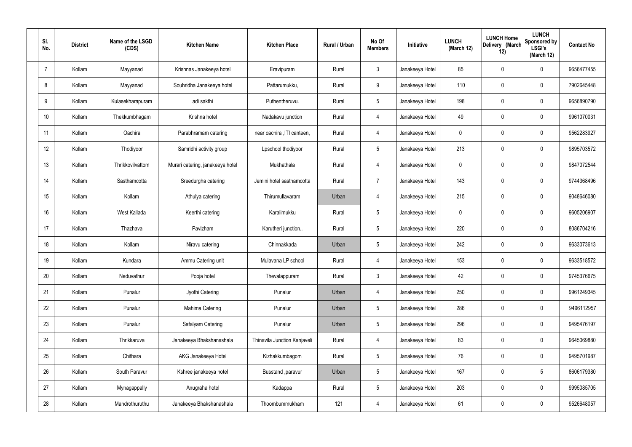| SI.<br>No.     | <b>District</b> | Name of the LSGD<br>(CDS) | <b>Kitchen Name</b>              | <b>Kitchen Place</b>         | Rural / Urban | No Of<br><b>Members</b> | Initiative      | <b>LUNCH</b><br>(March 12) | <b>LUNCH Home</b><br>Delivery (March<br>12) | <b>LUNCH</b><br>Sponsored by<br><b>LSGI's</b><br>(March 12) | <b>Contact No</b> |
|----------------|-----------------|---------------------------|----------------------------------|------------------------------|---------------|-------------------------|-----------------|----------------------------|---------------------------------------------|-------------------------------------------------------------|-------------------|
| $\overline{7}$ | Kollam          | Mayyanad                  | Krishnas Janakeeya hotel         | Eravipuram                   | Rural         | $\mathbf{3}$            | Janakeeya Hotel | 85                         | 0                                           | $\mathbf 0$                                                 | 9656477455        |
| 8              | Kollam          | Mayyanad                  | Souhridha Janakeeya hotel        | Pattarumukku,                | Rural         | 9                       | Janakeeya Hotel | 110                        | $\mathbf 0$                                 | $\mathbf 0$                                                 | 7902645448        |
| 9              | Kollam          | Kulasekharapuram          | adi sakthi                       | Puthentheruvu.               | Rural         | $5\phantom{.0}$         | Janakeeya Hotel | 198                        | 0                                           | $\mathbf 0$                                                 | 9656890790        |
| 10             | Kollam          | Thekkumbhagam             | Krishna hotel                    | Nadakavu junction            | Rural         | $\overline{4}$          | Janakeeya Hotel | 49                         | $\mathbf 0$                                 | $\mathbf 0$                                                 | 9961070031        |
| 11             | Kollam          | Oachira                   | Parabhramam catering             | near oachira , ITI canteen,  | Rural         | $\overline{4}$          | Janakeeya Hotel | $\mathbf 0$                | 0                                           | $\mathbf 0$                                                 | 9562283927        |
| 12             | Kollam          | Thodiyoor                 | Samridhi activity group          | Lpschool thodiyoor           | Rural         | $5\phantom{.0}$         | Janakeeya Hotel | 213                        | $\mathbf 0$                                 | $\mathbf 0$                                                 | 9895703572        |
| 13             | Kollam          | Thrikkovilvattom          | Murari catering, janakeeya hotel | Mukhathala                   | Rural         | $\overline{4}$          | Janakeeya Hotel | $\mathbf 0$                | $\mathbf 0$                                 | $\mathbf 0$                                                 | 9847072544        |
| 14             | Kollam          | Sasthamcotta              | Sreedurgha catering              | Jemini hotel sasthamcotta    | Rural         | $\overline{7}$          | Janakeeya Hotel | 143                        | 0                                           | $\mathbf 0$                                                 | 9744368496        |
| 15             | Kollam          | Kollam                    | Athulya catering                 | Thirumullavaram              | Urban         | 4                       | Janakeeya Hotel | 215                        | $\mathbf 0$                                 | $\mathbf 0$                                                 | 9048646080        |
| 16             | Kollam          | West Kallada              | Keerthi catering                 | Karalimukku                  | Rural         | $5\phantom{.0}$         | Janakeeya Hotel | $\mathbf 0$                | 0                                           | $\mathbf 0$                                                 | 9605206907        |
| 17             | Kollam          | Thazhava                  | Pavizham                         | Karutheri junction           | Rural         | $5\phantom{.0}$         | Janakeeya Hotel | 220                        | 0                                           | $\mathbf 0$                                                 | 8086704216        |
| 18             | Kollam          | Kollam                    | Niravu catering                  | Chinnakkada                  | Urban         | $5\phantom{.0}$         | Janakeeya Hotel | 242                        | 0                                           | $\mathbf 0$                                                 | 9633073613        |
| 19             | Kollam          | Kundara                   | Ammu Catering unit               | Mulavana LP school           | Rural         | 4                       | Janakeeya Hotel | 153                        | 0                                           | $\mathbf 0$                                                 | 9633518572        |
| 20             | Kollam          | Neduvathur                | Pooja hotel                      | Thevalappuram                | Rural         | $\mathbf{3}$            | Janakeeya Hotel | 42                         | $\mathbf 0$                                 | $\mathbf 0$                                                 | 9745376675        |
| 21             | Kollam          | Punalur                   | Jyothi Catering                  | Punalur                      | Urban         | $\overline{4}$          | Janakeeya Hotel | 250                        | $\mathbf 0$                                 | $\mathbf 0$                                                 | 9961249345        |
| 22             | Kollam          | Punalur                   | Mahima Catering                  | Punalur                      | Urban         | $5\phantom{.0}$         | Janakeeya Hotel | 286                        | 0                                           | $\mathbf 0$                                                 | 9496112957        |
| 23             | Kollam          | Punalur                   | Safalyam Catering                | Punalur                      | Urban         | $5\phantom{.0}$         | Janakeeya Hotel | 296                        | 0                                           | $\mathbf 0$                                                 | 9495476197        |
| 24             | Kollam          | Thrikkaruva               | Janakeeya Bhakshanashala         | Thinavila Junction Kanjaveli | Rural         | $\overline{4}$          | Janakeeya Hotel | 83                         | 0                                           | $\mathbf 0$                                                 | 9645069880        |
| 25             | Kollam          | Chithara                  | AKG Janakeeya Hotel              | Kizhakkumbagom               | Rural         | $5\phantom{.0}$         | Janakeeya Hotel | 76                         | 0                                           | $\mathbf 0$                                                 | 9495701987        |
| 26             | Kollam          | South Paravur             | Kshree janakeeya hotel           | Busstand , paravur           | Urban         | $5\phantom{.0}$         | Janakeeya Hotel | 167                        | 0                                           | $5\phantom{.0}$                                             | 8606179380        |
| 27             | Kollam          | Mynagappally              | Anugraha hotel                   | Kadappa                      | Rural         | $5\phantom{.0}$         | Janakeeya Hotel | 203                        | 0                                           | $\mathbf 0$                                                 | 9995085705        |
| 28             | Kollam          | Mandrothuruthu            | Janakeeya Bhakshanashala         | Thoombummukham               | 121           | 4                       | Janakeeya Hotel | 61                         | 0                                           | $\mathbf 0$                                                 | 9526648057        |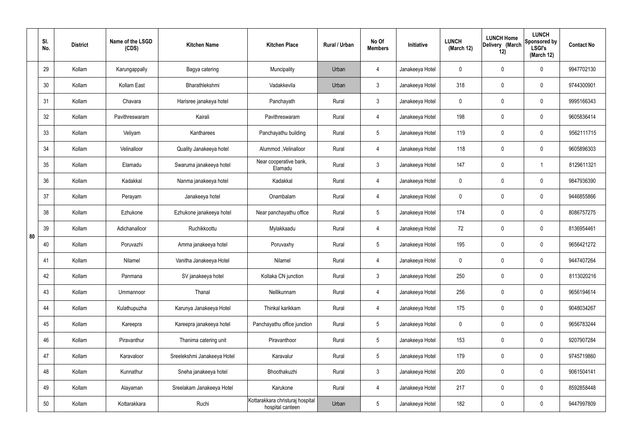|    | SI.<br>No. | <b>District</b> | Name of the LSGD<br>(CDS) | <b>Kitchen Name</b>         | <b>Kitchen Place</b>                                 | Rural / Urban | No Of<br><b>Members</b> | Initiative      | <b>LUNCH</b><br>(March 12) | <b>LUNCH Home</b><br>Delivery (March<br>12) | <b>LUNCH</b><br>Sponsored by<br><b>LSGI's</b><br>(March 12) | <b>Contact No</b> |
|----|------------|-----------------|---------------------------|-----------------------------|------------------------------------------------------|---------------|-------------------------|-----------------|----------------------------|---------------------------------------------|-------------------------------------------------------------|-------------------|
|    | 29         | Kollam          | Karungappally             | Bagya catering              | Muncipality                                          | Urban         | $\overline{4}$          | Janakeeya Hotel | $\mathbf 0$                | 0                                           | $\mathbf 0$                                                 | 9947702130        |
|    | 30         | Kollam          | Kollam East               | Bharathlekshmi              | Vadakkevila                                          | Urban         | $\mathbf{3}$            | Janakeeya Hotel | 318                        | 0                                           | $\mathbf 0$                                                 | 9744300901        |
|    | 31         | Kollam          | Chavara                   | Harisree janakeya hotel     | Panchayath                                           | Rural         | $\mathbf{3}$            | Janakeeya Hotel | $\mathbf 0$                | 0                                           | $\mathbf 0$                                                 | 9995166343        |
|    | 32         | Kollam          | Pavithreswaram            | Kairali                     | Pavithreswaram                                       | Rural         | $\overline{4}$          | Janakeeya Hotel | 198                        | 0                                           | $\mathbf 0$                                                 | 9605836414        |
|    | 33         | Kollam          | Veliyam                   | Kantharees                  | Panchayathu building                                 | Rural         | $5\phantom{.0}$         | Janakeeya Hotel | 119                        | $\mathbf 0$                                 | $\mathbf 0$                                                 | 9562111715        |
|    | 34         | Kollam          | Velinalloor               | Quality Janakeeya hotel     | Alummod, Velinalloor                                 | Rural         | $\overline{4}$          | Janakeeya Hotel | 118                        | 0                                           | $\mathbf 0$                                                 | 9605896303        |
|    | 35         | Kollam          | Elamadu                   | Swaruma janakeeya hotel     | Near cooperative bank,<br>Elamadu                    | Rural         | $\mathbf{3}$            | Janakeeya Hotel | 147                        | $\mathbf 0$                                 | -1                                                          | 8129611321        |
|    | 36         | Kollam          | Kadakkal                  | Nanma janakeeya hotel       | Kadakkal                                             | Rural         | $\overline{4}$          | Janakeeya Hotel | $\mathbf 0$                | 0                                           | $\mathbf 0$                                                 | 9847936390        |
|    | 37         | Kollam          | Perayam                   | Janakeeya hotel             | Onambalam                                            | Rural         | $\overline{4}$          | Janakeeya Hotel | $\mathbf 0$                | 0                                           | $\mathbf 0$                                                 | 9446855866        |
|    | 38         | Kollam          | Ezhukone                  | Ezhukone janakeeya hotel    | Near panchayathu office                              | Rural         | $5\phantom{.0}$         | Janakeeya Hotel | 174                        | 0                                           | $\mathbf 0$                                                 | 8086757275        |
| 80 | 39         | Kollam          | Adichanalloor             | Ruchikkoottu                | Mylakkaadu                                           | Rural         | 4                       | Janakeeya Hotel | 72                         | 0                                           | $\mathbf 0$                                                 | 8136954461        |
|    | 40         | Kollam          | Poruvazhi                 | Amma janakeeya hotel        | Poruvaxhy                                            | Rural         | $5\phantom{.0}$         | Janakeeya Hotel | 195                        | 0                                           | $\mathbf 0$                                                 | 9656421272        |
|    | 41         | Kollam          | Nilamel                   | Vanitha Janakeeya Hotel     | Nilamel                                              | Rural         | 4                       | Janakeeya Hotel | $\mathbf 0$                | 0                                           | $\mathbf 0$                                                 | 9447407264        |
|    | 42         | Kollam          | Panmana                   | SV janakeeya hotel          | Kollaka CN junction                                  | Rural         | $\mathbf{3}$            | Janakeeya Hotel | 250                        | $\mathbf 0$                                 | $\mathbf 0$                                                 | 8113020216        |
|    | 43         | Kollam          | Ummannoor                 | Thanal                      | Nellikunnam                                          | Rural         | $\overline{4}$          | Janakeeya Hotel | 256                        | 0                                           | $\mathbf 0$                                                 | 9656194614        |
|    | 44         | Kollam          | Kulathupuzha              | Karunya Janakeeya Hotel     | Thinkal karikkam                                     | Rural         | $\overline{4}$          | Janakeeya Hotel | 175                        | 0                                           | $\mathbf 0$                                                 | 9048034267        |
|    | 45         | Kollam          | Kareepra                  | Kareepra janakeeya hotel    | Panchayathu office junction                          | Rural         | $5\phantom{.0}$         | Janakeeya Hotel | $\mathbf 0$                | 0                                           | $\mathbf 0$                                                 | 9656783244        |
|    | 46         | Kollam          | Piravanthur               | Thanima catering unit       | Piravanthoor                                         | Rural         | $5\phantom{.0}$         | Janakeeya Hotel | 153                        | 0                                           | $\mathbf 0$                                                 | 9207907284        |
|    | 47         | Kollam          | Karavaloor                | Sreelekshmi Janakeeya Hotel | Karavalur                                            | Rural         | $5\phantom{.0}$         | Janakeeya Hotel | 179                        | 0                                           | $\mathbf 0$                                                 | 9745719860        |
|    | 48         | Kollam          | Kunnathur                 | Sneha janakeeya hotel       | Bhoothakuzhi                                         | Rural         | $\mathfrak{Z}$          | Janakeeya Hotel | 200                        | 0                                           | $\mathbf 0$                                                 | 9061504141        |
|    | 49         | Kollam          | Alayaman                  | Sreelakam Janakeeya Hotel   | Karukone                                             | Rural         | $\overline{4}$          | Janakeeya Hotel | 217                        | 0                                           | $\mathbf 0$                                                 | 8592858448        |
|    | 50         | Kollam          | Kottarakkara              | Ruchi                       | Kottarakkara christuraj hospital<br>hospital canteen | Urban         | $5\phantom{.0}$         | Janakeeya Hotel | 182                        | 0                                           | $\mathbf 0$                                                 | 9447997809        |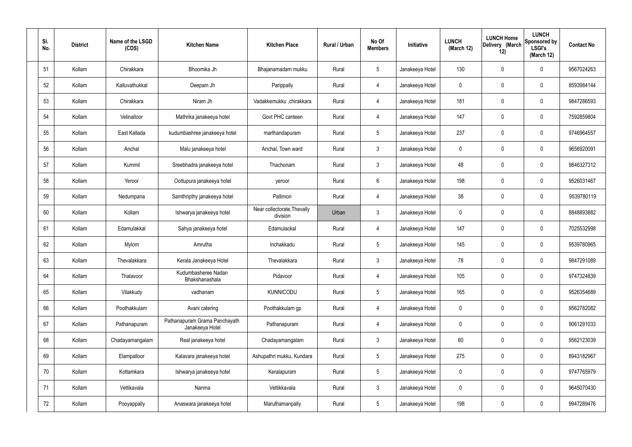| SI.<br>No. | <b>District</b> | Name of the LSGD<br>(CDS) | <b>Kitchen Name</b>                              | <b>Kitchen Place</b>                    | Rural / Urban | No Of<br><b>Members</b> | Initiative      | <b>LUNCH</b><br>(March 12) | <b>LUNCH Home</b><br>Delivery (March<br>12) | <b>LUNCH</b><br>Sponsored by<br><b>LSGI's</b><br>(March 12) | <b>Contact No</b> |
|------------|-----------------|---------------------------|--------------------------------------------------|-----------------------------------------|---------------|-------------------------|-----------------|----------------------------|---------------------------------------------|-------------------------------------------------------------|-------------------|
| 51         | Kollam          | Chirakkara                | Bhoomika Jh                                      | Bhajanamadam mukku                      | Rural         | $5\phantom{.0}$         | Janakeeya Hotel | 130                        | 0                                           | $\mathbf 0$                                                 | 9567024263        |
| 52         | Kollam          | Kalluvathukkal            | Deepam Jh                                        | Parippally                              | Rural         | 4                       | Janakeeya Hotel | $\mathbf 0$                | 0                                           | $\mathbf 0$                                                 | 8593984144        |
| 53         | Kollam          | Chirakkara                | Niram Jh                                         | Vadakkemukku ,chirakkara                | Rural         | 4                       | Janakeeya Hotel | 181                        | 0                                           | $\mathbf 0$                                                 | 9847286593        |
| 54         | Kollam          | Velinalloor               | Mathrika janakeeya hotel                         | Govt PHC canteen                        | Rural         | 4                       | Janakeeya Hotel | 147                        | 0                                           | $\mathbf 0$                                                 | 7592859804        |
| 55         | Kollam          | East Kallada              | kudumbashree janakeeya hotel                     | marthandapuram                          | Rural         | $5\phantom{.0}$         | Janakeeya Hotel | 237                        | 0                                           | $\mathbf 0$                                                 | 9746964557        |
| 56         | Kollam          | Anchal                    | Malu janakeeya hotel                             | Anchal, Town ward                       | Rural         | $\mathbf{3}$            | Janakeeya Hotel | $\mathbf 0$                | 0                                           | $\mathbf 0$                                                 | 9656920091        |
| 57         | Kollam          | Kummil                    | Sreebhadra janakeeya hotel                       | Thachonam                               | Rural         | $\mathfrak{Z}$          | Janakeeya Hotel | 48                         | 0                                           | $\mathbf 0$                                                 | 9846327312        |
| 58         | Kollam          | Yeroor                    | Oottupura janakeeya hotel                        | yeroor                                  | Rural         | $6\phantom{.}6$         | Janakeeya Hotel | 198                        | 0                                           | $\mathbf 0$                                                 | 9526031467        |
| 59         | Kollam          | Nedumpana                 | Samthripthy janakeeya hotel                      | Pallimon                                | Rural         | $\overline{4}$          | Janakeeya Hotel | 38                         | 0                                           | $\mathbf 0$                                                 | 9539780119        |
| 60         | Kollam          | Kollam                    | Ishwarya janakeeya hotel                         | Near collectorate, Thevally<br>division | Urban         | $\mathbf{3}$            | Janakeeya Hotel | $\mathbf 0$                | 0                                           | $\mathbf 0$                                                 | 8848893882        |
| 61         | Kollam          | Edamulakkal               | Sahya janakeeya hotel                            | Edamulackal                             | Rural         | 4                       | Janakeeya Hotel | 147                        | 0                                           | $\mathbf 0$                                                 | 7025532998        |
| 62         | Kollam          | Mylom                     | Amrutha                                          | Inchakkadu                              | Rural         | $5\,$                   | Janakeeya Hotel | 145                        | $\boldsymbol{0}$                            | $\mathbf 0$                                                 | 9539780965        |
| 63         | Kollam          | Thevalakkara              | Kerala Janakeeya Hotel                           | Thevalakkara                            | Rural         | $\mathbf{3}$            | Janakeeya Hotel | 78                         | $\mathbf 0$                                 | 0                                                           | 9847291089        |
| 64         | Kollam          | Thalavoor                 | Kudumbasheree Nadan<br>Bhakshanashala            | Pidavoor                                | Rural         | $\overline{4}$          | Janakeeya Hotel | 105                        | $\mathbf 0$                                 | $\mathbf 0$                                                 | 9747324839        |
| 65         | Kollam          | Vilakkudy                 | vadhanam                                         | <b>KUNNICODU</b>                        | Rural         | $5\phantom{.0}$         | Janakeeya Hotel | 165                        | 0                                           | $\mathbf 0$                                                 | 9526354689        |
| 66         | Kollam          | Poothakkulam              | Avani catering                                   | Poothakkulam gp                         | Rural         | $\overline{4}$          | Janakeeya Hotel | $\mathbf 0$                | 0                                           | $\mathbf 0$                                                 | 9562782082        |
| 67         | Kollam          | Pathanapuram              | Pathanapuram Grama Panchayath<br>Janakeeya Hotel | Pathanapuram                            | Rural         | $\overline{4}$          | Janakeeya Hotel | $\mathbf 0$                | 0                                           | $\mathbf 0$                                                 | 9061291033        |
| 68         | Kollam          | Chadayamangalam           | Real janakeeya hotel                             | Chadayamangalam                         | Rural         | $\mathbf{3}$            | Janakeeya Hotel | 60                         | $\mathbf 0$                                 | $\mathbf 0$                                                 | 9562123039        |
| 69         | Kollam          | Elampalloor               | Kalavara janakeeya hotel                         | Ashupathri mukku, Kundara               | Rural         | $5\phantom{.0}$         | Janakeeya Hotel | 275                        | $\mathbf 0$                                 | $\mathbf 0$                                                 | 8943182967        |
| 70         | Kollam          | Kottamkara                | Ishwarya janakeeya hotel                         | Keralapuram                             | Rural         | $5\phantom{.0}$         | Janakeeya Hotel | $\mathbf 0$                | $\mathbf 0$                                 | $\mathbf 0$                                                 | 9747765979        |
| 71         | Kollam          | Vettikavala               | Nanma                                            | Vettikkavala                            | Rural         | $\mathbf{3}$            | Janakeeya Hotel | $\mathbf 0$                | 0                                           | $\mathbf 0$                                                 | 9645070430        |
| 72         | Kollam          | Pooyappally               | Anaswara janakeeya hotel                         | Maruthamanpally                         | Rural         | $5\,$                   | Janakeeya Hotel | 198                        | $\pmb{0}$                                   | $\boldsymbol{0}$                                            | 9947289476        |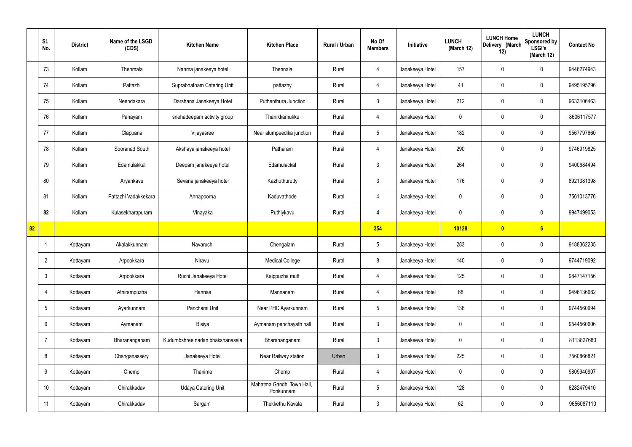|    | SI.<br>No.      | <b>District</b> | Name of the LSGD<br>(CDS) | <b>Kitchen Name</b>             | <b>Kitchen Place</b>                   | Rural / Urban | No Of<br><b>Members</b> | Initiative      | <b>LUNCH</b><br>(March 12) | <b>LUNCH Home</b><br>Delivery (March<br>12) | <b>LUNCH</b><br>Sponsored by<br><b>LSGI's</b><br>(March 12) | <b>Contact No</b> |
|----|-----------------|-----------------|---------------------------|---------------------------------|----------------------------------------|---------------|-------------------------|-----------------|----------------------------|---------------------------------------------|-------------------------------------------------------------|-------------------|
|    | 73              | Kollam          | Thenmala                  | Nanma janakeeya hotel           | Thennala                               | Rural         | 4                       | Janakeeya Hotel | 157                        | $\mathbf 0$                                 | $\mathbf 0$                                                 | 9446274943        |
|    | 74              | Kollam          | Pattazhi                  | Suprabhatham Catering Unit      | pattazhy                               | Rural         | $\overline{4}$          | Janakeeya Hotel | 41                         | $\mathbf 0$                                 | $\mathbf 0$                                                 | 9495195796        |
|    | 75              | Kollam          | Neendakara                | Darshana Janakeeya Hotel        | Puthenthura Junction                   | Rural         | $\mathbf{3}$            | Janakeeya Hotel | 212                        | $\mathbf 0$                                 | $\mathbf 0$                                                 | 9633106463        |
|    | 76              | Kollam          | Panayam                   | snehadeepam activity group      | Thanikkamukku                          | Rural         | $\overline{4}$          | Janakeeya Hotel | $\mathbf 0$                | $\mathbf 0$                                 | $\mathbf 0$                                                 | 8606117577        |
|    | 77              | Kollam          | Clappana                  | Vijayasree                      | Near alumpeedika junction              | Rural         | $5\phantom{.0}$         | Janakeeya Hotel | 182                        | $\mathbf 0$                                 | $\mathbf 0$                                                 | 9567797660        |
|    | 78              | Kollam          | Sooranad South            | Akshaya janakeeya hotel         | Patharam                               | Rural         | $\overline{4}$          | Janakeeya Hotel | 290                        | $\mathbf 0$                                 | $\mathbf 0$                                                 | 9746919825        |
|    | 79              | Kollam          | Edamulakkal               | Deepam janakeeya hotel          | Edamulackal                            | Rural         | 3                       | Janakeeya Hotel | 264                        | $\mathbf 0$                                 | $\mathbf 0$                                                 | 9400684494        |
|    | 80              | Kollam          | Aryankavu                 | Sevana janakeeya hotel          | Kazhuthurutty                          | Rural         | $\mathbf{3}$            | Janakeeya Hotel | 176                        | $\mathbf 0$                                 | $\mathbf 0$                                                 | 8921381398        |
|    | 81              | Kollam          | Pattazhi Vadakkekara      | Annapoorna                      | Kaduvathode                            | Rural         | 4                       | Janakeeya Hotel | $\mathbf 0$                | $\mathbf 0$                                 | $\mathbf 0$                                                 | 7561013776        |
|    | 82              | Kollam          | Kulasekharapuram          | Vinayaka                        | Puthiykavu                             | Rural         | $\overline{4}$          | Janakeeya Hotel | $\mathbf 0$                | $\mathbf 0$                                 | $\mathbf 0$                                                 | 9947499053        |
| 82 |                 |                 |                           |                                 |                                        |               | 354                     |                 | 10128                      | $\boldsymbol{0}$                            | 6                                                           |                   |
|    | -1              | Kottayam        | Akalakkunnam              | Navaruchi                       | Chengalam                              | Rural         | $5\phantom{.0}$         | Janakeeya Hotel | 283                        | $\mathbf 0$                                 | $\mathbf 0$                                                 | 9188362235        |
|    | $\overline{2}$  | Kottayam        | Arpookkara                | Niravu                          | <b>Medical College</b>                 | Rural         | 8                       | Janakeeya Hotel | 140                        | $\mathbf 0$                                 | $\mathbf 0$                                                 | 9744719092        |
|    | $\mathbf{3}$    | Kottayam        | Arpookkara                | Ruchi Janakeeya Hotel           | Kaippuzha mutt                         | Rural         | $\overline{4}$          | Janakeeya Hotel | 125                        | $\pmb{0}$                                   | $\mathbf 0$                                                 | 9847147156        |
|    | $\overline{4}$  | Kottayam        | Athirampuzha              | Hannas                          | Mannanam                               | Rural         | $\overline{4}$          | Janakeeya Hotel | 68                         | $\pmb{0}$                                   | $\mathbf 0$                                                 | 9496136682        |
|    | $5\phantom{.0}$ | Kottayam        | Ayarkunnam                | Panchami Unit                   | Near PHC Ayarkunnam                    | Rural         | $5\phantom{.0}$         | Janakeeya Hotel | 136                        | 0                                           | $\mathbf 0$                                                 | 9744560994        |
|    | 6               | Kottayam        | Aymanam                   | Bisiya                          | Aymanam panchayath hall                | Rural         | $\mathbf{3}$            | Janakeeya Hotel | $\mathbf 0$                | 0                                           | $\mathbf 0$                                                 | 9544560606        |
|    | $\overline{7}$  | Kottayam        | Bharananganam             | Kudumbshree nadan bhakshanasala | Bharananganam                          | Rural         | $3\phantom{a}$          | Janakeeya Hotel | $\mathbf 0$                | 0                                           | $\mathbf 0$                                                 | 8113827680        |
|    | 8               | Kottayam        | Changanassery             | Janakeeya Hotel                 | Near Railway station                   | Urban         | $\mathbf{3}$            | Janakeeya Hotel | 225                        | 0                                           | $\mathbf 0$                                                 | 7560866821        |
|    | 9               | Kottayam        | Chemp                     | Thanima                         | Chemp                                  | Rural         | $\overline{4}$          | Janakeeya Hotel | $\mathbf 0$                | 0                                           | $\mathbf 0$                                                 | 9809940907        |
|    | 10              | Kottayam        | Chirakkadav               | <b>Udaya Catering Unit</b>      | Mahatma Gandhi Town Hall,<br>Ponkunnam | Rural         | $5\phantom{.0}$         | Janakeeya Hotel | 128                        | 0                                           | $\mathbf 0$                                                 | 6282479410        |
|    | 11              | Kottayam        | Chirakkadav               | Sargam                          | Thekkethu Kavala                       | Rural         | $\mathbf{3}$            | Janakeeya Hotel | 62                         | 0                                           | $\boldsymbol{0}$                                            | 9656087110        |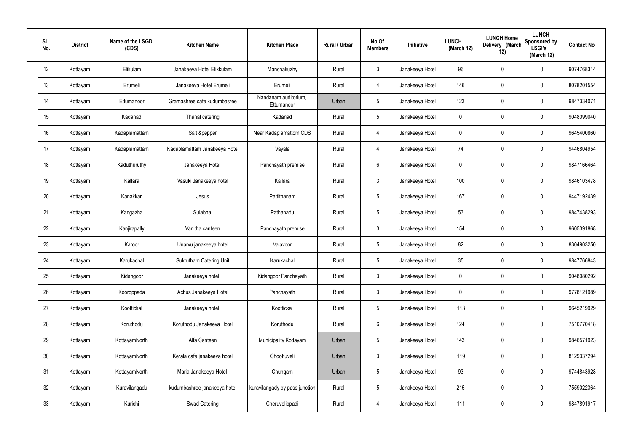| SI.<br>No. | <b>District</b> | Name of the LSGD<br>(CDS) | <b>Kitchen Name</b>            | <b>Kitchen Place</b>               | Rural / Urban | No Of<br><b>Members</b> | Initiative      | <b>LUNCH</b><br>(March 12) | <b>LUNCH Home</b><br>Delivery (March<br>12) | <b>LUNCH</b><br><b>Sponsored by</b><br><b>LSGI's</b><br>(March 12) | <b>Contact No</b> |
|------------|-----------------|---------------------------|--------------------------------|------------------------------------|---------------|-------------------------|-----------------|----------------------------|---------------------------------------------|--------------------------------------------------------------------|-------------------|
| 12         | Kottayam        | Elikulam                  | Janakeeya Hotel Elikkulam      | Manchakuzhy                        | Rural         | $\mathbf{3}$            | Janakeeya Hotel | 96                         | $\mathbf 0$                                 | 0                                                                  | 9074768314        |
| 13         | Kottayam        | Erumeli                   | Janakeeya Hotel Erumeli        | Erumeli                            | Rural         | $\overline{4}$          | Janakeeya Hotel | 146                        | $\mathbf 0$                                 | 0                                                                  | 8078201554        |
| 14         | Kottayam        | Ettumanoor                | Gramashree cafe kudumbasree    | Nandanam auditorium,<br>Ettumanoor | Urban         | $5\phantom{.0}$         | Janakeeya Hotel | 123                        | $\mathbf 0$                                 | 0                                                                  | 9847334071        |
| 15         | Kottayam        | Kadanad                   | Thanal catering                | Kadanad                            | Rural         | $5\phantom{.0}$         | Janakeeya Hotel | $\mathbf 0$                | $\mathbf 0$                                 | 0                                                                  | 9048099040        |
| 16         | Kottayam        | Kadaplamattam             | Salt &pepper                   | Near Kadaplamattom CDS             | Rural         | $\overline{4}$          | Janakeeya Hotel | 0                          | $\mathbf 0$                                 | 0                                                                  | 9645400860        |
| 17         | Kottayam        | Kadaplamattam             | Kadaplamattam Janakeeya Hotel  | Vayala                             | Rural         | $\overline{4}$          | Janakeeya Hotel | 74                         | $\mathbf 0$                                 | 0                                                                  | 9446804954        |
| 18         | Kottayam        | Kaduthuruthy              | Janakeeya Hotel                | Panchayath premise                 | Rural         | 6                       | Janakeeya Hotel | 0                          | $\mathbf 0$                                 | 0                                                                  | 9847166464        |
| 19         | Kottayam        | Kallara                   | Vasuki Janakeeya hotel         | Kallara                            | Rural         | $\mathbf{3}$            | Janakeeya Hotel | 100                        | $\mathbf 0$                                 | 0                                                                  | 9846103478        |
| 20         | Kottayam        | Kanakkari                 | Jesus                          | Pattithanam                        | Rural         | $5\phantom{.0}$         | Janakeeya Hotel | 167                        | $\mathbf 0$                                 | 0                                                                  | 9447192439        |
| 21         | Kottayam        | Kangazha                  | Sulabha                        | Pathanadu                          | Rural         | $5\phantom{.0}$         | Janakeeya Hotel | 53                         | $\mathbf 0$                                 | 0                                                                  | 9847438293        |
| 22         | Kottayam        | Kanjirapally              | Vanitha canteen                | Panchayath premise                 | Rural         | $\mathbf{3}$            | Janakeeya Hotel | 154                        | $\mathbf 0$                                 | 0                                                                  | 9605391868        |
| 23         | Kottayam        | Karoor                    | Unarvu janakeeya hotel         | Valavoor                           | Rural         | $5\phantom{.0}$         | Janakeeya Hotel | 82                         | $\mathbf 0$                                 | 0                                                                  | 8304903250        |
| 24         | Kottayam        | Karukachal                | <b>Sukrutham Catering Unit</b> | Karukachal                         | Rural         | $5\phantom{.0}$         | Janakeeya Hotel | 35                         | $\mathbf 0$                                 | 0                                                                  | 9847766843        |
| 25         | Kottayam        | Kidangoor                 | Janakeeya hotel                | Kidangoor Panchayath               | Rural         | $\mathbf{3}$            | Janakeeya Hotel | $\mathbf 0$                | $\mathbf 0$                                 | 0                                                                  | 9048080292        |
| 26         | Kottayam        | Kooroppada                | Achus Janakeeya Hotel          | Panchayath                         | Rural         | $\mathbf{3}$            | Janakeeya Hotel | $\mathbf 0$                | $\pmb{0}$                                   | 0                                                                  | 9778121989        |
| 27         | Kottayam        | Koottickal                | Janakeeya hotel                | Koottickal                         | Rural         | $5\phantom{.0}$         | Janakeeya Hotel | 113                        | $\mathbf 0$                                 | 0                                                                  | 9645219929        |
| 28         | Kottayam        | Koruthodu                 | Koruthodu Janakeeya Hotel      | Koruthodu                          | Rural         | $6\overline{6}$         | Janakeeya Hotel | 124                        | $\mathbf 0$                                 | 0                                                                  | 7510770418        |
| 29         | Kottayam        | KottayamNorth             | Alfa Canteen                   | Municipality Kottayam              | Urban         | $5\phantom{.0}$         | Janakeeya Hotel | 143                        | $\pmb{0}$                                   | 0                                                                  | 9846571923        |
| 30         | Kottayam        | KottayamNorth             | Kerala cafe janakeeya hotel    | Choottuveli                        | Urban         | $\mathbf{3}$            | Janakeeya Hotel | 119                        | $\mathbf 0$                                 | 0                                                                  | 8129337294        |
| 31         | Kottayam        | KottayamNorth             | Maria Janakeeya Hotel          | Chungam                            | Urban         | $5\phantom{.0}$         | Janakeeya Hotel | 93                         | $\mathbf 0$                                 | 0                                                                  | 9744843928        |
| 32         | Kottayam        | Kuravilangadu             | kudumbashree janakeeya hotel   | kuravilangady by pass junction     | Rural         | $5\phantom{.0}$         | Janakeeya Hotel | 215                        | $\mathbf 0$                                 | 0                                                                  | 7559022364        |
| 33         | Kottayam        | Kurichi                   | Swad Catering                  | Cheruvelippadi                     | Rural         | $\overline{4}$          | Janakeeya Hotel | 111                        | $\pmb{0}$                                   | 0                                                                  | 9847891917        |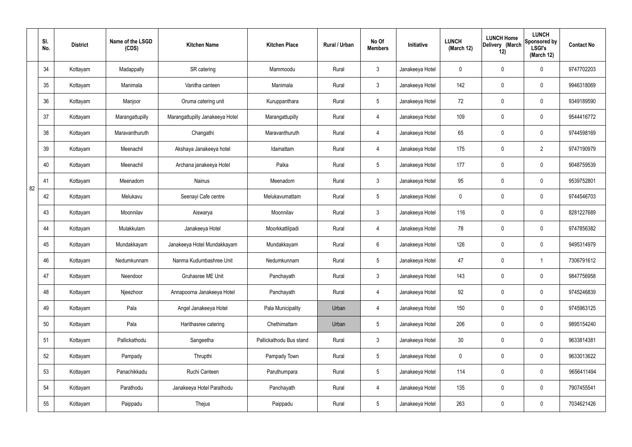|    | SI.<br>No. | <b>District</b> | Name of the LSGD<br>(CDS) | <b>Kitchen Name</b>             | <b>Kitchen Place</b>    | Rural / Urban | No Of<br><b>Members</b> | Initiative      | <b>LUNCH</b><br>(March 12) | <b>LUNCH Home</b><br>Delivery (March<br>12) | <b>LUNCH</b><br>Sponsored by<br><b>LSGI's</b><br>(March 12) | <b>Contact No</b> |
|----|------------|-----------------|---------------------------|---------------------------------|-------------------------|---------------|-------------------------|-----------------|----------------------------|---------------------------------------------|-------------------------------------------------------------|-------------------|
|    | 34         | Kottayam        | Madappally                | SR catering                     | Mammoodu                | Rural         | $\mathbf{3}$            | Janakeeya Hotel | 0                          | 0                                           | $\mathbf 0$                                                 | 9747702203        |
|    | 35         | Kottayam        | Manimala                  | Vanitha canteen                 | Manimala                | Rural         | $\mathbf{3}$            | Janakeeya Hotel | 142                        | $\mathbf 0$                                 | $\mathbf 0$                                                 | 9946318069        |
|    | 36         | Kottayam        | Manjoor                   | Oruma catering unit             | Kuruppanthara           | Rural         | $5\phantom{.0}$         | Janakeeya Hotel | 72                         | 0                                           | $\mathbf 0$                                                 | 9349189590        |
|    | 37         | Kottayam        | Marangattupilly           | Marangattupilly Janakeeya Hotel | Marangattupilly         | Rural         | $\overline{4}$          | Janakeeya Hotel | 109                        | 0                                           | $\mathbf 0$                                                 | 9544416772        |
|    | 38         | Kottayam        | Maravanthuruth            | Changathi                       | Maravanthuruth          | Rural         | $\overline{4}$          | Janakeeya Hotel | 65                         | $\mathbf 0$                                 | $\mathbf 0$                                                 | 9744598169        |
|    | 39         | Kottayam        | Meenachil                 | Akshaya Janakeeya hotel         | Idamattam               | Rural         | $\overline{4}$          | Janakeeya Hotel | 175                        | 0                                           | $\overline{2}$                                              | 9747190979        |
|    | 40         | Kottayam        | Meenachil                 | Archana janakeeya Hotel         | Paika                   | Rural         | $5\phantom{.0}$         | Janakeeya Hotel | 177                        | $\mathbf 0$                                 | $\mathbf 0$                                                 | 9048759539        |
| 82 | 41         | Kottayam        | Meenadom                  | <b>Nainus</b>                   | Meenadom                | Rural         | $\mathbf{3}$            | Janakeeya Hotel | 95                         | 0                                           | $\mathbf 0$                                                 | 9539752801        |
|    | 42         | Kottayam        | Melukavu                  | Seenayi Cafe centre             | Melukavumattam          | Rural         | $5\phantom{.0}$         | Janakeeya Hotel | $\mathbf 0$                | 0                                           | $\mathbf 0$                                                 | 9744546703        |
|    | 43         | Kottayam        | Moonnilav                 | Aiswarya                        | Moonnilav               | Rural         | $\mathbf{3}$            | Janakeeya Hotel | 116                        | 0                                           | $\mathbf 0$                                                 | 8281227689        |
|    | 44         | Kottayam        | Mulakkulam                | Janakeeya Hotel                 | Moorkkattilpadi         | Rural         | 4                       | Janakeeya Hotel | 78                         | 0                                           | $\mathbf 0$                                                 | 9747856382        |
|    | 45         | Kottayam        | Mundakkayam               | Janakeeya Hotel Mundakkayam     | Mundakkayam             | Rural         | $6\phantom{.}6$         | Janakeeya Hotel | 126                        | 0                                           | $\mathbf 0$                                                 | 9495314979        |
|    | 46         | Kottayam        | Nedumkunnam               | Nanma Kudumbashree Unit         | Nedumkunnam             | Rural         | $5\phantom{.0}$         | Janakeeya Hotel | 47                         | 0                                           |                                                             | 7306791612        |
|    | 47         | Kottayam        | Neendoor                  | Gruhasree ME Unit               | Panchayath              | Rural         | $\mathbf{3}$            | Janakeeya Hotel | 143                        | $\mathsf{0}$                                | $\mathbf 0$                                                 | 9847756958        |
|    | 48         | Kottayam        | Njeezhoor                 | Annapoorna Janakeeya Hotel      | Panchayath              | Rural         | $\overline{4}$          | Janakeeya Hotel | 92                         | $\mathsf{0}$                                | $\mathbf 0$                                                 | 9745246839        |
|    | 49         | Kottayam        | Pala                      | Angel Janakeeya Hotel           | Pala Municipality       | Urban         | $\overline{4}$          | Janakeeya Hotel | 150                        | 0                                           | $\mathbf 0$                                                 | 9745963125        |
|    | 50         | Kottayam        | Pala                      | Harithasree catering            | Chethimattam            | Urban         | $5\phantom{.0}$         | Janakeeya Hotel | 206                        | 0                                           | $\mathbf 0$                                                 | 9895154240        |
|    | 51         | Kottayam        | Pallickathodu             | Sangeetha                       | Pallickathodu Bus stand | Rural         | $\mathbf{3}$            | Janakeeya Hotel | 30 <sup>°</sup>            | 0                                           | $\mathbf 0$                                                 | 9633814381        |
|    | 52         | Kottayam        | Pampady                   | Thrupthi                        | Pampady Town            | Rural         | $5\overline{)}$         | Janakeeya Hotel | $\pmb{0}$                  | 0                                           | $\mathbf 0$                                                 | 9633013622        |
|    | 53         | Kottayam        | Panachikkadu              | Ruchi Canteen                   | Paruthumpara            | Rural         | $5\phantom{.0}$         | Janakeeya Hotel | 114                        | 0                                           | $\mathbf 0$                                                 | 9656411494        |
|    | 54         | Kottayam        | Parathodu                 | Janakeeya Hotel Parathodu       | Panchayath              | Rural         | $\overline{4}$          | Janakeeya Hotel | 135                        | 0                                           | $\mathbf 0$                                                 | 7907455541        |
|    | 55         | Kottayam        | Paippadu                  | Thejus                          | Paippadu                | Rural         | $5\,$                   | Janakeeya Hotel | 263                        | 0                                           | $\mathbf 0$                                                 | 7034621426        |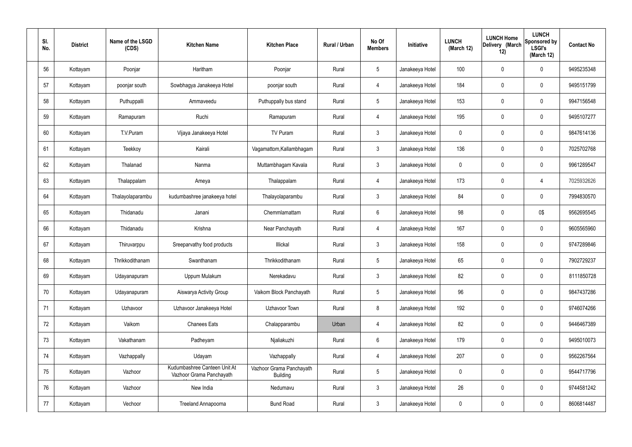| SI. | No. | <b>District</b> | Name of the LSGD<br>(CDS) | <b>Kitchen Name</b>                                      | <b>Kitchen Place</b>                        | Rural / Urban | No Of<br><b>Members</b> | Initiative      | <b>LUNCH</b><br>(March 12) | <b>LUNCH Home</b><br>Delivery (March<br>12) | <b>LUNCH</b><br>Sponsored by<br><b>LSGI's</b><br>(March 12) | <b>Contact No</b> |
|-----|-----|-----------------|---------------------------|----------------------------------------------------------|---------------------------------------------|---------------|-------------------------|-----------------|----------------------------|---------------------------------------------|-------------------------------------------------------------|-------------------|
|     | 56  | Kottayam        | Poonjar                   | Haritham                                                 | Poonjar                                     | Rural         | $5\phantom{.0}$         | Janakeeya Hotel | 100                        | $\mathbf 0$                                 | 0                                                           | 9495235348        |
|     | 57  | Kottayam        | poonjar south             | Sowbhagya Janakeeya Hotel                                | poonjar south                               | Rural         | $\overline{4}$          | Janakeeya Hotel | 184                        | $\mathbf 0$                                 | 0                                                           | 9495151799        |
|     | 58  | Kottayam        | Puthuppalli               | Ammaveedu                                                | Puthuppally bus stand                       | Rural         | $5\overline{)}$         | Janakeeya Hotel | 153                        | $\mathbf 0$                                 | 0                                                           | 9947156548        |
|     | 59  | Kottayam        | Ramapuram                 | Ruchi                                                    | Ramapuram                                   | Rural         | $\overline{4}$          | Janakeeya Hotel | 195                        | $\mathbf 0$                                 | 0                                                           | 9495107277        |
|     | 60  | Kottayam        | T.V.Puram                 | Vijaya Janakeeya Hotel                                   | TV Puram                                    | Rural         | $\mathbf{3}$            | Janakeeya Hotel | 0                          | 0                                           | 0                                                           | 9847614136        |
|     | 61  | Kottayam        | Teekkoy                   | Kairali                                                  | Vagamattom, Kallambhagam                    | Rural         | $\mathbf{3}$            | Janakeeya Hotel | 136                        | $\mathbf 0$                                 | 0                                                           | 7025702768        |
|     | 62  | Kottayam        | Thalanad                  | Nanma                                                    | Muttambhagam Kavala                         | Rural         | $\mathbf{3}$            | Janakeeya Hotel | 0                          | 0                                           | 0                                                           | 9961289547        |
|     | 63  | Kottayam        | Thalappalam               | Ameya                                                    | Thalappalam                                 | Rural         | $\overline{4}$          | Janakeeya Hotel | 173                        | $\mathbf 0$                                 | 4                                                           | 7025932626        |
|     | 64  | Kottayam        | Thalayolaparambu          | kudumbashree janakeeya hotel                             | Thalayolaparambu                            | Rural         | $\mathbf{3}$            | Janakeeya Hotel | 84                         | 0                                           | 0                                                           | 7994830570        |
|     | 65  | Kottayam        | Thidanadu                 | Janani                                                   | Chemmlamattam                               | Rural         | $6\phantom{.}6$         | Janakeeya Hotel | 98                         | 0                                           | 0\$                                                         | 9562695545        |
|     | 66  | Kottayam        | Thidanadu                 | Krishna                                                  | Near Panchayath                             | Rural         | $\overline{4}$          | Janakeeya Hotel | 167                        | 0                                           | 0                                                           | 9605565960        |
|     | 67  | Kottayam        | Thiruvarppu               | Sreeparvathy food products                               | Illickal                                    | Rural         | $\mathbf{3}$            | Janakeeya Hotel | 158                        | 0                                           | 0                                                           | 9747289846        |
|     | 68  | Kottayam        | Thrikkodithanam           | Swanthanam                                               | Thrikkodithanam                             | Rural         | 5                       | Janakeeya Hotel | 65                         | 0                                           | 0                                                           | 7902729237        |
|     | 69  | Kottayam        | Udayanapuram              | Uppum Mulakum                                            | Nerekadavu                                  | Rural         | $\mathbf{3}$            | Janakeeya Hotel | 82                         | $\mathbf 0$                                 | 0                                                           | 8111850728        |
|     | 70  | Kottayam        | Udayanapuram              | Aiswarya Activity Group                                  | Vaikom Block Panchayath                     | Rural         | $5\phantom{.0}$         | Janakeeya Hotel | 96                         | $\pmb{0}$                                   | $\mathbf 0$                                                 | 9847437286        |
|     | 71  | Kottayam        | Uzhavoor                  | Uzhavoor Janakeeya Hotel                                 | Uzhavoor Town                               | Rural         | 8                       | Janakeeya Hotel | 192                        | $\mathbf 0$                                 | 0                                                           | 9746074266        |
|     | 72  | Kottayam        | Vaikom                    | <b>Chanees Eats</b>                                      | Chalapparambu                               | Urban         | $\overline{4}$          | Janakeeya Hotel | 82                         | $\mathbf 0$                                 | 0                                                           | 9446467389        |
|     | 73  | Kottayam        | Vakathanam                | Padheyam                                                 | Njaliakuzhi                                 | Rural         | $6\phantom{.}6$         | Janakeeya Hotel | 179                        | $\mathbf 0$                                 | 0                                                           | 9495010073        |
|     | 74  | Kottayam        | Vazhappally               | Udayam                                                   | Vazhappally                                 | Rural         | $\overline{4}$          | Janakeeya Hotel | 207                        | $\pmb{0}$                                   | $\mathbf 0$                                                 | 9562267564        |
|     | 75  | Kottayam        | Vazhoor                   | Kudumbashree Canteen Unit At<br>Vazhoor Grama Panchayath | Vazhoor Grama Panchayath<br><b>Building</b> | Rural         | $5\phantom{.0}$         | Janakeeya Hotel | $\mathbf 0$                | $\mathbf 0$                                 | 0                                                           | 9544717796        |
|     | 76  | Kottayam        | Vazhoor                   | New India                                                | Nedumavu                                    | Rural         | $\mathbf{3}$            | Janakeeya Hotel | 26                         | $\mathbf 0$                                 | 0                                                           | 9744581242        |
|     | 77  | Kottayam        | Vechoor                   | Treeland Annapoorna                                      | <b>Bund Road</b>                            | Rural         | $\mathbf{3}$            | Janakeeya Hotel | $\pmb{0}$                  | $\boldsymbol{0}$                            | 0                                                           | 8606814487        |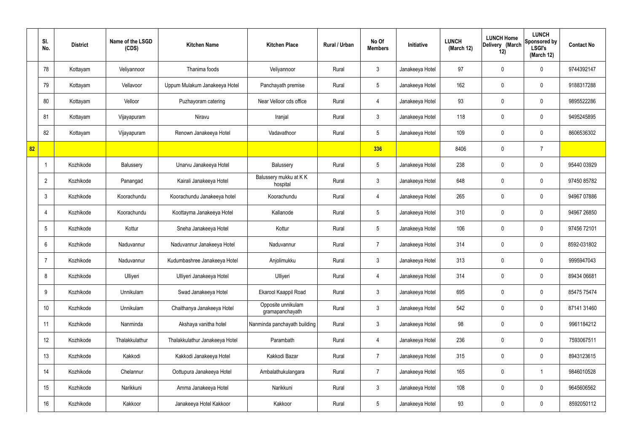|    | SI.<br>No.      | <b>District</b> | Name of the LSGD<br>(CDS) | <b>Kitchen Name</b>            | <b>Kitchen Place</b>                  | Rural / Urban | No Of<br><b>Members</b> | Initiative      | <b>LUNCH</b><br>(March 12) | <b>LUNCH Home</b><br>Delivery (March<br>12) | <b>LUNCH</b><br>Sponsored by<br><b>LSGI's</b><br>(March 12) | <b>Contact No</b> |
|----|-----------------|-----------------|---------------------------|--------------------------------|---------------------------------------|---------------|-------------------------|-----------------|----------------------------|---------------------------------------------|-------------------------------------------------------------|-------------------|
|    | 78              | Kottayam        | Veliyannoor               | Thanima foods                  | Veliyannoor                           | Rural         | $\mathbf{3}$            | Janakeeya Hotel | 97                         | $\mathbf 0$                                 | $\mathbf 0$                                                 | 9744392147        |
|    | 79              | Kottayam        | Vellavoor                 | Uppum Mulakum Janakeeya Hotel  | Panchayath premise                    | Rural         | $5\phantom{.0}$         | Janakeeya Hotel | 162                        | $\mathbf 0$                                 | $\mathbf 0$                                                 | 9188317288        |
|    | 80              | Kottayam        | Velloor                   | Puzhayoram catering            | Near Velloor cds office               | Rural         | $\overline{4}$          | Janakeeya Hotel | 93                         | $\mathbf 0$                                 | $\mathbf 0$                                                 | 9895522286        |
|    | 81              | Kottayam        | Vijayapuram               | Niravu                         | Iranjal                               | Rural         | $\mathbf{3}$            | Janakeeya Hotel | 118                        | $\mathbf 0$                                 | $\mathbf 0$                                                 | 9495245895        |
|    | 82              | Kottayam        | Vijayapuram               | Renown Janakeeya Hotel         | Vadavathoor                           | Rural         | $5\overline{)}$         | Janakeeya Hotel | 109                        | $\mathbf 0$                                 | $\mathbf 0$                                                 | 8606536302        |
| 82 |                 |                 |                           |                                |                                       |               | 336                     |                 | 8406                       | $\mathbf 0$                                 | $\overline{7}$                                              |                   |
|    | -1              | Kozhikode       | Balussery                 | Unarvu Janakeeya Hotel         | Balussery                             | Rural         | $5\phantom{.0}$         | Janakeeya Hotel | 238                        | $\mathbf 0$                                 | $\mathbf 0$                                                 | 95440 03929       |
|    | $\overline{2}$  | Kozhikode       | Panangad                  | Kairali Janakeeya Hotel        | Balussery mukku at KK<br>hospital     | Rural         | $\mathbf{3}$            | Janakeeya Hotel | 648                        | 0                                           | $\mathbf 0$                                                 | 97450 85782       |
|    | $\mathbf{3}$    | Kozhikode       | Koorachundu               | Koorachundu Janakeeya hotel    | Koorachundu                           | Rural         | $\overline{4}$          | Janakeeya Hotel | 265                        | $\mathbf 0$                                 | $\mathbf 0$                                                 | 94967 07886       |
|    | $\overline{4}$  | Kozhikode       | Koorachundu               | Koottayma Janakeeya Hotel      | Kallanode                             | Rural         | $5\phantom{.0}$         | Janakeeya Hotel | 310                        | 0                                           | $\mathbf 0$                                                 | 94967 26850       |
|    | $5\overline{)}$ | Kozhikode       | Kottur                    | Sneha Janakeeya Hotel          | Kottur                                | Rural         | $5\phantom{.0}$         | Janakeeya Hotel | 106                        | 0                                           | $\mathbf 0$                                                 | 97456 72101       |
|    | 6               | Kozhikode       | Naduvannur                | Naduvannur Janakeeya Hotel     | Naduvannur                            | Rural         | $\overline{7}$          | Janakeeya Hotel | 314                        | $\mathbf 0$                                 | $\mathbf 0$                                                 | 8592-031802       |
|    | $\overline{7}$  | Kozhikode       | Naduvannur                | Kudumbashree Janakeeya Hotel   | Anjolimukku                           | Rural         | $\mathbf{3}$            | Janakeeya Hotel | 313                        | 0                                           | $\mathbf 0$                                                 | 9995947043        |
|    | 8               | Kozhikode       | Ulliyeri                  | Ulliyeri Janakeeya Hotel       | Ulliyeri                              | Rural         | $\overline{4}$          | Janakeeya Hotel | 314                        | $\mathbf 0$                                 | $\mathbf 0$                                                 | 89434 06681       |
|    | 9               | Kozhikode       | Unnikulam                 | Swad Janakeeya Hotel           | Ekarool Kaappil Road                  | Rural         | $\mathbf{3}$            | Janakeeya Hotel | 695                        | $\mathbf 0$                                 | $\mathbf 0$                                                 | 85475 75474       |
|    | 10 <sup>°</sup> | Kozhikode       | Unnikulam                 | Chaithanya Janakeeya Hotel     | Opposite unnikulam<br>gramapanchayath | Rural         | $\mathfrak{Z}$          | Janakeeya Hotel | 542                        | 0                                           | $\mathbf 0$                                                 | 87141 31460       |
|    | 11              | Kozhikode       | Nanminda                  | Akshaya vanitha hotel          | Nanminda panchayath building          | Rural         | $\mathfrak{Z}$          | Janakeeya Hotel | 98                         | 0                                           | $\mathbf 0$                                                 | 9961184212        |
|    | 12              | Kozhikode       | Thalakkulathur            | Thalakkulathur Janakeeya Hotel | Parambath                             | Rural         | $\overline{4}$          | Janakeeya Hotel | 236                        | 0                                           | $\mathbf 0$                                                 | 7593067511        |
|    | 13              | Kozhikode       | Kakkodi                   | Kakkodi Janakeeya Hotel        | Kakkodi Bazar                         | Rural         | $\overline{7}$          | Janakeeya Hotel | 315                        | 0                                           | $\mathbf 0$                                                 | 8943123615        |
|    | 14              | Kozhikode       | Chelannur                 | Oottupura Janakeeya Hotel      | Ambalathukulangara                    | Rural         | $\overline{7}$          | Janakeeya Hotel | 165                        | 0                                           | $\mathbf 1$                                                 | 9846010528        |
|    | 15              | Kozhikode       | Narikkuni                 | Amma Janakeeya Hotel           | Narikkuni                             | Rural         | $\mathfrak{Z}$          | Janakeeya Hotel | 108                        | 0                                           | $\mathbf 0$                                                 | 9645606562        |
|    | 16              | Kozhikode       | Kakkoor                   | Janakeeya Hotel Kakkoor        | Kakkoor                               | Rural         | $5\,$                   | Janakeeya Hotel | 93                         | 0                                           | $\mathbf 0$                                                 | 8592050112        |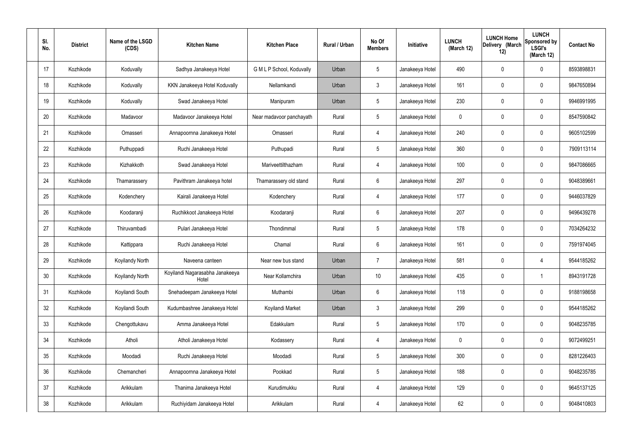| SI.<br>No. | <b>District</b> | Name of the LSGD<br>(CDS) | <b>Kitchen Name</b>                      | <b>Kitchen Place</b>      | Rural / Urban | No Of<br><b>Members</b> | <b>Initiative</b> | <b>LUNCH</b><br>(March 12) | <b>LUNCH Home</b><br>Delivery (March<br>12) | <b>LUNCH</b><br>Sponsored by<br><b>LSGI's</b><br>(March 12) | <b>Contact No</b> |
|------------|-----------------|---------------------------|------------------------------------------|---------------------------|---------------|-------------------------|-------------------|----------------------------|---------------------------------------------|-------------------------------------------------------------|-------------------|
| 17         | Kozhikode       | Koduvally                 | Sadhya Janakeeya Hotel                   | G M L P School, Koduvally | Urban         | $5\phantom{.0}$         | Janakeeya Hotel   | 490                        | 0                                           | $\mathbf 0$                                                 | 8593898831        |
| 18         | Kozhikode       | Koduvally                 | KKN Janakeeya Hotel Koduvally            | Nellamkandi               | Urban         | $\mathbf{3}$            | Janakeeya Hotel   | 161                        | 0                                           | $\mathbf 0$                                                 | 9847650894        |
| 19         | Kozhikode       | Koduvally                 | Swad Janakeeya Hotel                     | Manipuram                 | Urban         | $5\phantom{.0}$         | Janakeeya Hotel   | 230                        | 0                                           | $\mathbf 0$                                                 | 9946991995        |
| 20         | Kozhikode       | Madavoor                  | Madavoor Janakeeya Hotel                 | Near madavoor panchayath  | Rural         | $5\phantom{.0}$         | Janakeeya Hotel   | $\mathbf 0$                | 0                                           | $\mathbf 0$                                                 | 8547590842        |
| 21         | Kozhikode       | Omasseri                  | Annapoornna Janakeeya Hotel              | Omasseri                  | Rural         | $\overline{4}$          | Janakeeya Hotel   | 240                        | 0                                           | $\mathbf 0$                                                 | 9605102599        |
| 22         | Kozhikode       | Puthuppadi                | Ruchi Janakeeya Hotel                    | Puthupadi                 | Rural         | $5\phantom{.0}$         | Janakeeya Hotel   | 360                        | 0                                           | $\mathbf 0$                                                 | 7909113114        |
| 23         | Kozhikode       | Kizhakkoth                | Swad Janakeeya Hotel                     | Mariveettilthazham        | Rural         | $\overline{4}$          | Janakeeya Hotel   | 100                        | 0                                           | $\mathbf 0$                                                 | 9847086665        |
| 24         | Kozhikode       | Thamarassery              | Pavithram Janakeeya hotel                | Thamarassery old stand    | Rural         | $6\phantom{.}6$         | Janakeeya Hotel   | 297                        | 0                                           | $\mathbf 0$                                                 | 9048389661        |
| 25         | Kozhikode       | Kodenchery                | Kairali Janakeeya Hotel                  | Kodenchery                | Rural         | 4                       | Janakeeya Hotel   | 177                        | 0                                           | $\mathbf 0$                                                 | 9446037829        |
| 26         | Kozhikode       | Koodaranji                | Ruchikkoot Janakeeya Hotel               | Koodaranji                | Rural         | $6\phantom{.}6$         | Janakeeya Hotel   | 207                        | 0                                           | $\mathbf 0$                                                 | 9496439278        |
| 27         | Kozhikode       | Thiruvambadi              | Pulari Janakeeya Hotel                   | Thondimmal                | Rural         | $5\phantom{.0}$         | Janakeeya Hotel   | 178                        | 0                                           | $\mathbf 0$                                                 | 7034264232        |
| 28         | Kozhikode       | Kattippara                | Ruchi Janakeeya Hotel                    | Chamal                    | Rural         | $6\phantom{.}6$         | Janakeeya Hotel   | 161                        | 0                                           | $\mathbf 0$                                                 | 7591974045        |
| 29         | Kozhikode       | Koyilandy North           | Naveena canteen                          | Near new bus stand        | Urban         | $\overline{7}$          | Janakeeya Hotel   | 581                        | 0                                           | 4                                                           | 9544185262        |
| 30         | Kozhikode       | Koyilandy North           | Koyilandi Nagarasabha Janakeeya<br>Hotel | Near Kollamchira          | Urban         | 10 <sup>°</sup>         | Janakeeya Hotel   | 435                        | $\mathbf 0$                                 | $\mathbf 1$                                                 | 8943191728        |
| 31         | Kozhikode       | Koyilandi South           | Snehadeepam Janakeeya Hotel              | Muthambi                  | Urban         | $6\overline{6}$         | Janakeeya Hotel   | 118                        | 0                                           | $\mathbf 0$                                                 | 9188198658        |
| 32         | Kozhikode       | Koyilandi South           | Kudumbashree Janakeeya Hotel             | Koyilandi Market          | Urban         | $\mathbf{3}$            | Janakeeya Hotel   | 299                        | 0                                           | $\mathbf 0$                                                 | 9544185262        |
| 33         | Kozhikode       | Chengottukavu             | Amma Janakeeya Hotel                     | Edakkulam                 | Rural         | $5\phantom{.0}$         | Janakeeya Hotel   | 170                        | 0                                           | $\mathbf 0$                                                 | 9048235785        |
| 34         | Kozhikode       | Atholi                    | Atholi Janakeeya Hotel                   | Kodassery                 | Rural         | $\overline{4}$          | Janakeeya Hotel   | $\mathbf 0$                | 0                                           | $\mathbf 0$                                                 | 9072499251        |
| 35         | Kozhikode       | Moodadi                   | Ruchi Janakeeya Hotel                    | Moodadi                   | Rural         | $5\phantom{.0}$         | Janakeeya Hotel   | 300                        | 0                                           | $\mathbf 0$                                                 | 8281226403        |
| 36         | Kozhikode       | Chemancheri               | Annapoornna Janakeeya Hotel              | Pookkad                   | Rural         | $5\phantom{.0}$         | Janakeeya Hotel   | 188                        | 0                                           | $\mathbf 0$                                                 | 9048235785        |
| 37         | Kozhikode       | Arikkulam                 | Thanima Janakeeya Hotel                  | Kurudimukku               | Rural         | $\overline{4}$          | Janakeeya Hotel   | 129                        | 0                                           | $\mathbf 0$                                                 | 9645137125        |
| 38         | Kozhikode       | Arikkulam                 | Ruchiyidam Janakeeya Hotel               | Arikkulam                 | Rural         | 4                       | Janakeeya Hotel   | 62                         | 0                                           | $\mathbf 0$                                                 | 9048410803        |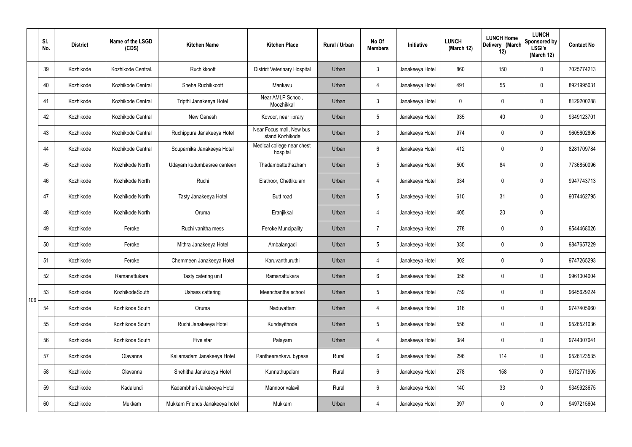|     | SI.<br>No. | <b>District</b> | Name of the LSGD<br>(CDS) | <b>Kitchen Name</b>            | <b>Kitchen Place</b>                        | <b>Rural / Urban</b> | No Of<br><b>Members</b> | Initiative      | <b>LUNCH</b><br>(March 12) | <b>LUNCH Home</b><br>Delivery (March<br>12) | <b>LUNCH</b><br>Sponsored by<br><b>LSGI's</b><br>(March 12) | <b>Contact No</b> |
|-----|------------|-----------------|---------------------------|--------------------------------|---------------------------------------------|----------------------|-------------------------|-----------------|----------------------------|---------------------------------------------|-------------------------------------------------------------|-------------------|
|     | 39         | Kozhikode       | Kozhikode Central.        | Ruchikkoott                    | <b>District Veterinary Hospital</b>         | Urban                | $\mathbf{3}$            | Janakeeya Hotel | 860                        | 150                                         | $\mathbf 0$                                                 | 7025774213        |
|     | 40         | Kozhikode       | Kozhikode Central         | Sneha Ruchikkoott              | Mankavu                                     | Urban                | 4                       | Janakeeya Hotel | 491                        | 55                                          | $\mathbf 0$                                                 | 8921995031        |
|     | 41         | Kozhikode       | Kozhikode Central         | Tripthi Janakeeya Hotel        | Near AMLP School,<br>Moozhikkal             | Urban                | $\mathbf{3}$            | Janakeeya Hotel | $\mathbf 0$                | $\mathbf 0$                                 | $\mathbf 0$                                                 | 8129200288        |
|     | 42         | Kozhikode       | Kozhikode Central         | New Ganesh                     | Kovoor, near library                        | Urban                | $5\phantom{.0}$         | Janakeeya Hotel | 935                        | 40                                          | $\mathbf 0$                                                 | 9349123701        |
|     | 43         | Kozhikode       | Kozhikode Central         | Ruchippura Janakeeya Hotel     | Near Focus mall, New bus<br>stand Kozhikode | Urban                | $\mathbf{3}$            | Janakeeya Hotel | 974                        | $\mathbf 0$                                 | $\mathbf 0$                                                 | 9605602806        |
|     | 44         | Kozhikode       | Kozhikode Central         | Souparnika Janakeeya Hotel     | Medical college near chest<br>hospital      | Urban                | $6\phantom{.}6$         | Janakeeya Hotel | 412                        | $\mathbf 0$                                 | $\mathbf 0$                                                 | 8281709784        |
|     | 45         | Kozhikode       | Kozhikode North           | Udayam kudumbasree canteen     | Thadambattuthazham                          | Urban                | $5\overline{)}$         | Janakeeya Hotel | 500                        | 84                                          | $\mathbf 0$                                                 | 7736850096        |
|     | 46         | Kozhikode       | Kozhikode North           | Ruchi                          | Elathoor, Chettikulam                       | Urban                | 4                       | Janakeeya Hotel | 334                        | $\mathbf 0$                                 | $\mathbf 0$                                                 | 9947743713        |
|     | 47         | Kozhikode       | Kozhikode North           | Tasty Janakeeya Hotel          | <b>Butt</b> road                            | Urban                | $5\overline{)}$         | Janakeeya Hotel | 610                        | 31                                          | $\mathbf 0$                                                 | 9074462795        |
|     | 48         | Kozhikode       | Kozhikode North           | Oruma                          | Eranjikkal                                  | Urban                | 4                       | Janakeeya Hotel | 405                        | 20                                          | $\mathbf 0$                                                 |                   |
|     | 49         | Kozhikode       | Feroke                    | Ruchi vanitha mess             | <b>Feroke Muncipality</b>                   | Urban                | $\overline{7}$          | Janakeeya Hotel | 278                        | $\mathbf 0$                                 | $\mathbf 0$                                                 | 9544468026        |
|     | 50         | Kozhikode       | Feroke                    | Mithra Janakeeya Hotel         | Ambalangadi                                 | Urban                | $5\phantom{.0}$         | Janakeeya Hotel | 335                        | $\mathbf 0$                                 | $\mathbf 0$                                                 | 9847657229        |
|     | 51         | Kozhikode       | Feroke                    | Chemmeen Janakeeya Hotel       | Karuvanthuruthi                             | Urban                | 4                       | Janakeeya Hotel | 302                        | $\mathbf 0$                                 | $\mathbf 0$                                                 | 9747265293        |
|     | 52         | Kozhikode       | Ramanattukara             | Tasty catering unit            | Ramanattukara                               | Urban                | $6\phantom{.}6$         | Janakeeya Hotel | 356                        | $\mathbf 0$                                 | $\mathbf 0$                                                 | 9961004004        |
| 106 | 53         | Kozhikode       | KozhikodeSouth            | Ushass cattering               | Meenchantha school                          | Urban                | $5\phantom{.0}$         | Janakeeya Hotel | 759                        | 0                                           | $\mathbf 0$                                                 | 9645629224        |
|     | 54         | Kozhikode       | Kozhikode South           | Oruma                          | Naduvattam                                  | Urban                | 4                       | Janakeeya Hotel | 316                        | 0                                           | $\mathbf 0$                                                 | 9747405960        |
|     | 55         | Kozhikode       | Kozhikode South           | Ruchi Janakeeya Hotel          | Kundayithode                                | Urban                | $5\phantom{.0}$         | Janakeeya Hotel | 556                        | 0                                           | $\mathbf 0$                                                 | 9526521036        |
|     | 56         | Kozhikode       | Kozhikode South           | Five star                      | Palayam                                     | Urban                | 4                       | Janakeeya Hotel | 384                        | 0                                           | $\mathbf 0$                                                 | 9744307041        |
|     | 57         | Kozhikode       | Olavanna                  | Kailamadam Janakeeya Hotel     | Pantheerankavu bypass                       | Rural                | $6\overline{6}$         | Janakeeya Hotel | 296                        | 114                                         | $\mathbf 0$                                                 | 9526123535        |
|     | 58         | Kozhikode       | Olavanna                  | Snehitha Janakeeya Hotel       | Kunnathupalam                               | Rural                | $6\overline{6}$         | Janakeeya Hotel | 278                        | 158                                         | $\mathbf 0$                                                 | 9072771905        |
|     | 59         | Kozhikode       | Kadalundi                 | Kadambhari Janakeeya Hotel     | Mannoor valavil                             | Rural                | $6\overline{6}$         | Janakeeya Hotel | 140                        | 33                                          | $\mathbf 0$                                                 | 9349923675        |
|     | 60         | Kozhikode       | Mukkam                    | Mukkam Friends Janakeeya hotel | Mukkam                                      | Urban                | 4                       | Janakeeya Hotel | 397                        | 0                                           | $\overline{0}$                                              | 9497215604        |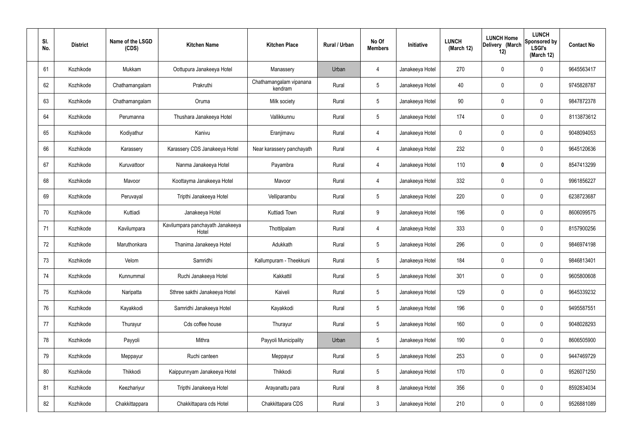| SI.<br>No. | <b>District</b> | Name of the LSGD<br>(CDS) | <b>Kitchen Name</b>                       | <b>Kitchen Place</b>               | Rural / Urban | No Of<br><b>Members</b> | Initiative      | <b>LUNCH</b><br>(March 12) | <b>LUNCH Home</b><br>Delivery (March<br>12) | <b>LUNCH</b><br>Sponsored by<br><b>LSGI's</b><br>(March 12) | <b>Contact No</b> |
|------------|-----------------|---------------------------|-------------------------------------------|------------------------------------|---------------|-------------------------|-----------------|----------------------------|---------------------------------------------|-------------------------------------------------------------|-------------------|
| 61         | Kozhikode       | Mukkam                    | Oottupura Janakeeya Hotel                 | Manassery                          | Urban         | 4                       | Janakeeya Hotel | 270                        | 0                                           | 0                                                           | 9645563417        |
| 62         | Kozhikode       | Chathamangalam            | Prakruthi                                 | Chathamangalam vipanana<br>kendram | Rural         | $5\phantom{.0}$         | Janakeeya Hotel | 40                         | $\mathbf 0$                                 | 0                                                           | 9745828787        |
| 63         | Kozhikode       | Chathamangalam            | Oruma                                     | Milk society                       | Rural         | $5\phantom{.0}$         | Janakeeya Hotel | 90                         | 0                                           | 0                                                           | 9847872378        |
| 64         | Kozhikode       | Perumanna                 | Thushara Janakeeya Hotel                  | Vallikkunnu                        | Rural         | $5\phantom{.0}$         | Janakeeya Hotel | 174                        | 0                                           | 0                                                           | 8113873612        |
| 65         | Kozhikode       | Kodiyathur                | Kanivu                                    | Eranjimavu                         | Rural         | $\overline{4}$          | Janakeeya Hotel | $\mathbf 0$                | 0                                           | 0                                                           | 9048094053        |
| 66         | Kozhikode       | Karassery                 | Karassery CDS Janakeeya Hotel             | Near karassery panchayath          | Rural         | $\overline{4}$          | Janakeeya Hotel | 232                        | 0                                           | 0                                                           | 9645120636        |
| 67         | Kozhikode       | Kuruvattoor               | Nanma Janakeeya Hotel                     | Payambra                           | Rural         | $\overline{4}$          | Janakeeya Hotel | 110                        | 0                                           | 0                                                           | 8547413299        |
| 68         | Kozhikode       | Mavoor                    | Koottayma Janakeeya Hotel                 | Mavoor                             | Rural         | $\overline{4}$          | Janakeeya Hotel | 332                        | 0                                           | 0                                                           | 9961856227        |
| 69         | Kozhikode       | Peruvayal                 | Tripthi Janakeeya Hotel                   | Velliparambu                       | Rural         | $5\phantom{.0}$         | Janakeeya Hotel | 220                        | 0                                           | 0                                                           | 6238723687        |
| 70         | Kozhikode       | Kuttiadi                  | Janakeeya Hotel                           | Kuttiadi Town                      | Rural         | 9                       | Janakeeya Hotel | 196                        | 0                                           | 0                                                           | 8606099575        |
| 71         | Kozhikode       | Kavilumpara               | Kavilumpara panchayath Janakeeya<br>Hotel | Thottilpalam                       | Rural         | 4                       | Janakeeya Hotel | 333                        | 0                                           | 0                                                           | 8157900256        |
| 72         | Kozhikode       | Maruthonkara              | Thanima Janakeeya Hotel                   | Adukkath                           | Rural         | $5\phantom{.0}$         | Janakeeya Hotel | 296                        | 0                                           | 0                                                           | 9846974198        |
| 73         | Kozhikode       | Velom                     | Samridhi                                  | Kallumpuram - Theekkuni            | Rural         | $5\phantom{.0}$         | Janakeeya Hotel | 184                        | $\mathbf 0$                                 | 0                                                           | 9846813401        |
| 74         | Kozhikode       | Kunnummal                 | Ruchi Janakeeya Hotel                     | Kakkattil                          | Rural         | $5\phantom{.0}$         | Janakeeya Hotel | 301                        | $\mathbf 0$                                 | 0                                                           | 9605800608        |
| 75         | Kozhikode       | Naripatta                 | Sthree sakthi Janakeeya Hotel             | Kaiveli                            | Rural         | $5\phantom{.0}$         | Janakeeya Hotel | 129                        | $\mathbf 0$                                 | 0                                                           | 9645339232        |
| 76         | Kozhikode       | Kayakkodi                 | Samridhi Janakeeya Hotel                  | Kayakkodi                          | Rural         | $5\overline{)}$         | Janakeeya Hotel | 196                        | $\pmb{0}$                                   | 0                                                           | 9495587551        |
| 77         | Kozhikode       | Thurayur                  | Cds coffee house                          | Thurayur                           | Rural         | $5\phantom{.0}$         | Janakeeya Hotel | 160                        | $\mathbf 0$                                 | 0                                                           | 9048028293        |
| 78         | Kozhikode       | Payyoli                   | Mithra                                    | Payyoli Municipality               | Urban         | $5\phantom{.0}$         | Janakeeya Hotel | 190                        | $\pmb{0}$                                   | 0                                                           | 8606505900        |
| 79         | Kozhikode       | Meppayur                  | Ruchi canteen                             | Meppayur                           | Rural         | $5\phantom{.0}$         | Janakeeya Hotel | 253                        | $\pmb{0}$                                   | 0                                                           | 9447469729        |
| 80         | Kozhikode       | Thikkodi                  | Kaippunnyam Janakeeya Hotel               | Thikkodi                           | Rural         | $5\phantom{.0}$         | Janakeeya Hotel | 170                        | $\pmb{0}$                                   | 0                                                           | 9526071250        |
| 81         | Kozhikode       | Keezhariyur               | Tripthi Janakeeya Hotel                   | Arayanattu para                    | Rural         | 8                       | Janakeeya Hotel | 356                        | $\boldsymbol{0}$                            | 0                                                           | 8592834034        |
| 82         | Kozhikode       | Chakkittappara            | Chakkittapara cds Hotel                   | Chakkittapara CDS                  | Rural         | $\mathbf{3}$            | Janakeeya Hotel | 210                        | $\pmb{0}$                                   | 0                                                           | 9526881089        |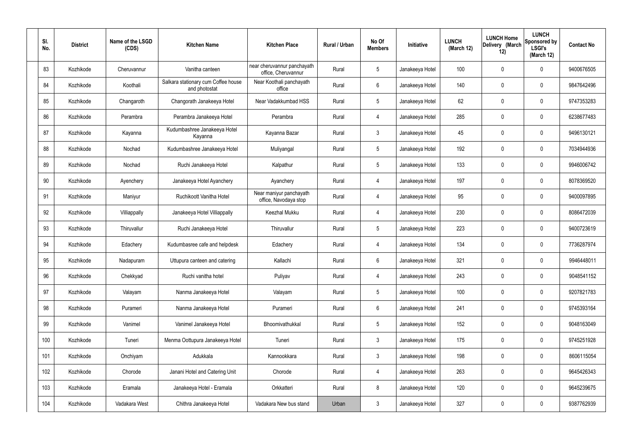| SI.<br>No. | <b>District</b> | Name of the LSGD<br>(CDS) | <b>Kitchen Name</b>                                  | <b>Kitchen Place</b>                               | Rural / Urban | No Of<br><b>Members</b> | Initiative      | <b>LUNCH</b><br>(March 12) | <b>LUNCH Home</b><br>Delivery (March<br>12) | <b>LUNCH</b><br>Sponsored by<br><b>LSGI's</b><br>(March 12) | <b>Contact No</b> |
|------------|-----------------|---------------------------|------------------------------------------------------|----------------------------------------------------|---------------|-------------------------|-----------------|----------------------------|---------------------------------------------|-------------------------------------------------------------|-------------------|
| 83         | Kozhikode       | Cheruvannur               | Vanitha canteen                                      | near cheruvannur panchayath<br>office, Cheruvannur | Rural         | $5\phantom{.0}$         | Janakeeya Hotel | 100                        | 0                                           | 0                                                           | 9400676505        |
| 84         | Kozhikode       | Koothali                  | Salkara stationary cum Coffee house<br>and photostat | Near Koothali panchayath<br>office                 | Rural         | 6                       | Janakeeya Hotel | 140                        | 0                                           | $\mathbf 0$                                                 | 9847642496        |
| 85         | Kozhikode       | Changaroth                | Changorath Janakeeya Hotel                           | Near Vadakkumbad HSS                               | Rural         | $5\phantom{.0}$         | Janakeeya Hotel | 62                         | 0                                           | $\boldsymbol{0}$                                            | 9747353283        |
| 86         | Kozhikode       | Perambra                  | Perambra Janakeeya Hotel                             | Perambra                                           | Rural         | 4                       | Janakeeya Hotel | 285                        | 0                                           | $\mathbf 0$                                                 | 6238677483        |
| 87         | Kozhikode       | Kayanna                   | Kudumbashree Janakeeya Hotel<br>Kayanna              | Kayanna Bazar                                      | Rural         | $\mathbf{3}$            | Janakeeya Hotel | 45                         | 0                                           | $\mathbf 0$                                                 | 9496130121        |
| 88         | Kozhikode       | Nochad                    | Kudumbashree Janakeeya Hotel                         | Muliyangal                                         | Rural         | $5\phantom{.0}$         | Janakeeya Hotel | 192                        | 0                                           | $\mathbf 0$                                                 | 7034944936        |
| 89         | Kozhikode       | Nochad                    | Ruchi Janakeeya Hotel                                | Kalpathur                                          | Rural         | $5\phantom{.0}$         | Janakeeya Hotel | 133                        | 0                                           | $\mathbf 0$                                                 | 9946006742        |
| 90         | Kozhikode       | Ayenchery                 | Janakeeya Hotel Ayanchery                            | Ayanchery                                          | Rural         | 4                       | Janakeeya Hotel | 197                        | 0                                           | $\mathbf 0$                                                 | 8078369520        |
| 91         | Kozhikode       | Maniyur                   | Ruchikoott Vanitha Hotel                             | Near maniyur panchayath<br>office, Navodaya stop   | Rural         | 4                       | Janakeeya Hotel | 95                         | 0                                           | $\mathbf 0$                                                 | 9400097895        |
| 92         | Kozhikode       | Villiappally              | Janakeeya Hotel Villiappally                         | Keezhal Mukku                                      | Rural         | 4                       | Janakeeya Hotel | 230                        | 0                                           | $\mathbf 0$                                                 | 8086472039        |
| 93         | Kozhikode       | Thiruvallur               | Ruchi Janakeeya Hotel                                | Thiruvallur                                        | Rural         | $5\,$                   | Janakeeya Hotel | 223                        | 0                                           | $\boldsymbol{0}$                                            | 9400723619        |
| 94         | Kozhikode       | Edachery                  | Kudumbasree cafe and helpdesk                        | Edachery                                           | Rural         | 4                       | Janakeeya Hotel | 134                        | 0                                           | $\boldsymbol{0}$                                            | 7736287974        |
| 95         | Kozhikode       | Nadapuram                 | Uttupura canteen and catering                        | Kallachi                                           | Rural         | 6                       | Janakeeya Hotel | 321                        | 0                                           | 0                                                           | 9946448011        |
| 96         | Kozhikode       | Chekkyad                  | Ruchi vanitha hotel                                  | Puliyav                                            | Rural         | $\overline{4}$          | Janakeeya Hotel | 243                        | 0                                           | $\mathbf 0$                                                 | 9048541152        |
| 97         | Kozhikode       | Valayam                   | Nanma Janakeeya Hotel                                | Valayam                                            | Rural         | $5\phantom{.0}$         | Janakeeya Hotel | 100                        | 0                                           | $\mathbf 0$                                                 | 9207821783        |
| 98         | Kozhikode       | Purameri                  | Nanma Janakeeya Hotel                                | Purameri                                           | Rural         | $6\overline{6}$         | Janakeeya Hotel | 241                        | 0                                           | $\mathbf 0$                                                 | 9745393164        |
| 99         | Kozhikode       | Vanimel                   | Vanimel Janakeeya Hotel                              | Bhoomivathukkal                                    | Rural         | $5\phantom{.0}$         | Janakeeya Hotel | 152                        | 0                                           | $\mathbf 0$                                                 | 9048163049        |
| 100        | Kozhikode       | Tuneri                    | Menma Oottupura Janakeeya Hotel                      | Tuneri                                             | Rural         | $\mathbf{3}$            | Janakeeya Hotel | 175                        | 0                                           | $\mathbf 0$                                                 | 9745251928        |
| 101        | Kozhikode       | Onchiyam                  | Adukkala                                             | Kannookkara                                        | Rural         | $\mathfrak{Z}$          | Janakeeya Hotel | 198                        | $\mathbf 0$                                 | $\mathbf 0$                                                 | 8606115054        |
| 102        | Kozhikode       | Chorode                   | Janani Hotel and Catering Unit                       | Chorode                                            | Rural         | $\overline{4}$          | Janakeeya Hotel | 263                        | 0                                           | $\mathbf 0$                                                 | 9645426343        |
| 103        | Kozhikode       | Eramala                   | Janakeeya Hotel - Eramala                            | Orkkatteri                                         | Rural         | 8                       | Janakeeya Hotel | 120                        | $\pmb{0}$                                   | $\mathbf 0$                                                 | 9645239675        |
| 104        | Kozhikode       | Vadakara West             | Chithra Janakeeya Hotel                              | Vadakara New bus stand                             | Urban         | $3\phantom{.0}$         | Janakeeya Hotel | 327                        | $\pmb{0}$                                   | $\pmb{0}$                                                   | 9387762939        |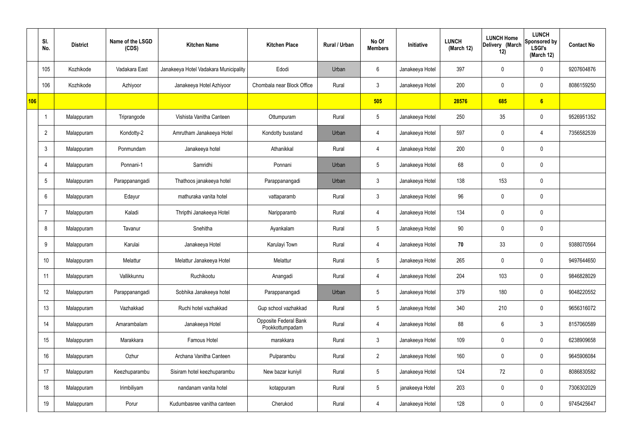|     | SI.<br>No.     | <b>District</b> | Name of the LSGD<br>(CDS) | <b>Kitchen Name</b>                   | <b>Kitchen Place</b>                     | Rural / Urban | No Of<br><b>Members</b> | Initiative      | <b>LUNCH</b><br>(March 12) | <b>LUNCH Home</b><br>Delivery (March<br>12) | <b>LUNCH</b><br>Sponsored by<br><b>LSGI's</b><br>(March 12) | <b>Contact No</b> |
|-----|----------------|-----------------|---------------------------|---------------------------------------|------------------------------------------|---------------|-------------------------|-----------------|----------------------------|---------------------------------------------|-------------------------------------------------------------|-------------------|
|     | 105            | Kozhikode       | Vadakara East             | Janakeeya Hotel Vadakara Municipality | Edodi                                    | Urban         | 6                       | Janakeeya Hotel | 397                        | $\mathbf 0$                                 | $\mathbf 0$                                                 | 9207604876        |
|     | 106            | Kozhikode       | Azhiyoor                  | Janakeeya Hotel Azhiyoor              | Chombala near Block Office               | Rural         | $\mathbf{3}$            | Janakeeya Hotel | 200                        | $\mathbf 0$                                 | $\mathbf 0$                                                 | 8086159250        |
| 106 |                |                 |                           |                                       |                                          |               | 505                     |                 | 28576                      | 685                                         | 6                                                           |                   |
|     | -1             | Malappuram      | Triprangode               | Vishista Vanitha Canteen              | Ottumpuram                               | Rural         | $5\overline{)}$         | Janakeeya Hotel | 250                        | 35                                          | $\mathbf 0$                                                 | 9526951352        |
|     | $\overline{2}$ | Malappuram      | Kondotty-2                | Amrutham Janakeeya Hotel              | Kondotty busstand                        | Urban         | 4                       | Janakeeya Hotel | 597                        | $\mathbf 0$                                 | 4                                                           | 7356582539        |
|     | $\mathbf{3}$   | Malappuram      | Ponmundam                 | Janakeeya hotel                       | Athanikkal                               | Rural         | 4                       | Janakeeya Hotel | 200                        | $\mathbf 0$                                 | $\mathbf 0$                                                 |                   |
|     | 4              | Malappuram      | Ponnani-1                 | Samridhi                              | Ponnani                                  | Urban         | $5\overline{)}$         | Janakeeya Hotel | 68                         | 0                                           | $\mathbf 0$                                                 |                   |
|     | 5              | Malappuram      | Parappanangadi            | Thathoos janakeeya hotel              | Parappanangadi                           | Urban         | $\mathbf{3}$            | Janakeeya Hotel | 138                        | 153                                         | $\mathbf 0$                                                 |                   |
|     | 6              | Malappuram      | Edayur                    | mathuraka vanita hotel                | vattaparamb                              | Rural         | $\mathbf{3}$            | Janakeeya Hotel | 96                         | 0                                           | $\mathbf 0$                                                 |                   |
|     | 7              | Malappuram      | Kaladi                    | Thripthi Janakeeya Hotel              | Naripparamb                              | Rural         | 4                       | Janakeeya Hotel | 134                        | $\mathbf 0$                                 | $\mathbf 0$                                                 |                   |
|     | 8              | Malappuram      | Tavanur                   | Snehitha                              | Ayankalam                                | Rural         | $5\overline{)}$         | Janakeeya Hotel | 90                         | 0                                           | $\mathbf 0$                                                 |                   |
|     | 9              | Malappuram      | Karulai                   | Janakeeya Hotel                       | Karulayi Town                            | Rural         | 4                       | Janakeeya Hotel | 70                         | 33                                          | $\mathbf 0$                                                 | 9388070564        |
|     | 10             | Malappuram      | Melattur                  | Melattur Janakeeya Hotel              | Melattur                                 | Rural         | $5\overline{)}$         | Janakeeya Hotel | 265                        | $\mathbf 0$                                 | $\mathbf 0$                                                 | 9497644650        |
|     | 11             | Malappuram      | Vallikkunnu               | Ruchikootu                            | Anangadi                                 | Rural         | $\overline{4}$          | Janakeeya Hotel | 204                        | 103                                         | $\mathbf 0$                                                 | 9846828029        |
|     | 12             | Malappuram      | Parappanangadi            | Sobhika Janakeeya hotel               | Parappanangadi                           | Urban         | $5\phantom{.0}$         | Janakeeya Hotel | 379                        | 180                                         | $\mathbf 0$                                                 | 9048220552        |
|     | 13             | Malappuram      | Vazhakkad                 | Ruchi hotel vazhakkad                 | Gup school vazhakkad                     | Rural         | $5\overline{)}$         | Janakeeya Hotel | 340                        | 210                                         | $\mathbf 0$                                                 | 9656316072        |
|     | 14             | Malappuram      | Amarambalam               | Janakeeya Hotel                       | Opposite Federal Bank<br>Pookkottumpadam | Rural         | $\overline{4}$          | Janakeeya Hotel | 88                         | 6                                           | $\mathfrak{Z}$                                              | 8157060589        |
|     | 15             | Malappuram      | Marakkara                 | Famous Hotel                          | marakkara                                | Rural         | $\mathbf{3}$            | Janakeeya Hotel | 109                        | 0                                           | $\mathbf 0$                                                 | 6238909658        |
|     | 16             | Malappuram      | Ozhur                     | Archana Vanitha Canteen               | Pulparambu                               | Rural         | $\overline{2}$          | Janakeeya Hotel | 160                        | $\pmb{0}$                                   | $\mathbf 0$                                                 | 9645906084        |
|     | 17             | Malappuram      | Keezhuparambu             | Sisiram hotel keezhuparambu           | New bazar kuniyil                        | Rural         | $5\phantom{.0}$         | Janakeeya Hotel | 124                        | 72                                          | $\mathbf 0$                                                 | 8086830582        |
|     | 18             | Malappuram      | Irimbiliyam               | nandanam vanita hotel                 | kotappuram                               | Rural         | $5\phantom{.0}$         | janakeeya Hotel | 203                        | 0                                           | $\mathbf 0$                                                 | 7306302029        |
|     | 19             | Malappuram      | Porur                     | Kudumbasree vanitha canteen           | Cherukod                                 | Rural         | $\overline{4}$          | Janakeeya Hotel | 128                        | $\pmb{0}$                                   | $\boldsymbol{0}$                                            | 9745425647        |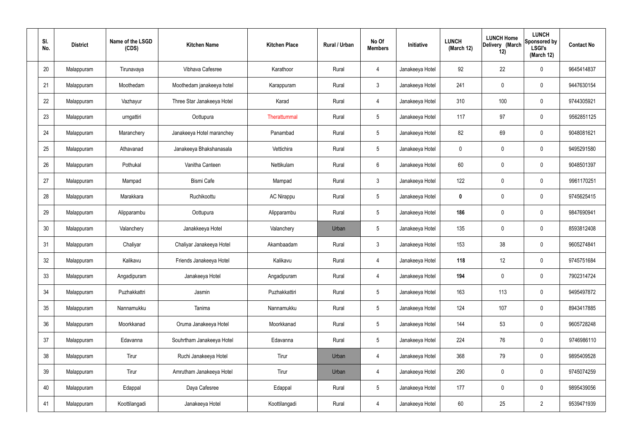| SI.<br>No. | <b>District</b> | Name of the LSGD<br>(CDS) | <b>Kitchen Name</b>        | <b>Kitchen Place</b> | Rural / Urban | No Of<br><b>Members</b> | Initiative      | <b>LUNCH</b><br>(March 12) | <b>LUNCH Home</b><br>Delivery (March<br>12) | <b>LUNCH</b><br>Sponsored by<br><b>LSGI's</b><br>(March 12) | <b>Contact No</b> |
|------------|-----------------|---------------------------|----------------------------|----------------------|---------------|-------------------------|-----------------|----------------------------|---------------------------------------------|-------------------------------------------------------------|-------------------|
| 20         | Malappuram      | Tirunavaya                | Vibhava Cafesree           | Karathoor            | Rural         | $\overline{4}$          | Janakeeya Hotel | 92                         | 22                                          | $\mathbf 0$                                                 | 9645414837        |
| 21         | Malappuram      | Moothedam                 | Moothedam janakeeya hotel  | Karappuram           | Rural         | $\mathbf{3}$            | Janakeeya Hotel | 241                        | $\mathsf{0}$                                | $\mathbf 0$                                                 | 9447630154        |
| 22         | Malappuram      | Vazhayur                  | Three Star Janakeeya Hotel | Karad                | Rural         | 4                       | Janakeeya Hotel | 310                        | 100                                         | $\mathbf 0$                                                 | 9744305921        |
| 23         | Malappuram      | urngattiri                | Oottupura                  | Therattummal         | Rural         | $5\phantom{.0}$         | Janakeeya Hotel | 117                        | 97                                          | $\mathbf 0$                                                 | 9562851125        |
| 24         | Malappuram      | Maranchery                | Janakeeya Hotel maranchey  | Panambad             | Rural         | $5\phantom{.0}$         | Janakeeya Hotel | 82                         | 69                                          | $\mathbf 0$                                                 | 9048081621        |
| 25         | Malappuram      | Athavanad                 | Janakeeya Bhakshanasala    | Vettichira           | Rural         | $5\phantom{.0}$         | Janakeeya Hotel | $\mathbf 0$                | $\mathbf 0$                                 | $\mathbf 0$                                                 | 9495291580        |
| 26         | Malappuram      | Pothukal                  | Vanitha Canteen            | Nettikulam           | Rural         | $6\phantom{.}6$         | Janakeeya Hotel | 60                         | $\boldsymbol{0}$                            | $\mathbf 0$                                                 | 9048501397        |
| 27         | Malappuram      | Mampad                    | <b>Bismi Cafe</b>          | Mampad               | Rural         | $\mathbf{3}$            | Janakeeya Hotel | 122                        | $\mathbf 0$                                 | $\mathbf 0$                                                 | 9961170251        |
| 28         | Malappuram      | Marakkara                 | Ruchikoottu                | <b>AC Nirappu</b>    | Rural         | $5\phantom{.0}$         | Janakeeya Hotel | $\mathbf 0$                | $\boldsymbol{0}$                            | $\mathbf 0$                                                 | 9745625415        |
| 29         | Malappuram      | Alipparambu               | Oottupura                  | Alipparambu          | Rural         | $5\phantom{.0}$         | Janakeeya Hotel | 186                        | 0                                           | $\mathbf 0$                                                 | 9847690941        |
| 30         | Malappuram      | Valanchery                | Janakkeeya Hotel           | Valanchery           | Urban         | $5\phantom{.0}$         | Janakeeya Hotel | 135                        | $\mathbf 0$                                 | $\boldsymbol{0}$                                            | 8593812408        |
| 31         | Malappuram      | Chaliyar                  | Chaliyar Janakeeya Hotel   | Akambaadam           | Rural         | $\mathbf{3}$            | Janakeeya Hotel | 153                        | 38                                          | $\mathbf 0$                                                 | 9605274841        |
| 32         | Malappuram      | Kalikavu                  | Friends Janakeeya Hotel    | Kalikavu             | Rural         | $\overline{4}$          | Janakeeya Hotel | 118                        | 12                                          | $\boldsymbol{0}$                                            | 9745751684        |
| 33         | Malappuram      | Angadipuram               | Janakeeya Hotel            | Angadipuram          | Rural         | 4                       | Janakeeya Hotel | 194                        | $\mathsf{0}$                                | $\mathbf 0$                                                 | 7902314724        |
| 34         | Malappuram      | Puzhakkattri              | Jasmin                     | Puzhakkattiri        | Rural         | $5\phantom{.0}$         | Janakeeya Hotel | 163                        | 113                                         | $\mathbf 0$                                                 | 9495497872        |
| 35         | Malappuram      | Nannamukku                | Tanima                     | Nannamukku           | Rural         | $5\phantom{.0}$         | Janakeeya Hotel | 124                        | 107                                         | $\mathbf 0$                                                 | 8943417885        |
| 36         | Malappuram      | Moorkkanad                | Oruma Janakeeya Hotel      | Moorkkanad           | Rural         | $5\phantom{.0}$         | Janakeeya Hotel | 144                        | 53                                          | $\mathbf 0$                                                 | 9605728248        |
| 37         | Malappuram      | Edavanna                  | Souhrtham Janakeeya Hotel  | Edavanna             | Rural         | $5\phantom{.0}$         | Janakeeya Hotel | 224                        | 76                                          | $\mathbf 0$                                                 | 9746986110        |
| 38         | Malappuram      | Tirur                     | Ruchi Janakeeya Hotel      | Tirur                | Urban         | 4                       | Janakeeya Hotel | 368                        | 79                                          | $\mathbf 0$                                                 | 9895409528        |
| 39         | Malappuram      | Tirur                     | Amrutham Janakeeya Hotel   | Tirur                | Urban         | 4                       | Janakeeya Hotel | 290                        | $\mathbf 0$                                 | $\mathbf 0$                                                 | 9745074259        |
| 40         | Malappuram      | Edappal                   | Daya Cafesree              | Edappal              | Rural         | $5\,$                   | Janakeeya Hotel | 177                        | 0                                           | $\mathbf 0$                                                 | 9895439056        |
| 41         | Malappuram      | Koottilangadi             | Janakeeya Hotel            | Koottilangadi        | Rural         | 4                       | Janakeeya Hotel | 60                         | 25                                          | $\overline{2}$                                              | 9539471939        |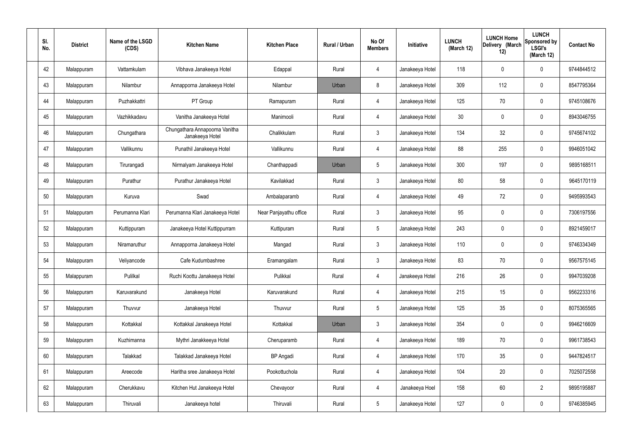| SI.<br>No. | <b>District</b> | Name of the LSGD<br>(CDS) | <b>Kitchen Name</b>                               | <b>Kitchen Place</b>   | Rural / Urban | No Of<br><b>Members</b> | Initiative      | <b>LUNCH</b><br>(March 12) | <b>LUNCH Home</b><br>Delivery (March<br>12) | <b>LUNCH</b><br>Sponsored by<br><b>LSGI's</b><br>(March 12) | <b>Contact No</b> |
|------------|-----------------|---------------------------|---------------------------------------------------|------------------------|---------------|-------------------------|-----------------|----------------------------|---------------------------------------------|-------------------------------------------------------------|-------------------|
| 42         | Malappuram      | Vattamkulam               | Vibhava Janakeeya Hotel                           | Edappal                | Rural         | 4                       | Janakeeya Hotel | 118                        | $\mathbf 0$                                 | 0                                                           | 9744844512        |
| 43         | Malappuram      | Nilambur                  | Annapporna Janakeeya Hotel                        | Nilambur               | Urban         | 8                       | Janakeeya Hotel | 309                        | 112                                         | 0                                                           | 8547795364        |
| 44         | Malappuram      | Puzhakkattri              | PT Group                                          | Ramapuram              | Rural         | $\overline{4}$          | Janakeeya Hotel | 125                        | 70                                          | 0                                                           | 9745108676        |
| 45         | Malappuram      | Vazhikkadavu              | Vanitha Janakeeya Hotel                           | Manimooli              | Rural         | $\overline{4}$          | Janakeeya Hotel | 30                         | $\mathbf 0$                                 | 0                                                           | 8943046755        |
| 46         | Malappuram      | Chungathara               | Chungathara Annapoorna Vanitha<br>Janakeeya Hotel | Chalikkulam            | Rural         | $\mathbf{3}$            | Janakeeya Hotel | 134                        | 32                                          | 0                                                           | 9745674102        |
| 47         | Malappuram      | Vallikunnu                | Punathil Janakeeya Hotel                          | Vallikunnu             | Rural         | $\overline{4}$          | Janakeeya Hotel | 88                         | 255                                         | 0                                                           | 9946051042        |
| 48         | Malappuram      | Tirurangadi               | Nirmalyam Janakeeya Hotel                         | Chanthappadi           | Urban         | $5\phantom{.0}$         | Janakeeya Hotel | 300                        | 197                                         | 0                                                           | 9895168511        |
| 49         | Malappuram      | Purathur                  | Purathur Janakeeya Hotel                          | Kavilakkad             | Rural         | $\mathbf{3}$            | Janakeeya Hotel | 80                         | 58                                          | 0                                                           | 9645170119        |
| 50         | Malappuram      | Kuruva                    | Swad                                              | Ambalaparamb           | Rural         | $\overline{4}$          | Janakeeya Hotel | 49                         | 72                                          | 0                                                           | 9495993543        |
| 51         | Malappuram      | Perumanna Klari           | Perumanna Klari Janakeeya Hotel                   | Near Panjayathu office | Rural         | $\mathbf{3}$            | Janakeeya Hotel | 95                         | $\mathbf 0$                                 | 0                                                           | 7306197556        |
| 52         | Malappuram      | Kuttippuram               | Janakeeya Hotel Kuttippurram                      | Kuttipuram             | Rural         | $5\phantom{.0}$         | Janakeeya Hotel | 243                        | 0                                           | 0                                                           | 8921459017        |
| 53         | Malappuram      | Niramaruthur              | Annapporna Janakeeya Hotel                        | Mangad                 | Rural         | $\mathbf{3}$            | Janakeeya Hotel | 110                        | 0                                           | 0                                                           | 9746334349        |
| 54         | Malappuram      | Veliyancode               | Cafe Kudumbashree                                 | Eramangalam            | Rural         | $\mathbf{3}$            | Janakeeya Hotel | 83                         | 70                                          | 0                                                           | 9567575145        |
| 55         | Malappuram      | Pulilkal                  | Ruchi Koottu Janakeeya Hotel                      | Pulikkal               | Rural         | $\overline{4}$          | Janakeeya Hotel | 216                        | 26                                          | 0                                                           | 9947039208        |
| 56         | Malappuram      | Karuvarakund              | Janakeeya Hotel                                   | Karuvarakund           | Rural         | $\overline{4}$          | Janakeeya Hotel | 215                        | 15                                          | 0                                                           | 9562233316        |
| 57         | Malappuram      | Thuvvur                   | Janakeeya Hotel                                   | Thuvvur                | Rural         | $5\phantom{.0}$         | Janakeeya Hotel | 125                        | 35                                          | 0                                                           | 8075365565        |
| 58         | Malappuram      | Kottakkal                 | Kottakkal Janakeeya Hotel                         | Kottakkal              | Urban         | $\mathbf{3}$            | Janakeeya Hotel | 354                        | $\pmb{0}$                                   | 0                                                           | 9946216609        |
| 59         | Malappuram      | Kuzhimanna                | Mythri Janakkeeya Hotel                           | Cheruparamb            | Rural         | $\overline{4}$          | Janakeeya Hotel | 189                        | 70                                          | 0                                                           | 9961738543        |
| 60         | Malappuram      | Talakkad                  | Talakkad Janakeeya Hotel                          | <b>BP</b> Angadi       | Rural         | $\overline{4}$          | Janakeeya Hotel | 170                        | 35                                          | 0                                                           | 9447824517        |
| 61         | Malappuram      | Areecode                  | Haritha sree Janakeeya Hotel                      | Pookottuchola          | Rural         | 4                       | Janakeeya Hotel | 104                        | 20                                          | 0                                                           | 7025072558        |
| 62         | Malappuram      | Cherukkavu                | Kitchen Hut Janakeeya Hotel                       | Chevayoor              | Rural         | $\overline{4}$          | Janakeeya Hoel  | 158                        | 60                                          | $\overline{2}$                                              | 9895195887        |
| 63         | Malappuram      | Thiruvali                 | Janakeeya hotel                                   | Thiruvali              | Rural         | $5\phantom{.0}$         | Janakeeya Hotel | 127                        | $\pmb{0}$                                   | 0                                                           | 9746385945        |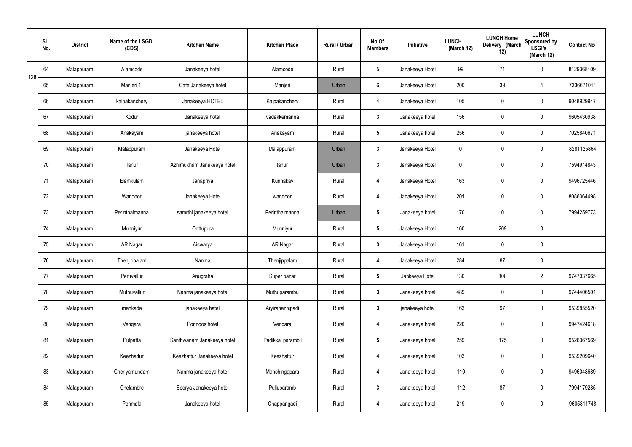|     | SI.<br>No. | <b>District</b> | Name of the LSGD<br>(CDS) | <b>Kitchen Name</b>        | <b>Kitchen Place</b> | Rural / Urban | No Of<br><b>Members</b> | Initiative      | <b>LUNCH</b><br>(March 12) | <b>LUNCH Home</b><br>Delivery (March<br>12) | <b>LUNCH</b><br>Sponsored by<br><b>LSGI's</b><br>(March 12) | <b>Contact No</b> |
|-----|------------|-----------------|---------------------------|----------------------------|----------------------|---------------|-------------------------|-----------------|----------------------------|---------------------------------------------|-------------------------------------------------------------|-------------------|
| 128 | 64         | Malappuram      | Alamcode                  | Janakeeya hotel            | Alamcode             | Rural         | $5\,$                   | Janakeeya Hotel | 99                         | 71                                          | $\mathbf 0$                                                 | 8129368109        |
|     | 65         | Malappuram      | Manjeri 1                 | Cafe Janakeeya hotel       | Manjeri              | Urban         | 6                       | Janakeeya Hotel | 200                        | 39                                          | 4                                                           | 7336671011        |
|     | 66         | Malappuram      | kalpakanchery             | Janakeeya HOTEL            | Kalpakanchery        | Rural         | $\overline{4}$          | Janakeeya Hotel | 105                        | 0                                           | $\mathbf 0$                                                 | 9048929947        |
|     | 67         | Malappuram      | Kodur                     | Janakeeya hotel            | vadakkemanna         | Rural         | $\mathbf{3}$            | Janakeeya hotel | 156                        | $\mathbf 0$                                 | $\mathbf 0$                                                 | 9605430938        |
|     | 68         | Malappuram      | Anakayam                  | janakeeya hotel            | Anakayam             | Rural         | $5\phantom{.0}$         | Janakeeya hotel | 256                        | $\mathbf 0$                                 | $\mathbf 0$                                                 | 7025840671        |
|     | 69         | Malappuram      | Malappuram                | Janakeeya Hotel            | Malappuram           | Urban         | $\mathbf{3}$            | Janakeeya Hotel | $\mathbf 0$                | 0                                           | $\mathbf 0$                                                 | 8281125864        |
|     | 70         | Malappuram      | Tanur                     | Azhimukham Janakeeya hotel | tanur                | Urban         | $\mathbf{3}$            | Janakeeya Hotel | $\mathbf 0$                | 0                                           | $\mathbf 0$                                                 | 7594914843        |
|     | 71         | Malappuram      | Elamkulam                 | Janapriya                  | Kunnakav             | Rural         | 4                       | Janakeeya Hotel | 163                        | 0                                           | $\mathbf 0$                                                 | 9496725446        |
|     | 72         | Malappuram      | Wandoor                   | Janakeeya Hotel            | wandoor              | Rural         | 4                       | Janakeeya Hotel | 201                        | 0                                           | $\mathbf 0$                                                 | 8086064498        |
|     | 73         | Malappuram      | Perinthalmanna            | samrthi janakeeya hotei    | Perinthalmanna       | Urban         | $5\phantom{.0}$         | Janakeeya hotel | 170                        | $\mathbf 0$                                 | $\mathbf 0$                                                 | 7994259773        |
|     | 74         | Malappuram      | Munniyur                  | Oottupura                  | Munniyur             | Rural         | $5\phantom{.0}$         | Janakeeya Hotel | 160                        | 209                                         | $\pmb{0}$                                                   |                   |
|     | 75         | Malappuram      | AR Nagar                  | Aiswarya                   | AR Nagar             | Rural         | $\mathbf{3}$            | Janakeeya Hotel | 161                        | $\mathbf 0$                                 | $\mathbf 0$                                                 |                   |
|     | 76         | Malappuram      | Thenjippalam              | Nanma                      | Thenjippalam         | Rural         | 4                       | Janakeeya Hotel | 284                        | 87                                          | $\mathbf 0$                                                 |                   |
|     | 77         | Malappuram      | Peruvallur                | Anugraha                   | Super bazar          | Rural         | $5\phantom{.0}$         | Jankeeya Hotel  | 130                        | 108                                         | $\overline{2}$                                              | 9747037665        |
|     | 78         | Malappuram      | Muthuvallur               | Nanma janakeeya hotel      | Muthuparambu         | Rural         | $3\phantom{a}$          | Janakeeya hotel | 489                        | $\mathbf 0$                                 | $\mathbf 0$                                                 | 9744406501        |
|     | 79         | Malappuram      | mankada                   | janakeeya hatel            | Aryiranazhipadi      | Rural         | $3\phantom{a}$          | janakeeya hotel | 163                        | 97                                          | $\mathbf 0$                                                 | 9539855520        |
|     | 80         | Malappuram      | Vengara                   | Ponnoos hotel              | Vengara              | Rural         | 4                       | Janakeeya hotel | 220                        | 0                                           | $\mathbf 0$                                                 | 9947424618        |
|     | 81         | Malappuram      | Pulpatta                  | Santhwanam Janakeeya hotel | Padikkal parambil    | Rural         | $5\phantom{.0}$         | Janakeeya hotel | 259                        | 175                                         | $\mathbf 0$                                                 | 9526367569        |
|     | 82         | Malappuram      | Keezhattur                | Keezhattur Janakeeya hotel | Keezhattur           | Rural         | 4                       | Janakeeya hotel | 103                        | 0                                           | $\mathbf 0$                                                 | 9539209640        |
|     | 83         | Malappuram      | Cheriyamundam             | Nanma janakeeya hotel      | Manchingapara        | Rural         | 4                       | Janakeeya hotel | 110                        | 0                                           | $\mathbf 0$                                                 | 9496048689        |
|     | 84         | Malappuram      | Chelambre                 | Soorya Janakeeya hotel     | Pulluparamb          | Rural         | $\mathbf{3}$            | Janakeeya hotel | 112                        | 87                                          | $\mathbf 0$                                                 | 7994179285        |
|     | 85         | Malappuram      | Ponmala                   | Janakeeya hotel            | Chappangadi          | Rural         | 4                       | Janakeeya hotel | 219                        | 0                                           | $\boldsymbol{0}$                                            | 9605811748        |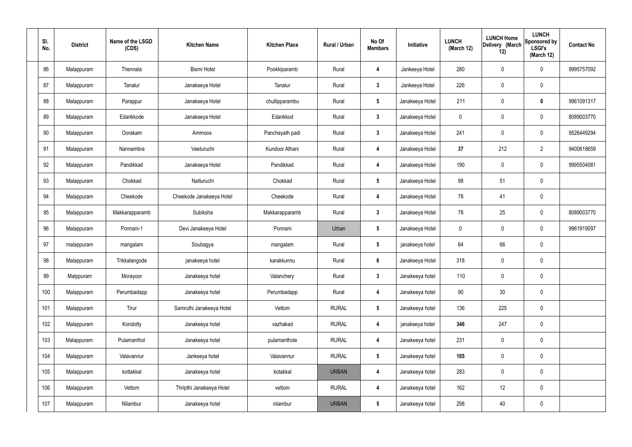| SI.<br>No. | <b>District</b> | Name of the LSGD<br>(CDS) | <b>Kitchen Name</b>      | <b>Kitchen Place</b> | Rural / Urban | No Of<br><b>Members</b> | Initiative      | <b>LUNCH</b><br>(March 12) | <b>LUNCH Home</b><br>Delivery (March<br>12) | <b>LUNCH</b><br>Sponsored by<br><b>LSGI's</b><br>(March 12) | <b>Contact No</b> |
|------------|-----------------|---------------------------|--------------------------|----------------------|---------------|-------------------------|-----------------|----------------------------|---------------------------------------------|-------------------------------------------------------------|-------------------|
| 86         | Malappuram      | Thennala                  | <b>Bismi Hotel</b>       | Pookkiparamb         | Rural         | 4                       | Jankeeya Hotel  | 280                        | 0                                           | $\mathbf 0$                                                 | 9995757092        |
| 87         | Malappuram      | Tanalur                   | Janakeeya Hotel          | Tanalur              | Rural         | $\mathbf{3}$            | Jankeeya Hotel  | 226                        | 0                                           | $\pmb{0}$                                                   |                   |
| 88         | Malappuram      | Parappur                  | Janakeeya Hotel          | chullipparambu       | Rural         | $5\phantom{.0}$         | Janakeeya Hotel | 211                        | 0                                           | $\mathbf 0$                                                 | 9961091317        |
| 89         | Malappuram      | Edarikkode                | Janakeeya Hotel          | Edarikkod            | Rural         | $\mathbf{3}$            | Janakeeya Hotel | $\mathbf 0$                | 0                                           | $\mathbf 0$                                                 | 8089003770        |
| 90         | Malappuram      | Oorakam                   | Ammoos                   | Panchayath padi      | Rural         | $3\phantom{a}$          | Janakeeya Hotel | 241                        | 0                                           | $\mathbf 0$                                                 | 9526449294        |
| 91         | Malappuram      | Nannambra                 | Veeturuchi               | Kundoor Athani       | Rural         | 4                       | Janakeeya Hotel | 37                         | 212                                         | $\overline{2}$                                              | 9400618659        |
| 92         | Malappuram      | Pandikkad                 | Janakeeya Hotel          | Pandikkad            | Rural         | 4                       | Janakeeya Hotel | 190                        | $\mathbf 0$                                 | $\mathbf 0$                                                 | 9995504081        |
| 93         | Malappuram      | Chokkad                   | Natturuchi               | Chokkad              | Rural         | $5\phantom{.0}$         | Janakeeya Hotel | 98                         | 51                                          | $\mathbf 0$                                                 |                   |
| 94         | Malappuram      | Cheekode                  | Cheekode Janakeeya Hotel | Cheekode             | Rural         | 4                       | Janakeeya Hotel | 78                         | 41                                          | $\mathbf 0$                                                 |                   |
| 95         | Malappuram      | Makkarapparamb            | Subiksha                 | Makkarapparamb       | Rural         | $\mathbf{3}$            | Janakeeya Hotel | 78                         | 25                                          | $\mathbf 0$                                                 | 8089003770        |
| 96         | Malappuram      | Ponnani-1                 | Devi Janakeeya Hotel     | Ponnani              | Urban         | $5\phantom{.0}$         | Janakeeya Hotel | $\mathbf 0$                | 0                                           | $\mathbf 0$                                                 | 9961919097        |
| 97         | malappuram      | mangalam                  | Soubagya                 | mangalam             | Rural         | $5\phantom{.0}$         | janakeeya hotel | 64                         | 66                                          | $\pmb{0}$                                                   |                   |
| 98         | Malappuram      | Trikkalangode             | janakeeya hotel          | karakkunnu           | Rural         | $6\phantom{1}$          | Janakeeya Hotel | 318                        | $\mathbf 0$                                 | $\mathbf 0$                                                 |                   |
| 99         | Malppuram       | Morayoor                  | Janakeeya hotel          | Valanchery           | Rural         | $\mathbf{3}$            | Janakeeya hotel | 110                        | $\mathsf{0}$                                | $\mathbf 0$                                                 |                   |
| 100        | Malappuram      | Perumbadapp               | Janakeeya hotel          | Perumbadapp          | Rural         | $\overline{\mathbf{4}}$ | Janakeeya hotel | 90                         | 30                                          | $\mathbf 0$                                                 |                   |
| 101        | Malappuram      | Tirur                     | Samruthi Janakeeya Hotel | Vettom               | <b>RURAL</b>  | $5\phantom{.0}$         | Janakeeya hotel | 136                        | 225                                         | $\mathbf 0$                                                 |                   |
| 102        | Malappuram      | Kondotty                  | Janakeeya hotel          | vazhakad             | <b>RURAL</b>  | 4                       | janakeeya hotel | 346                        | 247                                         | $\mathbf 0$                                                 |                   |
| 103        | Malappuram      | Pulamanthol               | Janakeeya hotel          | pulamanthole         | <b>RURAL</b>  | 4                       | Janakeeya hotel | 231                        | 0                                           | $\mathbf 0$                                                 |                   |
| 104        | Malappuram      | Valavannur                | Jankeeya hotel           | Valavannur           | <b>RURAL</b>  | $5\phantom{.0}$         | Janakeeya hotel | 185                        | 0                                           | $\mathbf 0$                                                 |                   |
| 105        | Malappuram      | kottakkal                 | Janakeeya hotel          | kotakkal             | <b>URBAN</b>  | 4                       | Janakeeya hotel | 283                        | $\pmb{0}$                                   | $\mathbf 0$                                                 |                   |
| 106        | Malappuram      | Vettom                    | Thripthi Janakeeya Hotel | vettom               | <b>RURAL</b>  | $\overline{\mathbf{4}}$ | Janakeeya hotel | 162                        | 12                                          | $\mathbf 0$                                                 |                   |
| 107        | Malappuram      | Nilambur                  | Janakeeya hotel          | nilambur             | <b>URBAN</b>  | $5\phantom{.0}$         | Janakeeya hotel | 298                        | 40                                          | $\pmb{0}$                                                   |                   |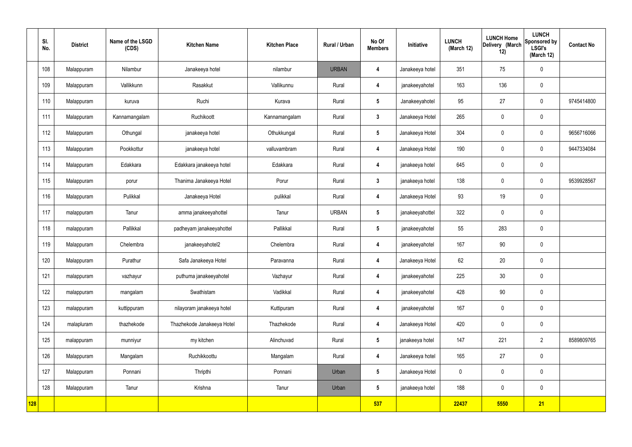|            | SI.<br>No. | <b>District</b> | Name of the LSGD<br>(CDS) | <b>Kitchen Name</b>        | <b>Kitchen Place</b> | Rural / Urban | No Of<br><b>Members</b> | Initiative      | <b>LUNCH</b><br>(March 12) | <b>LUNCH Home</b><br>Delivery (March<br>12) | <b>LUNCH</b><br>Sponsored by<br><b>LSGI's</b><br>(March 12) | <b>Contact No</b> |
|------------|------------|-----------------|---------------------------|----------------------------|----------------------|---------------|-------------------------|-----------------|----------------------------|---------------------------------------------|-------------------------------------------------------------|-------------------|
|            | 108        | Malappuram      | Nilambur                  | Janakeeya hotel            | nilambur             | <b>URBAN</b>  | $\boldsymbol{4}$        | Janakeeya hotel | 351                        | 75                                          | $\mathbf 0$                                                 |                   |
|            | 109        | Malappuram      | Vallikkunn                | Rasakkut                   | Vallikunnu           | Rural         | 4                       | janakeeyahotel  | 163                        | 136                                         | $\mathbf 0$                                                 |                   |
|            | 110        | Malappuram      | kuruva                    | Ruchi                      | Kurava               | Rural         | $5\overline{)}$         | Janakeeyahotel  | 95                         | 27                                          | $\mathbf 0$                                                 | 9745414800        |
|            | 111        | Malappuram      | Kannamangalam             | Ruchikoott                 | Kannamangalam        | Rural         | $\mathbf{3}$            | Janakeeya Hotel | 265                        | $\mathbf 0$                                 | $\mathbf 0$                                                 |                   |
|            | 112        | Malappuram      | Othungal                  | janakeeya hotel            | Othukkungal          | Rural         | $5\overline{)}$         | Janakeeya Hotel | 304                        | $\mathbf 0$                                 | $\mathbf 0$                                                 | 9656716066        |
|            | 113        | Malappuram      | Pookkottur                | janakeeya hotel            | valluvambram         | Rural         | 4                       | Janakeeya Hotel | 190                        | $\mathbf 0$                                 | $\mathbf 0$                                                 | 9447334084        |
|            | 114        | Malappuram      | Edakkara                  | Edakkara janakeeya hotel   | Edakkara             | Rural         | $\overline{\mathbf{4}}$ | janakeeya hotel | 645                        | $\mathbf 0$                                 | $\mathbf 0$                                                 |                   |
|            | 115        | Malappuram      | porur                     | Thanima Janakeeya Hotel    | Porur                | Rural         | $\mathbf{3}$            | janakeeya hotel | 138                        | $\mathbf 0$                                 | $\mathbf 0$                                                 | 9539928567        |
|            | 116        | Malappuram      | Pulikkal                  | Janakeeya Hotel            | pulikkal             | Rural         | $\overline{\mathbf{4}}$ | Janakeeya Hotel | 93                         | 19                                          | $\mathbf 0$                                                 |                   |
|            | 117        | malappuram      | Tanur                     | amma janakeeyahottel       | Tanur                | <b>URBAN</b>  | $5\phantom{.0}$         | janakeeyahottel | 322                        | $\pmb{0}$                                   | $\mathbf 0$                                                 |                   |
|            | 118        | malappuram      | Pallikkal                 | padheyam janakeeyahottel   | Pallikkal            | Rural         | $5\phantom{.0}$         | janakeeyahotel  | 55                         | 283                                         | $\mathbf 0$                                                 |                   |
|            | 119        | Malappuram      | Chelembra                 | janakeeyahotel2            | Chelembra            | Rural         | 4                       | janakeeyahotel  | 167                        | 90                                          | $\mathbf 0$                                                 |                   |
|            | 120        | Malappuram      | Purathur                  | Safa Janakeeya Hotel       | Paravanna            | Rural         | 4                       | Janakeeya Hotel | 62                         | 20                                          | $\mathbf 0$                                                 |                   |
|            | 121        | malappuram      | vazhayur                  | puthuma janakeeyahotel     | Vazhayur             | Rural         | $\overline{\mathbf{4}}$ | janakeeyahotel  | 225                        | 30                                          | $\mathbf 0$                                                 |                   |
|            | 122        | malappuram      | mangalam                  | Swathistam                 | Vadikkal             | Rural         | $\overline{\mathbf{4}}$ | janakeeyahotel  | 428                        | $90\,$                                      | $\mathbf 0$                                                 |                   |
|            | 123        | malappuram      | kuttippuram               | nilayoram janakeeya hotel  | Kuttipuram           | Rural         | $\overline{\mathbf{4}}$ | janakeeyahotel  | 167                        | $\mathbf 0$                                 | $\pmb{0}$                                                   |                   |
|            | 124        | malapluram      | thazhekode                | Thazhekode Janakeeya Hotel | Thazhekode           | Rural         | $\overline{\mathbf{4}}$ | Janakeeya Hotel | 420                        | $\mathbf 0$                                 | $\pmb{0}$                                                   |                   |
|            | 125        | malappuram      | munniyur                  | my kitchen                 | Alinchuvad           | Rural         | $5\phantom{.0}$         | janakeeya hotel | 147                        | 221                                         | $\overline{2}$                                              | 8589809765        |
|            | 126        | Malappuram      | Mangalam                  | Ruchikkoottu               | Mangalam             | Rural         | $\overline{\mathbf{4}}$ | Janakeeya hotel | 165                        | 27                                          | $\mathbf 0$                                                 |                   |
|            | 127        | Malappuram      | Ponnani                   | Thripthi                   | Ponnani              | Urban         | $5\overline{)}$         | Janakeeya Hotel | $\mathbf 0$                | $\mathbf 0$                                 | $\mathbf 0$                                                 |                   |
|            | 128        | Malappuram      | Tanur                     | Krishna                    | Tanur                | Urban         | $5\overline{)}$         | janakeeya hotel | 188                        | $\pmb{0}$                                   | $\mathbf 0$                                                 |                   |
| <b>128</b> |            |                 |                           |                            |                      |               | 537                     |                 | 22437                      | 5550                                        | 21                                                          |                   |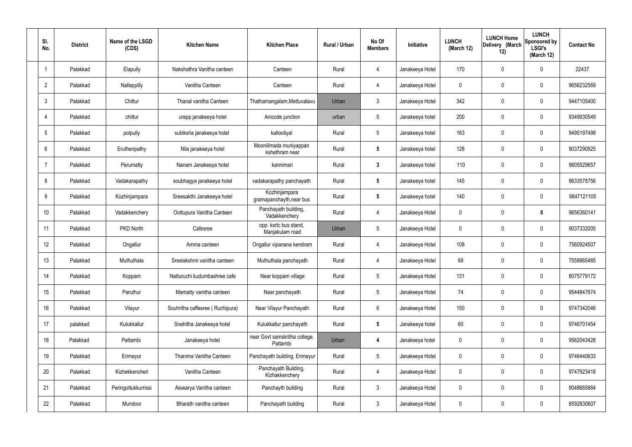| SI.<br>No.     | <b>District</b> | Name of the LSGD<br>(CDS) | <b>Kitchen Name</b>             | <b>Kitchen Place</b>                      | Rural / Urban | No Of<br><b>Members</b> | Initiative      | <b>LUNCH</b><br>(March 12) | <b>LUNCH Home</b><br>Delivery (March<br>12) | <b>LUNCH</b><br>Sponsored by<br><b>LSGI's</b><br>(March 12) | <b>Contact No</b> |
|----------------|-----------------|---------------------------|---------------------------------|-------------------------------------------|---------------|-------------------------|-----------------|----------------------------|---------------------------------------------|-------------------------------------------------------------|-------------------|
| -1             | Palakkad        | Elapully                  | Nakshathra Vanitha canteen      | Canteen                                   | Rural         | 4                       | Janakeeya Hotel | 170                        | 0                                           | $\mathbf 0$                                                 | 22437             |
| $\overline{2}$ | Palakkad        | Nalleppilly               | Vanitha Canteen                 | Canteen                                   | Rural         | 4                       | Janakeeya Hotel | $\mathbf 0$                | 0                                           | $\mathbf 0$                                                 | 9656232569        |
| 3              | Palakkad        | Chittur                   | Thanal vanitha Canteen          | Thathamangalam, Mettuvalavu               | Urban         | 3                       | Janakeeya Hotel | 342                        | 0                                           | $\mathbf 0$                                                 | 9447105400        |
|                | Palakkad        | chittur                   | urapp janakeeya hotel           | Anicode junction                          | urban         | $5\phantom{.0}$         | Janakeeya hotel | 200                        | 0                                           | $\mathbf 0$                                                 | 9349930549        |
| 5              | Palakkad        | polpully                  | subiksha janakeeya hotel        | kallootiyal                               | Rural         | $5\phantom{.0}$         | Janakeeya hotel | 163                        | 0                                           | $\mathbf 0$                                                 | 9495197498        |
| 6              | Palakkad        | Eruthenpathy              | Nila janakeeya hotel            | Mooniilmada muniyappan<br>kshethram near  | Rural         | $5\phantom{.0}$         | Janakeeya hotel | 128                        | $\mathbf{0}$                                | $\mathbf 0$                                                 | 9037290925        |
| 7              | Palakkad        | Perumatty                 | Nanam Janakeeya hotel           | kannimari                                 | Rural         | $\mathbf{3}$            | Janakeeya hotel | 110                        | 0                                           | $\mathbf 0$                                                 | 9605529657        |
| 8              | Palakkad        | Vadakarapathy             | soubhagya janakeeya hotel       | vadakarapathy panchayath                  | Rural         | $5\phantom{.0}$         | Janakeeya hotel | 145                        | $\mathbf{0}$                                | $\mathbf 0$                                                 | 9633578756        |
| 9              | Palakkad        | Kozhinjampara             | Sreesakthi Janakeeya hotel      | Kozhinjampara<br>gramapanchayth, near bus | Rural         | $5\phantom{.0}$         | Janakeeya hotel | 140                        | 0                                           | $\mathbf 0$                                                 | 9847121105        |
| 10             | Palakkad        | Vadakkenchery             | Oottupura Vanitha Canteen       | Panchayath building,<br>Vadakkenchery     | Rural         | 4                       | Janakeeya Hotel | $\mathbf 0$                | 0                                           | $\mathbf 0$                                                 | 9656360141        |
| 11             | Palakkad        | PKD North                 | Cafesree                        | opp. ksrtc bus stand,<br>Manjakulam road  | Urban         | $5\phantom{.0}$         | Janakeeya Hotel | $\mathbf 0$                | 0                                           | $\mathbf 0$                                                 | 9037332005        |
| 12             | Palakkad        | Ongallur                  | Amma canteen                    | Ongallur vipanana kendram                 | Rural         | 4                       | Janakeeya Hotel | 108                        | 0                                           | $\boldsymbol{0}$                                            | 7560924507        |
| 13             | Palakkad        | Muthuthala                | Sreelakshmi vanitha canteen     | Muthuthala panchayath                     | Rural         | 4                       | Janakeeya Hotel | 68                         | 0                                           | 0                                                           | 7558865485        |
| 14             | Palakkad        | Koppam                    | Natturuchi kudumbashree cafe    | Near koppam village                       | Rural         | $5\phantom{.0}$         | Janakeeya Hotel | 131                        | $\mathbf 0$                                 | $\mathbf 0$                                                 | 8075779172        |
| 15             | Palakkad        | Paruthur                  | Mamatty vanitha canteen         | Near panchayath                           | Rural         | $5\phantom{.0}$         | Janakeeya Hotel | 74                         | $\mathbf 0$                                 | $\mathbf 0$                                                 | 9544847874        |
| 16             | Palakkad        | Vilayur                   | Souhritha caffesree (Ruchipura) | Near Vilayur Panchayath                   | Rural         | $6\phantom{.}6$         | Janakeeya Hotel | 150                        | $\mathbf 0$                                 | $\mathbf 0$                                                 | 9747342046        |
| 17             | palakkad        | Kulukkallur               | Snehitha Janakeeya hotel        | Kulukkallur panchayath                    | Rural         | $5\phantom{.0}$         | Janakeeya hotel | 60                         | $\mathbf 0$                                 | $\mathbf 0$                                                 | 9746701454        |
| 18             | Palakkad        | Pattambi                  | Janakeeya hotel                 | near Govt samskritha college,<br>Pattambi | Urban         | 4                       | Janakeeya hotel | $\mathbf 0$                | 0                                           | $\mathbf 0$                                                 | 9562043428        |
| 19             | Palakkad        | Erimayur                  | Thanima Vanitha Canteen         | Panchayath building, Erimayur             | Rural         | $5\,$                   | Janakeeya Hotel | $\mathbf 0$                | $\mathbf 0$                                 | $\mathbf 0$                                                 | 9746440633        |
| 20             | Palakkad        | Kizhekkencheri            | Vanitha Canteen                 | Panchayath Building,<br>Kizhakkenchery    | Rural         | $\overline{4}$          | Janakeeya Hotel | $\mathbf 0$                | $\boldsymbol{0}$                            | $\mathbf 0$                                                 | 9747923418        |
| 21             | Palakkad        | Peringottukkurrissi       | Aiswarya Vanitha canteen        | Panchayth building                        | Rural         | $3\phantom{a}$          | Janakeeya Hotel | $\mathbf 0$                | $\mathbf 0$                                 | $\mathbf 0$                                                 | 9048665884        |
| 22             | Palakkad        | Mundoor                   | Bharath vanitha canteen         | Panchayath building                       | Rural         | $\mathfrak{Z}$          | Janakeeya Hotel | 0                          | 0                                           | $\boldsymbol{0}$                                            | 8592830607        |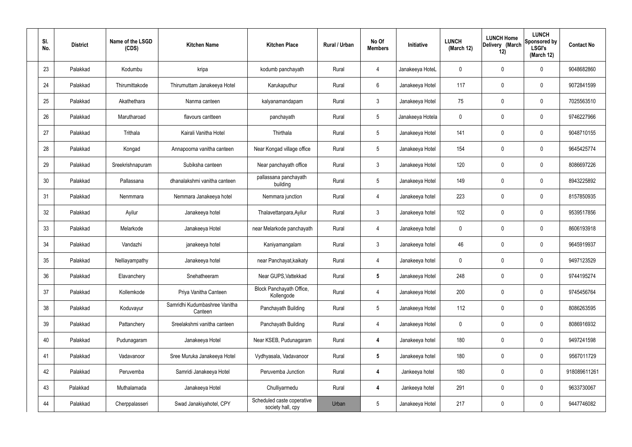| SI.<br>No. | <b>District</b> | Name of the LSGD<br>(CDS) | <b>Kitchen Name</b>                      | <b>Kitchen Place</b>                            | Rural / Urban | No Of<br><b>Members</b> | Initiative       | <b>LUNCH</b><br>(March 12) | <b>LUNCH Home</b><br>Delivery (March<br>12) | <b>LUNCH</b><br>Sponsored by<br><b>LSGI's</b><br>(March 12) | <b>Contact No</b> |
|------------|-----------------|---------------------------|------------------------------------------|-------------------------------------------------|---------------|-------------------------|------------------|----------------------------|---------------------------------------------|-------------------------------------------------------------|-------------------|
| 23         | Palakkad        | Kodumbu                   | kripa                                    | kodumb panchayath                               | Rural         | 4                       | Janakeeya HoteL  | $\mathbf{0}$               | $\mathbf 0$                                 | 0                                                           | 9048682860        |
| 24         | Palakkad        | Thirumittakode            | Thirumuttam Janakeeya Hotel              | Karukaputhur                                    | Rural         | 6                       | Janakeeya Hotel  | 117                        | $\mathbf 0$                                 | 0                                                           | 9072841599        |
| 25         | Palakkad        | Akathethara               | Nanma canteen                            | kalyanamandapam                                 | Rural         | $\mathbf{3}$            | Janakeeya Hotel  | 75                         | 0                                           | 0                                                           | 7025563510        |
| 26         | Palakkad        | Marutharoad               | flavours cantteen                        | panchayath                                      | Rural         | $5\phantom{.0}$         | Janakeeya Hotela | $\mathbf 0$                | $\mathbf 0$                                 | 0                                                           | 9746227966        |
| 27         | Palakkad        | Trithala                  | Kairali Vanitha Hotel                    | Thirthala                                       | Rural         | $5\phantom{.0}$         | Janakeeya Hotel  | 141                        | 0                                           | 0                                                           | 9048710155        |
| 28         | Palakkad        | Kongad                    | Annapoorna vanitha canteen               | Near Kongad village office                      | Rural         | $5\phantom{.0}$         | Janakeeya Hotel  | 154                        | $\mathbf 0$                                 | 0                                                           | 9645425774        |
| 29         | Palakkad        | Sreekrishnapuram          | Subiksha canteen                         | Near panchayath office                          | Rural         | $\mathbf{3}$            | Janakeeya Hotel  | 120                        | $\mathbf 0$                                 | 0                                                           | 8086697226        |
| 30         | Palakkad        | Pallassana                | dhanalakshmi vanitha canteen             | pallassana panchayath<br>building               | Rural         | $5\phantom{.0}$         | Janakeeya Hotel  | 149                        | $\mathbf 0$                                 | 0                                                           | 8943225892        |
| 31         | Palakkad        | Nenmmara                  | Nemmara Janakeeya hotel                  | Nemmara junction                                | Rural         | 4                       | Janakeeya hotel  | 223                        | $\mathbf 0$                                 | 0                                                           | 8157850935        |
| 32         | Palakkad        | Ayilur                    | Janakeeya hotel                          | Thalavettanpara, Ayilur                         | Rural         | $\mathbf{3}$            | Janakeeya hotel  | 102                        | 0                                           | 0                                                           | 9539517856        |
| 33         | Palakkad        | Melarkode                 | Janakeeya Hotel                          | near Melarkode panchayath                       | Rural         | $\overline{4}$          | Janakeeya hotel  | $\mathbf 0$                | 0                                           | 0                                                           | 8606193918        |
| 34         | Palakkad        | Vandazhi                  | janakeeya hotel                          | Kaniyamangalam                                  | Rural         | $\mathbf{3}$            | Janakeeya hotel  | 46                         | 0                                           | 0                                                           | 9645919937        |
| 35         | Palakkad        | Nelliayampathy            | Janakeeya hotel                          | near Panchayat, kaikaty                         | Rural         | 4                       | Janakeeya hotel  | 0                          | 0                                           | 0                                                           | 9497123529        |
| 36         | Palakkad        | Elavanchery               | Snehatheeram                             | Near GUPS, Vattekkad                            | Rural         | $\sqrt{5}$              | Janakeeya Hotel  | 248                        | $\mathbf 0$                                 | 0                                                           | 9744195274        |
| 37         | Palakkad        | Kollemkode                | Priya Vanitha Canteen                    | Block Panchayath Office,<br>Kollengode          | Rural         | $\overline{4}$          | Janakeeya Hotel  | 200                        | $\mathbf 0$                                 | 0                                                           | 9745456764        |
| 38         | Palakkad        | Koduvayur                 | Samridhi Kudumbashree Vanitha<br>Canteen | Panchayath Building                             | Rural         | $5\phantom{.0}$         | Janakeeya Hotel  | 112                        | $\mathbf 0$                                 | 0                                                           | 8086263595        |
| 39         | Palakkad        | Pattanchery               | Sreelakshmi vanitha canteen              | Panchayath Building                             | Rural         | $\overline{4}$          | Janakeeya Hotel  | $\mathbf 0$                | $\mathbf 0$                                 | 0                                                           | 8086916932        |
| 40         | Palakkad        | Pudunagaram               | Janakeeya Hotel                          | Near KSEB, Pudunagaram                          | Rural         | $\overline{4}$          | Janakeeya hotel  | 180                        | $\mathbf 0$                                 | 0                                                           | 9497241598        |
| 41         | Palakkad        | Vadavanoor                | Sree Muruka Janakeeya Hotel              | Vydhyasala, Vadavanoor                          | Rural         | $5\phantom{.0}$         | Janakeeya hotel  | 180                        | $\mathbf 0$                                 | 0                                                           | 9567011729        |
| 42         | Palakkad        | Peruvemba                 | Samridi Janakeeya Hotel                  | Peruvemba Junction                              | Rural         | 4                       | Jankeeya hotel   | 180                        | $\mathbf 0$                                 | 0                                                           | 918089611261      |
| 43         | Palakkad        | Muthalamada               | Janakeeya Hotel                          | Chulliyarmedu                                   | Rural         | 4                       | Jankeeya hotel   | 291                        | $\mathbf 0$                                 | 0                                                           | 9633730067        |
| 44         | Palakkad        | Cherppalasseri            | Swad Janakiyahotel, CPY                  | Scheduled caste coperative<br>society hall, cpy | Urban         | $5\phantom{.0}$         | Janakeeya Hotel  | 217                        | 0                                           | 0                                                           | 9447746082        |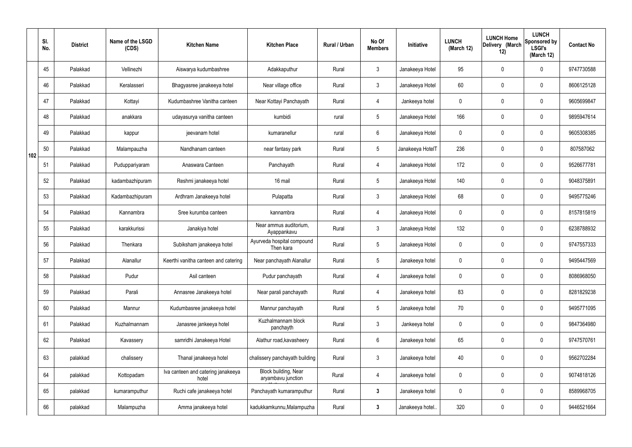|     | SI.<br>No. | <b>District</b> | Name of the LSGD<br>(CDS) | <b>Kitchen Name</b>                         | <b>Kitchen Place</b>                       | Rural / Urban | No Of<br><b>Members</b> | Initiative       | <b>LUNCH</b><br>(March 12) | <b>LUNCH Home</b><br>Delivery (March<br>12) | <b>LUNCH</b><br>Sponsored by<br><b>LSGI's</b><br>(March 12) | <b>Contact No</b> |
|-----|------------|-----------------|---------------------------|---------------------------------------------|--------------------------------------------|---------------|-------------------------|------------------|----------------------------|---------------------------------------------|-------------------------------------------------------------|-------------------|
|     | 45         | Palakkad        | Vellinezhi                | Aiswarya kudumbashree                       | Adakkaputhur                               | Rural         | $\mathbf{3}$            | Janakeeya Hotel  | 95                         | 0                                           | $\mathbf 0$                                                 | 9747730588        |
|     | 46         | Palakkad        | Keralasseri               | Bhagyasree janakeeya hotel                  | Near village office                        | Rural         | $\mathbf{3}$            | Janakeeya Hotel  | 60                         | 0                                           | $\mathbf 0$                                                 | 8606125128        |
|     | 47         | Palakkad        | Kottayi                   | Kudumbashree Vanitha canteen                | Near Kottayi Panchayath                    | Rural         | $\overline{4}$          | Jankeeya hotel   | $\mathbf 0$                | 0                                           | $\mathbf 0$                                                 | 9605699847        |
|     | 48         | Palakkad        | anakkara                  | udayasurya vanitha canteen                  | kumbidi                                    | rural         | $5\phantom{.0}$         | Janakeeya Hotel  | 166                        | 0                                           | $\mathbf 0$                                                 | 9895947614        |
|     | 49         | Palakkad        | kappur                    | jeevanam hotel                              | kumaranellur                               | rural         | $6\phantom{.}6$         | Janakeeya Hotel  | $\mathbf 0$                | 0                                           | $\mathbf 0$                                                 | 9605308385        |
| 102 | 50         | Palakkad        | Malampauzha               | Nandhanam canteen                           | near fantasy park                          | Rural         | $5\phantom{.0}$         | Janakeeya HotelT | 236                        | 0                                           | $\mathbf 0$                                                 | 807587062         |
|     | 51         | Palakkad        | Puduppariyaram            | Anaswara Canteen                            | Panchayath                                 | Rural         | $\overline{4}$          | Janakeeya Hotel  | 172                        | $\mathbf 0$                                 | $\mathbf 0$                                                 | 9526677781        |
|     | 52         | Palakkad        | kadambazhipuram           | Reshmi janakeeya hotel                      | 16 mail                                    | Rural         | $5\phantom{.0}$         | Janakeeya Hotel  | 140                        | 0                                           | $\mathbf 0$                                                 | 9048375891        |
|     | 53         | Palakkad        | Kadambazhipuram           | Ardhram Janakeeya hotel                     | Pulapatta                                  | Rural         | $\mathbf{3}$            | Janakeeya Hotel  | 68                         | 0                                           | $\mathbf 0$                                                 | 9495775246        |
|     | 54         | Palakkad        | Kannambra                 | Sree kurumba canteen                        | kannambra                                  | Rural         | 4                       | Janakeeya Hotel  | $\mathbf 0$                | 0                                           | $\mathbf 0$                                                 | 8157815819        |
|     | 55         | Palakkad        | karakkurissi              | Janakiya hotel                              | Near ammus auditorium,<br>Ayappankavu      | Rural         | $\mathbf{3}$            | Janakeeya Hotel  | 132                        | 0                                           | $\mathbf 0$                                                 | 6238788932        |
|     | 56         | Palakkad        | Thenkara                  | Subiksham janakeeya hotel                   | Ayurveda hospital compound<br>Then kara    | Rural         | $5\phantom{.0}$         | Janakeeya Hotel  | $\mathbf 0$                | 0                                           | $\mathbf 0$                                                 | 9747557333        |
|     | 57         | Palakkad        | Alanallur                 | Keerthi vanitha canteen and catering        | Near panchayath Alanallur                  | Rural         | $5\phantom{.0}$         | Janakeeya hotel  | $\mathbf 0$                | 0                                           | 0                                                           | 9495447569        |
|     | 58         | Palakkad        | Pudur                     | Asil canteen                                | Pudur panchayath                           | Rural         | 4                       | Janakeeya hotel  | $\mathbf 0$                | $\mathbf 0$                                 | $\mathbf 0$                                                 | 8086968050        |
|     | 59         | Palakkad        | Parali                    | Annasree Janakeeya hotel                    | Near parali panchayath                     | Rural         | $\overline{4}$          | Janakeeya hotel  | 83                         | $\mathbf 0$                                 | $\mathbf 0$                                                 | 8281829238        |
|     | 60         | Palakkad        | Mannur                    | Kudumbasree janakeeya hotel                 | Mannur panchayath                          | Rural         | $5\phantom{.0}$         | Janakeeya hotel  | 70                         | $\mathbf 0$                                 | $\mathbf 0$                                                 | 9495771095        |
|     | 61         | Palakkad        | Kuzhalmannam              | Janasree jankeeya hotel                     | Kuzhalmannam block<br>panchayth            | Rural         | $\mathbf{3}$            | Jankeeya hotel   | $\mathbf 0$                | $\mathbf 0$                                 | $\mathbf 0$                                                 | 9847364980        |
|     | 62         | Palakkad        | Kavassery                 | samridhi Janakeeya Hotel                    | Alathur road, kavasheery                   | Rural         | $6\phantom{.}6$         | Janakeeya hotel  | 65                         | 0                                           | $\mathbf 0$                                                 | 9747570761        |
|     | 63         | palakkad        | chalissery                | Thanal janakeeya hotel                      | chalissery panchayath building             | Rural         | $\mathbf{3}$            | Janakeeya hotel  | 40                         | $\boldsymbol{0}$                            | $\pmb{0}$                                                   | 9562702284        |
|     | 64         | palakkad        | Kottopadam                | Iva canteen and catering janakeeya<br>hotel | Block building, Near<br>aryambavu junction | Rural         | $\overline{4}$          | Janakeeya hotel  | $\mathbf 0$                | 0                                           | $\mathbf 0$                                                 | 9074818126        |
|     | 65         | palakkad        | kumaramputhur             | Ruchi cafe janakeeya hotel                  | Panchayath kumaramputhur                   | Rural         | $\mathbf{3}$            | Janakeeya hotel  | $\mathbf 0$                | 0                                           | $\mathbf 0$                                                 | 8589968705        |
|     | 66         | palakkad        | Malampuzha                | Amma janakeeya hotel                        | kadukkamkunnu, Malampuzha                  | Rural         | $\mathbf{3}$            | Janakeeya hotel  | 320                        | 0                                           | $\mathbf 0$                                                 | 9446521664        |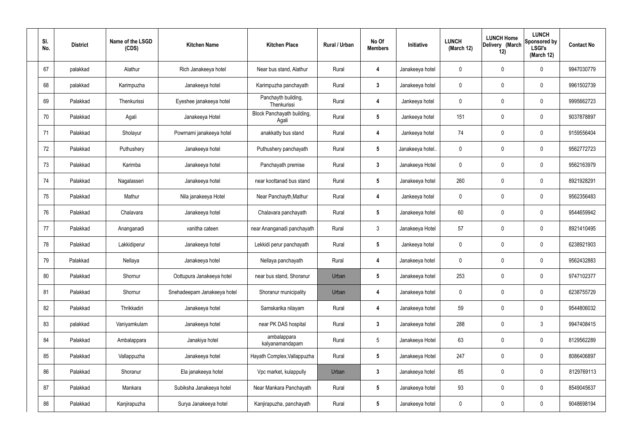| SI.<br>No. | <b>District</b> | Name of the LSGD<br>(CDS) | <b>Kitchen Name</b>         | <b>Kitchen Place</b>                | Rural / Urban | No Of<br><b>Members</b> | Initiative       | <b>LUNCH</b><br>(March 12) | <b>LUNCH Home</b><br>Delivery (March<br>12) | <b>LUNCH</b><br>Sponsored by<br><b>LSGI's</b><br>(March 12) | <b>Contact No</b> |
|------------|-----------------|---------------------------|-----------------------------|-------------------------------------|---------------|-------------------------|------------------|----------------------------|---------------------------------------------|-------------------------------------------------------------|-------------------|
| 67         | palakkad        | Alathur                   | Rich Janakeeya hotel        | Near bus stand, Alathur             | Rural         | 4                       | Janakeeya hotel  | 0                          | 0                                           | $\mathbf 0$                                                 | 9947030779        |
| 68         | palakkad        | Karimpuzha                | Janakeeya hotel             | Karimpuzha panchayath               | Rural         | $\mathbf{3}$            | Janakeeya hotel  | 0                          | $\mathbf 0$                                 | $\mathbf 0$                                                 | 9961502739        |
| 69         | Palakkad        | Thenkurissi               | Eyeshee janakeeya hotel     | Panchayth building,<br>Thenkurissi  | Rural         | 4                       | Jankeeya hotel   | 0                          | 0                                           | $\mathbf 0$                                                 | 9995662723        |
| 70         | Palakkad        | Agali                     | Janakeeya Hotel             | Block Panchayath building,<br>Agali | Rural         | $5\phantom{.0}$         | Jankeeya hotel   | 151                        | $\mathbf 0$                                 | $\mathbf 0$                                                 | 9037878897        |
| 71         | Palakkad        | Sholayur                  | Powrnami janakeeya hotel    | anakkatty bus stand                 | Rural         | 4                       | Jankeeya hotel   | 74                         | $\mathbf 0$                                 | $\mathbf 0$                                                 | 9159556404        |
| 72         | Palakkad        | Puthushery                | Janakeeya hotel             | Puthushery panchayath               | Rural         | $5\phantom{.0}$         | Janakeeya hotel. | 0                          | $\mathbf 0$                                 | $\mathbf 0$                                                 | 9562772723        |
| 73         | Palakkad        | Karimba                   | Janakeeya hotel             | Panchayath premise                  | Rural         | $\mathbf{3}$            | Janakeeya Hotel  | 0                          | $\mathbf 0$                                 | $\mathbf 0$                                                 | 9562163979        |
| 74         | Palakkad        | Nagalasseri               | Janakeeya hotel             | near koottanad bus stand            | Rural         | $5\phantom{.0}$         | Janakeeya hotel  | 260                        | $\mathbf 0$                                 | $\mathbf 0$                                                 | 8921928291        |
| 75         | Palakkad        | Mathur                    | Nila janakeeya Hotel        | Near Panchayth, Mathur              | Rural         | 4                       | Jankeeya hotel   | 0                          | $\mathbf 0$                                 | $\mathbf 0$                                                 | 9562356483        |
| 76         | Palakkad        | Chalavara                 | Janakeeya hotel             | Chalavara panchayath                | Rural         | $5\phantom{.0}$         | Janakeeya hotel  | 60                         | 0                                           | $\mathbf 0$                                                 | 9544659942        |
| 77         | Palakkad        | Ananganadi                | vanitha cateen              | near Ananganadi panchayath          | Rural         | $\mathbf{3}$            | Janakeeya Hotel  | 57                         | 0                                           | $\mathbf 0$                                                 | 8921410495        |
| 78         | Palakkad        | Lakkidiperur              | Janakeeya hotel             | Lekkidi perur panchayath            | Rural         | $5\phantom{.0}$         | Jankeeya hotel   | 0                          | 0                                           | $\mathbf 0$                                                 | 6238921903        |
| 79         | Palakkad        | Nellaya                   | Janakeeya hotel             | Nellaya panchayath                  | Rural         | 4                       | Janakeeya hotel  | 0                          | 0                                           | $\mathbf 0$                                                 | 9562432883        |
| 80         | Palakkad        | Shornur                   | Oottupura Janakeeya hotel   | near bus stand, Shoranur            | Urban         | $5\phantom{.0}$         | Janakeeya hotel  | 253                        | $\mathbf 0$                                 | $\mathbf 0$                                                 | 9747102377        |
| 81         | Palakkad        | Shornur                   | Snehadeepam Janakeeya hotel | Shoranur municipality               | Urban         | $\overline{4}$          | Janakeeya hotel  | 0                          | $\mathbf 0$                                 | $\mathbf 0$                                                 | 6238755729        |
| 82         | Palakkad        | Thrikkadiri               | Janakeeya hotel             | Samskarika nilayam                  | Rural         | 4                       | Janakeeya hotel  | 59                         | 0                                           | $\mathbf 0$                                                 | 9544806032        |
| 83         | palakkad        | Vaniyamkulam              | Janakeeya hotel             | near PK DAS hospital                | Rural         | $\mathbf{3}$            | Janakeeya hotel  | 288                        | 0                                           | $\mathbf{3}$                                                | 9947408415        |
| 84         | Palakkad        | Ambalappara               | Janakiya hotel              | ambalappara<br>kalyanamandapam      | Rural         | $5\phantom{.0}$         | Janakeeya Hotel  | 63                         | 0                                           | $\mathbf 0$                                                 | 8129562289        |
| 85         | Palakkad        | Vallappuzha               | Janakeeya hotel             | Hayath Complex, Vallappuzha         | Rural         | $5\overline{)}$         | Janakeeya Hotel  | 247                        | 0                                           | $\mathbf 0$                                                 | 8086406897        |
| 86         | Palakkad        | Shoranur                  | Ela janakeeya hotel         | Vpc market, kulappully              | Urban         | $\mathbf{3}$            | Janakeeya hotel  | 85                         | 0                                           | $\mathbf 0$                                                 | 8129769113        |
| 87         | Palakkad        | Mankara                   | Subiksha Janakeeya hotel    | Near Mankara Panchayath             | Rural         | $5\phantom{.0}$         | Janakeeya hotel  | 93                         | 0                                           | $\mathbf 0$                                                 | 8549045637        |
| 88         | Palakkad        | Kanjirapuzha              | Surya Janakeeya hotel       | Kanjirapuzha, panchayath            | Rural         | $5\phantom{.0}$         | Janakeeya hotel  | 0                          | 0                                           | $\overline{0}$                                              | 9048698194        |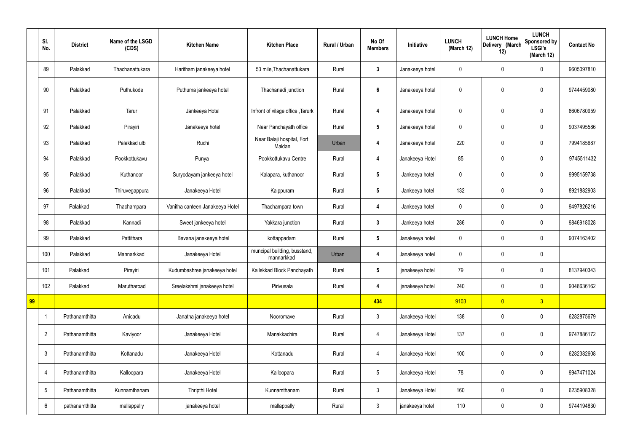|    | SI.<br>No.      | <b>District</b> | Name of the LSGD<br>(CDS) | <b>Kitchen Name</b>             | <b>Kitchen Place</b>                       | <b>Rural / Urban</b> | No Of<br><b>Members</b> | Initiative      | <b>LUNCH</b><br>(March 12) | <b>LUNCH Home</b><br>Delivery (March<br>12) | <b>LUNCH</b><br>Sponsored by<br><b>LSGI's</b><br>(March 12) | <b>Contact No</b> |
|----|-----------------|-----------------|---------------------------|---------------------------------|--------------------------------------------|----------------------|-------------------------|-----------------|----------------------------|---------------------------------------------|-------------------------------------------------------------|-------------------|
|    | 89              | Palakkad        | Thachanattukara           | Haritham janakeeya hotel        | 53 mile, Thachanattukara                   | Rural                | $\mathbf{3}$            | Janakeeya hotel | $\mathbf 0$                | $\mathbf 0$                                 | $\mathbf 0$                                                 | 9605097810        |
|    | 90              | Palakkad        | Puthukode                 | Puthuma jankeeya hotel          | Thachanadi junction                        | Rural                | $\boldsymbol{6}$        | Janakeeya hotel | $\mathbf 0$                | $\mathbf 0$                                 | $\mathbf 0$                                                 | 9744459080        |
|    | 91              | Palakkad        | Tarur                     | Jankeeya Hotel                  | Infront of vilage office, Tarurk           | Rural                | $\overline{\mathbf{4}}$ | Janakeeya hotel | $\mathbf 0$                | $\mathbf 0$                                 | $\mathbf 0$                                                 | 8606780959        |
|    | 92              | Palakkad        | Pirayiri                  | Janakeeya hotel                 | Near Panchayath office                     | Rural                | $5\phantom{.0}$         | Janakeeya hotel | $\mathbf 0$                | $\pmb{0}$                                   | $\mathbf 0$                                                 | 9037495586        |
|    | 93              | Palakkad        | Palakkad ulb              | Ruchi                           | Near Balaji hospital, Fort<br>Maidan       | Urban                | 4                       | Janakeeya hotel | 220                        | $\mathbf 0$                                 | $\mathbf 0$                                                 | 7994185687        |
|    | 94              | Palakkad        | Pookkottukavu             | Punya                           | Pookkottukavu Centre                       | Rural                | 4                       | Janakeeya Hotel | 85                         | $\pmb{0}$                                   | $\mathbf 0$                                                 | 9745511432        |
|    | 95              | Palakkad        | Kuthanoor                 | Suryodayam jankeeya hotel       | Kalapara, kuthanoor                        | Rural                | $5\phantom{.0}$         | Jankeeya hotel  | $\mathbf 0$                | $\mathbf 0$                                 | $\mathbf 0$                                                 | 9995159738        |
|    | 96              | Palakkad        | Thiruvegappura            | Janakeeya Hotel                 | Kaippuram                                  | Rural                | $5\phantom{.0}$         | Jankeeya hotel  | 132                        | $\pmb{0}$                                   | $\mathbf 0$                                                 | 8921882903        |
|    | 97              | Palakkad        | Thachampara               | Vanitha canteen Janakeeya Hotel | Thachampara town                           | Rural                | 4                       | Jankeeya hotel  | $\mathbf 0$                | $\mathbf 0$                                 | $\mathbf 0$                                                 | 9497826216        |
|    | 98              | Palakkad        | Kannadi                   | Sweet jankeeya hotel            | Yakkara junction                           | Rural                | $\mathbf{3}$            | Jankeeya hotel  | 286                        | $\pmb{0}$                                   | $\mathbf 0$                                                 | 9846918028        |
|    | 99              | Palakkad        | Pattithara                | Bavana janakeeya hotel          | kottappadam                                | Rural                | $5\phantom{.0}$         | Janakeeya hotel | $\mathbf 0$                | $\mathbf 0$                                 | $\mathbf 0$                                                 | 9074163402        |
|    | 100             | Palakkad        | Mannarkkad                | Janakeeya Hotel                 | muncipal building, busstand,<br>mannarkkad | Urban                | 4                       | Janakeeya hotel | $\pmb{0}$                  | $\pmb{0}$                                   | $\mathbf 0$                                                 |                   |
|    | 101             | Palakkad        | Pirayiri                  | Kudumbashree janakeeya hotel    | Kallekkad Block Panchayath                 | Rural                | $5\phantom{.0}$         | janakeeya hotel | 79                         | $\pmb{0}$                                   | $\mathbf 0$                                                 | 8137940343        |
|    | 102             | Palakkad        | Marutharoad               | Sreelakshmi janakeeya hotel     | Pirivusala                                 | Rural                | $\overline{\mathbf{4}}$ | janakeeya hotel | 240                        | $\pmb{0}$                                   | $\mathbf 0$                                                 | 9048636162        |
| 99 |                 |                 |                           |                                 |                                            |                      | 434                     |                 | 9103                       | $\overline{0}$                              | 3 <sup>2</sup>                                              |                   |
|    | $\overline{1}$  | Pathanamthitta  | Anicadu                   | Janatha janakeeya hotel         | Nooromave                                  | Rural                | $\mathbf{3}$            | Janakeeya Hotel | 138                        | $\pmb{0}$                                   | $\boldsymbol{0}$                                            | 6282875679        |
|    | $\overline{2}$  | Pathanamthitta  | Kaviyoor                  | Janakeeya Hotel                 | Manakkachira                               | Rural                | $\overline{4}$          | Janakeeya Hotel | 137                        | $\pmb{0}$                                   | $\mathbf 0$                                                 | 9747886172        |
|    | $\mathbf{3}$    | Pathanamthitta  | Kottanadu                 | Janakeeya Hotel                 | Kottanadu                                  | Rural                | $\overline{4}$          | Janakeeya Hotel | 100                        | $\pmb{0}$                                   | $\pmb{0}$                                                   | 6282382608        |
|    | $\overline{4}$  | Pathanamthitta  | Kalloopara                | Janakeeya Hotel                 | Kalloopara                                 | Rural                | $5\phantom{.0}$         | Janakeeya Hotel | 78                         | $\pmb{0}$                                   | $\pmb{0}$                                                   | 9947471024        |
|    | $5\phantom{.0}$ | Pathanamthitta  | Kunnamthanam              | Thripthi Hotel                  | Kunnamthanam                               | Rural                | $\mathbf{3}$            | Janakeeya Hotel | 160                        | $\pmb{0}$                                   | $\mathbf 0$                                                 | 6235908328        |
|    | $6\phantom{.0}$ | pathanamthitta  | mallappally               | janakeeya hotel                 | mallappally                                | Rural                | $\mathbf{3}$            | janakeeya hotel | 110                        | $\pmb{0}$                                   | $\boldsymbol{0}$                                            | 9744194830        |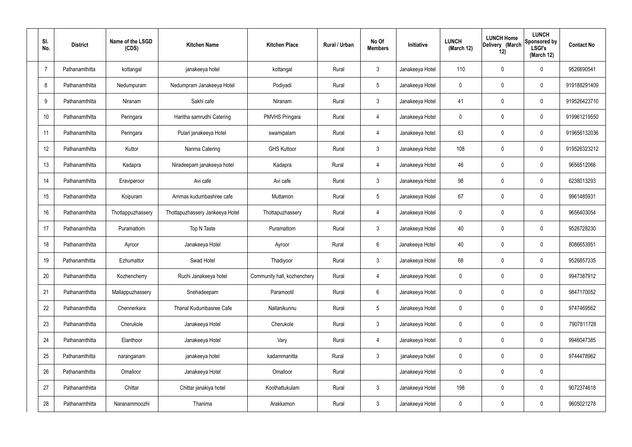| SI.<br>No.     | <b>District</b> | Name of the LSGD<br>(CDS) | <b>Kitchen Name</b>             | <b>Kitchen Place</b>        | Rural / Urban | No Of<br><b>Members</b> | Initiative      | <b>LUNCH</b><br>(March 12) | <b>LUNCH Home</b><br>Delivery (March<br>12) | <b>LUNCH</b><br>Sponsored by<br><b>LSGI's</b><br>(March 12) | <b>Contact No</b> |
|----------------|-----------------|---------------------------|---------------------------------|-----------------------------|---------------|-------------------------|-----------------|----------------------------|---------------------------------------------|-------------------------------------------------------------|-------------------|
| $\overline{7}$ | Pathanamthitta  | kottangal                 | janakeeya hotel                 | kottangal                   | Rural         | $\mathfrak{Z}$          | Janakeeya Hotel | 110                        | 0                                           | $\mathbf 0$                                                 | 9526690541        |
| 8              | Pathanamthitta  | Nedumpuram                | Nedumpram Janakeeya Hotel       | Podiyadi                    | Rural         | $\sqrt{5}$              | Janakeeya Hotel | $\mathbf 0$                | 0                                           | $\mathbf 0$                                                 | 919188291409      |
| 9              | Pathanamthitta  | Niranam                   | Sakhi cafe                      | Niranam                     | Rural         | $\mathbf{3}$            | Janakeeya Hotel | 41                         | 0                                           | $\mathbf 0$                                                 | 919526423710      |
| 10             | Pathanamthitta  | Peringara                 | Haritha samrudhi Catering       | <b>PMVHS Pringara</b>       | Rural         | $\overline{4}$          | Janakeeya Hotel | $\mathbf 0$                | 0                                           | $\mathbf 0$                                                 | 919961219550      |
| 11             | Pathanamthitta  | Peringara                 | Pulari janakeeya Hotel          | swamipalam                  | Rural         | $\overline{4}$          | Janakeeya hotel | 63                         | $\boldsymbol{0}$                            | $\mathbf 0$                                                 | 919656132036      |
| 12             | Pathanamthitta  | Kuttor                    | Nanma Catering                  | <b>GHS Kuttoor</b>          | Rural         | $\mathbf{3}$            | Janakeeya Hotel | 108                        | 0                                           | $\mathbf 0$                                                 | 919526323212      |
| 13             | Pathanamthitta  | Kadapra                   | Niradeepam janakeeya hotel      | Kadapra                     | Rural         | $\overline{4}$          | Janakeeya Hotel | 46                         | $\boldsymbol{0}$                            | $\mathbf 0$                                                 | 9656512066        |
| 14             | Pathanamthitta  | Eraviperoor               | Avi cafe                        | Avi cafe                    | Rural         | $\mathbf{3}$            | Janakeeya Hotel | 98                         | 0                                           | $\mathbf 0$                                                 | 6238013293        |
| 15             | Pathanamthitta  | Koipuram                  | Ammas kudumbashree cafe         | Muttamon                    | Rural         | $5\phantom{.0}$         | Janakeeya Hotel | 67                         | $\boldsymbol{0}$                            | $\mathbf 0$                                                 | 9961485931        |
| 16             | Pathanamthitta  | Thottappuzhassery         | Thottapuzhassery Jankeeya Hotel | Thottapuzhassery            | Rural         | 4                       | Janakeeya Hotel | $\mathbf 0$                | 0                                           | $\mathbf 0$                                                 | 9656403054        |
| 17             | Pathanamthitta  | Puramattom                | Top N Taste                     | Puramattom                  | Rural         | $\mathbf{3}$            | Janakeeya Hotel | 40                         | 0                                           | $\boldsymbol{0}$                                            | 9526728230        |
| 18             | Pathanamthitta  | Ayroor                    | Janakeeya Hotel                 | Ayroor                      | Rural         | $6\phantom{.}6$         | Janakeeya Hotel | 40                         | 0                                           | $\boldsymbol{0}$                                            | 8086653951        |
| 19             | Pathanamthitta  | Ezhumattor                | Swad Hotel                      | Thadiyoor                   | Rural         | $\mathfrak{Z}$          | Janakeeya Hotel | 68                         | 0                                           | $\boldsymbol{0}$                                            | 9526857335        |
| 20             | Pathanamthitta  | Kozhencherry              | Ruchi Janakeeya hotel           | Community hall, kozhenchery | Rural         | 4                       | Janakeeya Hotel | $\mathbf 0$                | $\mathbf 0$                                 | $\mathbf 0$                                                 | 9947387912        |
| 21             | Pathanamthitta  | Mallappuzhassery          | Snehadeepam                     | Paramootil                  | Rural         | $6\phantom{.}6$         | Janakeeya Hotel | $\mathbf 0$                | $\mathbf 0$                                 | $\mathbf 0$                                                 | 9847170052        |
| 22             | Pathanamthitta  | Chennerkara               | Thanal Kudumbasree Cafe         | Nallanikunnu                | Rural         | $\sqrt{5}$              | Janakeeya Hotel | $\mathbf 0$                | 0                                           | $\mathbf 0$                                                 | 9747469562        |
| 23             | Pathanamthitta  | Cherukole                 | Janakeeya Hotel                 | Cherukole                   | Rural         | $\mathbf{3}$            | Janakeeya Hotel | $\mathbf 0$                | $\mathbf 0$                                 | $\mathbf 0$                                                 | 7907811728        |
| 24             | Pathanamthitta  | Elanthoor                 | Janakeeya Hotel                 | Vary                        | Rural         | 4                       | Janakeeya Hotel | $\mathbf 0$                | 0                                           | $\mathbf 0$                                                 | 9946047385        |
| 25             | Pathanamthitta  | naranganam                | janakeeya hotel                 | kadammanitta                | Rural         | $\mathbf{3}$            | janakeeya hotel | $\mathbf 0$                | $\mathbf 0$                                 | $\mathbf 0$                                                 | 9744478962        |
| 26             | Pathanamthitta  | Omalloor                  | Janakeeya Hotel                 | Omalloor                    | Rural         |                         | Janakeeya Hotel | $\mathbf 0$                | 0                                           | $\pmb{0}$                                                   |                   |
| 27             | Pathanamthitta  | Chittar                   | Chittar janakiya hotel          | Koothattukulam              | Rural         | $\mathfrak{Z}$          | Janakeeya Hotel | 198                        | 0                                           | $\mathbf 0$                                                 | 9072374618        |
| 28             | Pathanamthitta  | Naranammoozhi             | Thanima                         | Arakkamon                   | Rural         | $\mathfrak{Z}$          | Janakeeya Hotel | 0                          | 0                                           | $\boldsymbol{0}$                                            | 9605021278        |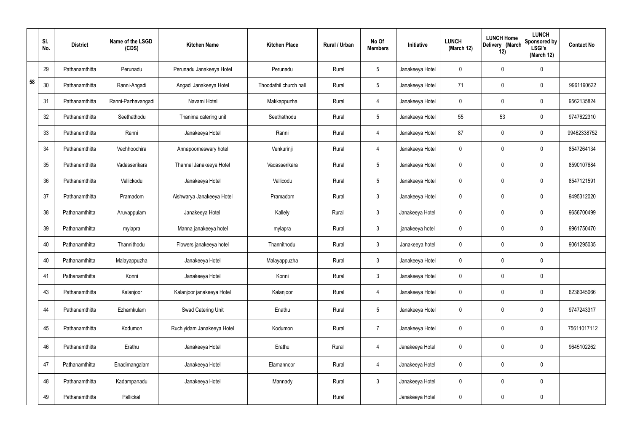|    | SI.<br>No. | <b>District</b> | Name of the LSGD<br>(CDS) | <b>Kitchen Name</b>        | <b>Kitchen Place</b>   | Rural / Urban | No Of<br><b>Members</b> | Initiative      | <b>LUNCH</b><br>(March 12) | <b>LUNCH Home</b><br>Delivery (March<br>12) | <b>LUNCH</b><br>Sponsored by<br><b>LSGI's</b><br>(March 12) | <b>Contact No</b> |
|----|------------|-----------------|---------------------------|----------------------------|------------------------|---------------|-------------------------|-----------------|----------------------------|---------------------------------------------|-------------------------------------------------------------|-------------------|
|    | 29         | Pathanamthitta  | Perunadu                  | Perunadu Janakeeya Hotel   | Perunadu               | Rural         | $\sqrt{5}$              | Janakeeya Hotel | 0                          | 0                                           | $\mathbf 0$                                                 |                   |
| 58 | 30         | Pathanamthitta  | Ranni-Angadi              | Angadi Janakeeya Hotel     | Thoodathil church hall | Rural         | $5\phantom{.0}$         | Janakeeya Hotel | 71                         | 0                                           | $\mathbf 0$                                                 | 9961190622        |
|    | 31         | Pathanamthitta  | Ranni-Pazhavangadi        | Navami Hotel               | Makkappuzha            | Rural         | 4                       | Janakeeya Hotel | $\mathbf 0$                | 0                                           | $\mathbf 0$                                                 | 9562135824        |
|    | 32         | Pathanamthitta  | Seethathodu               | Thanima catering unit      | Seethathodu            | Rural         | $5\phantom{.0}$         | Janakeeya Hotel | 55                         | 53                                          | $\mathbf 0$                                                 | 9747622310        |
|    | 33         | Pathanamthitta  | Ranni                     | Janakeeya Hotel            | Ranni                  | Rural         | 4                       | Janakeeya Hotel | 87                         | 0                                           | $\mathbf 0$                                                 | 99462338752       |
|    | 34         | Pathanamthitta  | Vechhoochira              | Annapoorneswary hotel      | Venkurinji             | Rural         | 4                       | Janakeeya Hotel | $\mathbf 0$                | 0                                           | $\mathbf 0$                                                 | 8547264134        |
|    | 35         | Pathanamthitta  | Vadasserikara             | Thannal Janakeeya Hotel    | Vadasserikara          | Rural         | $5\phantom{.0}$         | Janakeeya Hotel | $\mathbf 0$                | 0                                           | $\mathbf 0$                                                 | 8590107684        |
|    | 36         | Pathanamthitta  | Vallickodu                | Janakeeya Hotel            | Vallicodu              | Rural         | $5\,$                   | Janakeeya Hotel | $\mathbf 0$                | 0                                           | $\mathbf 0$                                                 | 8547121591        |
|    | 37         | Pathanamthitta  | Pramadom                  | Aishwarya Janakeeya Hotel  | Pramadom               | Rural         | $\mathbf{3}$            | Janakeeya Hotel | $\mathbf 0$                | 0                                           | $\mathbf 0$                                                 | 9495312020        |
|    | 38         | Pathanamthitta  | Aruvappulam               | Janakeeya Hotel            | Kallely                | Rural         | $\mathfrak{Z}$          | Janakeeya Hotel | $\mathbf 0$                | 0                                           | $\mathbf 0$                                                 | 9656700499        |
|    | 39         | Pathanamthitta  | mylapra                   | Manna janakeeya hotel      | mylapra                | Rural         | $\mathbf{3}$            | janakeeya hotel | $\mathbf 0$                | 0                                           | $\boldsymbol{0}$                                            | 9961750470        |
|    | 40         | Pathanamthitta  | Thannithodu               | Flowers janakeeya hotel    | Thannithodu            | Rural         | $\mathfrak{Z}$          | Janakeeya hotel | $\mathbf 0$                | 0                                           | $\mathbf 0$                                                 | 9061295035        |
|    | 40         | Pathanamthitta  | Malayappuzha              | Janakeeya Hotel            | Malayappuzha           | Rural         | $\mathbf{3}$            | Janakeeya Hotel | 0                          | 0                                           | $\boldsymbol{0}$                                            |                   |
|    | 41         | Pathanamthitta  | Konni                     | Janakeeya Hotel            | Konni                  | Rural         | $\mathbf{3}$            | Janakeeya Hotel | $\mathbf 0$                | $\mathsf{0}$                                | $\mathbf 0$                                                 |                   |
|    | 43         | Pathanamthitta  | Kalanjoor                 | Kalanjoor janakeeya Hotel  | Kalanjoor              | Rural         | $\overline{4}$          | Janakeeya Hotel | $\mathbf 0$                | 0                                           | $\mathbf 0$                                                 | 6238045066        |
|    | 44         | Pathanamthitta  | Ezhamkulam                | Swad Catering Unit         | Enathu                 | Rural         | $5\phantom{.0}$         | Janakeeya Hotel | 0                          | 0                                           | $\mathbf 0$                                                 | 9747243317        |
|    | 45         | Pathanamthitta  | Kodumon                   | Ruchiyidam Janakeeya Hotel | Kodumon                | Rural         | $\overline{7}$          | Janakeeya Hotel | $\pmb{0}$                  | 0                                           | $\mathbf 0$                                                 | 75611017112       |
|    | 46         | Pathanamthitta  | Erathu                    | Janakeeya Hotel            | Erathu                 | Rural         | $\overline{4}$          | Janakeeya Hotel | 0                          | 0                                           | $\mathbf 0$                                                 | 9645102262        |
|    | 47         | Pathanamthitta  | Enadimangalam             | Janakeeya Hotel            | Elamannoor             | Rural         | $\overline{4}$          | Janakeeya Hotel | $\pmb{0}$                  | 0                                           | $\mathbf 0$                                                 |                   |
|    | 48         | Pathanamthitta  | Kadampanadu               | Janakeeya Hotel            | Mannady                | Rural         | $\mathbf{3}$            | Janakeeya Hotel | $\pmb{0}$                  | 0                                           | $\mathbf 0$                                                 |                   |
|    | 49         | Pathanamthitta  | Pallickal                 |                            |                        | Rural         |                         | Janakeeya Hotel | 0                          | $\pmb{0}$                                   | $\pmb{0}$                                                   |                   |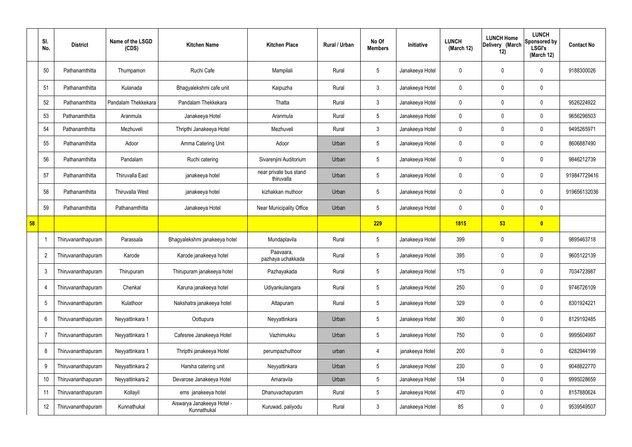|    | SI.<br>No.      | <b>District</b>    | Name of the LSGD<br>(CDS) | <b>Kitchen Name</b>                       | <b>Kitchen Place</b>                 | Rural / Urban | No Of<br><b>Members</b> | Initiative      | <b>LUNCH</b><br>(March 12) | <b>LUNCH Home</b><br>Delivery (March<br>12) | <b>LUNCH</b><br>Sponsored by<br><b>LSGI's</b><br>(March 12) | <b>Contact No</b> |
|----|-----------------|--------------------|---------------------------|-------------------------------------------|--------------------------------------|---------------|-------------------------|-----------------|----------------------------|---------------------------------------------|-------------------------------------------------------------|-------------------|
|    | 50              | Pathanamthitta     | Thumpamon                 | Ruchi Cafe                                | Mampilali                            | Rural         | $5\phantom{.0}$         | Janakeeya Hotel | 0                          | 0                                           | $\mathbf 0$                                                 | 9188300026        |
|    | 51              | Pathanamthitta     | Kulanada                  | Bhagyalekshmi cafe unit                   | Kaipuzha                             | Rural         | $\mathbf{3}$            | Janakeeya Hotel | 0                          | 0                                           | $\mathbf 0$                                                 |                   |
|    | 52              | Pathanamthitta     | Pandalam Thekkekara       | Pandalam Thekkekara                       | Thatta                               | Rural         | $\mathbf{3}$            | Janakeeya Hotel | 0                          | 0                                           | $\mathbf 0$                                                 | 9526224922        |
|    | 53              | Pathanamthitta     | Aranmula                  | Janakeeya Hotel                           | Aranmula                             | Rural         | $5\overline{)}$         | Janakeeya Hotel | 0                          | $\mathbf 0$                                 | $\mathbf 0$                                                 | 9656296503        |
|    | 54              | Pathanamthitta     | Mezhuveli                 | Thripthi Janakeeya Hotel                  | Mezhuveli                            | Rural         | $\mathbf{3}$            | Janakeeya Hotel | 0                          | $\boldsymbol{0}$                            | $\mathbf 0$                                                 | 9495265971        |
|    | 55              | Pathanamthitta     | Adoor                     | Amma Catering Unit                        | Adoor                                | Urban         | 5                       | Janakeeya Hotel | 0                          | 0                                           | $\mathbf 0$                                                 | 8606887490        |
|    | 56              | Pathanamthitta     | Pandalam                  | Ruchi catering                            | Sivarenjini Auditorium               | Urban         | $5\phantom{.0}$         | Janakeeya Hotel | 0                          | 0                                           | $\mathbf 0$                                                 | 9846212739        |
|    | 57              | Pathanamthitta     | <b>Thiruvalla East</b>    | janakeeya hotel                           | near private bus stand<br>thiruvalla | Urban         | 5                       | Janakeeya Hotel | 0                          | 0                                           | $\mathbf 0$                                                 | 919847729416      |
|    | 58              | Pathanamthitta     | <b>Thiruvalla West</b>    | janakeeya hotel                           | kizhakkan muthoor                    | Urban         | $5\phantom{.0}$         | Janakeeya Hotel | 0                          | 0                                           | $\mathbf 0$                                                 | 919656132036      |
|    | 59              | Pathanamthitta     | Pathanamthitta            | Janakeeya Hotel                           | Near Municipality Office             | Urban         | $5\overline{)}$         | Janakeeya Hotel | 0                          | 0                                           | $\mathbf 0$                                                 |                   |
| 58 |                 |                    |                           |                                           |                                      |               | 229                     |                 | <b>1815</b>                | 53                                          | $\bullet$                                                   |                   |
|    |                 | Thiruvananthapuram | Parassala                 | Bhagyalekshmi janakeeya hotel             | Mundaplavila                         | Rural         | $5\overline{)}$         | Janakeeya Hotel | 399                        | 0                                           | $\mathbf 0$                                                 | 9895463718        |
|    | $\overline{2}$  | Thiruvananthapuram | Karode                    | Karode janakeeya hotel                    | Paavaara,<br>pazhaya uchakkada       | Rural         | $5\phantom{.0}$         | Janakeeya Hotel | 395                        | 0                                           | $\mathbf 0$                                                 | 9605122139        |
|    | $\mathbf{3}$    | Thiruvananthapuram | Thirupuram                | Thirupuram janakeeya hotel                | Pazhayakada                          | Rural         | $5\phantom{.0}$         | Janakeeya Hotel | 175                        | 0                                           | $\mathbf 0$                                                 | 7034723987        |
|    | $\overline{4}$  | Thiruvananthapuram | Chenkal                   | Karuna janakeeya hotel                    | Udiyankulangara                      | Rural         | $5\phantom{.0}$         | Janakeeya Hotel | 250                        | 0                                           | $\mathbf 0$                                                 | 9746726109        |
|    | $5\phantom{.0}$ | Thiruvananthapuram | Kulathoor                 | Nakshatra janakeeya hotel                 | Attapuram                            | Rural         | $5\overline{)}$         | Janakeeya Hotel | 329                        | 0                                           | $\mathbf 0$                                                 | 8301924221        |
|    | 6               | Thiruvananthapuram | Neyyattinkara 1           | Oottupura                                 | Neyyattinkara                        | Urban         | $5\phantom{.0}$         | Janakeeya Hotel | 360                        | $\boldsymbol{0}$                            | $\mathbf 0$                                                 | 8129192485        |
|    | 7               | Thiruvananthapuram | Neyyattinkara 1           | Cafesree Janakeeya Hotel                  | Vazhimukku                           | Urban         | $5\phantom{.0}$         | Janakeeya Hotel | 750                        | 0                                           | $\mathbf 0$                                                 | 9995604997        |
|    | 8               | Thiruvananthapuram | Neyyattinkara 1           | Thripthi janakeeya Hotel                  | perumpazhuthoor                      | urban         | 4                       | janakeeya Hotel | 200                        | 0                                           | $\overline{0}$                                              | 6282944199        |
|    | 9               | Thiruvananthapuram | Neyyattinkara 2           | Harsha catering unit                      | Neyyattinkara                        | Urban         | $5\phantom{.0}$         | Janakeeya Hotel | 230                        | 0                                           | $\mathbf 0$                                                 | 9048822770        |
|    | 10              | Thiruvananthapuram | Neyyattinkara 2           | Devarose Janakeeya Hotel                  | Amaravila                            | Urban         | $5\overline{)}$         | Janakeeya Hotel | 134                        | 0                                           | $\mathbf 0$                                                 | 9995028659        |
|    | 11              | Thiruvananthapuram | Kollayil                  | ems janakeeya hotel                       | Dhanuvachapuram                      | Rural         | $5\overline{)}$         | Janakeeya Hotel | 470                        | 0                                           | $\overline{0}$                                              | 8157880624        |
|    | 12              | Thiruvananthapuram | Kunnathukal               | Aiswarya Janakeeya Hotel -<br>Kunnathukal | Kuruwad, paliyodu                    | Rural         | $\mathbf{3}$            | Janakeeya Hotel | 85                         | 0                                           | $\overline{0}$                                              | 9539549507        |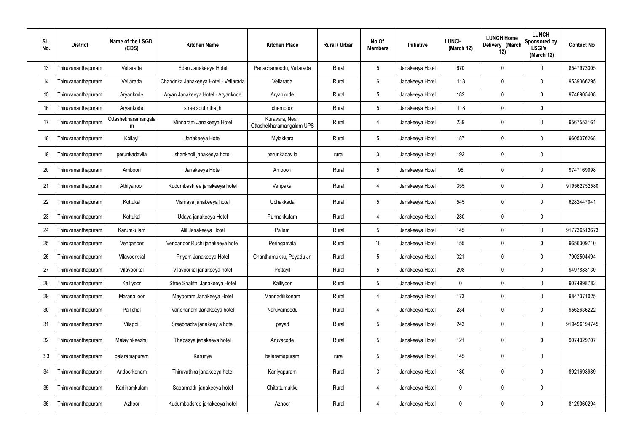| SI.<br>No. | <b>District</b>    | Name of the LSGD<br>(CDS) | <b>Kitchen Name</b>                   | <b>Kitchen Place</b>                       | Rural / Urban | No Of<br><b>Members</b> | Initiative      | <b>LUNCH</b><br>(March 12) | <b>LUNCH Home</b><br>Delivery (March<br>12) | <b>LUNCH</b><br>Sponsored by<br><b>LSGI's</b><br>(March 12) | <b>Contact No</b> |
|------------|--------------------|---------------------------|---------------------------------------|--------------------------------------------|---------------|-------------------------|-----------------|----------------------------|---------------------------------------------|-------------------------------------------------------------|-------------------|
| 13         | Thiruvananthapuram | Vellarada                 | Eden Janakeeya Hotel                  | Panachamoodu, Vellarada                    | Rural         | $5\phantom{.0}$         | Janakeeya Hotel | 670                        | 0                                           | 0                                                           | 8547973305        |
| 14         | Thiruvananthapuram | Vellarada                 | Chandrika Janakeeya Hotel - Vellarada | Vellarada                                  | Rural         | 6                       | Janakeeya Hotel | 118                        | 0                                           | 0                                                           | 9539366295        |
| 15         | Thiruvananthapuram | Aryankode                 | Aryan Janakeeya Hotel - Aryankode     | Aryankode                                  | Rural         | $5\phantom{.0}$         | Janakeeya Hotel | 182                        | 0                                           | $\mathbf 0$                                                 | 9746905408        |
| 16         | Thiruvananthapuram | Aryankode                 | stree souhritha jh                    | chemboor                                   | Rural         | $5\phantom{.0}$         | Janakeeya Hotel | 118                        | 0                                           | $\boldsymbol{0}$                                            |                   |
| 17         | Thiruvananthapuram | Ottashekharamangala<br>m  | Minnaram Janakeeya Hotel              | Kuravara, Near<br>Ottashekharamangalam UPS | Rural         | $\overline{4}$          | Janakeeya Hotel | 239                        | 0                                           | $\pmb{0}$                                                   | 9567553161        |
| 18         | Thiruvananthapuram | Kollayil                  | Janakeeya Hotel                       | Mylakkara                                  | Rural         | $5\phantom{.0}$         | Janakeeya Hotel | 187                        | 0                                           | $\mathbf 0$                                                 | 9605076268        |
| 19         | Thiruvananthapuram | perunkadavila             | shankholi janakeeya hotel             | perunkadavila                              | rural         | $\mathbf{3}$            | Janakeeya Hotel | 192                        | 0                                           | $\pmb{0}$                                                   |                   |
| 20         | Thiruvananthapuram | Amboori                   | Janakeeya Hotel                       | Amboori                                    | Rural         | $5\phantom{.0}$         | Janakeeya Hotel | 98                         | 0                                           | $\mathbf 0$                                                 | 9747169098        |
| 21         | Thiruvananthapuram | Athiyanoor                | Kudumbashree janakeeya hotel          | Venpakal                                   | Rural         | 4                       | Janakeeya Hotel | 355                        | 0                                           | $\pmb{0}$                                                   | 919562752580      |
| 22         | Thiruvananthapuram | Kottukal                  | Vismaya janakeeya hotel               | Uchakkada                                  | Rural         | $5\phantom{.0}$         | Janakeeya Hotel | 545                        | 0                                           | $\mathbf 0$                                                 | 6282447041        |
| 23         | Thiruvananthapuram | Kottukal                  | Udaya janakeeya Hotel                 | Punnakkulam                                | Rural         | $\overline{4}$          | Janakeeya Hotel | 280                        | 0                                           | $\mathbf 0$                                                 |                   |
| 24         | Thiruvananthapuram | Karumkulam                | Alil Janakeeya Hotel                  | Pallam                                     | Rural         | $5\phantom{.0}$         | Janakeeya Hotel | 145                        | 0                                           | $\boldsymbol{0}$                                            | 917736513673      |
| 25         | Thiruvananthapuram | Venganoor                 | Venganoor Ruchi janakeeya hotel       | Peringamala                                | Rural         | 10 <sup>°</sup>         | Janakeeya Hotel | 155                        | 0                                           | $\pmb{0}$                                                   | 9656309710        |
| 26         | Thiruvananthapuram | Vilavoorkkal              | Priyam Janakeeya Hotel                | Chanthamukku, Peyadu Jn                    | Rural         | $5\phantom{.0}$         | Janakeeya Hotel | 321                        | 0                                           | 0                                                           | 7902504494        |
| 27         | Thiruvananthapuram | Vilavoorkal               | Vilavoorkal janakeeya hotel           | Pottayil                                   | Rural         | $5\phantom{.0}$         | Janakeeya Hotel | 298                        | 0                                           | $\mathbf 0$                                                 | 9497883130        |
| 28         | Thiruvananthapuram | Kalliyoor                 | Stree Shakthi Janakeeya Hotel         | Kalliyoor                                  | Rural         | $5\overline{)}$         | Janakeeya Hotel | 0                          | 0                                           | $\mathbf 0$                                                 | 9074998782        |
| 29         | Thiruvananthapuram | Maranalloor               | Mayooram Janakeeya Hotel              | Mannadikkonam                              | Rural         | 4                       | Janakeeya Hotel | 173                        | $\mathbf 0$                                 | $\pmb{0}$                                                   | 9847371025        |
| 30         | Thiruvananthapuram | Pallichal                 | Vandhanam Janakeeya hotel             | Naruvamoodu                                | Rural         | $\overline{4}$          | Janakeeya Hotel | 234                        | 0                                           | $\pmb{0}$                                                   | 9562636222        |
| 31         | Thiruvananthapuram | Vilappil                  | Sreebhadra janakeey a hotel           | peyad                                      | Rural         | $5\phantom{.0}$         | Janakeeya Hotel | 243                        | 0                                           | $\pmb{0}$                                                   | 919496194745      |
| 32         | Thiruvananthapuram | Malayinkeezhu             | Thapasya janakeeya hotel              | Aruvacode                                  | Rural         | $\sqrt{5}$              | Janakeeya Hotel | 121                        | 0                                           | $\pmb{0}$                                                   | 9074329707        |
| 3,3        | Thiruvananthapuram | balaramapuram             | Karunya                               | balaramapuram                              | rural         | $5\phantom{.0}$         | Janakeeya Hotel | 145                        | 0                                           | $\pmb{0}$                                                   |                   |
| 34         | Thiruvananthapuram | Andoorkonam               | Thiruvathira janakeeya hotel          | Kaniyapuram                                | Rural         | $\mathbf{3}$            | Janakeeya Hotel | 180                        | 0                                           | $\pmb{0}$                                                   | 8921698989        |
| 35         | Thiruvananthapuram | Kadinamkulam              | Sabarmathi janakeeya hotel            | Chitattumukku                              | Rural         | 4                       | Janakeeya Hotel | 0                          | $\mathbf 0$                                 | $\pmb{0}$                                                   |                   |
| 36         | Thiruvananthapuram | Azhoor                    | Kudumbadsree janakeeya hotel          | Azhoor                                     | Rural         | 4                       | Janakeeya Hotel | 0                          | 0                                           | $\pmb{0}$                                                   | 8129060294        |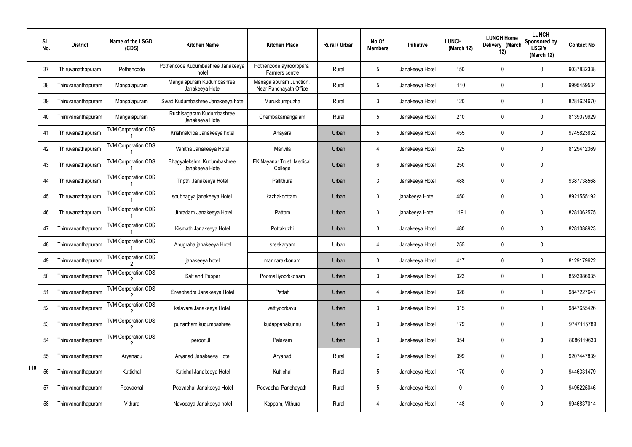|               | SI.<br>No. | <b>District</b>    | Name of the LSGD<br>(CDS)  | <b>Kitchen Name</b>                           | <b>Kitchen Place</b>                              | Rural / Urban | No Of<br><b>Members</b> | Initiative      | <b>LUNCH</b><br>(March 12) | <b>LUNCH Home</b><br>Delivery (March<br>12) | <b>LUNCH</b><br>Sponsored by<br><b>LSGI's</b><br>(March 12) | <b>Contact No</b> |
|---------------|------------|--------------------|----------------------------|-----------------------------------------------|---------------------------------------------------|---------------|-------------------------|-----------------|----------------------------|---------------------------------------------|-------------------------------------------------------------|-------------------|
|               | 37         | Thiruvanathapuram  | Pothencode                 | Pothencode Kudumbashree Janakeeya<br>hotel    | Pothencode ayiroorppara<br>Farmers centre         | Rural         | 5                       | Janakeeya Hotel | 150                        | 0                                           | $\mathbf 0$                                                 | 9037832338        |
|               | 38         | Thiruvananthapuram | Mangalapuram               | Mangalapuram Kudumbashree<br>Janakeeya Hotel  | Managalapuram Junction,<br>Near Panchayath Office | Rural         | 5                       | Janakeeya Hotel | 110                        | 0                                           | $\mathbf 0$                                                 | 9995459534        |
|               | 39         | Thiruvananthapuram | Mangalapuram               | Swad Kudumbashree Janakeeya hotel             | Murukkumpuzha                                     | Rural         | $\mathbf{3}$            | Janakeeya Hotel | 120                        | 0                                           | $\mathbf 0$                                                 | 8281624670        |
|               | 40         | Thiruvananthapuram | Mangalapuram               | Ruchisagaram Kudumbashree<br>Janakeeya Hotel  | Chembakamangalam                                  | Rural         | 5                       | Janakeeya Hotel | 210                        | 0                                           | $\mathbf 0$                                                 | 8139079929        |
|               | 41         | Thiruvanathapuram  | <b>TVM Corporation CDS</b> | Krishnakripa Janakeeya hotel                  | Anayara                                           | Urban         | 5                       | Janakeeya Hotel | 455                        | 0                                           | $\mathbf 0$                                                 | 9745823832        |
|               | 42         | Thiruvanathapuram  | <b>TVM Corporation CDS</b> | Vanitha Janakeeya Hotel                       | Manvila                                           | Urban         | 4                       | Janakeeya Hotel | 325                        | 0                                           | $\mathbf 0$                                                 | 8129412369        |
|               | 43         | Thiruvanathapuram  | <b>TVM Corporation CDS</b> | Bhagyalekshmi Kudumbashree<br>Janakeeya Hotel | EK Nayanar Trust, Medical<br>College              | Urban         | 6                       | Janakeeya Hotel | 250                        | 0                                           | $\mathbf 0$                                                 |                   |
|               | 44         | Thiruvanathapuram  | <b>TVM Corporation CDS</b> | Tripthi Janakeeya Hotel                       | Pallithura                                        | Urban         | $\mathfrak{Z}$          | Janakeeya Hotel | 488                        | 0                                           | $\mathbf 0$                                                 | 9387738568        |
|               | 45         | Thiruvanathapuram  | <b>TVM Corporation CDS</b> | soubhagya janakeeya Hotel                     | kazhakoottam                                      | Urban         | $\mathbf{3}$            | janakeeya Hotel | 450                        | 0                                           | $\mathbf 0$                                                 | 8921555192        |
|               | 46         | Thiruvanathapuram  | <b>TVM Corporation CDS</b> | Uthradam Janakeeya Hotel                      | Pattom                                            | Urban         | $\mathbf{3}$            | janakeeya Hotel | 1191                       | 0                                           | $\mathbf 0$                                                 | 8281062575        |
|               | 47         | Thiruvananthapuram | <b>TVM Corporation CDS</b> | Kismath Janakeeya Hotel                       | Pottakuzhi                                        | Urban         | $\mathfrak{Z}$          | Janakeeya Hotel | 480                        | 0                                           | $\mathbf 0$                                                 | 8281088923        |
|               | 48         | Thiruvananthapuram | <b>TVM Corporation CDS</b> | Anugraha janakeeya Hotel                      | sreekaryam                                        | Urban         | $\overline{4}$          | Janakeeya Hotel | 255                        | 0                                           | $\mathbf 0$                                                 |                   |
|               | 49         | Thiruvananthapuram | <b>TVM Corporation CDS</b> | janakeeya hotel                               | mannarakkonam                                     | Urban         | $\mathfrak{Z}$          | Janakeeya Hotel | 417                        | 0                                           | $\mathbf{0}$                                                | 8129179622        |
|               | 50         | Thiruvananthapuram | <b>TVM Corporation CDS</b> | Salt and Pepper                               | Poomalliyoorkkonam                                | Urban         | $\mathfrak{Z}$          | Janakeeya Hotel | 323                        | 0                                           | $\mathbf 0$                                                 | 8593986935        |
|               | 51         | Thiruvananthapuram | <b>TVM Corporation CDS</b> | Sreebhadra Janakeeya Hotel                    | Pettah                                            | Urban         | $\overline{4}$          | Janakeeya Hotel | 326                        | 0                                           | $\mathbf 0$                                                 | 9847227647        |
|               | 52         | Thiruvananthapuram | <b>TVM Corporation CDS</b> | kalavara Janakeeya Hotel                      | vattiyoorkavu                                     | Urban         | $\mathbf{3}$            | Janakeeya Hotel | 315                        | 0                                           | $\mathbf 0$                                                 | 9847655426        |
|               | 53         | Thiruvananthapuram | <b>TVM Corporation CDS</b> | punartham kudumbashree                        | kudappanakunnu                                    | Urban         | $\mathbf{3}$            | Janakeeya Hotel | 179                        | $\mathbf 0$                                 | $\mathbf 0$                                                 | 9747115789        |
|               | 54         | Thiruvananthapuram | <b>TVM Corporation CDS</b> | peroor JH                                     | Palayam                                           | Urban         | $\mathbf{3}$            | Janakeeya Hotel | 354                        | 0                                           | $\bf{0}$                                                    | 8086119633        |
|               | 55         | Thiruvananthapuram | Aryanadu                   | Aryanad Janakeeya Hotel                       | Aryanad                                           | Rural         | $6\phantom{.}6$         | Janakeeya Hotel | 399                        | 0                                           | $\mathbf 0$                                                 | 9207447839        |
| $ 110\rangle$ | 56         | Thiruvananthapuram | Kuttichal                  | Kutichal Janakeeya Hotel                      | Kuttichal                                         | Rural         | $5\phantom{.0}$         | Janakeeya Hotel | 170                        | 0                                           | $\mathbf 0$                                                 | 9446331479        |
|               | 57         | Thiruvananthapuram | Poovachal                  | Poovachal Janakeeya Hotel                     | Poovachal Panchayath                              | Rural         | $5\phantom{.0}$         | Janakeeya Hotel | 0                          | 0                                           | $\mathbf 0$                                                 | 9495225046        |
|               | 58         | Thiruvananthapuram | Vithura                    | Navodaya Janakeeya hotel                      | Koppam, Vithura                                   | Rural         | 4                       | Janakeeya Hotel | 148                        | 0                                           | $\overline{0}$                                              | 9946837014        |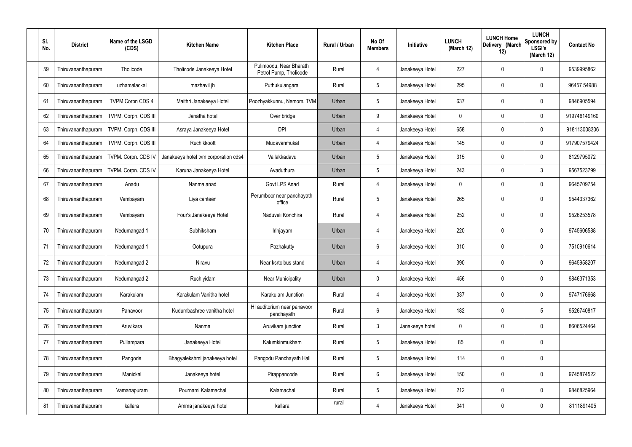| SI.<br>No. | <b>District</b>    | Name of the LSGD<br>(CDS) | <b>Kitchen Name</b>                  | <b>Kitchen Place</b>                              | Rural / Urban | No Of<br><b>Members</b> | Initiative      | <b>LUNCH</b><br>(March 12) | <b>LUNCH Home</b><br>Delivery (March<br>12) | <b>LUNCH</b><br>Sponsored by<br><b>LSGI's</b><br>(March 12) | <b>Contact No</b> |
|------------|--------------------|---------------------------|--------------------------------------|---------------------------------------------------|---------------|-------------------------|-----------------|----------------------------|---------------------------------------------|-------------------------------------------------------------|-------------------|
| 59         | Thiruvananthapuram | Tholicode                 | Tholicode Janakeeya Hotel            | Pulimoodu, Near Bharath<br>Petrol Pump, Tholicode | Rural         | 4                       | Janakeeya Hotel | 227                        | 0                                           | 0                                                           | 9539995862        |
| 60         | Thiruvananthapuram | uzhamalackal              | mazhavil jh                          | Puthukulangara                                    | Rural         | $5\phantom{.0}$         | Janakeeya Hotel | 295                        | 0                                           | $\pmb{0}$                                                   | 96457 54988       |
| 61         | Thiruvananthapuram | <b>TVPM Corpn CDS 4</b>   | Maithri Janakeeya Hotel              | Poozhyakkunnu, Nemom, TVM                         | Urban         | $5\phantom{.0}$         | Janakeeya Hotel | 637                        | 0                                           | $\mathbf 0$                                                 | 9846905594        |
| 62         | Thiruvananthapuram | TVPM. Corpn. CDS III      | Janatha hotel                        | Over bridge                                       | Urban         | 9                       | Janakeeya Hotel | 0                          | 0                                           | $\boldsymbol{0}$                                            | 919746149160      |
| 63         | Thiruvananthapuram | TVPM. Corpn. CDS III      | Asraya Janakeeya Hotel               | <b>DPI</b>                                        | Urban         | $\overline{4}$          | Janakeeya Hotel | 658                        | 0                                           | $\mathbf 0$                                                 | 918113008306      |
| 64         | Thiruvananthapuram | TVPM. Corpn. CDS III      | Ruchikkoott                          | Mudavanmukal                                      | Urban         | $\overline{4}$          | Janakeeya Hotel | 145                        | 0                                           | $\boldsymbol{0}$                                            | 917907579424      |
| 65         | Thiruvananthapuram | TVPM. Corpn. CDS IV       | Janakeeya hotel tvm corporation cds4 | Vallakkadavu                                      | Urban         | $5\phantom{.0}$         | Janakeeya Hotel | 315                        | 0                                           | $\boldsymbol{0}$                                            | 8129795072        |
| 66         | Thiruvananthapuram | TVPM. Corpn. CDS IV       | Karuna Janakeeya Hotel               | Avaduthura                                        | Urban         | $5\phantom{.0}$         | Janakeeya Hotel | 243                        | 0                                           | 3                                                           | 9567523799        |
| 67         | Thiruvananthapuram | Anadu                     | Nanma anad                           | Govt LPS Anad                                     | Rural         | $\overline{4}$          | Janakeeya Hotel | 0                          | 0                                           | $\mathbf 0$                                                 | 9645709754        |
| 68         | Thiruvananthapuram | Vembayam                  | Liya canteen                         | Perumboor near panchayath<br>office               | Rural         | $5\phantom{.0}$         | Janakeeya Hotel | 265                        | 0                                           | $\pmb{0}$                                                   | 9544337362        |
| 69         | Thiruvananthapuram | Vembayam                  | Four's Janakeeya Hotel               | Naduveli Konchira                                 | Rural         | $\overline{4}$          | Janakeeya Hotel | 252                        | 0                                           | $\mathbf 0$                                                 | 9526253578        |
| 70         | Thiruvananthapuram | Nedumangad 1              | Subhiksham                           | Irinjayam                                         | Urban         | $\overline{4}$          | Janakeeya Hotel | 220                        | $\mathbf 0$                                 | $\pmb{0}$                                                   | 9745606588        |
| 71         | Thiruvananthapuram | Nedumangad 1              | Ootupura                             | Pazhakutty                                        | Urban         | 6                       | Janakeeya Hotel | 310                        | 0                                           | $\mathbf 0$                                                 | 7510910614        |
| 72         | Thiruvananthapuram | Nedumangad 2              | Niravu                               | Near ksrtc bus stand                              | Urban         | 4                       | Janakeeya Hotel | 390                        | 0                                           | 0                                                           | 9645958207        |
| 73         | Thiruvananthapuram | Nedumangad 2              | Ruchiyidam                           | <b>Near Municipality</b>                          | Urban         | $\mathbf 0$             | Janakeeya Hotel | 456                        | 0                                           | $\pmb{0}$                                                   | 9846371353        |
| 74         | Thiruvananthapuram | Karakulam                 | Karakulam Vanitha hotel              | Karakulam Junction                                | Rural         | $\overline{4}$          | Janakeeya Hotel | 337                        | 0                                           | $\pmb{0}$                                                   | 9747176668        |
| 75         | Thiruvananthapuram | Panavoor                  | Kudumbashree vanitha hotel           | HI auditorium near panavoor<br>panchayath         | Rural         | $6\phantom{.}$          | Janakeeya Hotel | 182                        | 0                                           | $\sqrt{5}$                                                  | 9526740817        |
| 76         | Thiruvananthapuram | Aruvikara                 | Nanma                                | Aruvikara junction                                | Rural         | $\mathbf{3}$            | Janakeeya hotel | 0                          | 0                                           | $\mathbf 0$                                                 | 8606524464        |
| 77         | Thiruvananthapuram | Pullampara                | Janakeeya Hotel                      | Kalumkinmukham                                    | Rural         | $\sqrt{5}$              | Janakeeya Hotel | 85                         | 0                                           | $\pmb{0}$                                                   |                   |
| 78         | Thiruvananthapuram | Pangode                   | Bhagyalekshmi janakeeya hotel        | Pangodu Panchayath Hall                           | Rural         | $\sqrt{5}$              | Janakeeya Hotel | 114                        | 0                                           | $\mathbf 0$                                                 |                   |
| 79         | Thiruvananthapuram | Manickal                  | Janakeeya hotel                      | Pirappancode                                      | Rural         | 6                       | Janakeeya Hotel | 150                        | 0                                           | $\pmb{0}$                                                   | 9745874522        |
| 80         | Thiruvananthapuram | Vamanapuram               | Pournami Kalamachal                  | Kalamachal                                        | Rural         | $5\phantom{.0}$         | Janakeeya Hotel | 212                        | 0                                           | $\boldsymbol{0}$                                            | 9846825964        |
| 81         | Thiruvananthapuram | kallara                   | Amma janakeeya hotel                 | kallara                                           | rural         | 4                       | Janakeeya Hotel | 341                        | 0                                           | $\pmb{0}$                                                   | 8111891405        |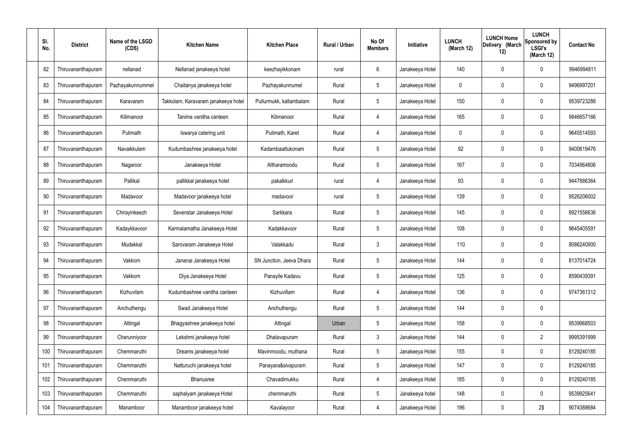| SI. | No. | <b>District</b>    | Name of the LSGD<br>(CDS) | <b>Kitchen Name</b>                 | <b>Kitchen Place</b>     | Rural / Urban | No Of<br><b>Members</b> | Initiative      | <b>LUNCH</b><br>(March 12) | <b>LUNCH Home</b><br>Delivery (March<br>12) | <b>LUNCH</b><br><b>Sponsored by</b><br><b>LSGI's</b><br>(March 12) | <b>Contact No</b> |
|-----|-----|--------------------|---------------------------|-------------------------------------|--------------------------|---------------|-------------------------|-----------------|----------------------------|---------------------------------------------|--------------------------------------------------------------------|-------------------|
|     | 82  | Thiruvananthapuram | nellanad                  | Nellanad janakeeya hotel            | keezhayikkonam           | rural         | 6                       | Janakeeya Hotel | 140                        | 0                                           | 0                                                                  | 9946994811        |
|     | 83  | Thiruvananthapuram | Pazhayakunnummel          | Chaitanya janakeeya hotel           | Pazhayakunnumel          | Rural         | $5\phantom{.0}$         | Janakeeya Hotel | 0                          | $\mathbf 0$                                 | 0                                                                  | 9496997201        |
|     | 84  | Thiruvananthapuram | Karavaram                 | Takkolam, Karavaram janakeeya hotel | Pullurmukk, kallambalam  | Rural         | 5                       | Janakeeya Hotel | 150                        | 0                                           | 0                                                                  | 9539723288        |
|     | 85  | Thiruvananthapuram | Kilimanoor                | Tanima vanitha canteen              | Kilimanoor               | Rural         | $\overline{4}$          | Janakeeya Hotel | 165                        | $\mathbf 0$                                 | 0                                                                  | 9846657166        |
|     | 86  | Thiruvananthapuram | Pulimath                  | Iswarya catering unit               | Pulimath, Karet          | Rural         | $\overline{4}$          | Janakeeya Hotel | $\mathbf{0}$               | $\mathbf 0$                                 | 0                                                                  | 9645514593        |
|     | 87  | Thiruvananthapuram | Navaikkulam               | Kudumbashree janakeeya hotel        | Kadambaattukonam         | Rural         | $5\phantom{.0}$         | Janakeeya Hotel | 92                         | $\mathbf 0$                                 | 0                                                                  | 9400619476        |
|     | 88  | Thiruvananthapuram | Nagaroor                  | Janakeeya Hotel                     | Altharamoodu             | Rural         | $5\phantom{.0}$         | Janakeeya Hotel | 167                        | 0                                           | 0                                                                  | 7034964806        |
|     | 89  | Thiruvananthapuram | Pallikal                  | pallikkal janakeeya hotel           | pakalkkuri               | rural         | 4                       | Janakeeya Hotel | 93                         | $\mathbf 0$                                 | 0                                                                  | 9447886364        |
|     | 90  | Thiruvananthapuram | Madavoor                  | Madavoor janakeeya hotel            | madavoor                 | rural         | 5                       | Janakeeya Hotel | 139                        | 0                                           | 0                                                                  | 9526206002        |
|     | 91  | Thiruvananthapuram | Chirayinkeezh             | Sevenstar Janakeeya Hotel           | Sarkkara                 | Rural         | $5\phantom{.0}$         | Janakeeya Hotel | 145                        | $\mathbf 0$                                 | 0                                                                  | 8921556636        |
|     | 92  | Thiruvananthapuram | Kadaykkavoor              | Karmalamatha Janakeeya Hotel        | Kadakkavoor              | Rural         | 5                       | Janakeeya Hotel | 108                        | 0                                           | 0                                                                  | 9645405591        |
|     | 93  | Thiruvananthapuram | Mudakkal                  | Sarovaram Janakeeya Hotel           | Valakkadu                | Rural         | $\mathbf{3}$            | Janakeeya Hotel | 110                        | 0                                           | 0                                                                  | 8086240900        |
|     | 94  | Thiruvananthapuram | Vakkom                    | Jananai Janakeeya Hotel             | SN Junction, Jeeva Dhara | Rural         | $5\phantom{.0}$         | Janakeeya Hotel | 144                        | 0                                           | 0                                                                  | 8137014724        |
|     | 95  | Thiruvananthapuram | Vakkom                    | Diya Janakeeya Hotel                | Panayile Kadavu          | Rural         | $5\phantom{.0}$         | Janakeeya Hotel | 125                        | $\mathbf 0$                                 | 0                                                                  | 8590439391        |
|     | 96  | Thiruvananthapuram | Kizhuvilam                | Kudumbashree vanitha canteen        | Kizhuvillam              | Rural         | $\overline{4}$          | Janakeeya Hotel | 136                        | $\mathbf 0$                                 | 0                                                                  | 9747361312        |
|     | 97  | Thiruvananthapuram | Anchuthengu               | Swad Janakeeya Hotel                | Anchuthengu              | Rural         | $5\phantom{.0}$         | Janakeeya Hotel | 144                        | $\mathbf 0$                                 | 0                                                                  |                   |
|     | 98  | Thiruvananthapuram | Attingal                  | Bhagyashree janakeeya hotel         | Attingal                 | Urban         | $5\phantom{.0}$         | Janakeeya Hotel | 158                        | $\pmb{0}$                                   | 0                                                                  | 9539968503        |
|     | 99  | Thiruvananthapuram | Cherunniyoor              | Lekshmi janakeeya hotel             | Dhalavapuram             | Rural         | $\mathbf{3}$            | Janakeeya Hotel | 144                        | $\mathbf 0$                                 | $\overline{2}$                                                     | 9995391999        |
|     | 100 | Thiruvananthapuram | Chemmaruthi               | Dreams janakeeya hotel              | Mavinmoodu, muthana      | Rural         | $5\overline{)}$         | Janakeeya Hotel | 155                        | 0                                           | 0                                                                  | 8129240185        |
|     | 101 | Thiruvananthapuram | Chemmaruthi               | Natturuchi janakeeya hotel          | Panayara&sivapuram       | Rural         | $5\phantom{.0}$         | Janakeeya Hotel | 147                        | $\mathbf 0$                                 | 0                                                                  | 8129240185        |
|     | 102 | Thiruvananthapuram | Chemmaruthi               | Bhanusree                           | Chavadimukku             | Rural         | $\overline{4}$          | Janakeeya Hotel | 185                        | $\mathbf 0$                                 | 0                                                                  | 8129240185        |
|     | 103 | Thiruvananthapuram | Chemmaruthi               | saphalyam janakeeya Hotel           | chemmaruthi              | Rural         | $5\phantom{.0}$         | Janakeeya hotel | 148                        | $\mathbf 0$                                 | 0                                                                  | 9539925641        |
|     | 104 | Thiruvananthapuram | Manamboor                 | Manamboor janakeeya hotel           | Kavalayoor               | Rural         | 4                       | Janakeeya Hotel | 196                        | 0                                           | 2\$                                                                | 9074388684        |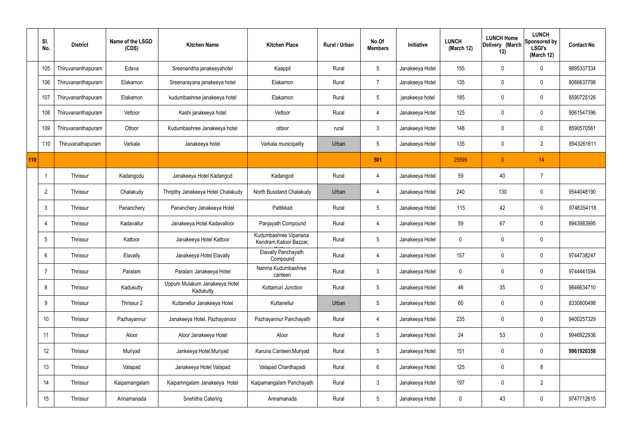|     | SI.<br>No.     | <b>District</b>    | Name of the LSGD<br>(CDS) | <b>Kitchen Name</b>                        | <b>Kitchen Place</b>                             | Rural / Urban | No Of<br><b>Members</b> | Initiative      | <b>LUNCH</b><br>(March 12) | <b>LUNCH Home</b><br>Delivery (March<br>12) | <b>LUNCH</b><br>Sponsored by<br><b>LSGI's</b><br>(March 12) | <b>Contact No</b> |
|-----|----------------|--------------------|---------------------------|--------------------------------------------|--------------------------------------------------|---------------|-------------------------|-----------------|----------------------------|---------------------------------------------|-------------------------------------------------------------|-------------------|
|     | 105            | Thiruvananthapuram | Edava                     | Sreenandha janakeeyahotel                  | Kaappil                                          | Rural         | $5\overline{)}$         | Janakeeya Hotel | 155                        | $\mathbf 0$                                 | $\mathbf 0$                                                 | 9895337334        |
|     | 106            | Thiruvananthapuram | Elakamon                  | Sreenarayana janakeeya hotel               | Elakamon                                         | Rural         | $\overline{7}$          | Janakeeya Hotel | 135                        | $\mathbf 0$                                 | $\mathbf 0$                                                 | 8086637798        |
|     | 107            | Thiruvananthapuram | Elakamon                  | kudumbashree janakeeya hotel               | Elakamon                                         | Rural         | $5\phantom{.0}$         | janakeeya hotel | 185                        | 0                                           | $\mathbf 0$                                                 | 8590725126        |
|     | 108            | Thiruvananthapuram | Vettoor                   | Kashi janakeeya hotel                      | Vettoor                                          | Rural         | $\overline{4}$          | Janakeeya Hotel | 125                        | 0                                           | $\mathbf 0$                                                 | 9061547396        |
|     | 109            | Thiruvananthapuram | Ottoor                    | Kudumbashree Janakeeya hotel               | ottoor                                           | rural         | $\mathbf{3}$            | Janakeeya Hotel | 148                        | $\mathbf 0$                                 | $\mathbf 0$                                                 | 8590570561        |
|     | 110            | Thiruvanathapuram  | Varkala                   | Janakeeya hotel                            | Varkala municipality                             | Urban         | $5\overline{)}$         | Janakeeya Hotel | 135                        | $\mathbf 0$                                 | $\overline{2}$                                              | 8943261611        |
| 110 |                |                    |                           |                                            |                                                  |               | 501                     |                 | 25599                      | $\pmb{0}$                                   | 14                                                          |                   |
|     |                | <b>Thrissur</b>    | Kadangodu                 | Janakeeya Hotel Kadangod                   | Kadangod                                         | Rural         | $\overline{4}$          | Janakeeya Hotel | 59                         | 40                                          | $\overline{7}$                                              |                   |
|     | $\overline{2}$ | <b>Thrissur</b>    | Chalakudy                 | Thripthy Janakeeya Hotel Chalakudy         | North Busstand Chalakudy                         | Urban         | $\overline{4}$          | Janakeeya Hotel | 240                        | 130                                         | $\mathbf 0$                                                 | 9544048190        |
|     | 3              | <b>Thrissur</b>    | Pananchery                | Pananchery Janakeeya Hotel                 | Pattikkad                                        | Rural         | $5\overline{)}$         | Janakeeya Hotel | 115                        | 42                                          | $\mathbf 0$                                                 | 9746354118        |
|     | 4              | <b>Thrissur</b>    | Kadavallur                | Janakeeya Hotel Kadavalloor                | Panjayath Compound                               | Rural         | $\overline{4}$          | Janakeeya Hotel | 59                         | 67                                          | $\mathbf 0$                                                 | 8943983995        |
|     | 5              | <b>Thrissur</b>    | Kattoor                   | Janakeeya Hotel Kattoor                    | Kudumbashree Vipanana<br>Kendram, Katoor Bazzar, | Rural         | $5\overline{)}$         | Janakeeya Hotel | $\mathbf 0$                | $\mathbf 0$                                 | $\mathbf 0$                                                 |                   |
|     | 6              | <b>Thrissur</b>    | Elavally                  | Janakeeya Hotel Elavally                   | Elavally Panchayath<br>Compound                  | Rural         | 4                       | Janakeeya Hotel | 157                        | $\mathbf 0$                                 | $\mathbf 0$                                                 | 9744738247        |
|     | $\overline{7}$ | Thrissur           | Paralam                   | Paralam Janakeeya Hotel                    | Nanma Kudumbashree<br>canteen                    | Rural         | $\mathbf{3}$            | Janakeeya Hotel | $\pmb{0}$                  | $\pmb{0}$                                   | $\pmb{0}$                                                   | 9744441594        |
|     | 8              | Thrissur           | Kadukutty                 | Uppum Mulakum Janakeeya Hotel<br>Kadukutty | Kottamuri Junction                               | Rural         | $5\phantom{.0}$         | Janakeeya Hotel | 46                         | 35                                          | $\mathbf 0$                                                 | 9846634710        |
|     | 9              | Thrissur           | Thrissur 2                | Kuttanellur Janakeeya Hotel                | Kuttanellur                                      | Urban         | $5\phantom{.0}$         | Janakeeya Hotel | 60                         | $\pmb{0}$                                   | $\mathbf 0$                                                 | 8330800498        |
|     | 10             | Thrissur           | Pazhayannur               | Janakeeya Hotel, Pazhayanoor               | Pazhayannur Panchayath                           | Rural         | $\overline{4}$          | Janakeeya Hotel | 235                        | $\pmb{0}$                                   | $\mathbf 0$                                                 | 9400257329        |
|     | 11             | Thrissur           | Aloor                     | Aloor Janakeeya Hotel                      | Aloor                                            | Rural         | $5\overline{)}$         | Janakeeya Hotel | 24                         | 53                                          | $\mathbf 0$                                                 | 9946922936        |
|     | 12             | Thrissur           | Muriyad                   | Jankeeya Hotel, Muriyad                    | Karuna Canteen, Muriyad                          | Rural         | $5\overline{)}$         | Janakeeya Hotel | 151                        | 0                                           | $\mathbf 0$                                                 | 9961920358        |
|     | 13             | Thrissur           | Valapad                   | Janakeeya Hotel Valapad                    | Valapad Chanthapadi                              | Rural         | $6\overline{6}$         | Janakeeya Hotel | 125                        | 0                                           | 8                                                           |                   |
|     | 14             | Thrissur           | Kaipamangalam             | Kaipamngalam Janakeeya Hotel               | Kaipamangalam Panchayath                         | Rural         | 3                       | Janakeeya Hotel | 197                        | 0                                           | $\overline{2}$                                              |                   |
|     | 15             | Thrissur           | Annamanada                | Snehitha Catering                          | Annamanada                                       | Rural         | $5\phantom{.0}$         | Janakeeya Hotel | $\pmb{0}$                  | 43                                          | $\pmb{0}$                                                   | 9747712615        |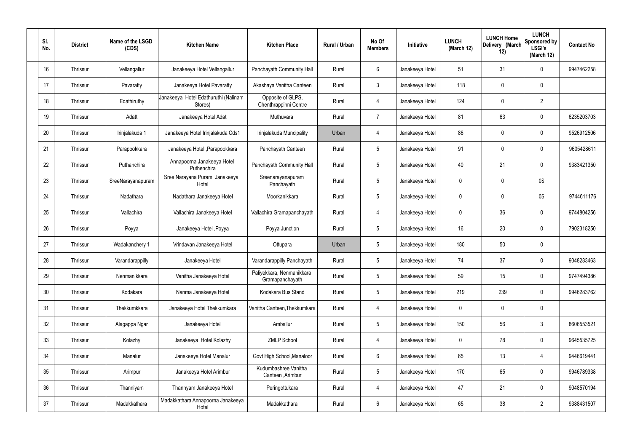| SI.<br>No. | <b>District</b> | Name of the LSGD<br>(CDS) | <b>Kitchen Name</b>                             | <b>Kitchen Place</b>                         | Rural / Urban | No Of<br><b>Members</b> | Initiative      | <b>LUNCH</b><br>(March 12) | <b>LUNCH Home</b><br>Delivery (March<br>12) | <b>LUNCH</b><br>Sponsored by<br><b>LSGI's</b><br>(March 12) | <b>Contact No</b> |
|------------|-----------------|---------------------------|-------------------------------------------------|----------------------------------------------|---------------|-------------------------|-----------------|----------------------------|---------------------------------------------|-------------------------------------------------------------|-------------------|
| 16         | Thrissur        | Vellangallur              | Janakeeya Hotel Vellangallur                    | Panchayath Community Hall                    | Rural         | $6\phantom{.}6$         | Janakeeya Hotel | 51                         | 31                                          | $\mathbf 0$                                                 | 9947462258        |
| 17         | Thrissur        | Pavaratty                 | Janakeeya Hotel Pavaratty                       | Akashaya Vanitha Canteen                     | Rural         | $\mathbf{3}$            | Janakeeya Hotel | 118                        | 0                                           | $\mathbf 0$                                                 |                   |
| 18         | Thrissur        | Edathiruthy               | Janakeeya Hotel Edathuruthi (Nalinam<br>Stores) | Opposite of GLPS,<br>Chenthrappinni Centre   | Rural         | 4                       | Janakeeya Hotel | 124                        | 0                                           | $\overline{2}$                                              |                   |
| 19         | Thrissur        | Adatt                     | Janakeeya Hotel Adat                            | Muthuvara                                    | Rural         | $\overline{7}$          | Janakeeya Hotel | 81                         | 63                                          | $\mathbf 0$                                                 | 6235203703        |
| 20         | Thrissur        | Irinjalakuda 1            | Janakeeya Hotel Irinjalakuda Cds1               | Irinjalakuda Muncipality                     | Urban         | 4                       | Janakeeya Hotel | 86                         | 0                                           | $\mathbf 0$                                                 | 9526912506        |
| 21         | Thrissur        | Parapookkara              | Janakeeya Hotel, Parapookkara                   | Panchayath Canteen                           | Rural         | $5\phantom{.0}$         | Janakeeya Hotel | 91                         | 0                                           | $\mathbf 0$                                                 | 9605428611        |
| 22         | Thrissur        | Puthanchira               | Annapoorna Janakeeya Hotel<br>Puthenchira       | Panchayath Community Hall                    | Rural         | $5\phantom{.0}$         | Janakeeya Hotel | 40                         | 21                                          | $\mathbf 0$                                                 | 9383421350        |
| 23         | Thrissur        | SreeNarayanapuram         | Sree Narayana Puram Janakeeya<br>Hotel          | Sreenarayanapuram<br>Panchayath              | Rural         | $5\phantom{.0}$         | Janakeeya Hotel | $\mathbf 0$                | 0                                           | 0\$                                                         |                   |
| 24         | Thrissur        | Nadathara                 | Nadathara Janakeeya Hotel                       | Moorkanikkara                                | Rural         | $5\phantom{.0}$         | Janakeeya Hotel | $\mathbf 0$                | 0                                           | 0\$                                                         | 9744611176        |
| 25         | Thrissur        | Vallachira                | Vallachira Janakeeya Hotel                      | Vallachira Gramapanchayath                   | Rural         | 4                       | Janakeeya Hotel | $\mathbf 0$                | 36                                          | $\mathbf 0$                                                 | 9744804256        |
| 26         | Thrissur        | Poyya                     | Janakeeya Hotel , Poyya                         | Poyya Junction                               | Rural         | $5\,$                   | Janakeeya Hotel | 16                         | 20                                          | $\mathbf 0$                                                 | 7902318250        |
| 27         | Thrissur        | Wadakanchery 1            | Vrindavan Janakeeya Hotel                       | Ottupara                                     | Urban         | $5\phantom{.0}$         | Janakeeya Hotel | 180                        | 50                                          | $\mathbf 0$                                                 |                   |
| 28         | Thrissur        | Varandarappilly           | Janakeeya Hotel                                 | Varandarappilly Panchayath                   | Rural         | $5\phantom{.0}$         | Janakeeya Hotel | 74                         | 37                                          | 0                                                           | 9048283463        |
| 29         | Thrissur        | Nenmanikkara              | Vanitha Janakeeya Hotel                         | Paliyekkara, Nenmanikkara<br>Gramapanchayath | Rural         | $5\phantom{.0}$         | Janakeeya Hotel | 59                         | 15                                          | $\mathbf 0$                                                 | 9747494386        |
| 30         | Thrissur        | Kodakara                  | Nanma Janakeeya Hotel                           | Kodakara Bus Stand                           | Rural         | $5\phantom{.0}$         | Janakeeya Hotel | 219                        | 239                                         | $\mathbf 0$                                                 | 9946283762        |
| 31         | Thrissur        | Thekkumkkara              | Janakeeya Hotel Thekkumkara                     | Vanitha Canteen, Thekkumkara                 | Rural         | $\overline{4}$          | Janakeeya Hotel | $\pmb{0}$                  | 0                                           | $\mathbf 0$                                                 |                   |
| 32         | Thrissur        | Alagappa Ngar             | Janakeeya Hotel                                 | Amballur                                     | Rural         | $5\phantom{.0}$         | Janakeeya Hotel | 150                        | 56                                          | $\mathbf{3}$                                                | 8606553521        |
| 33         | Thrissur        | Kolazhy                   | Janakeeya Hotel Kolazhy                         | <b>ZMLP School</b>                           | Rural         | $\overline{4}$          | Janakeeya Hotel | $\mathbf 0$                | 78                                          | $\mathbf 0$                                                 | 9645535725        |
| 34         | Thrissur        | Manalur                   | Janakeeya Hotel Manalur                         | Govt High School, Manaloor                   | Rural         | $6\overline{6}$         | Janakeeya Hotel | 65                         | 13                                          | 4                                                           | 9446619441        |
| 35         | Thrissur        | Arimpur                   | Janakeeya Hotel Arimbur                         | Kudumbashree Vanitha<br>Canteen , Arimbur    | Rural         | $5\phantom{.0}$         | Janakeeya Hotel | 170                        | 65                                          | $\mathbf 0$                                                 | 9946789338        |
| 36         | Thrissur        | Thanniyam                 | Thannyam Janakeeya Hotel                        | Peringottukara                               | Rural         | $\overline{4}$          | Janakeeya Hotel | 47                         | 21                                          | $\mathbf 0$                                                 | 9048570194        |
| 37         | Thrissur        | Madakkathara              | Madakkathara Annapoorna Janakeeya<br>Hotel      | Madakkathara                                 | Rural         | $6\,$                   | Janakeeya Hotel | 65                         | 38                                          | $\overline{2}$                                              | 9388431507        |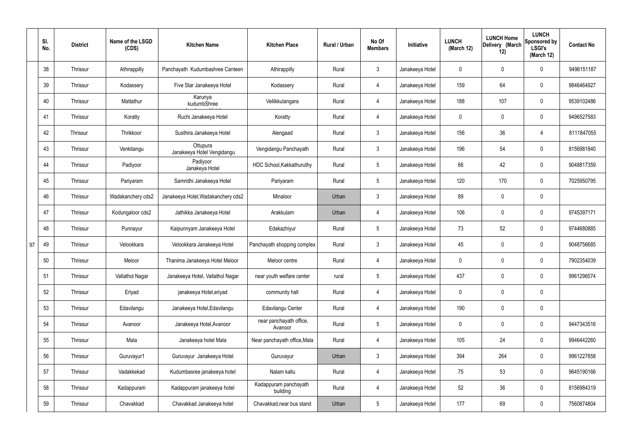|    | SI.<br>No. | <b>District</b> | Name of the LSGD<br>(CDS) | <b>Kitchen Name</b>                    | <b>Kitchen Place</b>               | Rural / Urban | No Of<br><b>Members</b> | Initiative      | <b>LUNCH</b><br>(March 12) | <b>LUNCH Home</b><br>Delivery (March<br>12) | <b>LUNCH</b><br>Sponsored by<br><b>LSGI's</b><br>(March 12) | <b>Contact No</b> |
|----|------------|-----------------|---------------------------|----------------------------------------|------------------------------------|---------------|-------------------------|-----------------|----------------------------|---------------------------------------------|-------------------------------------------------------------|-------------------|
|    | 38         | Thrissur        | Athirappilly              | Panchayath Kudumbashree Canteen        | Athirappilly                       | Rural         | $\mathbf{3}$            | Janakeeya Hotel | $\mathbf 0$                | $\mathbf 0$                                 | $\mathbf 0$                                                 | 9496151187        |
|    | 39         | <b>Thrissur</b> | Kodassery                 | Five Star Janakeeya Hotel              | Kodassery                          | Rural         | $\overline{4}$          | Janakeeya Hotel | 159                        | 64                                          | $\mathbf 0$                                                 | 9846464927        |
|    | 40         | <b>Thrissur</b> | Mattathur                 | Karunya<br>kudumbShree                 | Vellikkulangara                    | Rural         | 4                       | Janakeeya Hotel | 188                        | 107                                         | $\mathbf 0$                                                 | 9539102486        |
|    | 41         | <b>Thrissur</b> | Koratty                   | Ruchi Janakeeya Hotel                  | Koratty                            | Rural         | $\overline{4}$          | Janakeeya Hotel | $\mathbf 0$                | $\mathbf 0$                                 | $\mathbf 0$                                                 | 9496527583        |
|    | 42         | Thrissur        | Thrikkoor                 | Susthira Janakeeya Hotel               | Alengaad                           | Rural         | $\mathbf{3}$            | Janakeeya Hotel | 156                        | 36                                          | 4                                                           | 8111847055        |
|    | 43         | Thrissur        | Venkitangu                | Ottupura<br>Janakeeya Hotel Vengidangu | Vengidangu Panchayath              | Rural         | $\mathbf{3}$            | Janakeeya Hotel | 196                        | 54                                          | $\mathbf 0$                                                 | 8156981840        |
|    | 44         | <b>Thrissur</b> | Padiyoor                  | Padiyoor<br>Janakeya Hotel             | HDC School, Kakkathuruthy          | Rural         | $5\overline{)}$         | Janakeeya Hotel | 66                         | 42                                          | $\mathbf 0$                                                 | 9048817359        |
|    | 45         | Thrissur        | Pariyaram                 | Samridhi Janakeeya Hotel               | Pariyaram                          | Rural         | $5\overline{)}$         | Janakeeya Hotel | 120                        | 170                                         | $\mathbf 0$                                                 | 7025950795        |
|    | 46         | <b>Thrissur</b> | Wadakanchery cds2         | Janakeeya Hotel, Wadakanchery cds2     | Minaloor                           | Urban         | $\mathbf{3}$            | Janakeeya Hotel | 89                         | $\mathbf 0$                                 | $\mathbf 0$                                                 |                   |
|    | 47         | Thrissur        | Kodungaloor cds2          | Jathikka Janakeeya Hotel               | Arakkulam                          | Urban         | 4                       | Janakeeya Hotel | 106                        | $\mathbf 0$                                 | $\mathbf 0$                                                 | 9745397171        |
|    | 48         | <b>Thrissur</b> | Punnayur                  | Kaipunnyam Janakeeya Hotel             | Edakazhiyur                        | Rural         | $5\phantom{.0}$         | Janakeeya Hotel | 73                         | 52                                          | $\mathbf 0$                                                 | 9744680885        |
| 97 | 49         | Thrissur        | Velookkara                | Velookkara Janakeeya Hotel             | Panchayath shopping complex        | Rural         | $\mathbf{3}$            | Janakeeya Hotel | 45                         | $\mathbf 0$                                 | $\mathbf 0$                                                 | 9048756685        |
|    | 50         | <b>Thrissur</b> | Meloor                    | Thanima Janakeeya Hotel Meloor         | Meloor centre                      | Rural         | 4                       | Janakeeya Hotel | $\mathbf 0$                | 0                                           | $\mathbf 0$                                                 | 7902354039        |
|    | 51         | Thrissur        | Vallathol Nagar           | Janakeeya Hotel, Vallathol Nagar       | near youth welfare center          | rural         | $5\phantom{.0}$         | Janakeeya Hotel | 437                        | $\pmb{0}$                                   | $\mathbf 0$                                                 | 9961296574        |
|    | 52         | Thrissur        | Eriyad                    | janakeeya Hotel, eriyad                | community hall                     | Rural         | $\overline{4}$          | Janakeeya Hotel | $\mathbf 0$                | $\pmb{0}$                                   | $\mathbf 0$                                                 |                   |
|    | 53         | Thrissur        | Edavilangu                | Janakeeya Hotel, Edavilangu            | Edavilangu Center                  | Rural         | $\overline{4}$          | Janakeeya Hotel | 190                        | $\mathbf 0$                                 | $\mathbf 0$                                                 |                   |
|    | 54         | Thrissur        | Avanoor                   | Janakeeya Hotel, Avanoor               | near panchayath office,<br>Avanoor | Rural         | $5\overline{)}$         | Janakeeya Hotel | $\mathbf 0$                | 0                                           | $\mathbf 0$                                                 | 9447343516        |
|    | 55         | Thrissur        | Mala                      | Janakeeya hotel Mala                   | Near panchayath office, Mala       | Rural         | 4                       | Janakeeya Hotel | 105                        | 24                                          | $\mathbf 0$                                                 | 9946442260        |
|    | 56         | Thrissur        | Guruvayur1                | Guruvayur Janakeeya Hotel              | Guruvayur                          | Urban         | $\mathbf{3}$            | Janakeeya Hotel | 394                        | 264                                         | $\mathbf 0$                                                 | 9961227858        |
|    | 57         | Thrissur        | Vadakkekad                | Kudumbasree janakeeya hotel            | Nalam kallu                        | Rural         | $\overline{4}$          | Janakeeya Hotel | 75                         | 53                                          | $\mathbf 0$                                                 | 9645190166        |
|    | 58         | Thrissur        | Kadappuram                | Kadappuram janakeeya hotel             | Kadappuram panchayath<br>building  | Rural         | $\overline{4}$          | Janakeeya Hotel | 52                         | 36                                          | $\mathbf 0$                                                 | 8156984319        |
|    | 59         | Thrissur        | Chavakkad                 | Chavakkad Janakeeya hotel              | Chavakkad, near bus stand          | Urban         | $5\phantom{.0}$         | Janakeeya Hotel | 177                        | 69                                          | $\boldsymbol{0}$                                            | 7560874804        |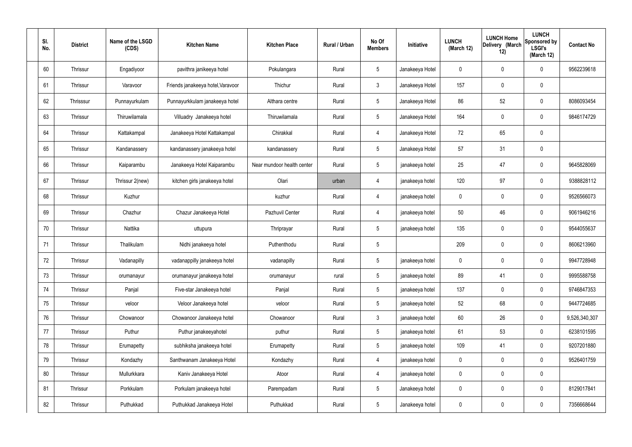| SI.<br>No. | <b>District</b> | Name of the LSGD<br>(CDS) | <b>Kitchen Name</b>               | <b>Kitchen Place</b>       | Rural / Urban | No Of<br><b>Members</b> | Initiative      | <b>LUNCH</b><br>(March 12) | <b>LUNCH Home</b><br>Delivery (March<br>12) | <b>LUNCH</b><br>Sponsored by<br><b>LSGI's</b><br>(March 12) | <b>Contact No</b> |
|------------|-----------------|---------------------------|-----------------------------------|----------------------------|---------------|-------------------------|-----------------|----------------------------|---------------------------------------------|-------------------------------------------------------------|-------------------|
| 60         | Thrissur        | Engadiyoor                | pavithra janikeeya hotel          | Pokulangara                | Rural         | $5\phantom{.0}$         | Janakeeya Hotel | $\mathbf 0$                | 0                                           | $\mathbf 0$                                                 | 9562239618        |
| 61         | Thrissur        | Varavoor                  | Friends janakeeya hotel, Varavoor | Thichur                    | Rural         | $\mathbf{3}$            | Janakeeya Hotel | 157                        | 0                                           | $\mathbf 0$                                                 |                   |
| 62         | Thrisssur       | Punnayurkulam             | Punnayurkkulam janakeeya hotel    | Althara centre             | Rural         | $5\phantom{.0}$         | Janakeeya Hotel | 86                         | 52                                          | $\mathbf 0$                                                 | 8086093454        |
| 63         | Thrissur        | Thiruwilamala             | Villuadry Janakeeya hotel         | Thiruwilamala              | Rural         | $5\phantom{.0}$         | Janakeeya Hotel | 164                        | $\mathbf 0$                                 | $\mathbf 0$                                                 | 9846174729        |
| 64         | Thrissur        | Kattakampal               | Janakeeya Hotel Kattakampal       | Chirakkal                  | Rural         | $\overline{4}$          | Janakeeya Hotel | 72                         | 65                                          | $\mathbf 0$                                                 |                   |
| 65         | Thrissur        | Kandanassery              | kandanassery janakeeya hotel      | kandanassery               | Rural         | $5\phantom{.0}$         | Janakeeya Hotel | 57                         | 31                                          | $\mathbf 0$                                                 |                   |
| 66         | Thrissur        | Kaiparambu                | Janakeeya Hotel Kaiparambu        | Near mundoor health center | Rural         | $5\overline{)}$         | janakeeya hotel | 25                         | 47                                          | $\mathbf 0$                                                 | 9645828069        |
| 67         | Thrissur        | Thrissur 2(new)           | kitchen girls janakeeya hotel     | Olari                      | urban         | $\overline{4}$          | janakeeya hotel | 120                        | 97                                          | $\mathbf 0$                                                 | 9388828112        |
| 68         | Thrissur        | Kuzhur                    |                                   | kuzhur                     | Rural         | $\overline{4}$          | janakeeya hotel | $\mathbf 0$                | $\mathbf 0$                                 | $\mathbf 0$                                                 | 9526566073        |
| 69         | Thrissur        | Chazhur                   | Chazur Janakeeya Hotel            | Pazhuvil Center            | Rural         | 4                       | janakeeya hotel | 50                         | 46                                          | $\mathbf 0$                                                 | 9061946216        |
| 70         | Thrissur        | Nattika                   | uttupura                          | Thriprayar                 | Rural         | $5\phantom{.0}$         | janakeeya hotel | 135                        | 0                                           | $\mathbf 0$                                                 | 9544055637        |
| 71         | Thrissur        | Thalikulam                | Nidhi janakeeya hotel             | Puthenthodu                | Rural         | $5\phantom{.0}$         |                 | 209                        | $\mathbf 0$                                 | $\mathbf 0$                                                 | 8606213960        |
| 72         | Thrissur        | Vadanapilly               | vadanappilly janakeeya hotel      | vadanapilly                | Rural         | $5\phantom{.0}$         | janakeeya hotel | $\mathbf 0$                | 0                                           | $\mathbf 0$                                                 | 9947728948        |
| 73         | Thrissur        | orumanayur                | orumanayur janakeeya hotel        | orumanayur                 | rural         | $5\phantom{.0}$         | janakeeya hotel | 89                         | 41                                          | $\mathbf 0$                                                 | 9995588758        |
| 74         | Thrissur        | Panjal                    | Five-star Janakeeya hotel         | Panjal                     | Rural         | $5\phantom{.0}$         | janakeeya hotel | 137                        | 0                                           | $\mathbf 0$                                                 | 9746847353        |
| 75         | Thrissur        | veloor                    | Veloor Janakeeya hotel            | veloor                     | Rural         | $5\overline{)}$         | janakeeya hotel | 52                         | 68                                          | $\mathbf 0$                                                 | 9447724685        |
| 76         | Thrissur        | Chowanoor                 | Chowanoor Janakeeya hotel         | Chowanoor                  | Rural         | $\mathbf{3}$            | janakeeya hotel | 60                         | 26                                          | $\mathbf 0$                                                 | 9,526,340,307     |
| 77         | Thrissur        | Puthur                    | Puthur janakeeyahotel             | puthur                     | Rural         | $5\phantom{.0}$         | janakeeya hotel | 61                         | 53                                          | $\mathbf 0$                                                 | 6238101595        |
| 78         | Thrissur        | Erumapetty                | subhiksha janakeeya hotel         | Erumapetty                 | Rural         | $5\phantom{.0}$         | janakeeya hotel | 109                        | 41                                          | $\mathbf 0$                                                 | 9207201880        |
| 79         | Thrissur        | Kondazhy                  | Santhwanam Janakeeya Hotel        | Kondazhy                   | Rural         | $\overline{4}$          | janakeeya hotel | $\pmb{0}$                  | 0                                           | $\mathbf 0$                                                 | 9526401759        |
| 80         | Thrissur        | Mullurkkara               | Kaniv Janakeeya Hotel             | Atoor                      | Rural         | $\overline{4}$          | janakeeya hotel | 0                          | 0                                           | $\mathbf 0$                                                 |                   |
| 81         | Thrissur        | Porkkulam                 | Porkulam janakeeya hotel          | Parempadam                 | Rural         | $5\,$                   | Janakeeya hotel | $\mathbf 0$                | 0                                           | $\mathbf 0$                                                 | 8129017841        |
| 82         | Thrissur        | Puthukkad                 | Puthukkad Janakeeya Hotel         | Puthukkad                  | Rural         | $5\phantom{.0}$         | Janakeeya hotel | 0                          | 0                                           | $\mathbf 0$                                                 | 7356668644        |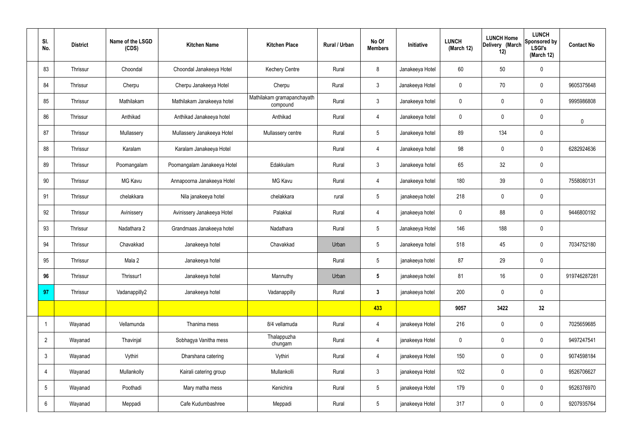| SI.<br>No.      | <b>District</b> | Name of the LSGD<br>(CDS) | <b>Kitchen Name</b>         | <b>Kitchen Place</b>                   | Rural / Urban | No Of<br><b>Members</b> | Initiative      | <b>LUNCH</b><br>(March 12) | <b>LUNCH Home</b><br>Delivery (March<br>12) | <b>LUNCH</b><br>Sponsored by<br><b>LSGI's</b><br>(March 12) | <b>Contact No</b> |
|-----------------|-----------------|---------------------------|-----------------------------|----------------------------------------|---------------|-------------------------|-----------------|----------------------------|---------------------------------------------|-------------------------------------------------------------|-------------------|
| 83              | Thrissur        | Choondal                  | Choondal Janakeeya Hotel    | <b>Kechery Centre</b>                  | Rural         | 8                       | Janakeeya Hotel | 60                         | 50                                          | $\mathbf 0$                                                 |                   |
| 84              | Thrissur        | Cherpu                    | Cherpu Janakeeya Hotel      | Cherpu                                 | Rural         | $\mathbf{3}$            | Janakeeya Hotel | $\mathbf 0$                | 70                                          | $\mathbf 0$                                                 | 9605375648        |
| 85              | Thrissur        | Mathilakam                | Mathilakam Janakeeya hotel  | Mathilakam gramapanchayath<br>compound | Rural         | $\mathbf{3}$            | Janakeeya hotel | $\mathbf 0$                | $\mathbf 0$                                 | $\mathbf 0$                                                 | 9995986808        |
| 86              | Thrissur        | Anthikad                  | Anthikad Janakeeya hotel    | Anthikad                               | Rural         | $\overline{4}$          | Janakeeya hotel | $\mathbf 0$                | $\mathbf 0$                                 | $\mathbf 0$                                                 | $\mathbf 0$       |
| 87              | Thrissur        | Mullassery                | Mullassery Janakeeya Hotel  | Mullassery centre                      | Rural         | $5\phantom{.0}$         | Janakeeya hotel | 89                         | 134                                         | $\mathbf 0$                                                 |                   |
| 88              | Thrissur        | Karalam                   | Karalam Janakeeya Hotel     |                                        | Rural         | $\overline{4}$          | Janakeeya hotel | 98                         | $\mathbf 0$                                 | $\mathbf 0$                                                 | 6282924636        |
| 89              | Thrissur        | Poomangalam               | Poomangalam Janakeeya Hotel | Edakkulam                              | Rural         | $\mathbf{3}$            | Janakeeya hotel | 65                         | 32                                          | $\mathbf 0$                                                 |                   |
| 90              | Thrissur        | MG Kavu                   | Annapoorna Janakeeya Hotel  | <b>MG Kavu</b>                         | Rural         | $\overline{4}$          | Janakeeya hotel | 180                        | 39                                          | $\mathbf 0$                                                 | 7558080131        |
| 91              | Thrissur        | chelakkara                | Nila janakeeya hotel        | chelakkara                             | rural         | $5\phantom{.0}$         | janakeeya hotel | 218                        | $\mathbf 0$                                 | $\mathbf 0$                                                 |                   |
| 92              | Thrissur        | Avinissery                | Avinissery Janakeeya Hotel  | Palakkal                               | Rural         | $\overline{4}$          | janakeeya hotel | $\mathbf 0$                | 88                                          | $\mathbf 0$                                                 | 9446800192        |
| 93              | Thrissur        | Nadathara 2               | Grandmaas Janakeeya hotel   | Nadathara                              | Rural         | $5\overline{)}$         | Janakeeya Hotel | 146                        | 188                                         | $\mathbf 0$                                                 |                   |
| 94              | Thrissur        | Chavakkad                 | Janakeeya hotel             | Chavakkad                              | Urban         | $5\overline{)}$         | Janakeeya hotel | 518                        | 45                                          | $\mathbf 0$                                                 | 7034752180        |
| 95              | Thrissur        | Mala 2                    | Janakeeya hotel             |                                        | Rural         | $5\overline{)}$         | janakeeya hotel | 87                         | 29                                          | $\mathbf 0$                                                 |                   |
| 96              | Thrissur        | Thrissur1                 | Janakeeya hotel             | Mannuthy                               | Urban         | $5\phantom{.0}$         | janakeeya hotel | 81                         | 16                                          | $\mathbf 0$                                                 | 919746287281      |
| 97              | Thrissur        | Vadanappilly2             | Janakeeya hotel             | Vadanappilly                           | Rural         | $3\phantom{a}$          | janakeeya hotel | 200                        | $\pmb{0}$                                   | $\mathbf 0$                                                 |                   |
|                 |                 |                           |                             |                                        |               | 433                     |                 | 9057                       | 3422                                        | 32                                                          |                   |
| $\mathbf 1$     | Wayanad         | Vellamunda                | Thanima mess                | 8/4 vellamuda                          | Rural         | $\overline{4}$          | janakeeya Hotel | 216                        | $\pmb{0}$                                   | $\mathbf 0$                                                 | 7025659685        |
| $\overline{2}$  | Wayanad         | Thavinjal                 | Sobhagya Vanitha mess       | Thalappuzha<br>chungam                 | Rural         | $\overline{4}$          | janakeeya Hotel | $\pmb{0}$                  | $\pmb{0}$                                   | $\mathbf 0$                                                 | 9497247541        |
| $3\phantom{.0}$ | Wayanad         | Vythiri                   | Dharshana catering          | Vythiri                                | Rural         | $\overline{4}$          | janakeeya Hotel | 150                        | $\pmb{0}$                                   | $\mathbf 0$                                                 | 9074598184        |
| 4               | Wayanad         | Mullankolly               | Kairali catering group      | Mullankolli                            | Rural         | $\mathbf{3}$            | janakeeya Hotel | 102                        | $\pmb{0}$                                   | $\mathbf 0$                                                 | 9526706627        |
| $5\overline{)}$ | Wayanad         | Poothadi                  | Mary matha mess             | Kenichira                              | Rural         | $5\phantom{.0}$         | janakeeya Hotel | 179                        | $\pmb{0}$                                   | $\mathbf 0$                                                 | 9526376970        |
| 6               | Wayanad         | Meppadi                   | Cafe Kudumbashree           | Meppadi                                | Rural         | $5\overline{)}$         | janakeeya Hotel | 317                        | $\pmb{0}$                                   | $\mathbf 0$                                                 | 9207935764        |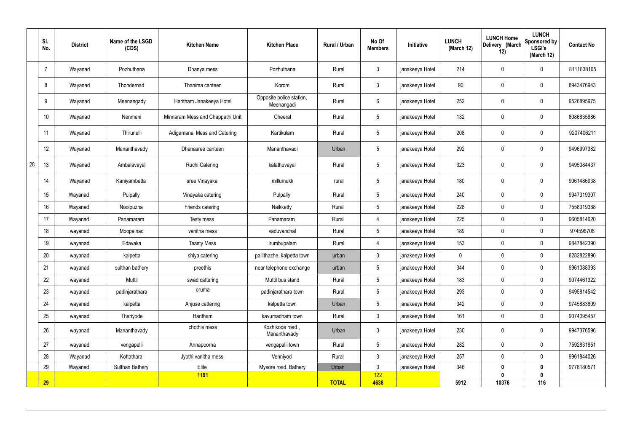| $\mathbf{3}$<br>214<br>$\overline{7}$<br>Wayanad<br>Pozhuthana<br>Rural<br>janakeeya Hotel<br>$\mathbf 0$<br>$\mathbf 0$<br>Pozhuthana<br>Dhanya mess<br>$\mathbf{3}$<br>90<br>janakeeya Hotel<br>8<br>Wayanad<br>Korom<br>Rural<br>$\mathbf 0$<br>$\mathbf 0$<br>Thondernad<br>Thanima canteen<br>Opposite police station,<br>$6\overline{6}$<br>252<br>9<br>Wayanad<br>Haritham Janakeeya Hotel<br>Rural<br>janakeeya Hotel<br>$\mathbf 0$<br>$\mathbf 0$<br>Meenangady<br>Meenangadi<br>$5\phantom{.0}$<br>132<br>10 <sup>°</sup><br>Wayanad<br>Minnaram Mess and Chappathi Unit<br>Cheeral<br>Rural<br>janakeeya Hotel<br>$\mathbf 0$<br>$\mathbf 0$<br>Nenmeni<br>11<br>$5\phantom{.0}$<br>208<br>Adigamanai Mess and Catering<br>Kartikulam<br>Rural<br>Wayanad<br>Thirunelli<br>janakeeya Hotel<br>$\mathbf 0$<br>$\mathbf 0$<br>12<br>$5\phantom{.0}$<br>292<br>Wayanad<br>Dhanasree canteen<br>Mananthavadi<br>Urban<br>janakeeya Hotel<br>$\mathbf 0$<br>$\mathbf 0$<br>Mananthavady<br>28<br>13<br>$5\phantom{.0}$<br>323<br>Wayanad<br><b>Ruchi Catering</b><br>kalathuvayal<br>Rural<br>janakeeya Hotel<br>$\mathbf 0$<br>$\mathbf 0$<br>Ambalavayal<br>14<br>$5\phantom{.0}$<br>janakeeya Hotel<br>180<br>Wayanad<br>sree Vinayaka<br>millumukk<br>$\mathbf 0$<br>$\mathbf 0$<br>Kaniyambetta<br>rural<br>15<br>$5\phantom{.0}$<br>$\mathbf 0$<br>Pulpally<br>Pulpally<br>Rural<br>janakeeya Hotel<br>240<br>$\mathbf 0$<br>Wayanad<br>Vinayaka catering<br>16<br>$5\phantom{.0}$<br>228<br>$\mathbf 0$<br>$\mathbf 0$<br>Naikketty<br>Rural<br>janakeeya Hotel<br>Wayanad<br>Noolpuzha<br>Friends catering<br>17<br>225<br>$\mathbf 0$<br>Rural<br>4<br>janakeeya Hotel<br>$\mathbf 0$<br>Wayanad<br>Panamaram<br>Testy mess<br>Panamaram<br>18<br>$5\phantom{.0}$<br>189<br>$\mathbf 0$<br>$\mathbf 0$<br>Rural<br>vanitha mess<br>janakeeya Hotel<br>Moopainad<br>vaduvanchal<br>wayanad<br>19<br>4<br>153<br>$\mathbf 0$<br>$\mathbf 0$<br>Edavaka<br><b>Teasty Mess</b><br>Rural<br>janakeeya Hotel<br>Irumbupalam<br>wayanad<br>$\mathbf{3}$<br>20<br>janakeeya Hotel<br>$\mathbf 0$<br>$\mathbf 0$<br>$\mathbf 0$<br>shiya catering<br>pallithazhe, kalpetta town<br>kalpetta<br>urban<br>wayanad<br>21<br>wayanad<br>sulthan bathery<br>preethis<br>near telephone exchange<br>urban<br>5<br>janakeeya Hotel<br>344<br>0<br>$\mathbf 0$<br>22<br>Muttil<br>swad cattering<br>Muttil bus stand<br>$5\overline{)}$<br>janakeeya Hotel<br>183<br>$\mathbf 0$<br>$\mathbf 0$<br>Rural<br>wayanad<br>oruma<br>23<br>$5\overline{)}$<br>293<br>janakeeya Hotel<br>$\mathbf 0$<br>$\mathbf 0$<br>padinjarathara<br>padinjarathara town<br>Rural<br>wayanad<br>24<br>$5\overline{)}$<br>342<br>$\mathbf 0$<br>kalpetta<br>janakeeya Hotel<br>$\pmb{0}$<br>Anjuse cattering<br>kalpetta town<br>Urban<br>wayanad<br>$\mathbf{3}$<br>25<br>Thariyode<br>Rural<br>janakeeya Hotel<br>161<br>$\pmb{0}$<br>$\mathbf 0$<br>Haritham<br>kavumadham town<br>wayanad<br>chothis mess<br>Kozhikode road,<br>26<br>$\mathbf{3}$<br>230<br>janakeeya Hotel<br>$\pmb{0}$<br>$\mathbf 0$<br>Mananthavady<br>Urban<br>wayanad<br>Mananthavady<br>27<br>$5\overline{)}$<br>282<br>$\pmb{0}$<br>$\mathbf 0$<br>vengapalli town<br>Rural<br>janakeeya Hotel<br>vengapalli<br>wayanad<br>Annapoorna<br>28<br>$\mathbf{3}$<br>Venniyod<br>janakeeya Hotel<br>$\mathbf 0$<br>$\mathbf 0$<br>Wayanad<br>Kottathara<br>Jyothi vanitha mess<br>Rural<br>257<br>$\mathbf{3}$<br>29<br>Sulthan Bathery<br>346<br>Wayanad<br>Elite<br>Mysore road, Bathery<br>Urban<br>janakeeya Hotel<br>$\mathbf{0}$<br>$\mathbf 0$<br>122<br><b>1191</b><br>$\mathbf{0}$<br>$\boldsymbol{0}$ | SI.<br>No. | <b>District</b> | Name of the LSGD<br>(CDS) | <b>Kitchen Name</b> | <b>Kitchen Place</b> | <b>Rural / Urban</b> | No Of<br><b>Members</b> | Initiative | <b>LUNCH</b><br>(March 12) | <b>LUNCH Home</b><br>Delivery (March<br>12) | <b>LUNCH</b><br>Sponsored by<br><b>LSGI's</b><br>(March 12) | <b>Contact No</b> |
|--------------------------------------------------------------------------------------------------------------------------------------------------------------------------------------------------------------------------------------------------------------------------------------------------------------------------------------------------------------------------------------------------------------------------------------------------------------------------------------------------------------------------------------------------------------------------------------------------------------------------------------------------------------------------------------------------------------------------------------------------------------------------------------------------------------------------------------------------------------------------------------------------------------------------------------------------------------------------------------------------------------------------------------------------------------------------------------------------------------------------------------------------------------------------------------------------------------------------------------------------------------------------------------------------------------------------------------------------------------------------------------------------------------------------------------------------------------------------------------------------------------------------------------------------------------------------------------------------------------------------------------------------------------------------------------------------------------------------------------------------------------------------------------------------------------------------------------------------------------------------------------------------------------------------------------------------------------------------------------------------------------------------------------------------------------------------------------------------------------------------------------------------------------------------------------------------------------------------------------------------------------------------------------------------------------------------------------------------------------------------------------------------------------------------------------------------------------------------------------------------------------------------------------------------------------------------------------------------------------------------------------------------------------------------------------------------------------------------------------------------------------------------------------------------------------------------------------------------------------------------------------------------------------------------------------------------------------------------------------------------------------------------------------------------------------------------------------------------------------------------------------------------------------------------------------------------------------------------------------------------------------------------------------------------------------------------------------------------------------------------------------------------------------------------------------------------------------------------------------------------------------------------------------------------------------------------------------------------------------------------------------------------------------------|------------|-----------------|---------------------------|---------------------|----------------------|----------------------|-------------------------|------------|----------------------------|---------------------------------------------|-------------------------------------------------------------|-------------------|
|                                                                                                                                                                                                                                                                                                                                                                                                                                                                                                                                                                                                                                                                                                                                                                                                                                                                                                                                                                                                                                                                                                                                                                                                                                                                                                                                                                                                                                                                                                                                                                                                                                                                                                                                                                                                                                                                                                                                                                                                                                                                                                                                                                                                                                                                                                                                                                                                                                                                                                                                                                                                                                                                                                                                                                                                                                                                                                                                                                                                                                                                                                                                                                                                                                                                                                                                                                                                                                                                                                                                                                                                                                                                    |            |                 |                           |                     |                      |                      |                         |            |                            |                                             |                                                             | 8111838165        |
|                                                                                                                                                                                                                                                                                                                                                                                                                                                                                                                                                                                                                                                                                                                                                                                                                                                                                                                                                                                                                                                                                                                                                                                                                                                                                                                                                                                                                                                                                                                                                                                                                                                                                                                                                                                                                                                                                                                                                                                                                                                                                                                                                                                                                                                                                                                                                                                                                                                                                                                                                                                                                                                                                                                                                                                                                                                                                                                                                                                                                                                                                                                                                                                                                                                                                                                                                                                                                                                                                                                                                                                                                                                                    |            |                 |                           |                     |                      |                      |                         |            |                            |                                             |                                                             | 8943476943        |
|                                                                                                                                                                                                                                                                                                                                                                                                                                                                                                                                                                                                                                                                                                                                                                                                                                                                                                                                                                                                                                                                                                                                                                                                                                                                                                                                                                                                                                                                                                                                                                                                                                                                                                                                                                                                                                                                                                                                                                                                                                                                                                                                                                                                                                                                                                                                                                                                                                                                                                                                                                                                                                                                                                                                                                                                                                                                                                                                                                                                                                                                                                                                                                                                                                                                                                                                                                                                                                                                                                                                                                                                                                                                    |            |                 |                           |                     |                      |                      |                         |            |                            |                                             |                                                             | 9526895975        |
|                                                                                                                                                                                                                                                                                                                                                                                                                                                                                                                                                                                                                                                                                                                                                                                                                                                                                                                                                                                                                                                                                                                                                                                                                                                                                                                                                                                                                                                                                                                                                                                                                                                                                                                                                                                                                                                                                                                                                                                                                                                                                                                                                                                                                                                                                                                                                                                                                                                                                                                                                                                                                                                                                                                                                                                                                                                                                                                                                                                                                                                                                                                                                                                                                                                                                                                                                                                                                                                                                                                                                                                                                                                                    |            |                 |                           |                     |                      |                      |                         |            |                            |                                             |                                                             | 8086835886        |
|                                                                                                                                                                                                                                                                                                                                                                                                                                                                                                                                                                                                                                                                                                                                                                                                                                                                                                                                                                                                                                                                                                                                                                                                                                                                                                                                                                                                                                                                                                                                                                                                                                                                                                                                                                                                                                                                                                                                                                                                                                                                                                                                                                                                                                                                                                                                                                                                                                                                                                                                                                                                                                                                                                                                                                                                                                                                                                                                                                                                                                                                                                                                                                                                                                                                                                                                                                                                                                                                                                                                                                                                                                                                    |            |                 |                           |                     |                      |                      |                         |            |                            |                                             |                                                             | 9207406211        |
|                                                                                                                                                                                                                                                                                                                                                                                                                                                                                                                                                                                                                                                                                                                                                                                                                                                                                                                                                                                                                                                                                                                                                                                                                                                                                                                                                                                                                                                                                                                                                                                                                                                                                                                                                                                                                                                                                                                                                                                                                                                                                                                                                                                                                                                                                                                                                                                                                                                                                                                                                                                                                                                                                                                                                                                                                                                                                                                                                                                                                                                                                                                                                                                                                                                                                                                                                                                                                                                                                                                                                                                                                                                                    |            |                 |                           |                     |                      |                      |                         |            |                            |                                             |                                                             | 9496997382        |
|                                                                                                                                                                                                                                                                                                                                                                                                                                                                                                                                                                                                                                                                                                                                                                                                                                                                                                                                                                                                                                                                                                                                                                                                                                                                                                                                                                                                                                                                                                                                                                                                                                                                                                                                                                                                                                                                                                                                                                                                                                                                                                                                                                                                                                                                                                                                                                                                                                                                                                                                                                                                                                                                                                                                                                                                                                                                                                                                                                                                                                                                                                                                                                                                                                                                                                                                                                                                                                                                                                                                                                                                                                                                    |            |                 |                           |                     |                      |                      |                         |            |                            |                                             |                                                             | 9495084437        |
|                                                                                                                                                                                                                                                                                                                                                                                                                                                                                                                                                                                                                                                                                                                                                                                                                                                                                                                                                                                                                                                                                                                                                                                                                                                                                                                                                                                                                                                                                                                                                                                                                                                                                                                                                                                                                                                                                                                                                                                                                                                                                                                                                                                                                                                                                                                                                                                                                                                                                                                                                                                                                                                                                                                                                                                                                                                                                                                                                                                                                                                                                                                                                                                                                                                                                                                                                                                                                                                                                                                                                                                                                                                                    |            |                 |                           |                     |                      |                      |                         |            |                            |                                             |                                                             | 9061486938        |
|                                                                                                                                                                                                                                                                                                                                                                                                                                                                                                                                                                                                                                                                                                                                                                                                                                                                                                                                                                                                                                                                                                                                                                                                                                                                                                                                                                                                                                                                                                                                                                                                                                                                                                                                                                                                                                                                                                                                                                                                                                                                                                                                                                                                                                                                                                                                                                                                                                                                                                                                                                                                                                                                                                                                                                                                                                                                                                                                                                                                                                                                                                                                                                                                                                                                                                                                                                                                                                                                                                                                                                                                                                                                    |            |                 |                           |                     |                      |                      |                         |            |                            |                                             |                                                             | 9947319307        |
|                                                                                                                                                                                                                                                                                                                                                                                                                                                                                                                                                                                                                                                                                                                                                                                                                                                                                                                                                                                                                                                                                                                                                                                                                                                                                                                                                                                                                                                                                                                                                                                                                                                                                                                                                                                                                                                                                                                                                                                                                                                                                                                                                                                                                                                                                                                                                                                                                                                                                                                                                                                                                                                                                                                                                                                                                                                                                                                                                                                                                                                                                                                                                                                                                                                                                                                                                                                                                                                                                                                                                                                                                                                                    |            |                 |                           |                     |                      |                      |                         |            |                            |                                             |                                                             | 7558019388        |
|                                                                                                                                                                                                                                                                                                                                                                                                                                                                                                                                                                                                                                                                                                                                                                                                                                                                                                                                                                                                                                                                                                                                                                                                                                                                                                                                                                                                                                                                                                                                                                                                                                                                                                                                                                                                                                                                                                                                                                                                                                                                                                                                                                                                                                                                                                                                                                                                                                                                                                                                                                                                                                                                                                                                                                                                                                                                                                                                                                                                                                                                                                                                                                                                                                                                                                                                                                                                                                                                                                                                                                                                                                                                    |            |                 |                           |                     |                      |                      |                         |            |                            |                                             |                                                             | 9605814620        |
|                                                                                                                                                                                                                                                                                                                                                                                                                                                                                                                                                                                                                                                                                                                                                                                                                                                                                                                                                                                                                                                                                                                                                                                                                                                                                                                                                                                                                                                                                                                                                                                                                                                                                                                                                                                                                                                                                                                                                                                                                                                                                                                                                                                                                                                                                                                                                                                                                                                                                                                                                                                                                                                                                                                                                                                                                                                                                                                                                                                                                                                                                                                                                                                                                                                                                                                                                                                                                                                                                                                                                                                                                                                                    |            |                 |                           |                     |                      |                      |                         |            |                            |                                             |                                                             | 974596708         |
|                                                                                                                                                                                                                                                                                                                                                                                                                                                                                                                                                                                                                                                                                                                                                                                                                                                                                                                                                                                                                                                                                                                                                                                                                                                                                                                                                                                                                                                                                                                                                                                                                                                                                                                                                                                                                                                                                                                                                                                                                                                                                                                                                                                                                                                                                                                                                                                                                                                                                                                                                                                                                                                                                                                                                                                                                                                                                                                                                                                                                                                                                                                                                                                                                                                                                                                                                                                                                                                                                                                                                                                                                                                                    |            |                 |                           |                     |                      |                      |                         |            |                            |                                             |                                                             | 9847842390        |
|                                                                                                                                                                                                                                                                                                                                                                                                                                                                                                                                                                                                                                                                                                                                                                                                                                                                                                                                                                                                                                                                                                                                                                                                                                                                                                                                                                                                                                                                                                                                                                                                                                                                                                                                                                                                                                                                                                                                                                                                                                                                                                                                                                                                                                                                                                                                                                                                                                                                                                                                                                                                                                                                                                                                                                                                                                                                                                                                                                                                                                                                                                                                                                                                                                                                                                                                                                                                                                                                                                                                                                                                                                                                    |            |                 |                           |                     |                      |                      |                         |            |                            |                                             |                                                             | 6282822890        |
|                                                                                                                                                                                                                                                                                                                                                                                                                                                                                                                                                                                                                                                                                                                                                                                                                                                                                                                                                                                                                                                                                                                                                                                                                                                                                                                                                                                                                                                                                                                                                                                                                                                                                                                                                                                                                                                                                                                                                                                                                                                                                                                                                                                                                                                                                                                                                                                                                                                                                                                                                                                                                                                                                                                                                                                                                                                                                                                                                                                                                                                                                                                                                                                                                                                                                                                                                                                                                                                                                                                                                                                                                                                                    |            |                 |                           |                     |                      |                      |                         |            |                            |                                             |                                                             | 9961088393        |
|                                                                                                                                                                                                                                                                                                                                                                                                                                                                                                                                                                                                                                                                                                                                                                                                                                                                                                                                                                                                                                                                                                                                                                                                                                                                                                                                                                                                                                                                                                                                                                                                                                                                                                                                                                                                                                                                                                                                                                                                                                                                                                                                                                                                                                                                                                                                                                                                                                                                                                                                                                                                                                                                                                                                                                                                                                                                                                                                                                                                                                                                                                                                                                                                                                                                                                                                                                                                                                                                                                                                                                                                                                                                    |            |                 |                           |                     |                      |                      |                         |            |                            |                                             |                                                             | 9074461322        |
|                                                                                                                                                                                                                                                                                                                                                                                                                                                                                                                                                                                                                                                                                                                                                                                                                                                                                                                                                                                                                                                                                                                                                                                                                                                                                                                                                                                                                                                                                                                                                                                                                                                                                                                                                                                                                                                                                                                                                                                                                                                                                                                                                                                                                                                                                                                                                                                                                                                                                                                                                                                                                                                                                                                                                                                                                                                                                                                                                                                                                                                                                                                                                                                                                                                                                                                                                                                                                                                                                                                                                                                                                                                                    |            |                 |                           |                     |                      |                      |                         |            |                            |                                             |                                                             | 9495814542        |
|                                                                                                                                                                                                                                                                                                                                                                                                                                                                                                                                                                                                                                                                                                                                                                                                                                                                                                                                                                                                                                                                                                                                                                                                                                                                                                                                                                                                                                                                                                                                                                                                                                                                                                                                                                                                                                                                                                                                                                                                                                                                                                                                                                                                                                                                                                                                                                                                                                                                                                                                                                                                                                                                                                                                                                                                                                                                                                                                                                                                                                                                                                                                                                                                                                                                                                                                                                                                                                                                                                                                                                                                                                                                    |            |                 |                           |                     |                      |                      |                         |            |                            |                                             |                                                             | 9745883809        |
|                                                                                                                                                                                                                                                                                                                                                                                                                                                                                                                                                                                                                                                                                                                                                                                                                                                                                                                                                                                                                                                                                                                                                                                                                                                                                                                                                                                                                                                                                                                                                                                                                                                                                                                                                                                                                                                                                                                                                                                                                                                                                                                                                                                                                                                                                                                                                                                                                                                                                                                                                                                                                                                                                                                                                                                                                                                                                                                                                                                                                                                                                                                                                                                                                                                                                                                                                                                                                                                                                                                                                                                                                                                                    |            |                 |                           |                     |                      |                      |                         |            |                            |                                             |                                                             | 9074095457        |
|                                                                                                                                                                                                                                                                                                                                                                                                                                                                                                                                                                                                                                                                                                                                                                                                                                                                                                                                                                                                                                                                                                                                                                                                                                                                                                                                                                                                                                                                                                                                                                                                                                                                                                                                                                                                                                                                                                                                                                                                                                                                                                                                                                                                                                                                                                                                                                                                                                                                                                                                                                                                                                                                                                                                                                                                                                                                                                                                                                                                                                                                                                                                                                                                                                                                                                                                                                                                                                                                                                                                                                                                                                                                    |            |                 |                           |                     |                      |                      |                         |            |                            |                                             |                                                             | 9947376596        |
|                                                                                                                                                                                                                                                                                                                                                                                                                                                                                                                                                                                                                                                                                                                                                                                                                                                                                                                                                                                                                                                                                                                                                                                                                                                                                                                                                                                                                                                                                                                                                                                                                                                                                                                                                                                                                                                                                                                                                                                                                                                                                                                                                                                                                                                                                                                                                                                                                                                                                                                                                                                                                                                                                                                                                                                                                                                                                                                                                                                                                                                                                                                                                                                                                                                                                                                                                                                                                                                                                                                                                                                                                                                                    |            |                 |                           |                     |                      |                      |                         |            |                            |                                             |                                                             | 7592831851        |
|                                                                                                                                                                                                                                                                                                                                                                                                                                                                                                                                                                                                                                                                                                                                                                                                                                                                                                                                                                                                                                                                                                                                                                                                                                                                                                                                                                                                                                                                                                                                                                                                                                                                                                                                                                                                                                                                                                                                                                                                                                                                                                                                                                                                                                                                                                                                                                                                                                                                                                                                                                                                                                                                                                                                                                                                                                                                                                                                                                                                                                                                                                                                                                                                                                                                                                                                                                                                                                                                                                                                                                                                                                                                    |            |                 |                           |                     |                      |                      |                         |            |                            |                                             |                                                             | 9961844026        |
|                                                                                                                                                                                                                                                                                                                                                                                                                                                                                                                                                                                                                                                                                                                                                                                                                                                                                                                                                                                                                                                                                                                                                                                                                                                                                                                                                                                                                                                                                                                                                                                                                                                                                                                                                                                                                                                                                                                                                                                                                                                                                                                                                                                                                                                                                                                                                                                                                                                                                                                                                                                                                                                                                                                                                                                                                                                                                                                                                                                                                                                                                                                                                                                                                                                                                                                                                                                                                                                                                                                                                                                                                                                                    |            |                 |                           |                     |                      |                      |                         |            |                            |                                             |                                                             | 9778180571        |
|                                                                                                                                                                                                                                                                                                                                                                                                                                                                                                                                                                                                                                                                                                                                                                                                                                                                                                                                                                                                                                                                                                                                                                                                                                                                                                                                                                                                                                                                                                                                                                                                                                                                                                                                                                                                                                                                                                                                                                                                                                                                                                                                                                                                                                                                                                                                                                                                                                                                                                                                                                                                                                                                                                                                                                                                                                                                                                                                                                                                                                                                                                                                                                                                                                                                                                                                                                                                                                                                                                                                                                                                                                                                    | <b>29</b>  |                 |                           |                     |                      | <b>TOTAL</b>         | 4638                    |            | 5912                       | 10376                                       | 116                                                         |                   |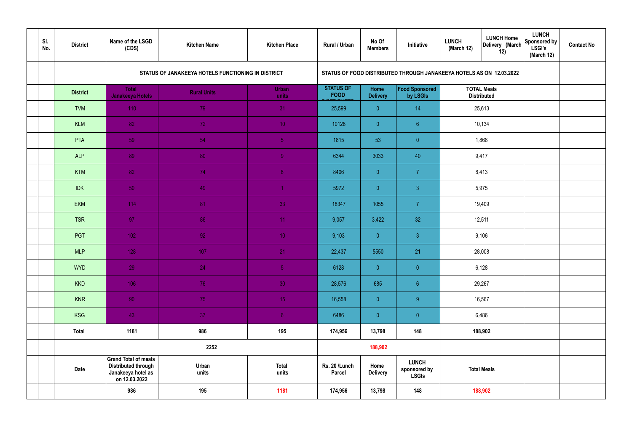| SI.<br>No. | <b>District</b> | Name of the LSGD<br>(CDS)                                                                        | <b>Kitchen Name</b>                                | <b>Kitchen Place</b>  | Rural / Urban                   | No Of<br><b>Members</b> | Initiative                                                           | <b>LUNCH Home</b><br><b>LUNCH</b><br>Delivery (March<br>(March 12)<br>12) |                                          | <b>LUNCH</b><br>Sponsored by<br><b>LSGI's</b><br>(March 12) | <b>Contact No</b> |
|------------|-----------------|--------------------------------------------------------------------------------------------------|----------------------------------------------------|-----------------------|---------------------------------|-------------------------|----------------------------------------------------------------------|---------------------------------------------------------------------------|------------------------------------------|-------------------------------------------------------------|-------------------|
|            |                 |                                                                                                  | STATUS OF JANAKEEYA HOTELS FUNCTIONING IN DISTRICT |                       |                                 |                         | STATUS OF FOOD DISTRIBUTED THROUGH JANAKEEYA HOTELS AS ON 12.03.2022 |                                                                           |                                          |                                                             |                   |
|            | <b>District</b> | <b>Total</b><br><b>Janakeeya Hotels</b>                                                          | <b>Rural Units</b>                                 | <b>Urban</b><br>units | <b>STATUS OF</b><br><b>FOOD</b> | Home<br><b>Delivery</b> | Food Sponsored<br>by LSGIs                                           |                                                                           | <b>TOTAL Meals</b><br><b>Distributed</b> |                                                             |                   |
|            | <b>TVM</b>      | 110                                                                                              | 79                                                 | 31                    | 25,599                          | $\overline{0}$          | 14                                                                   |                                                                           | 25,613                                   |                                                             |                   |
|            | <b>KLM</b>      | 82                                                                                               | 72                                                 | 10 <sup>°</sup>       | 10128                           | $\overline{0}$          | 6 <sup>°</sup>                                                       |                                                                           | 10,134                                   |                                                             |                   |
|            | PTA             | 59                                                                                               | 54                                                 | $\sqrt{5}$            | 1815                            | 53                      | $\overline{0}$                                                       | 1,868                                                                     |                                          |                                                             |                   |
|            | <b>ALP</b>      | 89                                                                                               | 80                                                 | $\overline{9}$        | 6344                            | 3033                    | 40                                                                   | 9,417                                                                     |                                          |                                                             |                   |
|            | <b>KTM</b>      | 82                                                                                               | 74                                                 | 8 <sup>°</sup>        | 8406                            | $\overline{0}$          | $\overline{7}$                                                       | 8,413                                                                     |                                          |                                                             |                   |
|            | <b>IDK</b>      | 50                                                                                               | 49                                                 | $\blacktriangleleft$  | 5972                            | $\overline{0}$          | $\mathbf{3}$                                                         | 5,975                                                                     |                                          |                                                             |                   |
|            | <b>EKM</b>      | 114                                                                                              | 81                                                 | 33                    | 18347                           | 1055                    | $\overline{7}$                                                       | 19,409                                                                    |                                          |                                                             |                   |
|            | <b>TSR</b>      | 97                                                                                               | 86                                                 | 11                    | 9,057                           | 3,422                   | 32                                                                   |                                                                           | 12,511                                   |                                                             |                   |
|            | PGT             | $102$                                                                                            | 92                                                 | 10 <sup>°</sup>       | 9,103                           | $\overline{0}$          | $\mathbf{3}$                                                         |                                                                           | 9,106                                    |                                                             |                   |
|            | <b>MLP</b>      | 128                                                                                              | 107                                                | 21                    | 22,437                          | 5550                    | 21                                                                   |                                                                           | 28,008                                   |                                                             |                   |
|            | <b>WYD</b>      | 29                                                                                               | 24                                                 | 5 <sub>1</sub>        | 6128                            | $\mathbf{0}$            | $\overline{0}$                                                       |                                                                           | 6,128                                    |                                                             |                   |
|            | <b>KKD</b>      | 106                                                                                              | 76                                                 | 30                    | 28,576                          | 685                     | $\sqrt{6}$                                                           |                                                                           | 29,267                                   |                                                             |                   |
|            | <b>KNR</b>      | 90 <sub>1</sub>                                                                                  | 75                                                 | 15 <sub>1</sub>       | 16,558                          | $\overline{0}$          | 9                                                                    |                                                                           | 16,567                                   |                                                             |                   |
|            | <b>KSG</b>      | 43                                                                                               | 37 <sub>2</sub>                                    | 6 <sup>1</sup>        | 6486                            | $\overline{0}$          | $\pmb{0}$                                                            | 6,486                                                                     |                                          |                                                             |                   |
|            | <b>Total</b>    | 1181                                                                                             | 986                                                | 195                   | 174,956                         | 13,798                  | 148                                                                  | 188,902                                                                   |                                          |                                                             |                   |
|            |                 |                                                                                                  | 2252                                               |                       |                                 | 188,902                 |                                                                      |                                                                           |                                          |                                                             |                   |
|            | <b>Date</b>     | <b>Grand Total of meals</b><br><b>Distributed through</b><br>Janakeeya hotel as<br>on 12.03.2022 | Urban<br>units                                     | <b>Total</b><br>units | Rs. 20 /Lunch<br><b>Parcel</b>  | Home<br><b>Delivery</b> | <b>LUNCH</b><br>sponsored by<br><b>LSGIs</b>                         | <b>Total Meals</b>                                                        |                                          |                                                             |                   |
|            |                 | 986                                                                                              | 195                                                | 1181                  | 174,956                         | 13,798                  | 148                                                                  | 188,902                                                                   |                                          |                                                             |                   |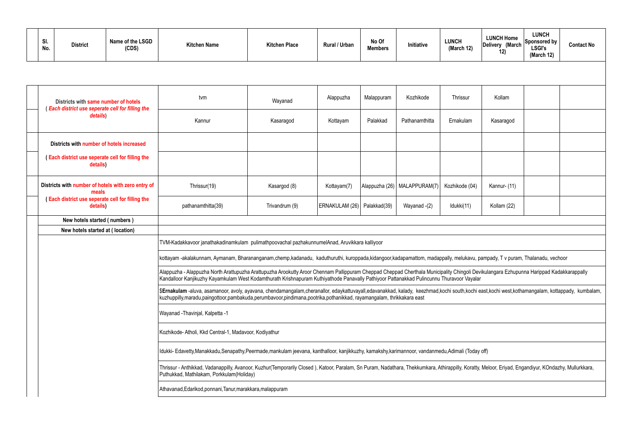|  | e.<br>31.<br>No. | <b>District</b> | Name of the LSGD<br>(CDS) | <b>Kitchen Name</b> | <b>Kitchen Place</b> | <b>Rural / Urban</b> | No Of<br><b>Members</b> | Initiative | <b>LUNCH</b><br>(March 12) |
|--|------------------|-----------------|---------------------------|---------------------|----------------------|----------------------|-------------------------|------------|----------------------------|
|--|------------------|-----------------|---------------------------|---------------------|----------------------|----------------------|-------------------------|------------|----------------------------|

| SI.<br>No.                                                                                                      | <b>District</b>                                                                          | Name of the LSGD<br>(CDS) | <b>Kitchen Name</b>                                                                                                                                                                                                                                                                                                                   | <b>Kitchen Place</b> | <b>Rural / Urban</b>        | No Of<br><b>Members</b> | Initiative                     | <b>LUNCH</b><br>(March 12) | <b>LUNCH Home</b><br>Delivery (March<br>12) | <b>LUNCH</b><br>Sponsored by<br><b>LSGI's</b><br>(March 12) | <b>Contact No</b> |  |  |  |
|-----------------------------------------------------------------------------------------------------------------|------------------------------------------------------------------------------------------|---------------------------|---------------------------------------------------------------------------------------------------------------------------------------------------------------------------------------------------------------------------------------------------------------------------------------------------------------------------------------|----------------------|-----------------------------|-------------------------|--------------------------------|----------------------------|---------------------------------------------|-------------------------------------------------------------|-------------------|--|--|--|
|                                                                                                                 |                                                                                          |                           |                                                                                                                                                                                                                                                                                                                                       |                      |                             |                         |                                |                            |                                             |                                                             |                   |  |  |  |
|                                                                                                                 | Districts with same number of hotels<br>(Each district use seperate cell for filling the |                           | tvm                                                                                                                                                                                                                                                                                                                                   | Wayanad              | Alappuzha                   | Malappuram              | Kozhikode                      | Thrissur                   | Kollam                                      |                                                             |                   |  |  |  |
|                                                                                                                 | details)                                                                                 |                           | Kannur                                                                                                                                                                                                                                                                                                                                | Kasaragod            | Kottayam                    | Palakkad                | Pathanamthitta                 | Ernakulam                  | Kasaragod                                   |                                                             |                   |  |  |  |
|                                                                                                                 | Districts with number of hotels increased                                                |                           |                                                                                                                                                                                                                                                                                                                                       |                      |                             |                         |                                |                            |                                             |                                                             |                   |  |  |  |
|                                                                                                                 | (Each district use seperate cell for filling the<br>details)                             |                           |                                                                                                                                                                                                                                                                                                                                       |                      |                             |                         |                                |                            |                                             |                                                             |                   |  |  |  |
| Districts with number of hotels with zero entry of<br>meals<br>(Each district use seperate cell for filling the |                                                                                          |                           | Thrissur(19)                                                                                                                                                                                                                                                                                                                          | Kasargod (8)         | Kottayam(7)                 |                         | Alappuzha (26)   MALAPPURAM(7) | Kozhikode (04)             | Kannur- (11)                                |                                                             |                   |  |  |  |
| details)                                                                                                        |                                                                                          |                           | pathanamthitta(39)                                                                                                                                                                                                                                                                                                                    | Trivandrum (9)       | ERNAKULAM (26) Palakkad(39) |                         | Wayanad -(2)                   | Idukki(11)                 | Kollam (22)                                 |                                                             |                   |  |  |  |
| New hotels started (numbers)                                                                                    |                                                                                          |                           |                                                                                                                                                                                                                                                                                                                                       |                      |                             |                         |                                |                            |                                             |                                                             |                   |  |  |  |
|                                                                                                                 | New hotels started at (location)                                                         |                           |                                                                                                                                                                                                                                                                                                                                       |                      |                             |                         |                                |                            |                                             |                                                             |                   |  |  |  |
|                                                                                                                 |                                                                                          |                           | TVM-Kadakkavoor janathakadinamkulam pulimathpoovachal pazhakunnumelAnad, Aruvikkara kalliyoor                                                                                                                                                                                                                                         |                      |                             |                         |                                |                            |                                             |                                                             |                   |  |  |  |
|                                                                                                                 |                                                                                          |                           | kottayam -akalakunnam, Aymanam, Bharananganam,chemp,kadanadu, kaduthuruthi, kuroppada,kidangoor,kadapamattom, madappally, melukavu, pampady, T v puram, Thalanadu, vechoor                                                                                                                                                            |                      |                             |                         |                                |                            |                                             |                                                             |                   |  |  |  |
|                                                                                                                 |                                                                                          |                           | Alappuzha - Alappuzha North Arattupuzha Arattupuzha Arookutty Aroor Chennam Pallippuram Cheppad Cheppad Cherthala Municipality Chingoli Devikulangara Ezhupunna Harippad Kadakkarappally<br>Kandalloor Kanjikuzhy Kayamkulam West Kodamthurath Krishnapuram Kuthiyathode Panavally Pathiyoor Pattanakkad Pulincunnu Thuravoor Vayalar |                      |                             |                         |                                |                            |                                             |                                                             |                   |  |  |  |
|                                                                                                                 |                                                                                          |                           | SErnakulam -aluva, asamanoor, avoly, ayavana, chendamangalam,cheranallor, edaykattuvayall,edavanakkad, kalady, keezhmad,kochi south,kochi east,kochi west,kothamangalam, kottappady, kumbalam,<br>kuzhuppilly,maradu,paingottoor,pambakuda,perumbavoor,pindimana,pootrika,pothanikkad, rayamangalam, thrikkakara east                 |                      |                             |                         |                                |                            |                                             |                                                             |                   |  |  |  |
|                                                                                                                 |                                                                                          |                           | Wayanad - Thavinjal, Kalpetta - 1                                                                                                                                                                                                                                                                                                     |                      |                             |                         |                                |                            |                                             |                                                             |                   |  |  |  |
|                                                                                                                 |                                                                                          |                           | Kozhikode-Atholi, Kkd Central-1, Madavoor, Kodiyathur                                                                                                                                                                                                                                                                                 |                      |                             |                         |                                |                            |                                             |                                                             |                   |  |  |  |
|                                                                                                                 |                                                                                          |                           | Idukki- Edavetty,Manakkadu,Senapathy,Peermade,mankulam jeevana, kanthalloor, kanjikkuzhy, kamakshy,karimannoor, vandanmedu,Adimali (Today off)                                                                                                                                                                                        |                      |                             |                         |                                |                            |                                             |                                                             |                   |  |  |  |
|                                                                                                                 |                                                                                          |                           | Thrissur - Anthikkad, Vadanappilly, Avanoor, Kuzhur(Temporarily Closed), Katoor, Paralam, Sn Puram, Nadathara, Thekkumkara, Athirappilly, Koratty, Meloor, Eriyad, Engandiyur, KOndazhy, Mullurkkara,<br>Puthukkad, Mathilakam, Porkkulam(Holiday)                                                                                    |                      |                             |                         |                                |                            |                                             |                                                             |                   |  |  |  |
|                                                                                                                 |                                                                                          |                           | Athavanad, Edarikod, ponnani, Tanur, marakkara, malappuram                                                                                                                                                                                                                                                                            |                      |                             |                         |                                |                            |                                             |                                                             |                   |  |  |  |